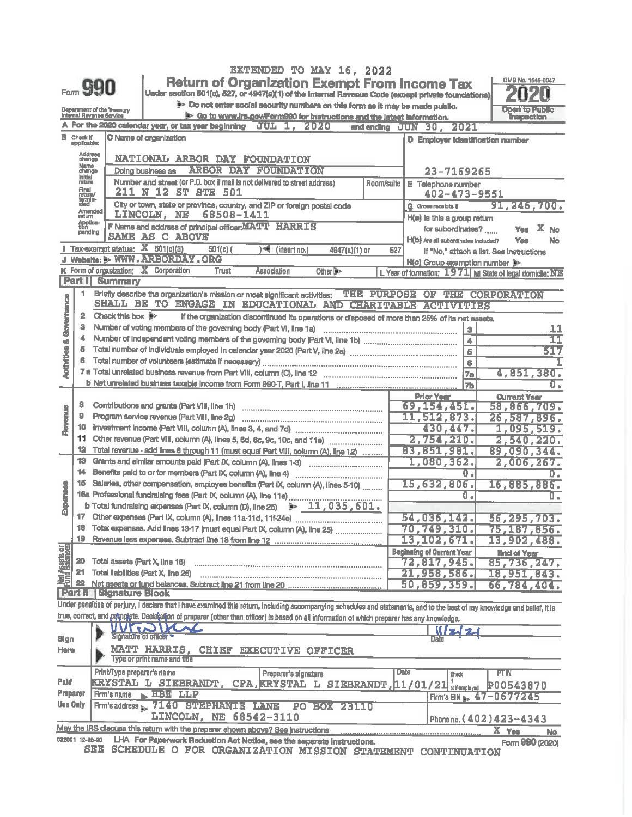|                                    |                                     |                                                        |                                                                                                                                                                            |            |                         | EXTENDED TO MAY 16, 2022                                                    |                |      |                                                                                                 |            |                                    |                  |
|------------------------------------|-------------------------------------|--------------------------------------------------------|----------------------------------------------------------------------------------------------------------------------------------------------------------------------------|------------|-------------------------|-----------------------------------------------------------------------------|----------------|------|-------------------------------------------------------------------------------------------------|------------|------------------------------------|------------------|
|                                    |                                     |                                                        | <b>Return of Organization Exempt From Income Tax</b>                                                                                                                       |            |                         |                                                                             |                |      |                                                                                                 |            | OMB No. 1545-0047                  |                  |
|                                    |                                     | $_{F\circ m}$ $990$                                    | Under section 501(c), 527, or 4947(a)(1) of the Internal Revenue Code (except private foundations)                                                                         |            |                         |                                                                             |                |      |                                                                                                 |            |                                    |                  |
|                                    |                                     |                                                        |                                                                                                                                                                            |            |                         | Do not enter social security numbers on this form as it may be made public. |                |      |                                                                                                 |            | Open to Public                     |                  |
|                                    |                                     | Department of the Treasury<br>Internal Revenue Service |                                                                                                                                                                            |            |                         | 9> Go to www.irs.gov/Form990 for instructions and the latest information.   |                |      |                                                                                                 |            | Inspection                         |                  |
|                                    |                                     |                                                        | A For the 2020 calendar year, or tax year beginning JUL 1, 2020                                                                                                            |            |                         |                                                                             |                |      | and ending JUN 30, 2021                                                                         |            |                                    |                  |
|                                    | <b>B</b> Check If<br>applicable:    |                                                        | C Name of organization                                                                                                                                                     |            |                         |                                                                             |                |      | D Employer Identification number                                                                |            |                                    |                  |
|                                    |                                     |                                                        |                                                                                                                                                                            |            |                         |                                                                             |                |      |                                                                                                 |            |                                    |                  |
|                                    | Address                             |                                                        | NATIONAL ARBOR DAY FOUNDATION                                                                                                                                              |            |                         |                                                                             |                |      |                                                                                                 |            |                                    |                  |
|                                    | Name<br>change<br><b>Initial</b>    |                                                        | Doing business as                                                                                                                                                          |            | ARBOR DAY FOUNDATION    |                                                                             |                |      | 23-7169265                                                                                      |            |                                    |                  |
|                                    |                                     |                                                        | Number and street (or P.O. box if mail is not delivered to street address)                                                                                                 |            |                         |                                                                             | Room/suite     |      | E Telephone number                                                                              |            |                                    |                  |
|                                    | Final<br>return/<br>termin-<br>ated |                                                        | 211 N 12 ST STE 501                                                                                                                                                        |            |                         |                                                                             |                |      | 402-473-9551                                                                                    |            |                                    |                  |
|                                    | Amended                             |                                                        | City or town, state or province, country, and ZIP or foreign postal code                                                                                                   |            |                         |                                                                             |                |      | G Gross receipts \$                                                                             |            | 91,246,700.                        |                  |
|                                    | return<br>Applica-<br>tion          |                                                        | LINCOLN, NE                                                                                                                                                                | 68508-1411 |                         |                                                                             |                |      | H(a) is this a group return                                                                     |            |                                    |                  |
|                                    | pending                             |                                                        | F Name and address of principal officer, MATT HARRIS<br><b>SAME AS C ABOVE</b>                                                                                             |            |                         |                                                                             |                |      | for subordinates?                                                                               |            | <b>Yes</b>                         | x<br>No          |
|                                    |                                     | <b>Tax-exempt status:</b> $\overline{X}$ 501(c)(3)     |                                                                                                                                                                            |            |                         |                                                                             |                |      | H(b) Are all subordinates included?                                                             |            | Yes                                | No               |
|                                    |                                     |                                                        | 501(c) (<br>J Website: > WWW.ARBORDAY.ORG                                                                                                                                  |            | }<€ (insert no.)        | 4947(a)(1) or                                                               | 527            |      | If "No," attach a list. See Instructions                                                        |            |                                    |                  |
|                                    |                                     | K Form of organization; X Corporation                  | <b>Trust</b>                                                                                                                                                               |            |                         |                                                                             |                |      | H(c) Group exemption number                                                                     |            |                                    |                  |
|                                    | <b>Part I</b>                       | <b>Summary</b>                                         |                                                                                                                                                                            |            | <b>Association</b>      | Other <b>N</b>                                                              |                |      | L Year of formation: 1971 M State of legal domicile: NE                                         |            |                                    |                  |
|                                    | 1.                                  |                                                        |                                                                                                                                                                            |            |                         |                                                                             |                |      |                                                                                                 |            |                                    |                  |
|                                    |                                     |                                                        | Briefly describe the organization's mission or most significant activities:<br>SHALL BE TO ENGAGE IN EDUCATIONAL AND CHARITABLE                                            |            |                         | THE                                                                         | <b>PURPOSE</b> |      | OF THIS CORPORATION<br><b>ACTUAL UNION</b>                                                      |            |                                    |                  |
| <b>Activities &amp; Governance</b> | 2                                   | Check this box $\mathbb{B}^{\succ}$                    |                                                                                                                                                                            |            |                         |                                                                             |                |      |                                                                                                 |            |                                    |                  |
|                                    | з                                   |                                                        |                                                                                                                                                                            |            |                         |                                                                             |                |      | if the organization discontinued its operations or disposed of more than 25% of its net assets. |            |                                    |                  |
|                                    |                                     |                                                        |                                                                                                                                                                            |            |                         |                                                                             |                |      | $\overline{3}$                                                                                  |            |                                    | 11<br>11         |
|                                    | 5                                   |                                                        |                                                                                                                                                                            |            |                         |                                                                             |                |      | 4                                                                                               |            |                                    | 517              |
|                                    | 6                                   |                                                        |                                                                                                                                                                            |            |                         |                                                                             |                |      | $\overline{6}$                                                                                  |            |                                    |                  |
|                                    |                                     |                                                        |                                                                                                                                                                            |            |                         |                                                                             |                |      | $\bullet$                                                                                       |            | 4,851,380.                         |                  |
|                                    |                                     |                                                        |                                                                                                                                                                            |            |                         |                                                                             |                |      | 7a<br>7b                                                                                        |            |                                    | ū.               |
|                                    |                                     |                                                        |                                                                                                                                                                            |            |                         |                                                                             |                |      |                                                                                                 |            |                                    |                  |
|                                    | a                                   |                                                        |                                                                                                                                                                            |            |                         |                                                                             |                |      | <b>Prior Year</b><br>69,154,451.                                                                |            | <b>Current Year</b><br>58,866,709. |                  |
| Revenue                            | ٥                                   |                                                        |                                                                                                                                                                            |            |                         |                                                                             |                |      | 11,512,873.                                                                                     |            | 26,587,896.                        |                  |
|                                    | 10                                  |                                                        |                                                                                                                                                                            |            |                         |                                                                             |                |      | 430,447.                                                                                        |            | 1,095,519.                         |                  |
|                                    | 11                                  |                                                        | Other revenue (Part VIII, column (A), lines 5, 6d, 8c, 9c, 10c, and 11e)                                                                                                   |            |                         |                                                                             |                |      | 2,754,210.                                                                                      |            | 2,540,220.                         |                  |
|                                    | 12                                  |                                                        | Total revenue - add fines 8 through 11 (must equal Part VIII, column (A), line 12)                                                                                         |            |                         |                                                                             |                |      | 83,851,981.                                                                                     |            | 89,090,344.                        |                  |
|                                    | 13                                  |                                                        | Grants and similar amounts paid (Part IX, column (A), lines 1-3)                                                                                                           |            |                         |                                                                             |                |      | 1,080,362.                                                                                      |            | 2,006,267.                         |                  |
|                                    | 14                                  |                                                        |                                                                                                                                                                            |            |                         |                                                                             |                |      | σ.                                                                                              |            |                                    | O,               |
|                                    | 15                                  |                                                        | Salaries, other compensation, employee benefits (Part IX, column (A), lines 5-10)                                                                                          |            |                         |                                                                             |                |      | 15,632,806.                                                                                     |            | 16,885,886.                        |                  |
| Expenses                           |                                     |                                                        | <b>16a</b> Professional fundraising fees (Part IX, column (A), line 11e)<br>b Total fundraising expenses (Part IX, column (D), line 25) $\rightarrow$ 11, 035, 601.        |            |                         |                                                                             |                |      | σ.                                                                                              |            |                                    | $\overline{0}$ . |
|                                    |                                     |                                                        |                                                                                                                                                                            |            |                         |                                                                             |                |      |                                                                                                 |            |                                    |                  |
|                                    |                                     |                                                        |                                                                                                                                                                            |            |                         |                                                                             |                |      | 54,036,142.                                                                                     |            | 56,295,703.                        |                  |
|                                    |                                     |                                                        | 18 Total expenses. Add lines 13-17 (must equal Part IX, column (A), line 25)                                                                                               |            |                         |                                                                             |                |      | 70,749,310.                                                                                     |            | 75,187,856.                        |                  |
|                                    | 19                                  |                                                        |                                                                                                                                                                            |            |                         |                                                                             |                |      | 13,102,671.                                                                                     |            | 13,902,488.                        |                  |
| <b>Net States</b>                  |                                     |                                                        |                                                                                                                                                                            |            |                         |                                                                             |                |      | <b>Beginning of Current Year</b>                                                                |            | <b>End of Year</b>                 |                  |
|                                    | 20                                  | Total assets (Part X, line 16)                         |                                                                                                                                                                            |            |                         |                                                                             |                |      | 72,817,945.                                                                                     |            | 85,736,247.                        |                  |
|                                    | 21                                  | Total llabilities (Part X, line 26)                    |                                                                                                                                                                            |            |                         |                                                                             |                |      | 21,958,586.                                                                                     |            | 18,951,843.                        |                  |
|                                    | 22                                  |                                                        |                                                                                                                                                                            |            |                         |                                                                             |                |      | 50,859,359.                                                                                     |            | 66,784,404.                        |                  |
|                                    |                                     | Part II   Signature Block                              |                                                                                                                                                                            |            |                         |                                                                             |                |      |                                                                                                 |            |                                    |                  |
|                                    |                                     |                                                        | Under penalties of perjury, I declare that I have examined this return, including accompanying schedules and statements, and to the best of my knowledge and belief, it is |            |                         |                                                                             |                |      |                                                                                                 |            |                                    |                  |
|                                    |                                     |                                                        | true, correct, and complete. Declaration of preparer (other than officer) is based on all information of which preparer has any knowledge.                                 |            |                         |                                                                             |                |      |                                                                                                 |            |                                    |                  |
|                                    |                                     |                                                        | <b>UGOVOZ</b><br>Signature of officer                                                                                                                                      |            |                         |                                                                             |                |      | 12                                                                                              |            |                                    |                  |
| Sign                               |                                     |                                                        |                                                                                                                                                                            |            |                         |                                                                             |                |      |                                                                                                 |            |                                    |                  |
| Here                               |                                     |                                                        | MATT HARRIS,<br>Type or print name and title                                                                                                                               |            | CHIEF EXECUTIVE OFFICER |                                                                             |                |      |                                                                                                 |            |                                    |                  |
|                                    |                                     |                                                        |                                                                                                                                                                            |            |                         |                                                                             |                |      |                                                                                                 |            |                                    |                  |
| <b>Pald</b>                        |                                     | Print/Type preparer's name                             |                                                                                                                                                                            |            | Preparer's signature    |                                                                             |                | Date | Check                                                                                           | PTIN       |                                    |                  |
| Preparer                           |                                     | Firm's name                                            | KRYSTAL L SIEBRANDT, CPA, KRYSTAL L SIEBRANDT, 11/01/21 altennologed<br><b>HBE LLP</b>                                                                                     |            |                         |                                                                             |                |      |                                                                                                 |            | P00543870                          |                  |
| <b>Use Only</b>                    |                                     |                                                        | Firm's address >> 7140 STEPHANIE LANE                                                                                                                                      |            |                         |                                                                             |                |      | Firm's EIN No.                                                                                  | 47-0677245 |                                    |                  |
|                                    |                                     |                                                        | LINCOLN, NE 68542-3110                                                                                                                                                     |            |                         | PO BOX 23110                                                                |                |      |                                                                                                 |            |                                    |                  |
|                                    |                                     |                                                        |                                                                                                                                                                            |            |                         |                                                                             |                |      | Phone no. (402) 423-4343                                                                        |            |                                    |                  |
|                                    |                                     |                                                        | May the IRS discuss this return with the preparer shown above? See instructions                                                                                            |            |                         |                                                                             |                |      |                                                                                                 | $X$ Yes    |                                    | No.              |

032001 12-23-20 LHA For Paperwork Reduction Act Notice, see the separate instructions.

Form 990 (2020)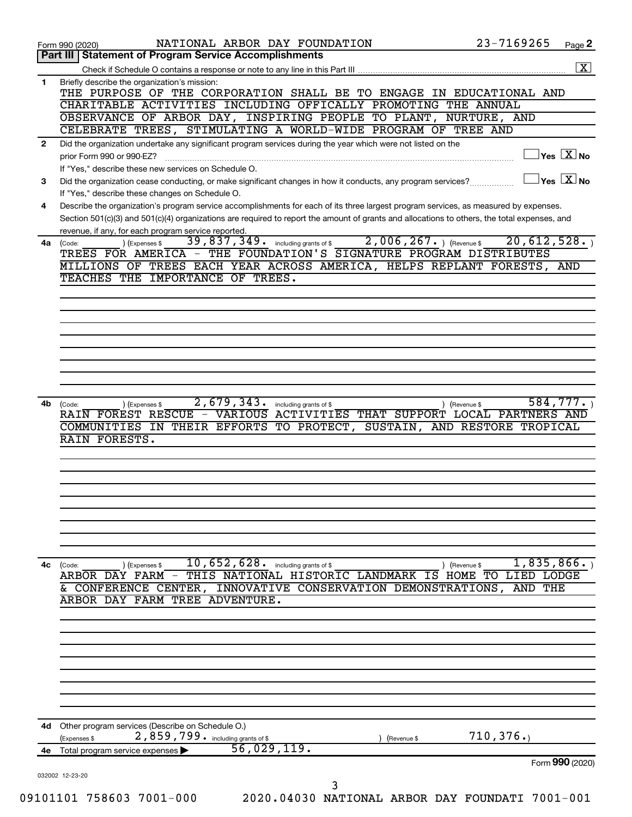|              | 23-7169265<br>NATIONAL ARBOR DAY FOUNDATION<br>Page 2<br>Form 990 (2020)<br>Part III   Statement of Program Service Accomplishments                                 |
|--------------|---------------------------------------------------------------------------------------------------------------------------------------------------------------------|
|              |                                                                                                                                                                     |
| 1            | Briefly describe the organization's mission:                                                                                                                        |
|              | THE PURPOSE OF THE CORPORATION SHALL BE TO ENGAGE IN EDUCATIONAL AND                                                                                                |
|              | CHARITABLE ACTIVITIES INCLUDING OFFICALLY PROMOTING THE ANNUAL                                                                                                      |
|              | OBSERVANCE OF ARBOR DAY, INSPIRING PEOPLE TO PLANT, NURTURE, AND                                                                                                    |
|              | CELEBRATE TREES, STIMULATING A WORLD-WIDE PROGRAM OF TREE AND                                                                                                       |
| $\mathbf{2}$ | Did the organization undertake any significant program services during the year which were not listed on the                                                        |
|              | $\sqrt{\mathsf{Yes}\ \mathbf{X}}$ No<br>prior Form 990 or 990-EZ?                                                                                                   |
|              | If "Yes," describe these new services on Schedule O.                                                                                                                |
| 3            | $\sqrt{}$ Yes $\sqrt{}\frac{\text{X}}{\text{N}}$ No<br>Did the organization cease conducting, or make significant changes in how it conducts, any program services? |
|              | If "Yes," describe these changes on Schedule O.                                                                                                                     |
| 4            | Describe the organization's program service accomplishments for each of its three largest program services, as measured by expenses.                                |
|              | Section 501(c)(3) and 501(c)(4) organizations are required to report the amount of grants and allocations to others, the total expenses, and                        |
|              | revenue, if any, for each program service reported.                                                                                                                 |
| 4a           | $2,006,267.$ (Revenue \$)<br>20,612,528.<br>39,837,349. including grants of \$<br>) (Expenses \$<br>(Code:                                                          |
|              | TREES FOR AMERICA - THE FOUNDATION'S SIGNATURE PROGRAM DISTRIBUTES                                                                                                  |
|              | MILLIONS OF TREES EACH YEAR ACROSS AMERICA, HELPS REPLANT FORESTS, AND                                                                                              |
|              | TEACHES THE IMPORTANCE OF TREES.                                                                                                                                    |
|              |                                                                                                                                                                     |
|              |                                                                                                                                                                     |
|              |                                                                                                                                                                     |
|              |                                                                                                                                                                     |
|              |                                                                                                                                                                     |
|              |                                                                                                                                                                     |
|              |                                                                                                                                                                     |
|              |                                                                                                                                                                     |
| 4b           | 2,679,343.<br>584,777.<br>including grants of \$<br>(Code:<br>(Expenses \$<br>) (Revenue \$                                                                         |
|              | RAIN FOREST RESCUE - VARIOUS<br>ACTIVITIES THAT SUPPORT LOCAL PARTNERS AND                                                                                          |
|              | COMMUNITIES IN THEIR EFFORTS<br>TO PROTECT,<br>SUSTAIN, AND RESTORE TROPICAL                                                                                        |
|              | RAIN FORESTS.                                                                                                                                                       |
|              |                                                                                                                                                                     |
|              |                                                                                                                                                                     |
|              |                                                                                                                                                                     |
|              |                                                                                                                                                                     |
|              |                                                                                                                                                                     |
|              |                                                                                                                                                                     |
|              |                                                                                                                                                                     |
|              |                                                                                                                                                                     |
| 4c           | $\overline{10}$ , $\overline{652}$ , $\overline{628}$ . including grants of \$<br>$\overline{1,835,866}$ .<br>(Expenses \$<br>) (Revenue \$<br>(Code:               |
|              | ARBOR DAY FARM - THIS NATIONAL HISTORIC LANDMARK IS HOME TO LIED LODGE                                                                                              |
|              | & CONFERENCE CENTER, INNOVATIVE CONSERVATION DEMONSTRATIONS,<br>AND THE                                                                                             |
|              | ARBOR DAY FARM TREE ADVENTURE.                                                                                                                                      |
|              |                                                                                                                                                                     |
|              |                                                                                                                                                                     |
|              |                                                                                                                                                                     |
|              |                                                                                                                                                                     |
|              |                                                                                                                                                                     |
|              |                                                                                                                                                                     |
|              |                                                                                                                                                                     |
|              |                                                                                                                                                                     |
|              |                                                                                                                                                                     |
|              |                                                                                                                                                                     |
| 4d           | Other program services (Describe on Schedule O.)                                                                                                                    |
|              | 710, 376.<br>2,859,799. including grants of \$<br>(Expenses \$<br>(Revenue \$                                                                                       |
|              | 56,029,119.<br>4e Total program service expenses ><br>Form 990 (2020)                                                                                               |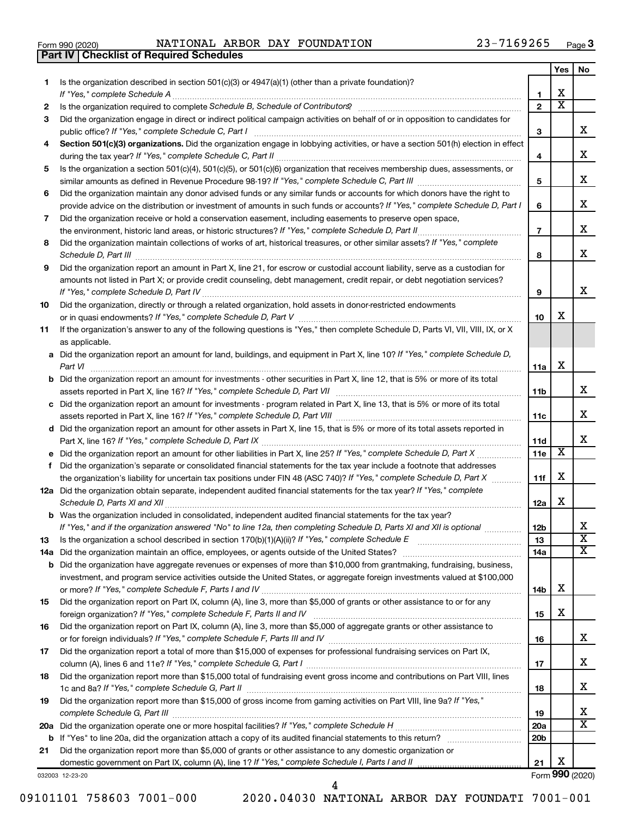|  | Form 990 (2020) |
|--|-----------------|

**Part IV Checklist of Required Schedules**

Form 990 (2020) Page NATIONAL ARBOR DAY FOUNDATION 23-7169265

|     |                                                                                                                                                                                                                                                       |                 | Yes                     | No                           |
|-----|-------------------------------------------------------------------------------------------------------------------------------------------------------------------------------------------------------------------------------------------------------|-----------------|-------------------------|------------------------------|
| 1   | Is the organization described in section 501(c)(3) or 4947(a)(1) (other than a private foundation)?                                                                                                                                                   |                 |                         |                              |
|     |                                                                                                                                                                                                                                                       | 1               | х                       |                              |
| 2   |                                                                                                                                                                                                                                                       | $\mathbf{2}$    | $\overline{\textbf{x}}$ |                              |
| З   | Did the organization engage in direct or indirect political campaign activities on behalf of or in opposition to candidates for                                                                                                                       | 3               |                         | x                            |
| 4   | Section 501(c)(3) organizations. Did the organization engage in lobbying activities, or have a section 501(h) election in effect                                                                                                                      |                 |                         |                              |
|     |                                                                                                                                                                                                                                                       | 4               |                         | X                            |
| 5   | Is the organization a section 501(c)(4), 501(c)(5), or 501(c)(6) organization that receives membership dues, assessments, or                                                                                                                          |                 |                         |                              |
|     |                                                                                                                                                                                                                                                       | 5               |                         | X                            |
| 6   | Did the organization maintain any donor advised funds or any similar funds or accounts for which donors have the right to                                                                                                                             |                 |                         |                              |
|     | provide advice on the distribution or investment of amounts in such funds or accounts? If "Yes," complete Schedule D, Part I                                                                                                                          | 6               |                         | х                            |
| 7   | Did the organization receive or hold a conservation easement, including easements to preserve open space,                                                                                                                                             |                 |                         |                              |
|     |                                                                                                                                                                                                                                                       | $\overline{7}$  |                         | х                            |
| 8   | Did the organization maintain collections of works of art, historical treasures, or other similar assets? If "Yes," complete                                                                                                                          |                 |                         |                              |
|     |                                                                                                                                                                                                                                                       | 8               |                         | x                            |
| 9   | Did the organization report an amount in Part X, line 21, for escrow or custodial account liability, serve as a custodian for                                                                                                                         |                 |                         |                              |
|     | amounts not listed in Part X; or provide credit counseling, debt management, credit repair, or debt negotiation services?                                                                                                                             |                 |                         |                              |
|     |                                                                                                                                                                                                                                                       | 9               |                         | x                            |
| 10  | Did the organization, directly or through a related organization, hold assets in donor-restricted endowments                                                                                                                                          |                 | х                       |                              |
|     |                                                                                                                                                                                                                                                       | 10              |                         |                              |
| 11  | If the organization's answer to any of the following questions is "Yes," then complete Schedule D, Parts VI, VII, VIII, IX, or X<br>as applicable.                                                                                                    |                 |                         |                              |
|     | a Did the organization report an amount for land, buildings, and equipment in Part X, line 10? If "Yes," complete Schedule D,                                                                                                                         |                 |                         |                              |
|     |                                                                                                                                                                                                                                                       | 11a             | x                       |                              |
|     | <b>b</b> Did the organization report an amount for investments - other securities in Part X, line 12, that is 5% or more of its total                                                                                                                 |                 |                         |                              |
|     |                                                                                                                                                                                                                                                       | 11 <sub>b</sub> |                         | x                            |
|     | c Did the organization report an amount for investments - program related in Part X, line 13, that is 5% or more of its total                                                                                                                         |                 |                         |                              |
|     |                                                                                                                                                                                                                                                       | 11c             |                         | x                            |
|     | d Did the organization report an amount for other assets in Part X, line 15, that is 5% or more of its total assets reported in                                                                                                                       |                 |                         |                              |
|     |                                                                                                                                                                                                                                                       | 11d             |                         | х                            |
|     |                                                                                                                                                                                                                                                       | 11e             | х                       |                              |
| f   | Did the organization's separate or consolidated financial statements for the tax year include a footnote that addresses                                                                                                                               |                 |                         |                              |
|     | the organization's liability for uncertain tax positions under FIN 48 (ASC 740)? If "Yes," complete Schedule D, Part X                                                                                                                                | 11f             | X                       |                              |
|     | 12a Did the organization obtain separate, independent audited financial statements for the tax year? If "Yes," complete                                                                                                                               |                 |                         |                              |
|     |                                                                                                                                                                                                                                                       | 12a             | X                       |                              |
|     | <b>b</b> Was the organization included in consolidated, independent audited financial statements for the tax year?                                                                                                                                    |                 |                         |                              |
|     | If "Yes," and if the organization answered "No" to line 12a, then completing Schedule D, Parts XI and XII is optional                                                                                                                                 | 12 <sub>b</sub> |                         | X<br>$\overline{\mathbf{X}}$ |
| 13  |                                                                                                                                                                                                                                                       | 13              |                         | X                            |
| 14a |                                                                                                                                                                                                                                                       | 14a             |                         |                              |
| b   | Did the organization have aggregate revenues or expenses of more than \$10,000 from grantmaking, fundraising, business,<br>investment, and program service activities outside the United States, or aggregate foreign investments valued at \$100,000 |                 |                         |                              |
|     |                                                                                                                                                                                                                                                       | 14b             | x                       |                              |
| 15  | Did the organization report on Part IX, column (A), line 3, more than \$5,000 of grants or other assistance to or for any                                                                                                                             |                 |                         |                              |
|     |                                                                                                                                                                                                                                                       | 15              | х                       |                              |
| 16  | Did the organization report on Part IX, column (A), line 3, more than \$5,000 of aggregate grants or other assistance to                                                                                                                              |                 |                         |                              |
|     |                                                                                                                                                                                                                                                       | 16              |                         | x                            |
| 17  | Did the organization report a total of more than \$15,000 of expenses for professional fundraising services on Part IX,                                                                                                                               |                 |                         |                              |
|     |                                                                                                                                                                                                                                                       | 17              |                         | x                            |
| 18  | Did the organization report more than \$15,000 total of fundraising event gross income and contributions on Part VIII, lines                                                                                                                          |                 |                         |                              |
|     |                                                                                                                                                                                                                                                       | 18              |                         | x                            |
| 19  | Did the organization report more than \$15,000 of gross income from gaming activities on Part VIII, line 9a? If "Yes,"                                                                                                                                |                 |                         |                              |
|     |                                                                                                                                                                                                                                                       | 19              |                         | х                            |
|     |                                                                                                                                                                                                                                                       | 20a             |                         | $\overline{\text{X}}$        |
| b   |                                                                                                                                                                                                                                                       | 20 <sub>b</sub> |                         |                              |
| 21  | Did the organization report more than \$5,000 of grants or other assistance to any domestic organization or                                                                                                                                           |                 | х                       |                              |
|     |                                                                                                                                                                                                                                                       | 21              |                         | Form 990 (2020)              |
|     | 032003 12-23-20                                                                                                                                                                                                                                       |                 |                         |                              |

09101101 758603 7001-000 2020.04030 NATIONAL ARBOR DAY FOUNDATI 7001-001

4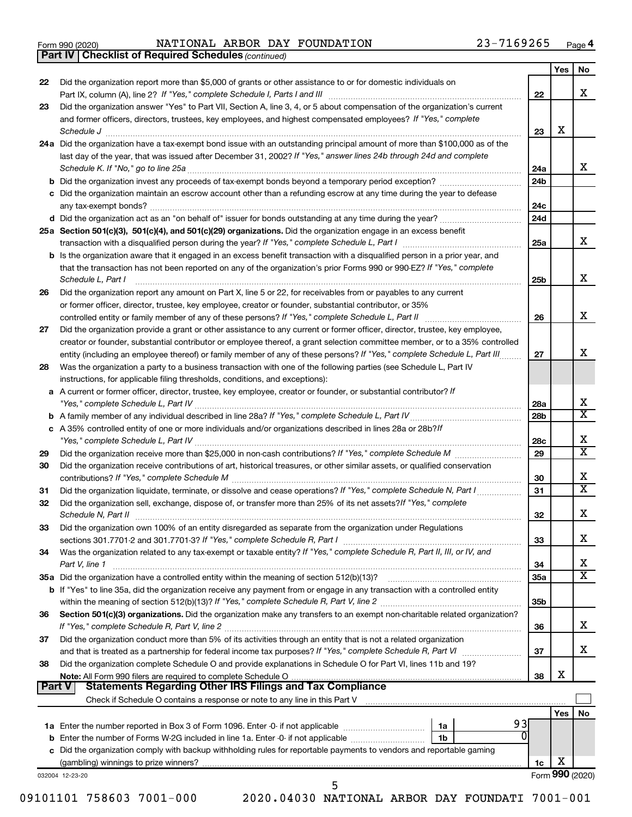|  | Form 990 (2020) |
|--|-----------------|
|  |                 |

Form 990 (2020) Page NATIONAL ARBOR DAY FOUNDATION 23-7169265

*(continued)* **Part IV Checklist of Required Schedules**

| 22     | Did the organization report more than \$5,000 of grants or other assistance to or for domestic individuals on                                                                                                                                     |                 | Yes | No                           |
|--------|---------------------------------------------------------------------------------------------------------------------------------------------------------------------------------------------------------------------------------------------------|-----------------|-----|------------------------------|
|        |                                                                                                                                                                                                                                                   | 22              |     | x                            |
| 23     | Did the organization answer "Yes" to Part VII, Section A, line 3, 4, or 5 about compensation of the organization's current                                                                                                                        |                 |     |                              |
|        | and former officers, directors, trustees, key employees, and highest compensated employees? If "Yes," complete                                                                                                                                    |                 |     |                              |
|        | Schedule J <b>Example 2 Contract 2 Contract 2 Contract 2 Contract 2 Contract 2 Contract 2 Contract 2 Contract 2 Contract 2 Contract 2 Contract 2 Contract 2 Contract 2 Contract 2 Contract 2 Con</b>                                              | 23              | X   |                              |
|        | 24a Did the organization have a tax-exempt bond issue with an outstanding principal amount of more than \$100,000 as of the<br>last day of the year, that was issued after December 31, 2002? If "Yes," answer lines 24b through 24d and complete |                 |     |                              |
|        |                                                                                                                                                                                                                                                   | 24a             |     | x                            |
|        |                                                                                                                                                                                                                                                   | 24 <sub>b</sub> |     |                              |
|        | c Did the organization maintain an escrow account other than a refunding escrow at any time during the year to defease                                                                                                                            |                 |     |                              |
|        |                                                                                                                                                                                                                                                   | 24c             |     |                              |
|        |                                                                                                                                                                                                                                                   | 24d             |     |                              |
|        | 25a Section 501(c)(3), 501(c)(4), and 501(c)(29) organizations. Did the organization engage in an excess benefit                                                                                                                                  | 25a             |     | x                            |
|        | <b>b</b> Is the organization aware that it engaged in an excess benefit transaction with a disqualified person in a prior year, and                                                                                                               |                 |     |                              |
|        | that the transaction has not been reported on any of the organization's prior Forms 990 or 990-EZ? If "Yes," complete                                                                                                                             |                 |     |                              |
|        | Schedule L, Part I                                                                                                                                                                                                                                | 25 <sub>b</sub> |     | x                            |
| 26     | Did the organization report any amount on Part X, line 5 or 22, for receivables from or payables to any current                                                                                                                                   |                 |     |                              |
|        | or former officer, director, trustee, key employee, creator or founder, substantial contributor, or 35%                                                                                                                                           |                 |     | x                            |
| 27     | Did the organization provide a grant or other assistance to any current or former officer, director, trustee, key employee,                                                                                                                       | 26              |     |                              |
|        | creator or founder, substantial contributor or employee thereof, a grant selection committee member, or to a 35% controlled                                                                                                                       |                 |     |                              |
|        | entity (including an employee thereof) or family member of any of these persons? If "Yes," complete Schedule L, Part III                                                                                                                          | 27              |     | х                            |
| 28     | Was the organization a party to a business transaction with one of the following parties (see Schedule L, Part IV                                                                                                                                 |                 |     |                              |
|        | instructions, for applicable filing thresholds, conditions, and exceptions):                                                                                                                                                                      |                 |     |                              |
|        | a A current or former officer, director, trustee, key employee, creator or founder, or substantial contributor? If                                                                                                                                | 28a             |     | х                            |
|        |                                                                                                                                                                                                                                                   | 28 <sub>b</sub> |     | $\overline{\textbf{X}}$      |
|        | c A 35% controlled entity of one or more individuals and/or organizations described in lines 28a or 28b?/f                                                                                                                                        |                 |     |                              |
|        |                                                                                                                                                                                                                                                   | 28c             |     | х                            |
| 29     |                                                                                                                                                                                                                                                   | 29              |     | $\overline{\texttt{x}}$      |
| 30     | Did the organization receive contributions of art, historical treasures, or other similar assets, or qualified conservation                                                                                                                       |                 |     | х                            |
| 31     |                                                                                                                                                                                                                                                   | 30<br>31        |     | $\overline{\textbf{X}}$      |
| 32     | Did the organization sell, exchange, dispose of, or transfer more than 25% of its net assets? If "Yes," complete                                                                                                                                  |                 |     |                              |
|        |                                                                                                                                                                                                                                                   | 32              |     | х                            |
| 33     | Did the organization own 100% of an entity disregarded as separate from the organization under Regulations                                                                                                                                        |                 |     |                              |
|        |                                                                                                                                                                                                                                                   | 33              |     | х                            |
| 34     | Was the organization related to any tax-exempt or taxable entity? If "Yes," complete Schedule R, Part II, III, or IV, and                                                                                                                         |                 |     |                              |
|        | Part V, line 1                                                                                                                                                                                                                                    | 34<br>35a       |     | х<br>$\overline{\textbf{X}}$ |
|        | <b>b</b> If "Yes" to line 35a, did the organization receive any payment from or engage in any transaction with a controlled entity                                                                                                                |                 |     |                              |
|        |                                                                                                                                                                                                                                                   | 35 <sub>b</sub> |     |                              |
| 36     | Section 501(c)(3) organizations. Did the organization make any transfers to an exempt non-charitable related organization?                                                                                                                        |                 |     |                              |
|        |                                                                                                                                                                                                                                                   | 36              |     | х                            |
| 37     | Did the organization conduct more than 5% of its activities through an entity that is not a related organization                                                                                                                                  |                 |     | х                            |
| 38     | Did the organization complete Schedule O and provide explanations in Schedule O for Part VI, lines 11b and 19?                                                                                                                                    | 37              |     |                              |
|        | Note: All Form 990 filers are required to complete Schedule O                                                                                                                                                                                     | 38              | х   |                              |
| Part V |                                                                                                                                                                                                                                                   |                 |     |                              |
|        |                                                                                                                                                                                                                                                   |                 |     |                              |
|        |                                                                                                                                                                                                                                                   |                 | Yes | No                           |
|        | 93<br>1a<br>1b                                                                                                                                                                                                                                    |                 |     |                              |
|        | c Did the organization comply with backup withholding rules for reportable payments to vendors and reportable gaming                                                                                                                              |                 |     |                              |
|        |                                                                                                                                                                                                                                                   | 1c              | х   |                              |
|        | 032004 12-23-20                                                                                                                                                                                                                                   |                 |     | Form 990 (2020)              |
|        | 5                                                                                                                                                                                                                                                 |                 |     |                              |

09101101 758603 7001-000 2020.04030 NATIONAL ARBOR DAY FOUNDATI 7001-001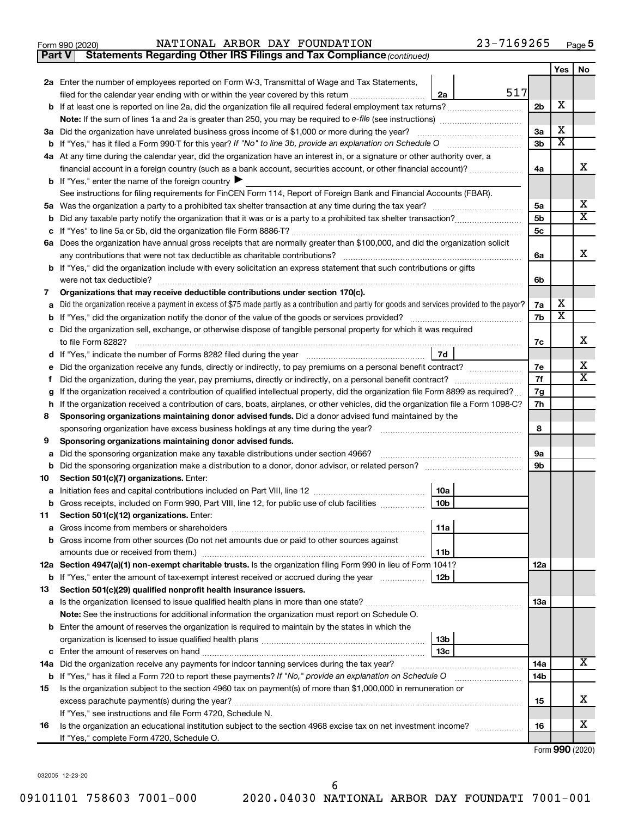| n 990 (2020) |  |
|--------------|--|
|              |  |

**Part V Statements Regarding Other IRS Filings and Tax Compliance**

*(continued)*

|                                                                                                                     |                                                                                                                                                 |                | Yes                     | No |  |  |  |  |
|---------------------------------------------------------------------------------------------------------------------|-------------------------------------------------------------------------------------------------------------------------------------------------|----------------|-------------------------|----|--|--|--|--|
|                                                                                                                     | 2a Enter the number of employees reported on Form W-3, Transmittal of Wage and Tax Statements,                                                  |                |                         |    |  |  |  |  |
|                                                                                                                     | 517<br>filed for the calendar year ending with or within the year covered by this return<br>2a                                                  |                |                         |    |  |  |  |  |
|                                                                                                                     |                                                                                                                                                 | 2 <sub>b</sub> | х                       |    |  |  |  |  |
|                                                                                                                     | <b>Note:</b> If the sum of lines 1a and 2a is greater than 250, you may be required to e-file (see instructions) <i>managererous</i>            |                |                         |    |  |  |  |  |
|                                                                                                                     | 3a Did the organization have unrelated business gross income of \$1,000 or more during the year?                                                |                |                         |    |  |  |  |  |
|                                                                                                                     |                                                                                                                                                 | 3b             | $\overline{\textbf{x}}$ |    |  |  |  |  |
|                                                                                                                     | 4a At any time during the calendar year, did the organization have an interest in, or a signature or other authority over, a                    |                |                         |    |  |  |  |  |
|                                                                                                                     | financial account in a foreign country (such as a bank account, securities account, or other financial account)?                                | 4a             |                         | x  |  |  |  |  |
|                                                                                                                     | <b>b</b> If "Yes," enter the name of the foreign country $\blacktriangleright$                                                                  |                |                         |    |  |  |  |  |
|                                                                                                                     | See instructions for filing requirements for FinCEN Form 114, Report of Foreign Bank and Financial Accounts (FBAR).                             |                |                         |    |  |  |  |  |
|                                                                                                                     |                                                                                                                                                 |                |                         |    |  |  |  |  |
|                                                                                                                     |                                                                                                                                                 |                |                         |    |  |  |  |  |
|                                                                                                                     |                                                                                                                                                 | 5c             |                         |    |  |  |  |  |
|                                                                                                                     | 6a Does the organization have annual gross receipts that are normally greater than \$100,000, and did the organization solicit                  |                |                         |    |  |  |  |  |
|                                                                                                                     | any contributions that were not tax deductible as charitable contributions?                                                                     | 6a             |                         | x  |  |  |  |  |
|                                                                                                                     | b If "Yes," did the organization include with every solicitation an express statement that such contributions or gifts                          |                |                         |    |  |  |  |  |
|                                                                                                                     | were not tax deductible?                                                                                                                        | 6b             |                         |    |  |  |  |  |
| 7                                                                                                                   | Organizations that may receive deductible contributions under section 170(c).                                                                   |                |                         |    |  |  |  |  |
| a                                                                                                                   | Did the organization receive a payment in excess of \$75 made partly as a contribution and partly for goods and services provided to the payor? | 7a             | х                       |    |  |  |  |  |
|                                                                                                                     |                                                                                                                                                 | 7b             | $\overline{\textbf{x}}$ |    |  |  |  |  |
|                                                                                                                     | c Did the organization sell, exchange, or otherwise dispose of tangible personal property for which it was required                             |                |                         | x  |  |  |  |  |
|                                                                                                                     | to file Form 8282?                                                                                                                              | 7c             |                         |    |  |  |  |  |
|                                                                                                                     | 7d                                                                                                                                              |                |                         |    |  |  |  |  |
|                                                                                                                     |                                                                                                                                                 |                |                         |    |  |  |  |  |
|                                                                                                                     | Ť.<br>If the organization received a contribution of qualified intellectual property, did the organization file Form 8899 as required?          |                |                         |    |  |  |  |  |
| g                                                                                                                   | h If the organization received a contribution of cars, boats, airplanes, or other vehicles, did the organization file a Form 1098-C?            |                |                         |    |  |  |  |  |
|                                                                                                                     | 8<br>Sponsoring organizations maintaining donor advised funds. Did a donor advised fund maintained by the                                       |                |                         |    |  |  |  |  |
|                                                                                                                     | sponsoring organization have excess business holdings at any time during the year?                                                              |                |                         |    |  |  |  |  |
| 9                                                                                                                   | Sponsoring organizations maintaining donor advised funds.                                                                                       |                |                         |    |  |  |  |  |
| а                                                                                                                   | Did the sponsoring organization make any taxable distributions under section 4966?                                                              |                |                         |    |  |  |  |  |
| b                                                                                                                   |                                                                                                                                                 |                |                         |    |  |  |  |  |
| 10                                                                                                                  | Section 501(c)(7) organizations. Enter:                                                                                                         |                |                         |    |  |  |  |  |
|                                                                                                                     | 10a                                                                                                                                             |                |                         |    |  |  |  |  |
|                                                                                                                     | 10 <sub>b</sub><br><b>b</b> Gross receipts, included on Form 990, Part VIII, line 12, for public use of club facilities <i>manameron</i> ,      |                |                         |    |  |  |  |  |
| 11                                                                                                                  | Section 501(c)(12) organizations. Enter:                                                                                                        |                |                         |    |  |  |  |  |
|                                                                                                                     | 11a                                                                                                                                             |                |                         |    |  |  |  |  |
|                                                                                                                     | <b>b</b> Gross income from other sources (Do not net amounts due or paid to other sources against                                               |                |                         |    |  |  |  |  |
|                                                                                                                     | 11b                                                                                                                                             |                |                         |    |  |  |  |  |
|                                                                                                                     | 12a Section 4947(a)(1) non-exempt charitable trusts. Is the organization filing Form 990 in lieu of Form 1041?                                  | 12a            |                         |    |  |  |  |  |
|                                                                                                                     | <b>b</b> If "Yes," enter the amount of tax-exempt interest received or accrued during the year<br>12b                                           |                |                         |    |  |  |  |  |
| 13                                                                                                                  | Section 501(c)(29) qualified nonprofit health insurance issuers.                                                                                |                |                         |    |  |  |  |  |
|                                                                                                                     | a Is the organization licensed to issue qualified health plans in more than one state?                                                          | 1За            |                         |    |  |  |  |  |
|                                                                                                                     | Note: See the instructions for additional information the organization must report on Schedule O.                                               |                |                         |    |  |  |  |  |
|                                                                                                                     | <b>b</b> Enter the amount of reserves the organization is required to maintain by the states in which the                                       |                |                         |    |  |  |  |  |
|                                                                                                                     | 13b                                                                                                                                             |                |                         |    |  |  |  |  |
|                                                                                                                     | 13c<br><b>c</b> Enter the amount of reserves on hand                                                                                            | 14a            |                         | x  |  |  |  |  |
|                                                                                                                     | 14a Did the organization receive any payments for indoor tanning services during the tax year?                                                  |                |                         |    |  |  |  |  |
|                                                                                                                     | <b>b</b> If "Yes," has it filed a Form 720 to report these payments? If "No," provide an explanation on Schedule O                              | 14b            |                         |    |  |  |  |  |
| Is the organization subject to the section 4960 tax on payment(s) of more than \$1,000,000 in remuneration or<br>15 |                                                                                                                                                 |                |                         |    |  |  |  |  |
|                                                                                                                     | excess parachute payment(s) during the year?<br>If "Yes," see instructions and file Form 4720, Schedule N.                                      | 15             |                         | x  |  |  |  |  |
| 16                                                                                                                  | Is the organization an educational institution subject to the section 4968 excise tax on net investment income?                                 | 16             |                         | х  |  |  |  |  |
|                                                                                                                     | If "Yes," complete Form 4720, Schedule O.                                                                                                       |                |                         |    |  |  |  |  |
|                                                                                                                     |                                                                                                                                                 |                |                         |    |  |  |  |  |

Form (2020) **990**

032005 12-23-20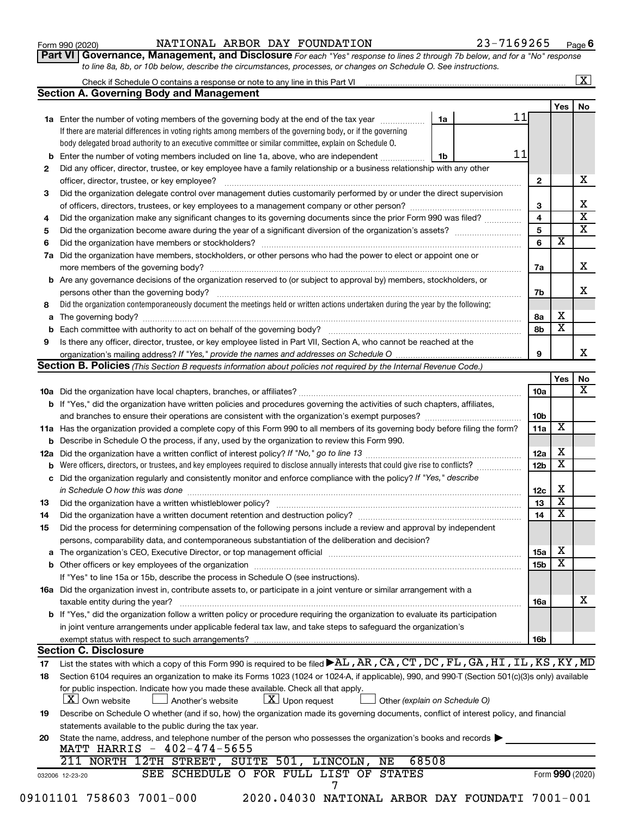| Form 990 (2020) |  |  |  |
|-----------------|--|--|--|
|-----------------|--|--|--|

#### Form 990 (2020) Page NATIONAL ARBOR DAY FOUNDATION 23-7169265

**Part VI** Governance, Management, and Disclosure For each "Yes" response to lines 2 through 7b below, and for a "No" response *to line 8a, 8b, or 10b below, describe the circumstances, processes, or changes on Schedule O. See instructions.*

| 11<br>1a<br>1a Enter the number of voting members of the governing body at the end of the tax year <i>manument</i><br>If there are material differences in voting rights among members of the governing body, or if the governing<br>body delegated broad authority to an executive committee or similar committee, explain on Schedule O.<br>11<br>Enter the number of voting members included on line 1a, above, who are independent<br>1b<br>b<br>Did any officer, director, trustee, or key employee have a family relationship or a business relationship with any other<br>$\mathbf{2}$<br>Did the organization delegate control over management duties customarily performed by or under the direct supervision<br>3<br>$\overline{\mathbf{4}}$<br>Did the organization make any significant changes to its governing documents since the prior Form 990 was filed?<br>5<br>$\overline{\mathbf{x}}$<br>6<br>Did the organization have members, stockholders, or other persons who had the power to elect or appoint one or<br>7a<br>Are any governance decisions of the organization reserved to (or subject to approval by) members, stockholders, or<br>persons other than the governing body?<br>7b<br>Did the organization contemporaneously document the meetings held or written actions undertaken during the year by the following:<br>8a<br>$\overline{\textbf{x}}$<br>8b<br>Is there any officer, director, trustee, or key employee listed in Part VII, Section A, who cannot be reached at the<br>9<br>organization's mailing address? If "Yes," provide the names and addresses on Schedule O.<br>Section B. Policies (This Section B requests information about policies not required by the Internal Revenue Code.)<br>10a<br><b>b</b> If "Yes," did the organization have written policies and procedures governing the activities of such chapters, affiliates,<br>10b<br>х<br>11a<br>11a Has the organization provided a complete copy of this Form 990 to all members of its governing body before filing the form?<br><b>b</b> Describe in Schedule O the process, if any, used by the organization to review this Form 990.<br>12a<br>$\overline{\mathbf{x}}$<br>Were officers, directors, or trustees, and key employees required to disclose annually interests that could give rise to conflicts?<br>12 <sub>b</sub><br>Did the organization regularly and consistently monitor and enforce compliance with the policy? If "Yes," describe<br>in Schedule O how this was done <i>machine and accordinational content of the setter and the setter and the setter</i><br>12c<br>13<br>14<br>Did the process for determining compensation of the following persons include a review and approval by independent<br>persons, comparability data, and contemporaneous substantiation of the deliberation and decision?<br><b>15a</b><br>15 <sub>b</sub><br>If "Yes" to line 15a or 15b, describe the process in Schedule O (see instructions).<br>16a Did the organization invest in, contribute assets to, or participate in a joint venture or similar arrangement with a<br>taxable entity during the year?<br><b>16a</b><br>b If "Yes," did the organization follow a written policy or procedure requiring the organization to evaluate its participation<br>in joint venture arrangements under applicable federal tax law, and take steps to safeguard the organization's<br>exempt status with respect to such arrangements?<br>16b<br><b>Section C. Disclosure</b><br>List the states with which a copy of this Form 990 is required to be filed AL, AR, CA, CT, DC, FL, GA, HI, IL, KS, KY, MD<br>Section 6104 requires an organization to make its Forms 1023 (1024 or 1024-A, if applicable), 990, and 990-T (Section 501(c)(3)s only) available<br>for public inspection. Indicate how you made these available. Check all that apply.<br>$\lfloor x \rfloor$ Upon request<br>  X   Own website<br>Another's website<br>Other (explain on Schedule O)<br>Describe on Schedule O whether (and if so, how) the organization made its governing documents, conflict of interest policy, and financial<br>statements available to the public during the tax year.<br>State the name, address, and telephone number of the person who possesses the organization's books and records<br>MATT HARRIS - 402-474-5655<br>211 NORTH 12TH STREET, SUITE 501, LINCOLN, NE<br>68508<br>SEE SCHEDULE O FOR FULL LIST OF STATES<br>Form 990 (2020)<br>032006 12-23-20<br>7<br>09101101 758603 7001-000<br>2020.04030 NATIONAL ARBOR DAY FOUNDATI 7001-001 |     | Check if Schedule O contains a response or note to any line in this Part VI |  |                         |  |
|-------------------------------------------------------------------------------------------------------------------------------------------------------------------------------------------------------------------------------------------------------------------------------------------------------------------------------------------------------------------------------------------------------------------------------------------------------------------------------------------------------------------------------------------------------------------------------------------------------------------------------------------------------------------------------------------------------------------------------------------------------------------------------------------------------------------------------------------------------------------------------------------------------------------------------------------------------------------------------------------------------------------------------------------------------------------------------------------------------------------------------------------------------------------------------------------------------------------------------------------------------------------------------------------------------------------------------------------------------------------------------------------------------------------------------------------------------------------------------------------------------------------------------------------------------------------------------------------------------------------------------------------------------------------------------------------------------------------------------------------------------------------------------------------------------------------------------------------------------------------------------------------------------------------------------------------------------------------------------------------------------------------------------------------------------------------------------------------------------------------------------------------------------------------------------------------------------------------------------------------------------------------------------------------------------------------------------------------------------------------------------------------------------------------------------------------------------------------------------------------------------------------------------------------------------------------------------------------------------------------------------------------------------------------------------------------------------------------------------------------------------------------------------------------------------------------------------------------------------------------------------------------------------------------------------------------------------------------------------------------------------------------------------------------------------------------------------------------------------------------------------------------------------------------------------------------------------------------------------------------------------------------------------------------------------------------------------------------------------------------------------------------------------------------------------------------------------------------------------------------------------------------------------------------------------------------------------------------------------------------------------------------------------------------------------------------------------------------------------------------------------------------------------------------------------------------------------------------------------------------------------------------------------------------------------------------------------------------------------------------------------------------------------------------------------------------------------------------------------------------------------------------------------------------------------------------------------------------------------------------------------------------------------------------------------------------------------------------------------------------------------------------------------------------------------------------------------------------------------------------------------------------------------------------------------------------------------------|-----|-----------------------------------------------------------------------------|--|-------------------------|--|
|                                                                                                                                                                                                                                                                                                                                                                                                                                                                                                                                                                                                                                                                                                                                                                                                                                                                                                                                                                                                                                                                                                                                                                                                                                                                                                                                                                                                                                                                                                                                                                                                                                                                                                                                                                                                                                                                                                                                                                                                                                                                                                                                                                                                                                                                                                                                                                                                                                                                                                                                                                                                                                                                                                                                                                                                                                                                                                                                                                                                                                                                                                                                                                                                                                                                                                                                                                                                                                                                                                                                                                                                                                                                                                                                                                                                                                                                                                                                                                                                                                                                                                                                                                                                                                                                                                                                                                                                                                                                                                                                                                                     |     | <b>Section A. Governing Body and Management</b>                             |  |                         |  |
|                                                                                                                                                                                                                                                                                                                                                                                                                                                                                                                                                                                                                                                                                                                                                                                                                                                                                                                                                                                                                                                                                                                                                                                                                                                                                                                                                                                                                                                                                                                                                                                                                                                                                                                                                                                                                                                                                                                                                                                                                                                                                                                                                                                                                                                                                                                                                                                                                                                                                                                                                                                                                                                                                                                                                                                                                                                                                                                                                                                                                                                                                                                                                                                                                                                                                                                                                                                                                                                                                                                                                                                                                                                                                                                                                                                                                                                                                                                                                                                                                                                                                                                                                                                                                                                                                                                                                                                                                                                                                                                                                                                     |     |                                                                             |  | Yes                     |  |
|                                                                                                                                                                                                                                                                                                                                                                                                                                                                                                                                                                                                                                                                                                                                                                                                                                                                                                                                                                                                                                                                                                                                                                                                                                                                                                                                                                                                                                                                                                                                                                                                                                                                                                                                                                                                                                                                                                                                                                                                                                                                                                                                                                                                                                                                                                                                                                                                                                                                                                                                                                                                                                                                                                                                                                                                                                                                                                                                                                                                                                                                                                                                                                                                                                                                                                                                                                                                                                                                                                                                                                                                                                                                                                                                                                                                                                                                                                                                                                                                                                                                                                                                                                                                                                                                                                                                                                                                                                                                                                                                                                                     |     |                                                                             |  |                         |  |
|                                                                                                                                                                                                                                                                                                                                                                                                                                                                                                                                                                                                                                                                                                                                                                                                                                                                                                                                                                                                                                                                                                                                                                                                                                                                                                                                                                                                                                                                                                                                                                                                                                                                                                                                                                                                                                                                                                                                                                                                                                                                                                                                                                                                                                                                                                                                                                                                                                                                                                                                                                                                                                                                                                                                                                                                                                                                                                                                                                                                                                                                                                                                                                                                                                                                                                                                                                                                                                                                                                                                                                                                                                                                                                                                                                                                                                                                                                                                                                                                                                                                                                                                                                                                                                                                                                                                                                                                                                                                                                                                                                                     |     |                                                                             |  |                         |  |
|                                                                                                                                                                                                                                                                                                                                                                                                                                                                                                                                                                                                                                                                                                                                                                                                                                                                                                                                                                                                                                                                                                                                                                                                                                                                                                                                                                                                                                                                                                                                                                                                                                                                                                                                                                                                                                                                                                                                                                                                                                                                                                                                                                                                                                                                                                                                                                                                                                                                                                                                                                                                                                                                                                                                                                                                                                                                                                                                                                                                                                                                                                                                                                                                                                                                                                                                                                                                                                                                                                                                                                                                                                                                                                                                                                                                                                                                                                                                                                                                                                                                                                                                                                                                                                                                                                                                                                                                                                                                                                                                                                                     |     |                                                                             |  |                         |  |
|                                                                                                                                                                                                                                                                                                                                                                                                                                                                                                                                                                                                                                                                                                                                                                                                                                                                                                                                                                                                                                                                                                                                                                                                                                                                                                                                                                                                                                                                                                                                                                                                                                                                                                                                                                                                                                                                                                                                                                                                                                                                                                                                                                                                                                                                                                                                                                                                                                                                                                                                                                                                                                                                                                                                                                                                                                                                                                                                                                                                                                                                                                                                                                                                                                                                                                                                                                                                                                                                                                                                                                                                                                                                                                                                                                                                                                                                                                                                                                                                                                                                                                                                                                                                                                                                                                                                                                                                                                                                                                                                                                                     |     |                                                                             |  |                         |  |
|                                                                                                                                                                                                                                                                                                                                                                                                                                                                                                                                                                                                                                                                                                                                                                                                                                                                                                                                                                                                                                                                                                                                                                                                                                                                                                                                                                                                                                                                                                                                                                                                                                                                                                                                                                                                                                                                                                                                                                                                                                                                                                                                                                                                                                                                                                                                                                                                                                                                                                                                                                                                                                                                                                                                                                                                                                                                                                                                                                                                                                                                                                                                                                                                                                                                                                                                                                                                                                                                                                                                                                                                                                                                                                                                                                                                                                                                                                                                                                                                                                                                                                                                                                                                                                                                                                                                                                                                                                                                                                                                                                                     | 2   |                                                                             |  |                         |  |
|                                                                                                                                                                                                                                                                                                                                                                                                                                                                                                                                                                                                                                                                                                                                                                                                                                                                                                                                                                                                                                                                                                                                                                                                                                                                                                                                                                                                                                                                                                                                                                                                                                                                                                                                                                                                                                                                                                                                                                                                                                                                                                                                                                                                                                                                                                                                                                                                                                                                                                                                                                                                                                                                                                                                                                                                                                                                                                                                                                                                                                                                                                                                                                                                                                                                                                                                                                                                                                                                                                                                                                                                                                                                                                                                                                                                                                                                                                                                                                                                                                                                                                                                                                                                                                                                                                                                                                                                                                                                                                                                                                                     |     |                                                                             |  |                         |  |
|                                                                                                                                                                                                                                                                                                                                                                                                                                                                                                                                                                                                                                                                                                                                                                                                                                                                                                                                                                                                                                                                                                                                                                                                                                                                                                                                                                                                                                                                                                                                                                                                                                                                                                                                                                                                                                                                                                                                                                                                                                                                                                                                                                                                                                                                                                                                                                                                                                                                                                                                                                                                                                                                                                                                                                                                                                                                                                                                                                                                                                                                                                                                                                                                                                                                                                                                                                                                                                                                                                                                                                                                                                                                                                                                                                                                                                                                                                                                                                                                                                                                                                                                                                                                                                                                                                                                                                                                                                                                                                                                                                                     | 3   |                                                                             |  |                         |  |
|                                                                                                                                                                                                                                                                                                                                                                                                                                                                                                                                                                                                                                                                                                                                                                                                                                                                                                                                                                                                                                                                                                                                                                                                                                                                                                                                                                                                                                                                                                                                                                                                                                                                                                                                                                                                                                                                                                                                                                                                                                                                                                                                                                                                                                                                                                                                                                                                                                                                                                                                                                                                                                                                                                                                                                                                                                                                                                                                                                                                                                                                                                                                                                                                                                                                                                                                                                                                                                                                                                                                                                                                                                                                                                                                                                                                                                                                                                                                                                                                                                                                                                                                                                                                                                                                                                                                                                                                                                                                                                                                                                                     |     |                                                                             |  |                         |  |
|                                                                                                                                                                                                                                                                                                                                                                                                                                                                                                                                                                                                                                                                                                                                                                                                                                                                                                                                                                                                                                                                                                                                                                                                                                                                                                                                                                                                                                                                                                                                                                                                                                                                                                                                                                                                                                                                                                                                                                                                                                                                                                                                                                                                                                                                                                                                                                                                                                                                                                                                                                                                                                                                                                                                                                                                                                                                                                                                                                                                                                                                                                                                                                                                                                                                                                                                                                                                                                                                                                                                                                                                                                                                                                                                                                                                                                                                                                                                                                                                                                                                                                                                                                                                                                                                                                                                                                                                                                                                                                                                                                                     | 4   |                                                                             |  |                         |  |
|                                                                                                                                                                                                                                                                                                                                                                                                                                                                                                                                                                                                                                                                                                                                                                                                                                                                                                                                                                                                                                                                                                                                                                                                                                                                                                                                                                                                                                                                                                                                                                                                                                                                                                                                                                                                                                                                                                                                                                                                                                                                                                                                                                                                                                                                                                                                                                                                                                                                                                                                                                                                                                                                                                                                                                                                                                                                                                                                                                                                                                                                                                                                                                                                                                                                                                                                                                                                                                                                                                                                                                                                                                                                                                                                                                                                                                                                                                                                                                                                                                                                                                                                                                                                                                                                                                                                                                                                                                                                                                                                                                                     | 5   |                                                                             |  |                         |  |
|                                                                                                                                                                                                                                                                                                                                                                                                                                                                                                                                                                                                                                                                                                                                                                                                                                                                                                                                                                                                                                                                                                                                                                                                                                                                                                                                                                                                                                                                                                                                                                                                                                                                                                                                                                                                                                                                                                                                                                                                                                                                                                                                                                                                                                                                                                                                                                                                                                                                                                                                                                                                                                                                                                                                                                                                                                                                                                                                                                                                                                                                                                                                                                                                                                                                                                                                                                                                                                                                                                                                                                                                                                                                                                                                                                                                                                                                                                                                                                                                                                                                                                                                                                                                                                                                                                                                                                                                                                                                                                                                                                                     | 6   |                                                                             |  |                         |  |
|                                                                                                                                                                                                                                                                                                                                                                                                                                                                                                                                                                                                                                                                                                                                                                                                                                                                                                                                                                                                                                                                                                                                                                                                                                                                                                                                                                                                                                                                                                                                                                                                                                                                                                                                                                                                                                                                                                                                                                                                                                                                                                                                                                                                                                                                                                                                                                                                                                                                                                                                                                                                                                                                                                                                                                                                                                                                                                                                                                                                                                                                                                                                                                                                                                                                                                                                                                                                                                                                                                                                                                                                                                                                                                                                                                                                                                                                                                                                                                                                                                                                                                                                                                                                                                                                                                                                                                                                                                                                                                                                                                                     | 7a  |                                                                             |  |                         |  |
|                                                                                                                                                                                                                                                                                                                                                                                                                                                                                                                                                                                                                                                                                                                                                                                                                                                                                                                                                                                                                                                                                                                                                                                                                                                                                                                                                                                                                                                                                                                                                                                                                                                                                                                                                                                                                                                                                                                                                                                                                                                                                                                                                                                                                                                                                                                                                                                                                                                                                                                                                                                                                                                                                                                                                                                                                                                                                                                                                                                                                                                                                                                                                                                                                                                                                                                                                                                                                                                                                                                                                                                                                                                                                                                                                                                                                                                                                                                                                                                                                                                                                                                                                                                                                                                                                                                                                                                                                                                                                                                                                                                     |     |                                                                             |  |                         |  |
|                                                                                                                                                                                                                                                                                                                                                                                                                                                                                                                                                                                                                                                                                                                                                                                                                                                                                                                                                                                                                                                                                                                                                                                                                                                                                                                                                                                                                                                                                                                                                                                                                                                                                                                                                                                                                                                                                                                                                                                                                                                                                                                                                                                                                                                                                                                                                                                                                                                                                                                                                                                                                                                                                                                                                                                                                                                                                                                                                                                                                                                                                                                                                                                                                                                                                                                                                                                                                                                                                                                                                                                                                                                                                                                                                                                                                                                                                                                                                                                                                                                                                                                                                                                                                                                                                                                                                                                                                                                                                                                                                                                     | b   |                                                                             |  |                         |  |
|                                                                                                                                                                                                                                                                                                                                                                                                                                                                                                                                                                                                                                                                                                                                                                                                                                                                                                                                                                                                                                                                                                                                                                                                                                                                                                                                                                                                                                                                                                                                                                                                                                                                                                                                                                                                                                                                                                                                                                                                                                                                                                                                                                                                                                                                                                                                                                                                                                                                                                                                                                                                                                                                                                                                                                                                                                                                                                                                                                                                                                                                                                                                                                                                                                                                                                                                                                                                                                                                                                                                                                                                                                                                                                                                                                                                                                                                                                                                                                                                                                                                                                                                                                                                                                                                                                                                                                                                                                                                                                                                                                                     |     |                                                                             |  |                         |  |
|                                                                                                                                                                                                                                                                                                                                                                                                                                                                                                                                                                                                                                                                                                                                                                                                                                                                                                                                                                                                                                                                                                                                                                                                                                                                                                                                                                                                                                                                                                                                                                                                                                                                                                                                                                                                                                                                                                                                                                                                                                                                                                                                                                                                                                                                                                                                                                                                                                                                                                                                                                                                                                                                                                                                                                                                                                                                                                                                                                                                                                                                                                                                                                                                                                                                                                                                                                                                                                                                                                                                                                                                                                                                                                                                                                                                                                                                                                                                                                                                                                                                                                                                                                                                                                                                                                                                                                                                                                                                                                                                                                                     | 8   |                                                                             |  |                         |  |
|                                                                                                                                                                                                                                                                                                                                                                                                                                                                                                                                                                                                                                                                                                                                                                                                                                                                                                                                                                                                                                                                                                                                                                                                                                                                                                                                                                                                                                                                                                                                                                                                                                                                                                                                                                                                                                                                                                                                                                                                                                                                                                                                                                                                                                                                                                                                                                                                                                                                                                                                                                                                                                                                                                                                                                                                                                                                                                                                                                                                                                                                                                                                                                                                                                                                                                                                                                                                                                                                                                                                                                                                                                                                                                                                                                                                                                                                                                                                                                                                                                                                                                                                                                                                                                                                                                                                                                                                                                                                                                                                                                                     | а   |                                                                             |  | х                       |  |
|                                                                                                                                                                                                                                                                                                                                                                                                                                                                                                                                                                                                                                                                                                                                                                                                                                                                                                                                                                                                                                                                                                                                                                                                                                                                                                                                                                                                                                                                                                                                                                                                                                                                                                                                                                                                                                                                                                                                                                                                                                                                                                                                                                                                                                                                                                                                                                                                                                                                                                                                                                                                                                                                                                                                                                                                                                                                                                                                                                                                                                                                                                                                                                                                                                                                                                                                                                                                                                                                                                                                                                                                                                                                                                                                                                                                                                                                                                                                                                                                                                                                                                                                                                                                                                                                                                                                                                                                                                                                                                                                                                                     | b   |                                                                             |  |                         |  |
|                                                                                                                                                                                                                                                                                                                                                                                                                                                                                                                                                                                                                                                                                                                                                                                                                                                                                                                                                                                                                                                                                                                                                                                                                                                                                                                                                                                                                                                                                                                                                                                                                                                                                                                                                                                                                                                                                                                                                                                                                                                                                                                                                                                                                                                                                                                                                                                                                                                                                                                                                                                                                                                                                                                                                                                                                                                                                                                                                                                                                                                                                                                                                                                                                                                                                                                                                                                                                                                                                                                                                                                                                                                                                                                                                                                                                                                                                                                                                                                                                                                                                                                                                                                                                                                                                                                                                                                                                                                                                                                                                                                     | 9   |                                                                             |  |                         |  |
|                                                                                                                                                                                                                                                                                                                                                                                                                                                                                                                                                                                                                                                                                                                                                                                                                                                                                                                                                                                                                                                                                                                                                                                                                                                                                                                                                                                                                                                                                                                                                                                                                                                                                                                                                                                                                                                                                                                                                                                                                                                                                                                                                                                                                                                                                                                                                                                                                                                                                                                                                                                                                                                                                                                                                                                                                                                                                                                                                                                                                                                                                                                                                                                                                                                                                                                                                                                                                                                                                                                                                                                                                                                                                                                                                                                                                                                                                                                                                                                                                                                                                                                                                                                                                                                                                                                                                                                                                                                                                                                                                                                     |     |                                                                             |  |                         |  |
|                                                                                                                                                                                                                                                                                                                                                                                                                                                                                                                                                                                                                                                                                                                                                                                                                                                                                                                                                                                                                                                                                                                                                                                                                                                                                                                                                                                                                                                                                                                                                                                                                                                                                                                                                                                                                                                                                                                                                                                                                                                                                                                                                                                                                                                                                                                                                                                                                                                                                                                                                                                                                                                                                                                                                                                                                                                                                                                                                                                                                                                                                                                                                                                                                                                                                                                                                                                                                                                                                                                                                                                                                                                                                                                                                                                                                                                                                                                                                                                                                                                                                                                                                                                                                                                                                                                                                                                                                                                                                                                                                                                     |     |                                                                             |  |                         |  |
|                                                                                                                                                                                                                                                                                                                                                                                                                                                                                                                                                                                                                                                                                                                                                                                                                                                                                                                                                                                                                                                                                                                                                                                                                                                                                                                                                                                                                                                                                                                                                                                                                                                                                                                                                                                                                                                                                                                                                                                                                                                                                                                                                                                                                                                                                                                                                                                                                                                                                                                                                                                                                                                                                                                                                                                                                                                                                                                                                                                                                                                                                                                                                                                                                                                                                                                                                                                                                                                                                                                                                                                                                                                                                                                                                                                                                                                                                                                                                                                                                                                                                                                                                                                                                                                                                                                                                                                                                                                                                                                                                                                     |     |                                                                             |  | Yes                     |  |
|                                                                                                                                                                                                                                                                                                                                                                                                                                                                                                                                                                                                                                                                                                                                                                                                                                                                                                                                                                                                                                                                                                                                                                                                                                                                                                                                                                                                                                                                                                                                                                                                                                                                                                                                                                                                                                                                                                                                                                                                                                                                                                                                                                                                                                                                                                                                                                                                                                                                                                                                                                                                                                                                                                                                                                                                                                                                                                                                                                                                                                                                                                                                                                                                                                                                                                                                                                                                                                                                                                                                                                                                                                                                                                                                                                                                                                                                                                                                                                                                                                                                                                                                                                                                                                                                                                                                                                                                                                                                                                                                                                                     |     |                                                                             |  |                         |  |
|                                                                                                                                                                                                                                                                                                                                                                                                                                                                                                                                                                                                                                                                                                                                                                                                                                                                                                                                                                                                                                                                                                                                                                                                                                                                                                                                                                                                                                                                                                                                                                                                                                                                                                                                                                                                                                                                                                                                                                                                                                                                                                                                                                                                                                                                                                                                                                                                                                                                                                                                                                                                                                                                                                                                                                                                                                                                                                                                                                                                                                                                                                                                                                                                                                                                                                                                                                                                                                                                                                                                                                                                                                                                                                                                                                                                                                                                                                                                                                                                                                                                                                                                                                                                                                                                                                                                                                                                                                                                                                                                                                                     |     |                                                                             |  |                         |  |
|                                                                                                                                                                                                                                                                                                                                                                                                                                                                                                                                                                                                                                                                                                                                                                                                                                                                                                                                                                                                                                                                                                                                                                                                                                                                                                                                                                                                                                                                                                                                                                                                                                                                                                                                                                                                                                                                                                                                                                                                                                                                                                                                                                                                                                                                                                                                                                                                                                                                                                                                                                                                                                                                                                                                                                                                                                                                                                                                                                                                                                                                                                                                                                                                                                                                                                                                                                                                                                                                                                                                                                                                                                                                                                                                                                                                                                                                                                                                                                                                                                                                                                                                                                                                                                                                                                                                                                                                                                                                                                                                                                                     |     |                                                                             |  |                         |  |
|                                                                                                                                                                                                                                                                                                                                                                                                                                                                                                                                                                                                                                                                                                                                                                                                                                                                                                                                                                                                                                                                                                                                                                                                                                                                                                                                                                                                                                                                                                                                                                                                                                                                                                                                                                                                                                                                                                                                                                                                                                                                                                                                                                                                                                                                                                                                                                                                                                                                                                                                                                                                                                                                                                                                                                                                                                                                                                                                                                                                                                                                                                                                                                                                                                                                                                                                                                                                                                                                                                                                                                                                                                                                                                                                                                                                                                                                                                                                                                                                                                                                                                                                                                                                                                                                                                                                                                                                                                                                                                                                                                                     |     |                                                                             |  |                         |  |
|                                                                                                                                                                                                                                                                                                                                                                                                                                                                                                                                                                                                                                                                                                                                                                                                                                                                                                                                                                                                                                                                                                                                                                                                                                                                                                                                                                                                                                                                                                                                                                                                                                                                                                                                                                                                                                                                                                                                                                                                                                                                                                                                                                                                                                                                                                                                                                                                                                                                                                                                                                                                                                                                                                                                                                                                                                                                                                                                                                                                                                                                                                                                                                                                                                                                                                                                                                                                                                                                                                                                                                                                                                                                                                                                                                                                                                                                                                                                                                                                                                                                                                                                                                                                                                                                                                                                                                                                                                                                                                                                                                                     |     |                                                                             |  |                         |  |
|                                                                                                                                                                                                                                                                                                                                                                                                                                                                                                                                                                                                                                                                                                                                                                                                                                                                                                                                                                                                                                                                                                                                                                                                                                                                                                                                                                                                                                                                                                                                                                                                                                                                                                                                                                                                                                                                                                                                                                                                                                                                                                                                                                                                                                                                                                                                                                                                                                                                                                                                                                                                                                                                                                                                                                                                                                                                                                                                                                                                                                                                                                                                                                                                                                                                                                                                                                                                                                                                                                                                                                                                                                                                                                                                                                                                                                                                                                                                                                                                                                                                                                                                                                                                                                                                                                                                                                                                                                                                                                                                                                                     | 12a |                                                                             |  | х                       |  |
|                                                                                                                                                                                                                                                                                                                                                                                                                                                                                                                                                                                                                                                                                                                                                                                                                                                                                                                                                                                                                                                                                                                                                                                                                                                                                                                                                                                                                                                                                                                                                                                                                                                                                                                                                                                                                                                                                                                                                                                                                                                                                                                                                                                                                                                                                                                                                                                                                                                                                                                                                                                                                                                                                                                                                                                                                                                                                                                                                                                                                                                                                                                                                                                                                                                                                                                                                                                                                                                                                                                                                                                                                                                                                                                                                                                                                                                                                                                                                                                                                                                                                                                                                                                                                                                                                                                                                                                                                                                                                                                                                                                     |     |                                                                             |  |                         |  |
|                                                                                                                                                                                                                                                                                                                                                                                                                                                                                                                                                                                                                                                                                                                                                                                                                                                                                                                                                                                                                                                                                                                                                                                                                                                                                                                                                                                                                                                                                                                                                                                                                                                                                                                                                                                                                                                                                                                                                                                                                                                                                                                                                                                                                                                                                                                                                                                                                                                                                                                                                                                                                                                                                                                                                                                                                                                                                                                                                                                                                                                                                                                                                                                                                                                                                                                                                                                                                                                                                                                                                                                                                                                                                                                                                                                                                                                                                                                                                                                                                                                                                                                                                                                                                                                                                                                                                                                                                                                                                                                                                                                     | с   |                                                                             |  |                         |  |
|                                                                                                                                                                                                                                                                                                                                                                                                                                                                                                                                                                                                                                                                                                                                                                                                                                                                                                                                                                                                                                                                                                                                                                                                                                                                                                                                                                                                                                                                                                                                                                                                                                                                                                                                                                                                                                                                                                                                                                                                                                                                                                                                                                                                                                                                                                                                                                                                                                                                                                                                                                                                                                                                                                                                                                                                                                                                                                                                                                                                                                                                                                                                                                                                                                                                                                                                                                                                                                                                                                                                                                                                                                                                                                                                                                                                                                                                                                                                                                                                                                                                                                                                                                                                                                                                                                                                                                                                                                                                                                                                                                                     |     |                                                                             |  | X                       |  |
|                                                                                                                                                                                                                                                                                                                                                                                                                                                                                                                                                                                                                                                                                                                                                                                                                                                                                                                                                                                                                                                                                                                                                                                                                                                                                                                                                                                                                                                                                                                                                                                                                                                                                                                                                                                                                                                                                                                                                                                                                                                                                                                                                                                                                                                                                                                                                                                                                                                                                                                                                                                                                                                                                                                                                                                                                                                                                                                                                                                                                                                                                                                                                                                                                                                                                                                                                                                                                                                                                                                                                                                                                                                                                                                                                                                                                                                                                                                                                                                                                                                                                                                                                                                                                                                                                                                                                                                                                                                                                                                                                                                     | 13  |                                                                             |  | $\overline{\mathbf{X}}$ |  |
|                                                                                                                                                                                                                                                                                                                                                                                                                                                                                                                                                                                                                                                                                                                                                                                                                                                                                                                                                                                                                                                                                                                                                                                                                                                                                                                                                                                                                                                                                                                                                                                                                                                                                                                                                                                                                                                                                                                                                                                                                                                                                                                                                                                                                                                                                                                                                                                                                                                                                                                                                                                                                                                                                                                                                                                                                                                                                                                                                                                                                                                                                                                                                                                                                                                                                                                                                                                                                                                                                                                                                                                                                                                                                                                                                                                                                                                                                                                                                                                                                                                                                                                                                                                                                                                                                                                                                                                                                                                                                                                                                                                     | 14  |                                                                             |  | $\overline{\mathbf{X}}$ |  |
|                                                                                                                                                                                                                                                                                                                                                                                                                                                                                                                                                                                                                                                                                                                                                                                                                                                                                                                                                                                                                                                                                                                                                                                                                                                                                                                                                                                                                                                                                                                                                                                                                                                                                                                                                                                                                                                                                                                                                                                                                                                                                                                                                                                                                                                                                                                                                                                                                                                                                                                                                                                                                                                                                                                                                                                                                                                                                                                                                                                                                                                                                                                                                                                                                                                                                                                                                                                                                                                                                                                                                                                                                                                                                                                                                                                                                                                                                                                                                                                                                                                                                                                                                                                                                                                                                                                                                                                                                                                                                                                                                                                     | 15  |                                                                             |  |                         |  |
|                                                                                                                                                                                                                                                                                                                                                                                                                                                                                                                                                                                                                                                                                                                                                                                                                                                                                                                                                                                                                                                                                                                                                                                                                                                                                                                                                                                                                                                                                                                                                                                                                                                                                                                                                                                                                                                                                                                                                                                                                                                                                                                                                                                                                                                                                                                                                                                                                                                                                                                                                                                                                                                                                                                                                                                                                                                                                                                                                                                                                                                                                                                                                                                                                                                                                                                                                                                                                                                                                                                                                                                                                                                                                                                                                                                                                                                                                                                                                                                                                                                                                                                                                                                                                                                                                                                                                                                                                                                                                                                                                                                     |     |                                                                             |  |                         |  |
|                                                                                                                                                                                                                                                                                                                                                                                                                                                                                                                                                                                                                                                                                                                                                                                                                                                                                                                                                                                                                                                                                                                                                                                                                                                                                                                                                                                                                                                                                                                                                                                                                                                                                                                                                                                                                                                                                                                                                                                                                                                                                                                                                                                                                                                                                                                                                                                                                                                                                                                                                                                                                                                                                                                                                                                                                                                                                                                                                                                                                                                                                                                                                                                                                                                                                                                                                                                                                                                                                                                                                                                                                                                                                                                                                                                                                                                                                                                                                                                                                                                                                                                                                                                                                                                                                                                                                                                                                                                                                                                                                                                     | а   |                                                                             |  | х                       |  |
|                                                                                                                                                                                                                                                                                                                                                                                                                                                                                                                                                                                                                                                                                                                                                                                                                                                                                                                                                                                                                                                                                                                                                                                                                                                                                                                                                                                                                                                                                                                                                                                                                                                                                                                                                                                                                                                                                                                                                                                                                                                                                                                                                                                                                                                                                                                                                                                                                                                                                                                                                                                                                                                                                                                                                                                                                                                                                                                                                                                                                                                                                                                                                                                                                                                                                                                                                                                                                                                                                                                                                                                                                                                                                                                                                                                                                                                                                                                                                                                                                                                                                                                                                                                                                                                                                                                                                                                                                                                                                                                                                                                     |     |                                                                             |  | $\overline{\textbf{x}}$ |  |
|                                                                                                                                                                                                                                                                                                                                                                                                                                                                                                                                                                                                                                                                                                                                                                                                                                                                                                                                                                                                                                                                                                                                                                                                                                                                                                                                                                                                                                                                                                                                                                                                                                                                                                                                                                                                                                                                                                                                                                                                                                                                                                                                                                                                                                                                                                                                                                                                                                                                                                                                                                                                                                                                                                                                                                                                                                                                                                                                                                                                                                                                                                                                                                                                                                                                                                                                                                                                                                                                                                                                                                                                                                                                                                                                                                                                                                                                                                                                                                                                                                                                                                                                                                                                                                                                                                                                                                                                                                                                                                                                                                                     |     |                                                                             |  |                         |  |
|                                                                                                                                                                                                                                                                                                                                                                                                                                                                                                                                                                                                                                                                                                                                                                                                                                                                                                                                                                                                                                                                                                                                                                                                                                                                                                                                                                                                                                                                                                                                                                                                                                                                                                                                                                                                                                                                                                                                                                                                                                                                                                                                                                                                                                                                                                                                                                                                                                                                                                                                                                                                                                                                                                                                                                                                                                                                                                                                                                                                                                                                                                                                                                                                                                                                                                                                                                                                                                                                                                                                                                                                                                                                                                                                                                                                                                                                                                                                                                                                                                                                                                                                                                                                                                                                                                                                                                                                                                                                                                                                                                                     |     |                                                                             |  |                         |  |
|                                                                                                                                                                                                                                                                                                                                                                                                                                                                                                                                                                                                                                                                                                                                                                                                                                                                                                                                                                                                                                                                                                                                                                                                                                                                                                                                                                                                                                                                                                                                                                                                                                                                                                                                                                                                                                                                                                                                                                                                                                                                                                                                                                                                                                                                                                                                                                                                                                                                                                                                                                                                                                                                                                                                                                                                                                                                                                                                                                                                                                                                                                                                                                                                                                                                                                                                                                                                                                                                                                                                                                                                                                                                                                                                                                                                                                                                                                                                                                                                                                                                                                                                                                                                                                                                                                                                                                                                                                                                                                                                                                                     |     |                                                                             |  |                         |  |
|                                                                                                                                                                                                                                                                                                                                                                                                                                                                                                                                                                                                                                                                                                                                                                                                                                                                                                                                                                                                                                                                                                                                                                                                                                                                                                                                                                                                                                                                                                                                                                                                                                                                                                                                                                                                                                                                                                                                                                                                                                                                                                                                                                                                                                                                                                                                                                                                                                                                                                                                                                                                                                                                                                                                                                                                                                                                                                                                                                                                                                                                                                                                                                                                                                                                                                                                                                                                                                                                                                                                                                                                                                                                                                                                                                                                                                                                                                                                                                                                                                                                                                                                                                                                                                                                                                                                                                                                                                                                                                                                                                                     |     |                                                                             |  |                         |  |
|                                                                                                                                                                                                                                                                                                                                                                                                                                                                                                                                                                                                                                                                                                                                                                                                                                                                                                                                                                                                                                                                                                                                                                                                                                                                                                                                                                                                                                                                                                                                                                                                                                                                                                                                                                                                                                                                                                                                                                                                                                                                                                                                                                                                                                                                                                                                                                                                                                                                                                                                                                                                                                                                                                                                                                                                                                                                                                                                                                                                                                                                                                                                                                                                                                                                                                                                                                                                                                                                                                                                                                                                                                                                                                                                                                                                                                                                                                                                                                                                                                                                                                                                                                                                                                                                                                                                                                                                                                                                                                                                                                                     |     |                                                                             |  |                         |  |
|                                                                                                                                                                                                                                                                                                                                                                                                                                                                                                                                                                                                                                                                                                                                                                                                                                                                                                                                                                                                                                                                                                                                                                                                                                                                                                                                                                                                                                                                                                                                                                                                                                                                                                                                                                                                                                                                                                                                                                                                                                                                                                                                                                                                                                                                                                                                                                                                                                                                                                                                                                                                                                                                                                                                                                                                                                                                                                                                                                                                                                                                                                                                                                                                                                                                                                                                                                                                                                                                                                                                                                                                                                                                                                                                                                                                                                                                                                                                                                                                                                                                                                                                                                                                                                                                                                                                                                                                                                                                                                                                                                                     |     |                                                                             |  |                         |  |
|                                                                                                                                                                                                                                                                                                                                                                                                                                                                                                                                                                                                                                                                                                                                                                                                                                                                                                                                                                                                                                                                                                                                                                                                                                                                                                                                                                                                                                                                                                                                                                                                                                                                                                                                                                                                                                                                                                                                                                                                                                                                                                                                                                                                                                                                                                                                                                                                                                                                                                                                                                                                                                                                                                                                                                                                                                                                                                                                                                                                                                                                                                                                                                                                                                                                                                                                                                                                                                                                                                                                                                                                                                                                                                                                                                                                                                                                                                                                                                                                                                                                                                                                                                                                                                                                                                                                                                                                                                                                                                                                                                                     |     |                                                                             |  |                         |  |
|                                                                                                                                                                                                                                                                                                                                                                                                                                                                                                                                                                                                                                                                                                                                                                                                                                                                                                                                                                                                                                                                                                                                                                                                                                                                                                                                                                                                                                                                                                                                                                                                                                                                                                                                                                                                                                                                                                                                                                                                                                                                                                                                                                                                                                                                                                                                                                                                                                                                                                                                                                                                                                                                                                                                                                                                                                                                                                                                                                                                                                                                                                                                                                                                                                                                                                                                                                                                                                                                                                                                                                                                                                                                                                                                                                                                                                                                                                                                                                                                                                                                                                                                                                                                                                                                                                                                                                                                                                                                                                                                                                                     | 17  |                                                                             |  |                         |  |
|                                                                                                                                                                                                                                                                                                                                                                                                                                                                                                                                                                                                                                                                                                                                                                                                                                                                                                                                                                                                                                                                                                                                                                                                                                                                                                                                                                                                                                                                                                                                                                                                                                                                                                                                                                                                                                                                                                                                                                                                                                                                                                                                                                                                                                                                                                                                                                                                                                                                                                                                                                                                                                                                                                                                                                                                                                                                                                                                                                                                                                                                                                                                                                                                                                                                                                                                                                                                                                                                                                                                                                                                                                                                                                                                                                                                                                                                                                                                                                                                                                                                                                                                                                                                                                                                                                                                                                                                                                                                                                                                                                                     | 18  |                                                                             |  |                         |  |
|                                                                                                                                                                                                                                                                                                                                                                                                                                                                                                                                                                                                                                                                                                                                                                                                                                                                                                                                                                                                                                                                                                                                                                                                                                                                                                                                                                                                                                                                                                                                                                                                                                                                                                                                                                                                                                                                                                                                                                                                                                                                                                                                                                                                                                                                                                                                                                                                                                                                                                                                                                                                                                                                                                                                                                                                                                                                                                                                                                                                                                                                                                                                                                                                                                                                                                                                                                                                                                                                                                                                                                                                                                                                                                                                                                                                                                                                                                                                                                                                                                                                                                                                                                                                                                                                                                                                                                                                                                                                                                                                                                                     |     |                                                                             |  |                         |  |
|                                                                                                                                                                                                                                                                                                                                                                                                                                                                                                                                                                                                                                                                                                                                                                                                                                                                                                                                                                                                                                                                                                                                                                                                                                                                                                                                                                                                                                                                                                                                                                                                                                                                                                                                                                                                                                                                                                                                                                                                                                                                                                                                                                                                                                                                                                                                                                                                                                                                                                                                                                                                                                                                                                                                                                                                                                                                                                                                                                                                                                                                                                                                                                                                                                                                                                                                                                                                                                                                                                                                                                                                                                                                                                                                                                                                                                                                                                                                                                                                                                                                                                                                                                                                                                                                                                                                                                                                                                                                                                                                                                                     |     |                                                                             |  |                         |  |
|                                                                                                                                                                                                                                                                                                                                                                                                                                                                                                                                                                                                                                                                                                                                                                                                                                                                                                                                                                                                                                                                                                                                                                                                                                                                                                                                                                                                                                                                                                                                                                                                                                                                                                                                                                                                                                                                                                                                                                                                                                                                                                                                                                                                                                                                                                                                                                                                                                                                                                                                                                                                                                                                                                                                                                                                                                                                                                                                                                                                                                                                                                                                                                                                                                                                                                                                                                                                                                                                                                                                                                                                                                                                                                                                                                                                                                                                                                                                                                                                                                                                                                                                                                                                                                                                                                                                                                                                                                                                                                                                                                                     | 19  |                                                                             |  |                         |  |
|                                                                                                                                                                                                                                                                                                                                                                                                                                                                                                                                                                                                                                                                                                                                                                                                                                                                                                                                                                                                                                                                                                                                                                                                                                                                                                                                                                                                                                                                                                                                                                                                                                                                                                                                                                                                                                                                                                                                                                                                                                                                                                                                                                                                                                                                                                                                                                                                                                                                                                                                                                                                                                                                                                                                                                                                                                                                                                                                                                                                                                                                                                                                                                                                                                                                                                                                                                                                                                                                                                                                                                                                                                                                                                                                                                                                                                                                                                                                                                                                                                                                                                                                                                                                                                                                                                                                                                                                                                                                                                                                                                                     |     |                                                                             |  |                         |  |
|                                                                                                                                                                                                                                                                                                                                                                                                                                                                                                                                                                                                                                                                                                                                                                                                                                                                                                                                                                                                                                                                                                                                                                                                                                                                                                                                                                                                                                                                                                                                                                                                                                                                                                                                                                                                                                                                                                                                                                                                                                                                                                                                                                                                                                                                                                                                                                                                                                                                                                                                                                                                                                                                                                                                                                                                                                                                                                                                                                                                                                                                                                                                                                                                                                                                                                                                                                                                                                                                                                                                                                                                                                                                                                                                                                                                                                                                                                                                                                                                                                                                                                                                                                                                                                                                                                                                                                                                                                                                                                                                                                                     | 20  |                                                                             |  |                         |  |
|                                                                                                                                                                                                                                                                                                                                                                                                                                                                                                                                                                                                                                                                                                                                                                                                                                                                                                                                                                                                                                                                                                                                                                                                                                                                                                                                                                                                                                                                                                                                                                                                                                                                                                                                                                                                                                                                                                                                                                                                                                                                                                                                                                                                                                                                                                                                                                                                                                                                                                                                                                                                                                                                                                                                                                                                                                                                                                                                                                                                                                                                                                                                                                                                                                                                                                                                                                                                                                                                                                                                                                                                                                                                                                                                                                                                                                                                                                                                                                                                                                                                                                                                                                                                                                                                                                                                                                                                                                                                                                                                                                                     |     |                                                                             |  |                         |  |
|                                                                                                                                                                                                                                                                                                                                                                                                                                                                                                                                                                                                                                                                                                                                                                                                                                                                                                                                                                                                                                                                                                                                                                                                                                                                                                                                                                                                                                                                                                                                                                                                                                                                                                                                                                                                                                                                                                                                                                                                                                                                                                                                                                                                                                                                                                                                                                                                                                                                                                                                                                                                                                                                                                                                                                                                                                                                                                                                                                                                                                                                                                                                                                                                                                                                                                                                                                                                                                                                                                                                                                                                                                                                                                                                                                                                                                                                                                                                                                                                                                                                                                                                                                                                                                                                                                                                                                                                                                                                                                                                                                                     |     |                                                                             |  |                         |  |
|                                                                                                                                                                                                                                                                                                                                                                                                                                                                                                                                                                                                                                                                                                                                                                                                                                                                                                                                                                                                                                                                                                                                                                                                                                                                                                                                                                                                                                                                                                                                                                                                                                                                                                                                                                                                                                                                                                                                                                                                                                                                                                                                                                                                                                                                                                                                                                                                                                                                                                                                                                                                                                                                                                                                                                                                                                                                                                                                                                                                                                                                                                                                                                                                                                                                                                                                                                                                                                                                                                                                                                                                                                                                                                                                                                                                                                                                                                                                                                                                                                                                                                                                                                                                                                                                                                                                                                                                                                                                                                                                                                                     |     |                                                                             |  |                         |  |
|                                                                                                                                                                                                                                                                                                                                                                                                                                                                                                                                                                                                                                                                                                                                                                                                                                                                                                                                                                                                                                                                                                                                                                                                                                                                                                                                                                                                                                                                                                                                                                                                                                                                                                                                                                                                                                                                                                                                                                                                                                                                                                                                                                                                                                                                                                                                                                                                                                                                                                                                                                                                                                                                                                                                                                                                                                                                                                                                                                                                                                                                                                                                                                                                                                                                                                                                                                                                                                                                                                                                                                                                                                                                                                                                                                                                                                                                                                                                                                                                                                                                                                                                                                                                                                                                                                                                                                                                                                                                                                                                                                                     |     |                                                                             |  |                         |  |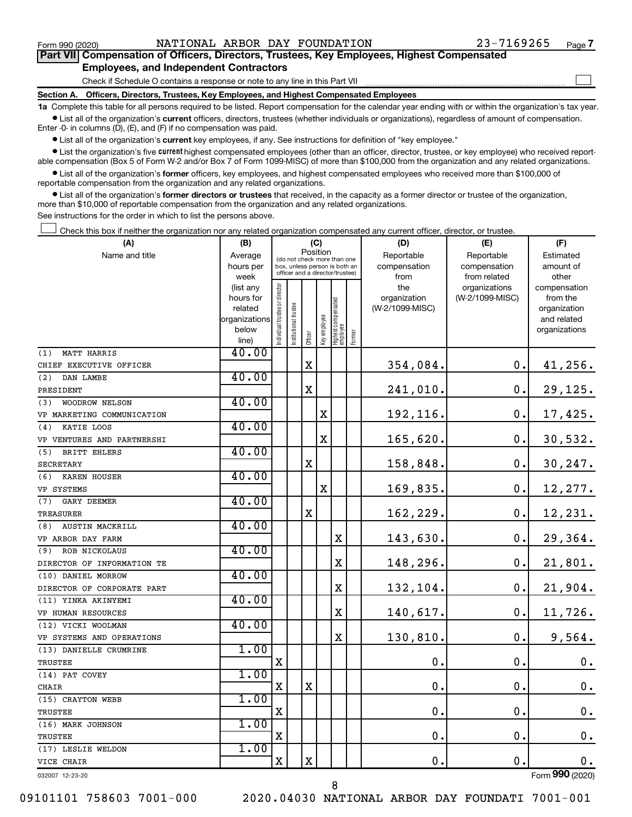$\Box$ 

| Part VII Compensation of Officers, Directors, Trustees, Key Employees, Highest Compensated |  |  |
|--------------------------------------------------------------------------------------------|--|--|
| <b>Employees, and Independent Contractors</b>                                              |  |  |

Check if Schedule O contains a response or note to any line in this Part VII

**Section A. Officers, Directors, Trustees, Key Employees, and Highest Compensated Employees**

**1a**  Complete this table for all persons required to be listed. Report compensation for the calendar year ending with or within the organization's tax year.  $\bullet$  List all of the organization's current officers, directors, trustees (whether individuals or organizations), regardless of amount of compensation.

Enter -0- in columns (D), (E), and (F) if no compensation was paid.

**•** List all of the organization's current key employees, if any. See instructions for definition of "key employee."

• List the organization's five *current* highest compensated employees (other than an officer, director, trustee, or key employee) who received reportable compensation (Box 5 of Form W-2 and/or Box 7 of Form 1099-MISC) of more than \$100,000 from the organization and any related organizations.

 $\bullet$  List all of the organization's former officers, key employees, and highest compensated employees who received more than \$100,000 of reportable compensation from the organization and any related organizations.

**•** List all of the organization's former directors or trustees that received, in the capacity as a former director or trustee of the organization, more than \$10,000 of reportable compensation from the organization and any related organizations.

See instructions for the order in which to list the persons above.

Check this box if neither the organization nor any related organization compensated any current officer, director, or trustee.  $\Box$ 

| (A)                        | (B)                      |                               |                                                                  | (C)                                     |              |                                 |        | (D)             | (E)             | (F)                         |
|----------------------------|--------------------------|-------------------------------|------------------------------------------------------------------|-----------------------------------------|--------------|---------------------------------|--------|-----------------|-----------------|-----------------------------|
| Name and title             | Average                  |                               |                                                                  | Position<br>(do not check more than one |              |                                 |        | Reportable      | Reportable      | Estimated                   |
|                            | hours per                |                               | box, unless person is both an<br>officer and a director/trustee) |                                         |              |                                 |        | compensation    | compensation    | amount of                   |
|                            | week                     |                               |                                                                  |                                         |              |                                 |        | from            | from related    | other                       |
|                            | (list any                |                               |                                                                  |                                         |              |                                 |        | the             | organizations   | compensation                |
|                            | hours for                |                               |                                                                  |                                         |              |                                 |        | organization    | (W-2/1099-MISC) | from the                    |
|                            | related<br>organizations |                               |                                                                  |                                         |              |                                 |        | (W-2/1099-MISC) |                 | organization<br>and related |
|                            | below                    |                               |                                                                  |                                         |              |                                 |        |                 |                 | organizations               |
|                            | line)                    | ndividual trustee or director | nstitutional trustee                                             | Officer                                 | key employee | Highest compensated<br>employee | Former |                 |                 |                             |
| <b>MATT HARRIS</b><br>(1)  | 40.00                    |                               |                                                                  |                                         |              |                                 |        |                 |                 |                             |
| CHIEF EXECUTIVE OFFICER    |                          |                               |                                                                  | X                                       |              |                                 |        | 354,084.        | 0.              | 41, 256.                    |
| DAN LAMBE<br>(2)           | 40.00                    |                               |                                                                  |                                         |              |                                 |        |                 |                 |                             |
| PRESIDENT                  |                          |                               |                                                                  | X                                       |              |                                 |        | 241,010.        | 0.              | 29,125.                     |
| WOODROW NELSON<br>(3)      | 40.00                    |                               |                                                                  |                                         |              |                                 |        |                 |                 |                             |
| VP MARKETING COMMUNICATION |                          |                               |                                                                  |                                         | X            |                                 |        | 192,116.        | 0.              | 17,425.                     |
| KATIE LOOS<br>(4)          | 40.00                    |                               |                                                                  |                                         |              |                                 |        |                 |                 |                             |
| VP VENTURES AND PARTNERSHI |                          |                               |                                                                  |                                         | $\rm X$      |                                 |        | 165,620.        | 0.              | 30,532.                     |
| BRITT EHLERS<br>(5)        | 40.00                    |                               |                                                                  |                                         |              |                                 |        |                 |                 |                             |
| SECRETARY                  |                          |                               |                                                                  | X                                       |              |                                 |        | 158,848.        | 0.              | 30, 247.                    |
| KAREN HOUSER<br>(6)        | 40.00                    |                               |                                                                  |                                         |              |                                 |        |                 |                 |                             |
| VP SYSTEMS                 |                          |                               |                                                                  |                                         | X            |                                 |        | 169,835.        | 0.              | 12,277.                     |
| (7)<br>GARY DEEMER         | 40.00                    |                               |                                                                  |                                         |              |                                 |        |                 |                 |                             |
| TREASURER                  |                          |                               |                                                                  | X                                       |              |                                 |        | 162,229.        | 0.              | 12,231.                     |
| AUSTIN MACKRILL<br>(8)     | 40.00                    |                               |                                                                  |                                         |              |                                 |        |                 |                 |                             |
| VP ARBOR DAY FARM          |                          |                               |                                                                  |                                         |              | $\mathbf X$                     |        | 143,630.        | 0.              | 29,364.                     |
| ROB NICKOLAUS<br>(9)       | 40.00                    |                               |                                                                  |                                         |              |                                 |        |                 |                 |                             |
| DIRECTOR OF INFORMATION TE |                          |                               |                                                                  |                                         |              | X                               |        | 148,296.        | $\mathbf 0$ .   | 21,801.                     |
| (10) DANIEL MORROW         | 40.00                    |                               |                                                                  |                                         |              |                                 |        |                 |                 |                             |
| DIRECTOR OF CORPORATE PART |                          |                               |                                                                  |                                         |              | X                               |        | 132,104.        | $\mathbf 0$ .   | 21,904.                     |
| (11) YINKA AKINYEMI        | 40.00                    |                               |                                                                  |                                         |              |                                 |        |                 |                 |                             |
| <b>VP HUMAN RESOURCES</b>  |                          |                               |                                                                  |                                         |              | X                               |        | 140,617.        | $\mathbf{0}$ .  | 11,726.                     |
| (12) VICKI WOOLMAN         | 40.00                    |                               |                                                                  |                                         |              |                                 |        |                 |                 |                             |
| VP SYSTEMS AND OPERATIONS  |                          |                               |                                                                  |                                         |              | X                               |        | 130,810.        | 0.              | 9,564.                      |
| (13) DANIELLE CRUMRINE     | 1.00                     |                               |                                                                  |                                         |              |                                 |        |                 |                 |                             |
| <b>TRUSTEE</b>             |                          | $\mathbf X$                   |                                                                  |                                         |              |                                 |        | $\mathbf 0$ .   | 0.              | $\mathbf 0$ .               |
| (14) PAT COVEY             | 1.00                     |                               |                                                                  |                                         |              |                                 |        |                 |                 |                             |
| <b>CHAIR</b>               |                          | X                             |                                                                  | X                                       |              |                                 |        | $\mathbf 0$ .   | $\mathbf 0$ .   | $\mathbf 0$ .               |
| (15) CRAYTON WEBB          | 1.00                     |                               |                                                                  |                                         |              |                                 |        |                 |                 |                             |
| TRUSTEE                    |                          | $\mathbf X$                   |                                                                  |                                         |              |                                 |        | $\mathbf 0$ .   | 0.              | $\mathbf 0$ .               |
| (16) MARK JOHNSON          | 1.00                     |                               |                                                                  |                                         |              |                                 |        |                 |                 |                             |
| TRUSTEE                    |                          | $\mathbf X$                   |                                                                  |                                         |              |                                 |        | $\mathbf 0$ .   | $\mathbf 0$ .   | $\mathbf 0$ .               |
| (17) LESLIE WELDON         | 1.00                     |                               |                                                                  |                                         |              |                                 |        |                 |                 |                             |
| VICE CHAIR                 |                          | X                             |                                                                  | X                                       |              |                                 |        | 0.              | $\mathbf 0$ .   | 0.                          |
| 032007 12-23-20            |                          |                               |                                                                  |                                         |              |                                 |        |                 |                 | Form 990 (2020)             |

09101101 758603 7001-000 2020.04030 NATIONAL ARBOR DAY FOUNDATI 7001-001

8

Form (2020) **990**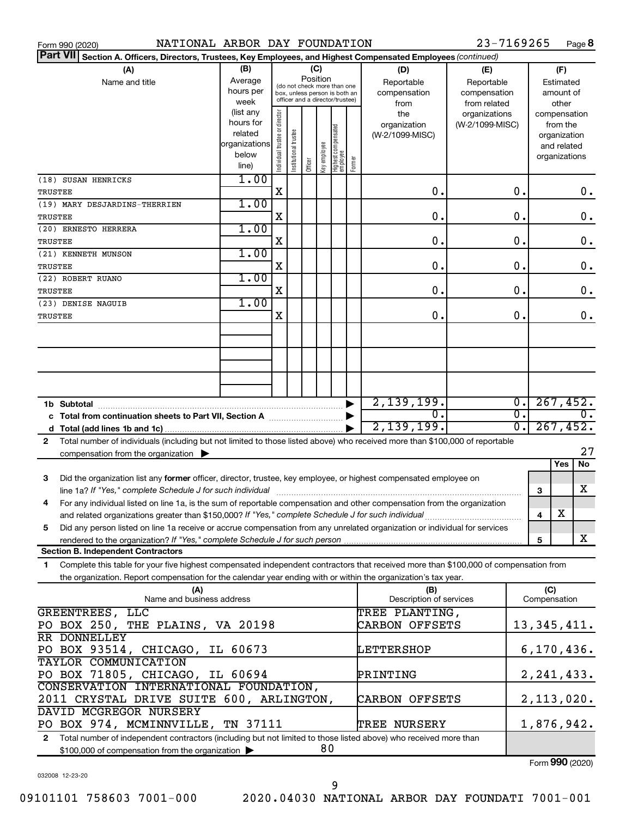| 23-7169265<br>NATIONAL ARBOR DAY FOUNDATION<br>Page 8<br>Form 990 (2020)                                                                                                                                                               |                          |                                                                  |                       |         |                 |                                  |        |                            |                            |                             |              |                              |
|----------------------------------------------------------------------------------------------------------------------------------------------------------------------------------------------------------------------------------------|--------------------------|------------------------------------------------------------------|-----------------------|---------|-----------------|----------------------------------|--------|----------------------------|----------------------------|-----------------------------|--------------|------------------------------|
| <b>Part VII</b><br>Section A. Officers, Directors, Trustees, Key Employees, and Highest Compensated Employees (continued)                                                                                                              |                          |                                                                  |                       |         |                 |                                  |        |                            |                            |                             |              |                              |
| (A)                                                                                                                                                                                                                                    | (B)                      |                                                                  |                       |         | (C)<br>Position |                                  |        | (D)<br>(E)                 |                            |                             |              | (F)                          |
| Name and title                                                                                                                                                                                                                         | Average<br>hours per     |                                                                  |                       |         |                 | (do not check more than one      |        | Reportable<br>compensation | Reportable<br>compensation |                             |              | Estimated<br>amount of       |
|                                                                                                                                                                                                                                        | week                     | box, unless person is both an<br>officer and a director/trustee) |                       |         |                 |                                  |        | from                       | from related               |                             |              | other                        |
|                                                                                                                                                                                                                                        | (list any                |                                                                  |                       |         |                 |                                  |        | the                        | organizations              |                             |              | compensation                 |
|                                                                                                                                                                                                                                        | hours for                |                                                                  |                       |         |                 |                                  |        | organization               | (W-2/1099-MISC)            |                             |              | from the                     |
|                                                                                                                                                                                                                                        | related<br>organizations |                                                                  |                       |         |                 |                                  |        | (W-2/1099-MISC)            |                            |                             |              | organization                 |
|                                                                                                                                                                                                                                        | below                    |                                                                  |                       |         |                 |                                  |        |                            |                            |                             |              | and related<br>organizations |
|                                                                                                                                                                                                                                        | line)                    | Individual trustee or director                                   | Institutional trustee | Officer | Key employee    | Highest compensated<br> employee | Former |                            |                            |                             |              |                              |
| (18) SUSAN HENRICKS                                                                                                                                                                                                                    | 1.00                     |                                                                  |                       |         |                 |                                  |        |                            |                            |                             |              |                              |
| TRUSTEE                                                                                                                                                                                                                                |                          | X                                                                |                       |         |                 |                                  |        | О.                         |                            | 0.                          |              | 0.                           |
| (19) MARY DESJARDINS-THERRIEN                                                                                                                                                                                                          | 1.00                     |                                                                  |                       |         |                 |                                  |        |                            |                            |                             |              |                              |
| TRUSTEE                                                                                                                                                                                                                                |                          | X                                                                |                       |         |                 |                                  |        | О.                         |                            | 0.                          |              | 0.                           |
| (20) ERNESTO HERRERA                                                                                                                                                                                                                   | 1.00                     |                                                                  |                       |         |                 |                                  |        |                            |                            |                             |              |                              |
| TRUSTEE                                                                                                                                                                                                                                |                          | X                                                                |                       |         |                 |                                  |        | О.                         |                            | 0.                          |              | $0$ .                        |
| (21) KENNETH MUNSON                                                                                                                                                                                                                    | 1.00                     |                                                                  |                       |         |                 |                                  |        |                            |                            |                             |              |                              |
| TRUSTEE                                                                                                                                                                                                                                |                          | X                                                                |                       |         |                 |                                  |        | О.                         |                            | 0.                          |              | 0.                           |
| (22) ROBERT RUANO                                                                                                                                                                                                                      | 1.00                     |                                                                  |                       |         |                 |                                  |        |                            |                            |                             |              |                              |
| TRUSTEE                                                                                                                                                                                                                                |                          | X                                                                |                       |         |                 |                                  |        | О.                         |                            | 0.                          |              | 0.                           |
| (23) DENISE NAGUIB                                                                                                                                                                                                                     | 1.00                     | X                                                                |                       |         |                 |                                  |        | О.                         |                            | 0.                          |              | 0.                           |
| TRUSTEE                                                                                                                                                                                                                                |                          |                                                                  |                       |         |                 |                                  |        |                            |                            |                             |              |                              |
|                                                                                                                                                                                                                                        |                          |                                                                  |                       |         |                 |                                  |        |                            |                            |                             |              |                              |
|                                                                                                                                                                                                                                        |                          |                                                                  |                       |         |                 |                                  |        |                            |                            |                             |              |                              |
|                                                                                                                                                                                                                                        |                          |                                                                  |                       |         |                 |                                  |        |                            |                            |                             |              |                              |
|                                                                                                                                                                                                                                        |                          |                                                                  |                       |         |                 |                                  |        |                            |                            |                             |              |                              |
|                                                                                                                                                                                                                                        |                          |                                                                  |                       |         |                 |                                  |        |                            |                            |                             |              |                              |
| 1b Subtotal                                                                                                                                                                                                                            |                          |                                                                  |                       |         |                 |                                  |        | 2,139,199.                 |                            | $\overline{0}$ .            |              | 267,452.                     |
| c Total from continuation sheets to Part VII, Section A manufactured by                                                                                                                                                                |                          |                                                                  |                       |         |                 |                                  |        | 0.                         |                            | $\overline{\mathfrak{o}}$ . |              | 0.                           |
|                                                                                                                                                                                                                                        |                          |                                                                  |                       |         |                 |                                  |        | 2,139,199.                 |                            | $\overline{0}$ .            |              | 267,452.                     |
| Total number of individuals (including but not limited to those listed above) who received more than \$100,000 of reportable<br>$\mathbf{2}$                                                                                           |                          |                                                                  |                       |         |                 |                                  |        |                            |                            |                             |              |                              |
| compensation from the organization $\blacktriangleright$                                                                                                                                                                               |                          |                                                                  |                       |         |                 |                                  |        |                            |                            |                             |              | 27                           |
|                                                                                                                                                                                                                                        |                          |                                                                  |                       |         |                 |                                  |        |                            |                            |                             |              | No<br><b>Yes</b>             |
| Did the organization list any former officer, director, trustee, key employee, or highest compensated employee on<br>3                                                                                                                 |                          |                                                                  |                       |         |                 |                                  |        |                            |                            |                             |              |                              |
| line 1a? If "Yes," complete Schedule J for such individual                                                                                                                                                                             |                          |                                                                  |                       |         |                 |                                  |        |                            |                            |                             | З            | x                            |
| For any individual listed on line 1a, is the sum of reportable compensation and other compensation from the organization<br>4                                                                                                          |                          |                                                                  |                       |         |                 |                                  |        |                            |                            |                             |              | х                            |
| and related organizations greater than \$150,000? If "Yes," complete Schedule J for such individual<br>Did any person listed on line 1a receive or accrue compensation from any unrelated organization or individual for services<br>5 |                          |                                                                  |                       |         |                 |                                  |        |                            |                            |                             | 4            |                              |
| rendered to the organization? If "Yes," complete Schedule J for such person                                                                                                                                                            |                          |                                                                  |                       |         |                 |                                  |        |                            |                            |                             | 5            | x                            |
| <b>Section B. Independent Contractors</b>                                                                                                                                                                                              |                          |                                                                  |                       |         |                 |                                  |        |                            |                            |                             |              |                              |
| Complete this table for your five highest compensated independent contractors that received more than \$100,000 of compensation from<br>1.                                                                                             |                          |                                                                  |                       |         |                 |                                  |        |                            |                            |                             |              |                              |
| the organization. Report compensation for the calendar year ending with or within the organization's tax year.                                                                                                                         |                          |                                                                  |                       |         |                 |                                  |        |                            |                            |                             |              |                              |
| (A)                                                                                                                                                                                                                                    |                          |                                                                  |                       |         |                 |                                  |        | (B)                        |                            |                             | (C)          |                              |
| Name and business address                                                                                                                                                                                                              |                          |                                                                  |                       |         |                 |                                  |        | Description of services    |                            |                             | Compensation |                              |
| GREENTREES, LLC                                                                                                                                                                                                                        |                          |                                                                  |                       |         |                 |                                  |        | TREE PLANTING,             |                            |                             |              |                              |
| PO BOX 250, THE PLAINS, VA 20198                                                                                                                                                                                                       |                          |                                                                  |                       |         |                 |                                  |        | CARBON OFFSETS             |                            |                             |              | 13, 345, 411.                |
| <b>RR DONNELLEY</b>                                                                                                                                                                                                                    |                          |                                                                  |                       |         |                 |                                  |        |                            |                            |                             |              |                              |
| PO BOX 93514, CHICAGO, IL 60673                                                                                                                                                                                                        |                          |                                                                  |                       |         |                 |                                  |        | LETTERSHOP                 |                            |                             |              | 6, 170, 436.                 |
| <b>TAYLOR COMMUNICATION</b>                                                                                                                                                                                                            |                          |                                                                  |                       |         |                 |                                  |        |                            |                            |                             |              |                              |
| PO BOX 71805, CHICAGO, IL 60694<br>CONSERVATION INTERNATIONAL FOUNDATION,                                                                                                                                                              |                          |                                                                  |                       |         |                 |                                  |        | PRINTING                   |                            |                             |              | 2, 241, 433.                 |
| 2011 CRYSTAL DRIVE SUITE 600, ARLINGTON,                                                                                                                                                                                               |                          |                                                                  |                       |         |                 |                                  |        | CARBON OFFSETS             |                            |                             |              | 2,113,020.                   |
| DAVID MCGREGOR NURSERY                                                                                                                                                                                                                 |                          |                                                                  |                       |         |                 |                                  |        |                            |                            |                             |              |                              |
| PO BOX 974, MCMINNVILLE, TN 37111                                                                                                                                                                                                      |                          |                                                                  |                       |         |                 |                                  |        | TREE NURSERY               |                            |                             |              | 1,876,942.                   |
| Total number of independent contractors (including but not limited to those listed above) who received more than<br>$\mathbf{2}$                                                                                                       |                          |                                                                  |                       |         |                 |                                  |        |                            |                            |                             |              |                              |
| 80<br>\$100,000 of compensation from the organization                                                                                                                                                                                  |                          |                                                                  |                       |         |                 |                                  |        |                            |                            |                             |              |                              |

032008 12-23-20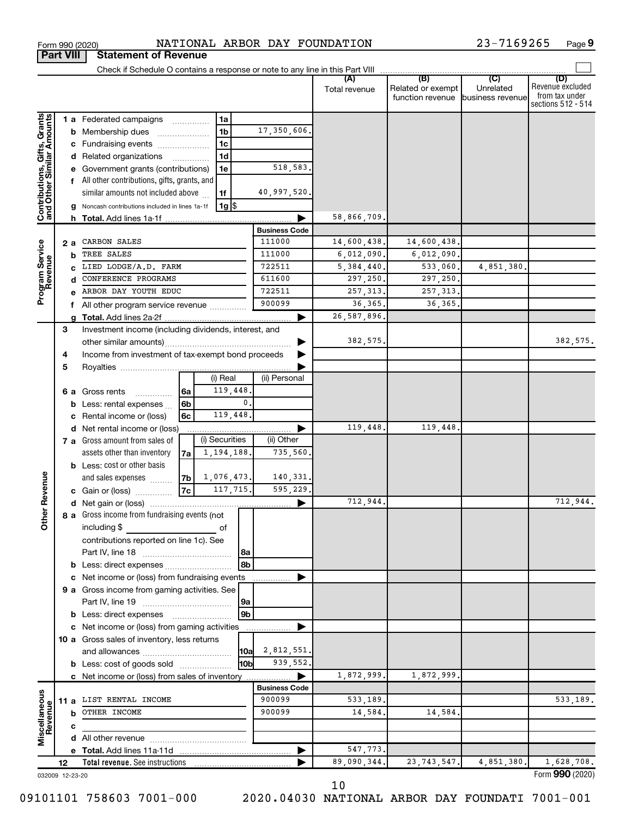|                                                           |                 |                                                | Check if Schedule O contains a response or note to any line in this Part VIII |                |                   |                |                           |               |                                              |                                      |                                                                 |
|-----------------------------------------------------------|-----------------|------------------------------------------------|-------------------------------------------------------------------------------|----------------|-------------------|----------------|---------------------------|---------------|----------------------------------------------|--------------------------------------|-----------------------------------------------------------------|
|                                                           |                 |                                                |                                                                               |                |                   |                |                           | Total revenue | (B)<br>Related or exempt<br>function revenue | (C)<br>Unrelated<br>business revenue | (D)<br>Revenue excluded<br>from tax under<br>sections 512 - 514 |
|                                                           |                 |                                                | 1 a Federated campaigns                                                       |                | 1a                |                |                           |               |                                              |                                      |                                                                 |
| Contributions, Gifts, Grants<br>and Other Similar Amounts |                 |                                                | <b>b</b> Membership dues                                                      |                | 1 <sub>b</sub>    |                | 17,350,606.               |               |                                              |                                      |                                                                 |
|                                                           |                 |                                                | c Fundraising events                                                          |                | 1 <sub>c</sub>    |                |                           |               |                                              |                                      |                                                                 |
|                                                           |                 |                                                | d Related organizations                                                       |                | 1 <sub>d</sub>    |                |                           |               |                                              |                                      |                                                                 |
|                                                           |                 |                                                | e Government grants (contributions)                                           |                | 1e                |                | 518,583.                  |               |                                              |                                      |                                                                 |
|                                                           |                 |                                                | f All other contributions, gifts, grants, and                                 |                |                   |                |                           |               |                                              |                                      |                                                                 |
|                                                           |                 |                                                | similar amounts not included above                                            |                | 1f                |                | 40,997,520.               |               |                                              |                                      |                                                                 |
|                                                           |                 |                                                | <b>g</b> Noncash contributions included in lines 1a-1f                        |                | $1g$ \$           |                |                           |               |                                              |                                      |                                                                 |
|                                                           |                 |                                                |                                                                               |                |                   |                |                           | 58,866,709.   |                                              |                                      |                                                                 |
|                                                           |                 |                                                |                                                                               |                |                   |                | <b>Business Code</b>      |               |                                              |                                      |                                                                 |
|                                                           | 2a              |                                                | CARBON SALES                                                                  |                |                   |                | 111000                    | 14,600,438.   | 14,600,438.                                  |                                      |                                                                 |
| Program Service<br>Revenue                                |                 | b                                              | TREE SALES                                                                    |                | 111000            | 6,012,090.     | 6,012,090.                |               |                                              |                                      |                                                                 |
|                                                           |                 | c                                              | LIED LODGE/A.D. FARM                                                          |                |                   | 722511         | 5, 384, 440.              | 533,060.      | 4,851,380.                                   |                                      |                                                                 |
|                                                           |                 | d                                              | CONFERENCE PROGRAMS                                                           |                |                   |                | 611600                    | 297,250.      | 297,250.                                     |                                      |                                                                 |
|                                                           |                 |                                                | ARBOR DAY YOUTH EDUC                                                          |                |                   | 722511         | 257, 313,                 | 257, 313.     |                                              |                                      |                                                                 |
|                                                           |                 | f                                              | All other program service revenue <i></i>                                     |                |                   |                | 900099                    | 36,365        | 36, 365.                                     |                                      |                                                                 |
|                                                           |                 | a                                              |                                                                               |                |                   |                |                           | 26, 587, 896. |                                              |                                      |                                                                 |
|                                                           | 3               |                                                | Investment income (including dividends, interest, and                         |                |                   |                |                           |               |                                              |                                      |                                                                 |
|                                                           |                 |                                                |                                                                               |                |                   |                |                           | 382,575.      |                                              |                                      | 382,575.                                                        |
|                                                           | 4               |                                                | Income from investment of tax-exempt bond proceeds                            |                |                   |                |                           |               |                                              |                                      |                                                                 |
|                                                           | 5               |                                                |                                                                               |                |                   |                |                           |               |                                              |                                      |                                                                 |
|                                                           |                 |                                                |                                                                               |                | (i) Real          |                | (ii) Personal             |               |                                              |                                      |                                                                 |
|                                                           |                 |                                                | 6 a Gross rents<br>.                                                          | 6a             | 119,448.          |                |                           |               |                                              |                                      |                                                                 |
|                                                           |                 |                                                | <b>b</b> Less: rental expenses                                                | 6 <sub>b</sub> |                   | 0.             |                           |               |                                              |                                      |                                                                 |
|                                                           |                 | 119,448.<br>Rental income or (loss)<br>6с<br>c |                                                                               |                |                   |                |                           |               |                                              |                                      |                                                                 |
|                                                           |                 |                                                | d Net rental income or (loss)                                                 |                |                   |                |                           | 119,448.      | 119,448                                      |                                      |                                                                 |
|                                                           |                 |                                                | 7 a Gross amount from sales of                                                |                | (i) Securities    |                | (ii) Other                |               |                                              |                                      |                                                                 |
|                                                           |                 |                                                | assets other than inventory                                                   | 7a             | 1,194,188.        |                | 735,560.                  |               |                                              |                                      |                                                                 |
|                                                           |                 |                                                | <b>b</b> Less: cost or other basis                                            |                |                   |                |                           |               |                                              |                                      |                                                                 |
|                                                           |                 |                                                | and sales expenses                                                            |                | $ 7b $ 1,076,473. |                | 140,331.                  |               |                                              |                                      |                                                                 |
| <b>Other Revenue</b>                                      |                 |                                                | c Gain or (loss)                                                              | 7c             | 117,715.          |                | 595,229.                  |               |                                              |                                      |                                                                 |
|                                                           |                 |                                                |                                                                               |                |                   |                |                           | 712,944.      |                                              |                                      | 712,944.                                                        |
|                                                           |                 |                                                | 8 a Gross income from fundraising events (not                                 |                |                   |                |                           |               |                                              |                                      |                                                                 |
|                                                           |                 |                                                | including \$                                                                  |                |                   |                |                           |               |                                              |                                      |                                                                 |
|                                                           |                 |                                                | contributions reported on line 1c). See                                       |                |                   |                |                           |               |                                              |                                      |                                                                 |
|                                                           |                 |                                                | Part IV, line 18                                                              |                |                   | 8a             |                           |               |                                              |                                      |                                                                 |
|                                                           |                 |                                                |                                                                               |                |                   | 8b             |                           |               |                                              |                                      |                                                                 |
|                                                           |                 |                                                | c Net income or (loss) from fundraising events                                |                |                   |                |                           |               |                                              |                                      |                                                                 |
|                                                           |                 |                                                | 9 a Gross income from gaming activities. See                                  |                |                   |                |                           |               |                                              |                                      |                                                                 |
|                                                           |                 |                                                |                                                                               |                |                   | 9a             |                           |               |                                              |                                      |                                                                 |
|                                                           |                 |                                                | <b>b</b> Less: direct expenses                                                |                |                   | 9 <sub>b</sub> |                           |               |                                              |                                      |                                                                 |
|                                                           |                 |                                                | c Net income or (loss) from gaming activities                                 |                |                   |                |                           |               |                                              |                                      |                                                                 |
|                                                           |                 |                                                | 10 a Gross sales of inventory, less returns                                   |                |                   |                |                           |               |                                              |                                      |                                                                 |
|                                                           |                 |                                                |                                                                               |                |                   | 10a            | 2,812,551.<br>939,552.    |               |                                              |                                      |                                                                 |
|                                                           |                 |                                                | <b>b</b> Less: cost of goods sold                                             |                |                   | l10b           |                           |               |                                              |                                      |                                                                 |
|                                                           |                 |                                                | c Net income or (loss) from sales of inventory                                |                |                   |                | ▶<br><b>Business Code</b> | 1,872,999.    | 1,872,999                                    |                                      |                                                                 |
|                                                           |                 |                                                | 11 a LIST RENTAL INCOME                                                       |                |                   |                | 900099                    | 533,189.      |                                              |                                      | 533,189.                                                        |
| Miscellaneous<br>Revenue                                  |                 |                                                | <b>b</b> OTHER INCOME                                                         |                |                   |                | 900099                    | 14,584.       | 14,584                                       |                                      |                                                                 |
|                                                           |                 |                                                |                                                                               |                |                   |                |                           |               |                                              |                                      |                                                                 |
|                                                           |                 | c                                              |                                                                               |                |                   |                |                           |               |                                              |                                      |                                                                 |
|                                                           |                 |                                                |                                                                               |                |                   |                |                           | 547,773.      |                                              |                                      |                                                                 |
|                                                           | 12              |                                                | Total revenue. See instructions                                               |                |                   |                |                           | 89,090,344.   | 23, 743, 547.                                | 4,851,380.                           | 1,628,708.                                                      |
|                                                           | 032009 12-23-20 |                                                |                                                                               |                |                   |                |                           |               |                                              |                                      | Form 990 (2020)                                                 |

Form 990 (2020) Page NATIONAL ARBOR DAY FOUNDATION 23-7169265

**9**

**Part VIII Statement of Revenue**

10

09101101 758603 7001-000 2020.04030 NATIONAL ARBOR DAY FOUNDATI 7001-001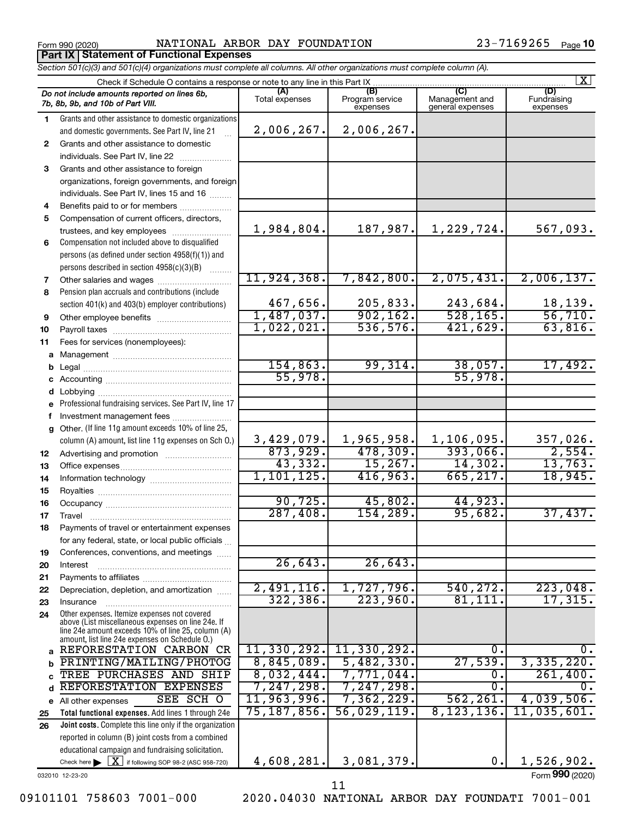**Part IX Statement of Functional Expenses**

Form 990 (2020) Page NATIONAL ARBOR DAY FOUNDATION 23-7169265

Form (2020) **990**

|    | Section 501(c)(3) and 501(c)(4) organizations must complete all columns. All other organizations must complete column (A).                                                                                 |                                |                                    |                                           |                         |  |  |  |  |  |
|----|------------------------------------------------------------------------------------------------------------------------------------------------------------------------------------------------------------|--------------------------------|------------------------------------|-------------------------------------------|-------------------------|--|--|--|--|--|
|    | Check if Schedule O contains a response or note to any line in this Part IX.                                                                                                                               |                                |                                    |                                           | $\mathbf{X}$            |  |  |  |  |  |
|    | Do not include amounts reported on lines 6b,<br>7b, 8b, 9b, and 10b of Part VIII.                                                                                                                          | (A)<br>Total expenses          | (B)<br>Program service<br>expenses | (C)<br>Management and<br>general expenses | Fundraising<br>expenses |  |  |  |  |  |
| 1  | Grants and other assistance to domestic organizations                                                                                                                                                      |                                |                                    |                                           |                         |  |  |  |  |  |
|    | and domestic governments. See Part IV, line 21                                                                                                                                                             | 2,006,267.                     | 2,006,267.                         |                                           |                         |  |  |  |  |  |
| 2  | Grants and other assistance to domestic                                                                                                                                                                    |                                |                                    |                                           |                         |  |  |  |  |  |
|    | individuals. See Part IV, line 22                                                                                                                                                                          |                                |                                    |                                           |                         |  |  |  |  |  |
| 3  | Grants and other assistance to foreign                                                                                                                                                                     |                                |                                    |                                           |                         |  |  |  |  |  |
|    | organizations, foreign governments, and foreign                                                                                                                                                            |                                |                                    |                                           |                         |  |  |  |  |  |
|    | individuals. See Part IV, lines 15 and 16                                                                                                                                                                  |                                |                                    |                                           |                         |  |  |  |  |  |
| 4  | Benefits paid to or for members                                                                                                                                                                            |                                |                                    |                                           |                         |  |  |  |  |  |
| 5  | Compensation of current officers, directors,                                                                                                                                                               |                                |                                    |                                           |                         |  |  |  |  |  |
|    | trustees, and key employees                                                                                                                                                                                | 1,984,804.                     | 187,987.                           | 1,229,724.                                | 567,093.                |  |  |  |  |  |
| 6  | Compensation not included above to disqualified                                                                                                                                                            |                                |                                    |                                           |                         |  |  |  |  |  |
|    | persons (as defined under section 4958(f)(1)) and                                                                                                                                                          |                                |                                    |                                           |                         |  |  |  |  |  |
|    | persons described in section 4958(c)(3)(B)                                                                                                                                                                 |                                |                                    |                                           |                         |  |  |  |  |  |
| 7  | Other salaries and wages                                                                                                                                                                                   | 11,924,368.                    | 7,842,800.                         | 2,075,431.                                | 2,006,137.              |  |  |  |  |  |
| 8  | Pension plan accruals and contributions (include                                                                                                                                                           |                                |                                    |                                           |                         |  |  |  |  |  |
|    | section 401(k) and 403(b) employer contributions)                                                                                                                                                          | 467,656.                       | 205, 833.                          | 243,684.                                  | <u>18,139.</u>          |  |  |  |  |  |
| 9  |                                                                                                                                                                                                            | 1,487,037.                     | 902, 162.                          | 528, 165.                                 | 56,710.                 |  |  |  |  |  |
| 10 |                                                                                                                                                                                                            | 1,022,021.                     | 536,576.                           | 421,629.                                  | 63,816.                 |  |  |  |  |  |
| 11 | Fees for services (nonemployees):                                                                                                                                                                          |                                |                                    |                                           |                         |  |  |  |  |  |
|    |                                                                                                                                                                                                            |                                |                                    |                                           |                         |  |  |  |  |  |
|    |                                                                                                                                                                                                            | 154,863.                       | 99,314.                            | 38,057.                                   | 17,492.                 |  |  |  |  |  |
|    |                                                                                                                                                                                                            | 55,978.                        |                                    | 55,978.                                   |                         |  |  |  |  |  |
|    |                                                                                                                                                                                                            |                                |                                    |                                           |                         |  |  |  |  |  |
|    | e Professional fundraising services. See Part IV, line 17                                                                                                                                                  |                                |                                    |                                           |                         |  |  |  |  |  |
|    | Investment management fees                                                                                                                                                                                 |                                |                                    |                                           |                         |  |  |  |  |  |
|    | g Other. (If line 11g amount exceeds 10% of line 25,                                                                                                                                                       |                                |                                    |                                           |                         |  |  |  |  |  |
|    | column (A) amount, list line 11g expenses on Sch O.)                                                                                                                                                       | $\frac{3,429,079.873,929.873}$ | 1,965,958.                         | 1, 106, 095.                              | 357,026.                |  |  |  |  |  |
| 12 |                                                                                                                                                                                                            |                                | 478,309.                           | 393,066.                                  | 2,554.                  |  |  |  |  |  |
| 13 |                                                                                                                                                                                                            | 43,332.                        | 15, 267.                           | 14,302.                                   | 13,763.                 |  |  |  |  |  |
| 14 |                                                                                                                                                                                                            | 1,101,125.                     | 416,963.                           | 665, 217.                                 | 18,945.                 |  |  |  |  |  |
| 15 |                                                                                                                                                                                                            |                                |                                    |                                           |                         |  |  |  |  |  |
| 16 |                                                                                                                                                                                                            | 90, 725.                       | 45,802.                            | 44,923.                                   |                         |  |  |  |  |  |
| 17 |                                                                                                                                                                                                            | 287,408.                       | 154,289.                           | 95,682.                                   | 37,437.                 |  |  |  |  |  |
| 18 | Payments of travel or entertainment expenses                                                                                                                                                               |                                |                                    |                                           |                         |  |  |  |  |  |
|    | for any federal, state, or local public officials                                                                                                                                                          |                                |                                    |                                           |                         |  |  |  |  |  |
| 19 | Conferences, conventions, and meetings                                                                                                                                                                     |                                |                                    |                                           |                         |  |  |  |  |  |
| 20 | Interest                                                                                                                                                                                                   | 26,643.                        | 26,643.                            |                                           |                         |  |  |  |  |  |
| 21 |                                                                                                                                                                                                            |                                |                                    |                                           |                         |  |  |  |  |  |
| 22 | Depreciation, depletion, and amortization                                                                                                                                                                  | 2,491,116.                     | 1,727,796.                         | 540, 272.                                 | 223,048.                |  |  |  |  |  |
| 23 | Insurance                                                                                                                                                                                                  | 322, 386.                      | 223,960.                           | 81,111.                                   | 17,315.                 |  |  |  |  |  |
| 24 | Other expenses. Itemize expenses not covered<br>above (List miscellaneous expenses on line 24e. If<br>line 24e amount exceeds 10% of line 25, column (A)<br>amount, list line 24e expenses on Schedule O.) |                                |                                    |                                           |                         |  |  |  |  |  |
|    | REFORESTATION CARBON CR                                                                                                                                                                                    | 11,330,292.                    | 11,330,292.                        | $\overline{\mathfrak{0}}$ .               | υ.                      |  |  |  |  |  |
|    | PRINTING/MAILING/PHOTOG                                                                                                                                                                                    | 8,845,089.                     | 5,482,330.                         | $27,539$ .                                | 3,335,220.              |  |  |  |  |  |
|    | TREE PURCHASES AND SHIP                                                                                                                                                                                    | 8,032,444.                     | 7,771,044.                         | Ο.                                        | 261,400.                |  |  |  |  |  |
| d  | REFORESTATION EXPENSES                                                                                                                                                                                     | 7,247,298.                     | 7,247,298.                         | 0.                                        | 0.                      |  |  |  |  |  |
|    | SEE SCH O<br>e All other expenses                                                                                                                                                                          | 11,963,996.                    | 7,362,229.                         | 562, 261.                                 | 4,039,506.              |  |  |  |  |  |
| 25 | Total functional expenses. Add lines 1 through 24e                                                                                                                                                         | 75, 187, 856.                  | 56,029,119.                        | 8, 123, 136.                              | 11,035,601.             |  |  |  |  |  |
| 26 | Joint costs. Complete this line only if the organization                                                                                                                                                   |                                |                                    |                                           |                         |  |  |  |  |  |
|    | reported in column (B) joint costs from a combined                                                                                                                                                         |                                |                                    |                                           |                         |  |  |  |  |  |
|    | educational campaign and fundraising solicitation.                                                                                                                                                         |                                |                                    |                                           |                         |  |  |  |  |  |

032010 12-23-20

 $\blacktriangleright$ 

 $\boxed{\text{X}}$ 

11

Check here  $\blacktriangleright$   $\boxed{\textbf{X}}$  if following SOP 98-2 (ASC 958-720)  $\begin{vmatrix} 4,608,281. & 3,081,379. \end{vmatrix}$   $\color{red}$   $\color{red}$   $\color{red}$   $\color{red}$   $\color{red}$   $\color{red}$   $\color{red}$   $\color{red}$   $\color{red}$   $\color{red}$   $\color{red}$   $\color{red}$   $\color{red}$   $\color{red}$   $\color{red$ 

09101101 758603 7001-000 2020.04030 NATIONAL ARBOR DAY FOUNDATI 7001-001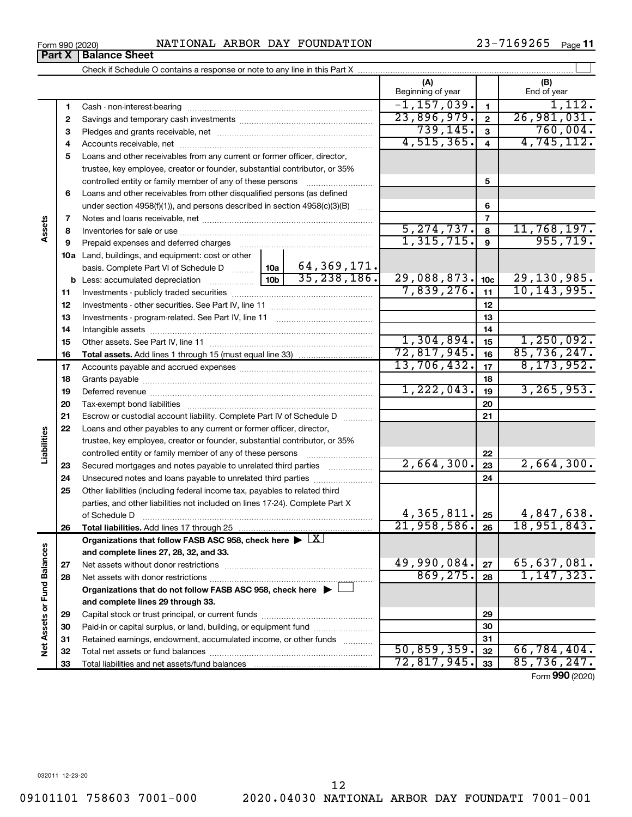|                             | 1  |                                                                                                        |                          | $-1, 157, 039.$ | 1                              | 1,112.          |               |
|-----------------------------|----|--------------------------------------------------------------------------------------------------------|--------------------------|-----------------|--------------------------------|-----------------|---------------|
|                             | 2  |                                                                                                        |                          |                 | 23,896,979.                    | $\mathbf 2$     | 26,981,031.   |
|                             | 3  |                                                                                                        |                          |                 | 739, 145.                      | $\mathbf{3}$    | 760,004.      |
|                             | 4  |                                                                                                        |                          |                 | 4,515,365.                     | 4               | 4,745,112.    |
|                             | 5  | Loans and other receivables from any current or former officer, director,                              |                          |                 |                                |                 |               |
|                             |    | trustee, key employee, creator or founder, substantial contributor, or 35%                             |                          |                 |                                |                 |               |
|                             |    | controlled entity or family member of any of these persons                                             |                          |                 |                                | 5               |               |
|                             | 6  | Loans and other receivables from other disqualified persons (as defined                                |                          |                 |                                |                 |               |
|                             |    | under section $4958(f)(1)$ , and persons described in section $4958(c)(3)(B)$                          |                          |                 |                                | 6               |               |
|                             | 7  |                                                                                                        |                          |                 |                                | 7               |               |
| Assets                      | 8  |                                                                                                        | 5, 274, 737.             | 8               | $\frac{11,768,197.}{955,719.}$ |                 |               |
|                             | 9  |                                                                                                        |                          |                 | 1,315,715.                     | $\mathbf{9}$    |               |
|                             |    | <b>10a</b> Land, buildings, and equipment: cost or other                                               |                          |                 |                                |                 |               |
|                             |    | basis. Complete Part VI of Schedule D  10a                                                             |                          | 64,369,171.     |                                |                 |               |
|                             |    |                                                                                                        | 10 <sub>b</sub>          | 35, 238, 186.   | 29,088,873.                    | 10 <sub>c</sub> | 29, 130, 985. |
|                             | 11 |                                                                                                        |                          | 7,839,276.      | 11                             | 10, 143, 995.   |               |
|                             | 12 |                                                                                                        |                          | 12              |                                |                 |               |
|                             | 13 |                                                                                                        |                          | 13              |                                |                 |               |
|                             | 14 |                                                                                                        |                          | 14              |                                |                 |               |
|                             | 15 |                                                                                                        |                          |                 | 1,304,894.                     | 15              | 1,250,092.    |
|                             | 16 |                                                                                                        |                          |                 | 72,817,945.                    | 16              | 85,736,247.   |
|                             | 17 |                                                                                                        |                          |                 | 13,706,432.                    | 17              | 8, 173, 952.  |
|                             | 18 |                                                                                                        |                          |                 |                                | 18              |               |
|                             | 19 |                                                                                                        | 1,222,043.               | 19              | 3, 265, 953.                   |                 |               |
|                             | 20 |                                                                                                        |                          |                 |                                | 20              |               |
|                             | 21 | Escrow or custodial account liability. Complete Part IV of Schedule D                                  |                          |                 | 21                             |                 |               |
|                             | 22 | Loans and other payables to any current or former officer, director,                                   |                          |                 |                                |                 |               |
|                             |    | trustee, key employee, creator or founder, substantial contributor, or 35%                             |                          |                 |                                |                 |               |
| Liabilities                 |    | controlled entity or family member of any of these persons [                                           |                          |                 |                                | 22              |               |
|                             | 23 | Secured mortgages and notes payable to unrelated third parties                                         |                          |                 | 2,664,300.                     | 23              | 2,664,300.    |
|                             | 24 |                                                                                                        |                          |                 |                                | 24              |               |
|                             | 25 | Other liabilities (including federal income tax, payables to related third                             |                          |                 |                                |                 |               |
|                             |    | parties, and other liabilities not included on lines 17-24). Complete Part X                           |                          |                 |                                |                 |               |
|                             |    | of Schedule D                                                                                          |                          |                 | 4,365,811.                     | 25              | 4,847,638.    |
|                             | 26 |                                                                                                        |                          |                 | 21,958,586.                    | 26              | 18,951,843.   |
|                             |    | Organizations that follow FASB ASC 958, check here $\blacktriangleright \lfloor \underline{X} \rfloor$ |                          |                 |                                |                 |               |
|                             |    | and complete lines 27, 28, 32, and 33.                                                                 |                          |                 |                                |                 |               |
|                             | 27 |                                                                                                        | 49,990,084.<br>869, 275. | 27              | 65,637,081.<br>1, 147, 323.    |                 |               |
|                             | 28 |                                                                                                        |                          |                 |                                | 28              |               |
|                             |    | Organizations that do not follow FASB ASC 958, check here ▶ □                                          |                          |                 |                                |                 |               |
| Net Assets or Fund Balances |    | and complete lines 29 through 33.                                                                      |                          |                 |                                |                 |               |
|                             | 29 |                                                                                                        |                          |                 |                                | 29              |               |
|                             | 30 | Paid-in or capital surplus, or land, building, or equipment fund                                       |                          |                 |                                | 30              |               |
|                             | 31 | Retained earnings, endowment, accumulated income, or other funds                                       |                          |                 | 50,859,359.                    | 31              | 66,784,404.   |
|                             | 32 |                                                                                                        |                          |                 | 72,817,945.                    | 32<br>33        | 85,736,247.   |
|                             | 33 |                                                                                                        |                          |                 |                                |                 |               |

Form 990 (2020) Page NATIONAL ARBOR DAY FOUNDATION 23-7169265

Check if Schedule O contains a response or note to any line in this Part X

23-7169265 Page 11

**(A) (B)**

Beginning of year  $\vert$  | End of year

 $\perp$ 

Form (2020) **990**

**Part X** | Balance Sheet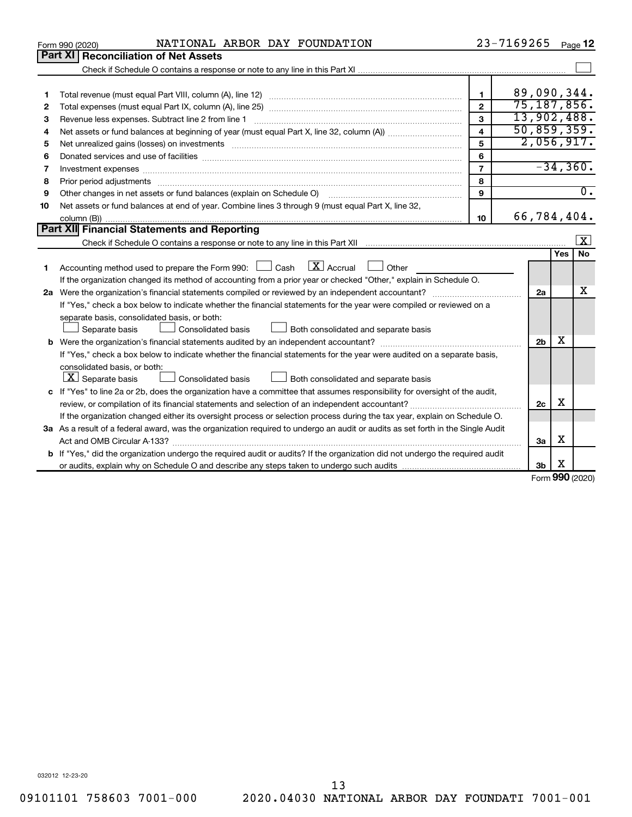|    | NATIONAL ARBOR DAY FOUNDATION<br>Form 990 (2020)                                                                                                                                                                               |                         | 23-7169265 |                |                        | Page 12          |
|----|--------------------------------------------------------------------------------------------------------------------------------------------------------------------------------------------------------------------------------|-------------------------|------------|----------------|------------------------|------------------|
|    | <b>Part XI   Reconciliation of Net Assets</b>                                                                                                                                                                                  |                         |            |                |                        |                  |
|    |                                                                                                                                                                                                                                |                         |            |                |                        |                  |
|    |                                                                                                                                                                                                                                |                         |            |                |                        |                  |
| 1  |                                                                                                                                                                                                                                | 1                       |            |                |                        | 89,090,344.      |
| 2  |                                                                                                                                                                                                                                | $\overline{2}$          |            |                |                        | 75, 187, 856.    |
| З  | Revenue less expenses. Subtract line 2 from line 1                                                                                                                                                                             | 3                       |            |                |                        | 13,902,488.      |
| 4  |                                                                                                                                                                                                                                | $\overline{\mathbf{A}}$ |            |                |                        | 50, 859, 359.    |
| 5  | Net unrealized gains (losses) on investments [11] matter than the control of the state of the state of the state of the state of the state of the state of the state of the state of the state of the state of the state of th | 5                       |            |                |                        | 2,056,917.       |
| 6  |                                                                                                                                                                                                                                | 6                       |            |                |                        |                  |
| 7  |                                                                                                                                                                                                                                | $\overline{7}$          |            |                |                        | $-34,360.$       |
| 8  |                                                                                                                                                                                                                                | 8                       |            |                |                        |                  |
| 9  | Other changes in net assets or fund balances (explain on Schedule O)                                                                                                                                                           | $\mathbf{9}$            |            |                |                        | $\overline{0}$ . |
| 10 | Net assets or fund balances at end of year. Combine lines 3 through 9 (must equal Part X, line 32,                                                                                                                             |                         |            |                |                        |                  |
|    |                                                                                                                                                                                                                                | 10                      |            |                |                        | 66,784,404.      |
|    | Part XII Financial Statements and Reporting                                                                                                                                                                                    |                         |            |                |                        |                  |
|    |                                                                                                                                                                                                                                |                         |            |                |                        | $\vert X \vert$  |
|    |                                                                                                                                                                                                                                |                         |            |                | Yes                    | No.              |
| 1  | $\boxed{\mathbf{X}}$ Accrual $\boxed{\phantom{0}}$ Other<br>Accounting method used to prepare the Form 990: [130] Cash                                                                                                         |                         |            |                |                        |                  |
|    | If the organization changed its method of accounting from a prior year or checked "Other," explain in Schedule O.                                                                                                              |                         |            |                |                        |                  |
|    |                                                                                                                                                                                                                                |                         |            | 2a             |                        | x                |
|    | If "Yes," check a box below to indicate whether the financial statements for the year were compiled or reviewed on a                                                                                                           |                         |            |                |                        |                  |
|    | separate basis, consolidated basis, or both:                                                                                                                                                                                   |                         |            |                |                        |                  |
|    | Consolidated basis<br>Both consolidated and separate basis<br>Separate basis                                                                                                                                                   |                         |            |                |                        |                  |
|    |                                                                                                                                                                                                                                |                         |            | 2 <sub>b</sub> | x                      |                  |
|    | If "Yes," check a box below to indicate whether the financial statements for the year were audited on a separate basis,                                                                                                        |                         |            |                |                        |                  |
|    | consolidated basis, or both:                                                                                                                                                                                                   |                         |            |                |                        |                  |
|    | $ \mathbf{X} $ Separate basis<br>Consolidated basis<br>Both consolidated and separate basis                                                                                                                                    |                         |            |                |                        |                  |
|    | c If "Yes" to line 2a or 2b, does the organization have a committee that assumes responsibility for oversight of the audit,                                                                                                    |                         |            |                |                        |                  |
|    |                                                                                                                                                                                                                                |                         |            | 2c             | х                      |                  |
|    | If the organization changed either its oversight process or selection process during the tax year, explain on Schedule O.                                                                                                      |                         |            |                |                        |                  |
|    | 3a As a result of a federal award, was the organization required to undergo an audit or audits as set forth in the Single Audit                                                                                                |                         |            |                |                        |                  |
|    |                                                                                                                                                                                                                                |                         |            | 3a             | x                      |                  |
|    | <b>b</b> If "Yes," did the organization undergo the required audit or audits? If the organization did not undergo the required audit                                                                                           |                         |            |                |                        |                  |
|    |                                                                                                                                                                                                                                |                         |            | 3b             | х<br>$000 \text{ mas}$ |                  |
|    |                                                                                                                                                                                                                                |                         |            |                |                        |                  |

Form (2020) **990**

032012 12-23-20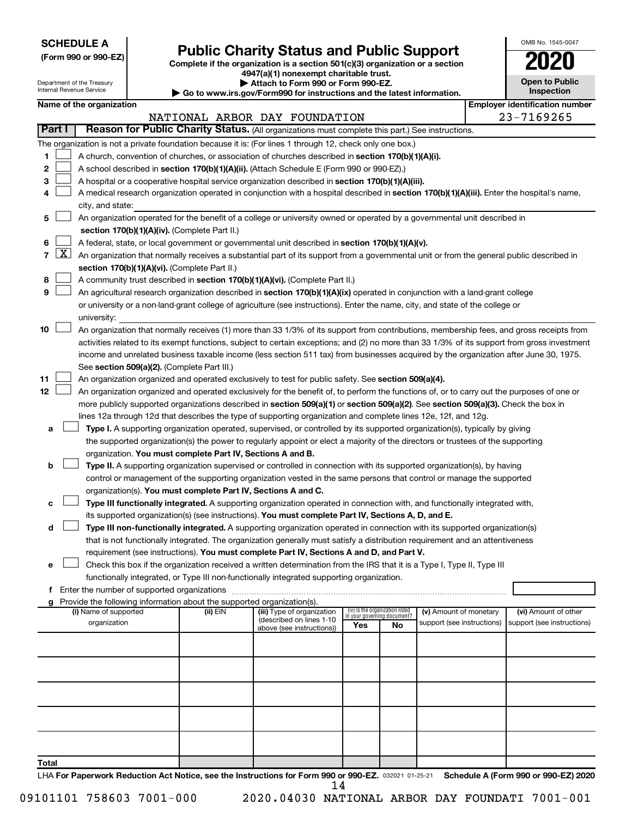Department of the Treasury Internal Revenue Service

# Form 990 or 990-EZ) **Public Charity Status and Public Support**<br>
Complete if the organization is a section 501(c)(3) organization or a section<br> **2020**

**4947(a)(1) nonexempt charitable trust. | Attach to Form 990 or Form 990-EZ.** 

**| Go to www.irs.gov/Form990 for instructions and the latest information.**

| OMB No 1545-0047             |
|------------------------------|
| 2020                         |
| Open to Public<br>Inspection |

|  | Name of the organization |
|--|--------------------------|
|--|--------------------------|

|        | Name of the organization                                                                                                                                                                                                                              |          |                                                       |     |                                                                | <b>Employer identification number</b> |  |                                      |  |
|--------|-------------------------------------------------------------------------------------------------------------------------------------------------------------------------------------------------------------------------------------------------------|----------|-------------------------------------------------------|-----|----------------------------------------------------------------|---------------------------------------|--|--------------------------------------|--|
|        |                                                                                                                                                                                                                                                       |          | NATIONAL ARBOR DAY FOUNDATION                         |     |                                                                | 23-7169265                            |  |                                      |  |
| Part I | Reason for Public Charity Status. (All organizations must complete this part.) See instructions.                                                                                                                                                      |          |                                                       |     |                                                                |                                       |  |                                      |  |
|        | The organization is not a private foundation because it is: (For lines 1 through 12, check only one box.)                                                                                                                                             |          |                                                       |     |                                                                |                                       |  |                                      |  |
| 1.     | A church, convention of churches, or association of churches described in section 170(b)(1)(A)(i).                                                                                                                                                    |          |                                                       |     |                                                                |                                       |  |                                      |  |
| 2      | A school described in section 170(b)(1)(A)(ii). (Attach Schedule E (Form 990 or 990-EZ).)                                                                                                                                                             |          |                                                       |     |                                                                |                                       |  |                                      |  |
| 3.     | A hospital or a cooperative hospital service organization described in section 170(b)(1)(A)(iii).                                                                                                                                                     |          |                                                       |     |                                                                |                                       |  |                                      |  |
| 4      | A medical research organization operated in conjunction with a hospital described in section 170(b)(1)(A)(iii). Enter the hospital's name,                                                                                                            |          |                                                       |     |                                                                |                                       |  |                                      |  |
|        | city, and state:                                                                                                                                                                                                                                      |          |                                                       |     |                                                                |                                       |  |                                      |  |
| 5.     | An organization operated for the benefit of a college or university owned or operated by a governmental unit described in                                                                                                                             |          |                                                       |     |                                                                |                                       |  |                                      |  |
|        | section 170(b)(1)(A)(iv). (Complete Part II.)                                                                                                                                                                                                         |          |                                                       |     |                                                                |                                       |  |                                      |  |
| 6.     | A federal, state, or local government or governmental unit described in section 170(b)(1)(A)(v).<br>7 $ X $ An organization that normally receives a substantial part of its support from a governmental unit or from the general public described in |          |                                                       |     |                                                                |                                       |  |                                      |  |
|        |                                                                                                                                                                                                                                                       |          |                                                       |     |                                                                |                                       |  |                                      |  |
|        | section 170(b)(1)(A)(vi). (Complete Part II.)                                                                                                                                                                                                         |          |                                                       |     |                                                                |                                       |  |                                      |  |
| 8      | A community trust described in section 170(b)(1)(A)(vi). (Complete Part II.)                                                                                                                                                                          |          |                                                       |     |                                                                |                                       |  |                                      |  |
| 9      | An agricultural research organization described in section 170(b)(1)(A)(ix) operated in conjunction with a land-grant college                                                                                                                         |          |                                                       |     |                                                                |                                       |  |                                      |  |
|        | or university or a non-land-grant college of agriculture (see instructions). Enter the name, city, and state of the college or                                                                                                                        |          |                                                       |     |                                                                |                                       |  |                                      |  |
|        | university:                                                                                                                                                                                                                                           |          |                                                       |     |                                                                |                                       |  |                                      |  |
| 10     | An organization that normally receives (1) more than 33 1/3% of its support from contributions, membership fees, and gross receipts from                                                                                                              |          |                                                       |     |                                                                |                                       |  |                                      |  |
|        | activities related to its exempt functions, subject to certain exceptions; and (2) no more than 33 1/3% of its support from gross investment                                                                                                          |          |                                                       |     |                                                                |                                       |  |                                      |  |
|        | income and unrelated business taxable income (less section 511 tax) from businesses acquired by the organization after June 30, 1975.                                                                                                                 |          |                                                       |     |                                                                |                                       |  |                                      |  |
|        | See section 509(a)(2). (Complete Part III.)                                                                                                                                                                                                           |          |                                                       |     |                                                                |                                       |  |                                      |  |
| 11     | An organization organized and operated exclusively to test for public safety. See section 509(a)(4).                                                                                                                                                  |          |                                                       |     |                                                                |                                       |  |                                      |  |
| 12     | An organization organized and operated exclusively for the benefit of, to perform the functions of, or to carry out the purposes of one or                                                                                                            |          |                                                       |     |                                                                |                                       |  |                                      |  |
|        | more publicly supported organizations described in section 509(a)(1) or section 509(a)(2). See section 509(a)(3). Check the box in                                                                                                                    |          |                                                       |     |                                                                |                                       |  |                                      |  |
|        | lines 12a through 12d that describes the type of supporting organization and complete lines 12e, 12f, and 12g.                                                                                                                                        |          |                                                       |     |                                                                |                                       |  |                                      |  |
| а      | Type I. A supporting organization operated, supervised, or controlled by its supported organization(s), typically by giving                                                                                                                           |          |                                                       |     |                                                                |                                       |  |                                      |  |
|        | the supported organization(s) the power to regularly appoint or elect a majority of the directors or trustees of the supporting                                                                                                                       |          |                                                       |     |                                                                |                                       |  |                                      |  |
|        | organization. You must complete Part IV, Sections A and B.                                                                                                                                                                                            |          |                                                       |     |                                                                |                                       |  |                                      |  |
| b      | Type II. A supporting organization supervised or controlled in connection with its supported organization(s), by having                                                                                                                               |          |                                                       |     |                                                                |                                       |  |                                      |  |
|        | control or management of the supporting organization vested in the same persons that control or manage the supported<br>organization(s). You must complete Part IV, Sections A and C.                                                                 |          |                                                       |     |                                                                |                                       |  |                                      |  |
| с      | Type III functionally integrated. A supporting organization operated in connection with, and functionally integrated with,                                                                                                                            |          |                                                       |     |                                                                |                                       |  |                                      |  |
|        | its supported organization(s) (see instructions). You must complete Part IV, Sections A, D, and E.                                                                                                                                                    |          |                                                       |     |                                                                |                                       |  |                                      |  |
| d      | Type III non-functionally integrated. A supporting organization operated in connection with its supported organization(s)                                                                                                                             |          |                                                       |     |                                                                |                                       |  |                                      |  |
|        | that is not functionally integrated. The organization generally must satisfy a distribution requirement and an attentiveness                                                                                                                          |          |                                                       |     |                                                                |                                       |  |                                      |  |
|        | requirement (see instructions). You must complete Part IV, Sections A and D, and Part V.                                                                                                                                                              |          |                                                       |     |                                                                |                                       |  |                                      |  |
|        | Check this box if the organization received a written determination from the IRS that it is a Type I, Type II, Type III                                                                                                                               |          |                                                       |     |                                                                |                                       |  |                                      |  |
|        | functionally integrated, or Type III non-functionally integrated supporting organization.                                                                                                                                                             |          |                                                       |     |                                                                |                                       |  |                                      |  |
|        | f Enter the number of supported organizations                                                                                                                                                                                                         |          |                                                       |     |                                                                |                                       |  |                                      |  |
|        | g Provide the following information about the supported organization(s).                                                                                                                                                                              |          |                                                       |     |                                                                |                                       |  |                                      |  |
|        | (i) Name of supported                                                                                                                                                                                                                                 | (ii) EIN | (iii) Type of organization                            |     | (iv) Is the organization listed<br>in your governing document? | (v) Amount of monetary                |  | (vi) Amount of other                 |  |
|        | organization                                                                                                                                                                                                                                          |          | (described on lines 1-10<br>above (see instructions)) | Yes | No                                                             | support (see instructions)            |  | support (see instructions)           |  |
|        |                                                                                                                                                                                                                                                       |          |                                                       |     |                                                                |                                       |  |                                      |  |
|        |                                                                                                                                                                                                                                                       |          |                                                       |     |                                                                |                                       |  |                                      |  |
|        |                                                                                                                                                                                                                                                       |          |                                                       |     |                                                                |                                       |  |                                      |  |
|        |                                                                                                                                                                                                                                                       |          |                                                       |     |                                                                |                                       |  |                                      |  |
|        |                                                                                                                                                                                                                                                       |          |                                                       |     |                                                                |                                       |  |                                      |  |
|        |                                                                                                                                                                                                                                                       |          |                                                       |     |                                                                |                                       |  |                                      |  |
|        |                                                                                                                                                                                                                                                       |          |                                                       |     |                                                                |                                       |  |                                      |  |
|        |                                                                                                                                                                                                                                                       |          |                                                       |     |                                                                |                                       |  |                                      |  |
|        |                                                                                                                                                                                                                                                       |          |                                                       |     |                                                                |                                       |  |                                      |  |
|        |                                                                                                                                                                                                                                                       |          |                                                       |     |                                                                |                                       |  |                                      |  |
| Total  |                                                                                                                                                                                                                                                       |          |                                                       |     |                                                                |                                       |  |                                      |  |
|        | LHA For Paperwork Reduction Act Notice, see the Instructions for Form 990 or 990-EZ. 032021 01-25-21                                                                                                                                                  |          |                                                       |     |                                                                |                                       |  | Schedule A (Form 990 or 990-EZ) 2020 |  |

09101101 758603 7001-000 2020.04030 NATIONAL ARBOR DAY FOUNDATI 7001-001 14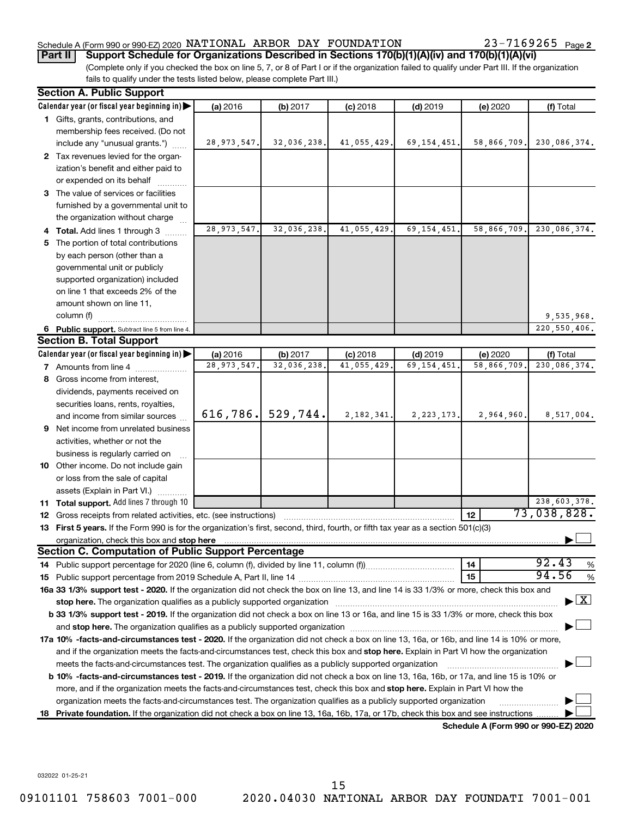#### Schedule A (Form 990 or 990-EZ) 2020  $\,$  NATIONAL ARBOR DAY FOUNDATION  $\,$  23-7169265  $\,$  Page

23-7169265 Page 2

**Part II Support Schedule for Organizations Described in Sections 170(b)(1)(A)(iv) and 170(b)(1)(A)(vi)**

(Complete only if you checked the box on line 5, 7, or 8 of Part I or if the organization failed to qualify under Part III. If the organization fails to qualify under the tests listed below, please complete Part III.)

|    | <b>Section A. Public Support</b>                                                                                                                                                                                               |               |             |              |               |                                      |                                          |
|----|--------------------------------------------------------------------------------------------------------------------------------------------------------------------------------------------------------------------------------|---------------|-------------|--------------|---------------|--------------------------------------|------------------------------------------|
|    | Calendar year (or fiscal year beginning in)                                                                                                                                                                                    | (a) 2016      | (b) 2017    | $(c)$ 2018   | $(d)$ 2019    | (e) 2020                             | (f) Total                                |
|    | 1 Gifts, grants, contributions, and                                                                                                                                                                                            |               |             |              |               |                                      |                                          |
|    | membership fees received. (Do not                                                                                                                                                                                              |               |             |              |               |                                      |                                          |
|    | include any "unusual grants.")                                                                                                                                                                                                 | 28, 973, 547. | 32,036,238. | 41,055,429.  | 69, 154, 451. | 58,866,709.                          | 230,086,374.                             |
|    | 2 Tax revenues levied for the organ-                                                                                                                                                                                           |               |             |              |               |                                      |                                          |
|    | ization's benefit and either paid to                                                                                                                                                                                           |               |             |              |               |                                      |                                          |
|    | or expended on its behalf                                                                                                                                                                                                      |               |             |              |               |                                      |                                          |
|    | 3 The value of services or facilities                                                                                                                                                                                          |               |             |              |               |                                      |                                          |
|    | furnished by a governmental unit to                                                                                                                                                                                            |               |             |              |               |                                      |                                          |
|    | the organization without charge                                                                                                                                                                                                |               |             |              |               |                                      |                                          |
|    | 4 Total. Add lines 1 through 3                                                                                                                                                                                                 | 28, 973, 547. | 32,036,238. | 41,055,429   | 69, 154, 451  | 58,866,709.                          | 230,086,374.                             |
|    | 5 The portion of total contributions                                                                                                                                                                                           |               |             |              |               |                                      |                                          |
|    | by each person (other than a                                                                                                                                                                                                   |               |             |              |               |                                      |                                          |
|    | governmental unit or publicly                                                                                                                                                                                                  |               |             |              |               |                                      |                                          |
|    | supported organization) included                                                                                                                                                                                               |               |             |              |               |                                      |                                          |
|    | on line 1 that exceeds 2% of the                                                                                                                                                                                               |               |             |              |               |                                      |                                          |
|    | amount shown on line 11,                                                                                                                                                                                                       |               |             |              |               |                                      |                                          |
|    | column (f)                                                                                                                                                                                                                     |               |             |              |               |                                      | 9,535,968.                               |
|    | 6 Public support. Subtract line 5 from line 4.                                                                                                                                                                                 |               |             |              |               |                                      | 220, 550, 406.                           |
|    | <b>Section B. Total Support</b>                                                                                                                                                                                                |               |             |              |               |                                      |                                          |
|    | Calendar year (or fiscal year beginning in)                                                                                                                                                                                    | (a) 2016      | (b) 2017    | $(c)$ 2018   | $(d)$ 2019    | (e) 2020                             | (f) Total                                |
|    | <b>7</b> Amounts from line 4                                                                                                                                                                                                   | 28, 973, 547  | 32,036,238  | 41,055,429   | 69, 154, 451  | 58,866,709                           | 230,086,374.                             |
|    | 8 Gross income from interest,                                                                                                                                                                                                  |               |             |              |               |                                      |                                          |
|    | dividends, payments received on                                                                                                                                                                                                |               |             |              |               |                                      |                                          |
|    | securities loans, rents, royalties,                                                                                                                                                                                            |               |             |              |               |                                      |                                          |
|    | and income from similar sources                                                                                                                                                                                                | 616, 786.     | 529,744.    | 2, 182, 341. | 2, 223, 173.  | 2,964,960.                           | 8,517,004.                               |
|    | 9 Net income from unrelated business                                                                                                                                                                                           |               |             |              |               |                                      |                                          |
|    | activities, whether or not the                                                                                                                                                                                                 |               |             |              |               |                                      |                                          |
|    | business is regularly carried on                                                                                                                                                                                               |               |             |              |               |                                      |                                          |
|    | 10 Other income. Do not include gain                                                                                                                                                                                           |               |             |              |               |                                      |                                          |
|    | or loss from the sale of capital                                                                                                                                                                                               |               |             |              |               |                                      |                                          |
|    | assets (Explain in Part VI.)                                                                                                                                                                                                   |               |             |              |               |                                      |                                          |
|    | 11 Total support. Add lines 7 through 10                                                                                                                                                                                       |               |             |              |               |                                      | 238,603,378.                             |
|    | <b>12</b> Gross receipts from related activities, etc. (see instructions)                                                                                                                                                      |               |             |              |               | 12                                   | 73,038,828.                              |
|    | 13 First 5 years. If the Form 990 is for the organization's first, second, third, fourth, or fifth tax year as a section 501(c)(3)                                                                                             |               |             |              |               |                                      |                                          |
|    |                                                                                                                                                                                                                                |               |             |              |               |                                      |                                          |
|    | <b>Section C. Computation of Public Support Percentage</b>                                                                                                                                                                     |               |             |              |               |                                      |                                          |
|    |                                                                                                                                                                                                                                |               |             |              |               | 14                                   | 92.43<br>$\%$                            |
|    |                                                                                                                                                                                                                                |               |             |              |               | 15                                   | 94.56<br>$\%$                            |
|    | 16a 33 1/3% support test - 2020. If the organization did not check the box on line 13, and line 14 is 33 1/3% or more, check this box and                                                                                      |               |             |              |               |                                      |                                          |
|    | stop here. The organization qualifies as a publicly supported organization manufaction manufacture or manufacture or the organization manufacture or the organization of the state of the state of the state of the state of t |               |             |              |               |                                      | $\blacktriangleright$ $\boxed{\text{X}}$ |
|    | b 33 1/3% support test - 2019. If the organization did not check a box on line 13 or 16a, and line 15 is 33 1/3% or more, check this box                                                                                       |               |             |              |               |                                      |                                          |
|    |                                                                                                                                                                                                                                |               |             |              |               |                                      |                                          |
|    | 17a 10% -facts-and-circumstances test - 2020. If the organization did not check a box on line 13, 16a, or 16b, and line 14 is 10% or more,                                                                                     |               |             |              |               |                                      |                                          |
|    | and if the organization meets the facts-and-circumstances test, check this box and stop here. Explain in Part VI how the organization                                                                                          |               |             |              |               |                                      |                                          |
|    | meets the facts-and-circumstances test. The organization qualifies as a publicly supported organization                                                                                                                        |               |             |              |               |                                      |                                          |
|    | b 10% -facts-and-circumstances test - 2019. If the organization did not check a box on line 13, 16a, 16b, or 17a, and line 15 is 10% or                                                                                        |               |             |              |               |                                      |                                          |
|    | more, and if the organization meets the facts-and-circumstances test, check this box and <b>stop here.</b> Explain in Part VI how the                                                                                          |               |             |              |               |                                      |                                          |
|    | organization meets the facts-and-circumstances test. The organization qualifies as a publicly supported organization                                                                                                           |               |             |              |               |                                      |                                          |
| 18 | Private foundation. If the organization did not check a box on line 13, 16a, 16b, 17a, or 17b, check this box and see instructions.                                                                                            |               |             |              |               |                                      |                                          |
|    |                                                                                                                                                                                                                                |               |             |              |               | Schedule A (Form 990 or 990-EZ) 2020 |                                          |

032022 01-25-21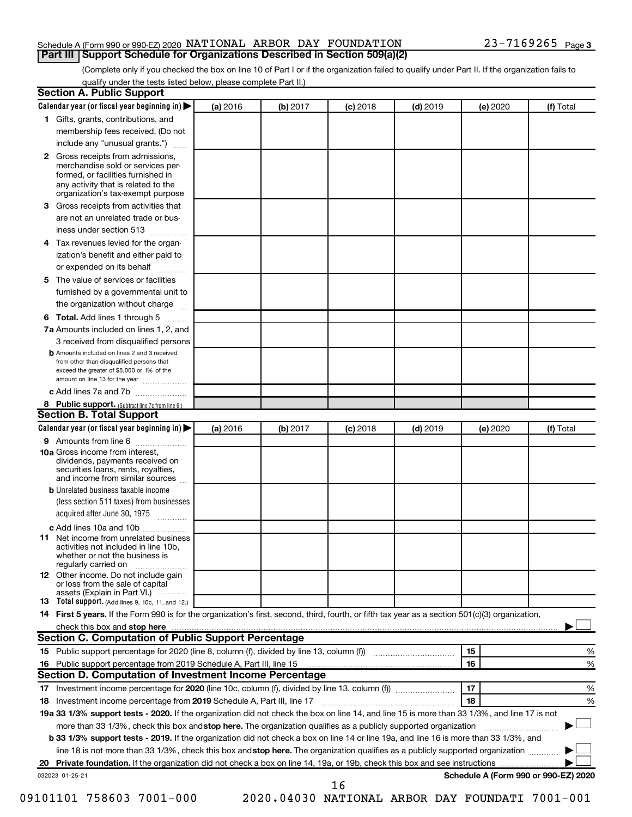#### Schedule A (Form 990 or 990-EZ) 2020  $\,$  NATIONAL ARBOR DAY FOUNDATION  $\,$  23-7169265  $\,$  Page **Part III Support Schedule for Organizations Described in Section 509(a)(2)**

(Complete only if you checked the box on line 10 of Part I or if the organization failed to qualify under Part II. If the organization fails to qualify under the tests listed below, please complete Part II.)

| <b>Section A. Public Support</b>                                                                                                                                                                                                         |          |          |            |            |          |                                      |
|------------------------------------------------------------------------------------------------------------------------------------------------------------------------------------------------------------------------------------------|----------|----------|------------|------------|----------|--------------------------------------|
| Calendar year (or fiscal year beginning in)                                                                                                                                                                                              | (a) 2016 | (b) 2017 | $(c)$ 2018 | $(d)$ 2019 | (e) 2020 | (f) Total                            |
| 1 Gifts, grants, contributions, and                                                                                                                                                                                                      |          |          |            |            |          |                                      |
| membership fees received. (Do not                                                                                                                                                                                                        |          |          |            |            |          |                                      |
| include any "unusual grants.")                                                                                                                                                                                                           |          |          |            |            |          |                                      |
| 2 Gross receipts from admissions,<br>merchandise sold or services per-<br>formed, or facilities furnished in                                                                                                                             |          |          |            |            |          |                                      |
| any activity that is related to the<br>organization's tax-exempt purpose                                                                                                                                                                 |          |          |            |            |          |                                      |
| <b>3</b> Gross receipts from activities that                                                                                                                                                                                             |          |          |            |            |          |                                      |
| are not an unrelated trade or bus-                                                                                                                                                                                                       |          |          |            |            |          |                                      |
| iness under section 513                                                                                                                                                                                                                  |          |          |            |            |          |                                      |
| 4 Tax revenues levied for the organ-                                                                                                                                                                                                     |          |          |            |            |          |                                      |
| ization's benefit and either paid to<br>or expended on its behalf                                                                                                                                                                        |          |          |            |            |          |                                      |
| 5 The value of services or facilities                                                                                                                                                                                                    |          |          |            |            |          |                                      |
| furnished by a governmental unit to                                                                                                                                                                                                      |          |          |            |            |          |                                      |
| the organization without charge                                                                                                                                                                                                          |          |          |            |            |          |                                      |
| <b>6 Total.</b> Add lines 1 through 5                                                                                                                                                                                                    |          |          |            |            |          |                                      |
| 7a Amounts included on lines 1, 2, and                                                                                                                                                                                                   |          |          |            |            |          |                                      |
| 3 received from disqualified persons                                                                                                                                                                                                     |          |          |            |            |          |                                      |
| <b>b</b> Amounts included on lines 2 and 3 received<br>from other than disqualified persons that<br>exceed the greater of \$5,000 or 1% of the<br>amount on line 13 for the year                                                         |          |          |            |            |          |                                      |
| c Add lines 7a and 7b                                                                                                                                                                                                                    |          |          |            |            |          |                                      |
| 8 Public support. (Subtract line 7c from line 6.)                                                                                                                                                                                        |          |          |            |            |          |                                      |
| <b>Section B. Total Support</b>                                                                                                                                                                                                          |          |          |            |            |          |                                      |
| Calendar year (or fiscal year beginning in) $\blacktriangleright$                                                                                                                                                                        | (a) 2016 | (b) 2017 | $(c)$ 2018 | $(d)$ 2019 | (e) 2020 | (f) Total                            |
| 9 Amounts from line 6                                                                                                                                                                                                                    |          |          |            |            |          |                                      |
| <b>10a</b> Gross income from interest,<br>dividends, payments received on<br>securities loans, rents, royalties,<br>and income from similar sources                                                                                      |          |          |            |            |          |                                      |
| <b>b</b> Unrelated business taxable income                                                                                                                                                                                               |          |          |            |            |          |                                      |
| (less section 511 taxes) from businesses                                                                                                                                                                                                 |          |          |            |            |          |                                      |
| acquired after June 30, 1975<br>$\overline{\phantom{a}}$                                                                                                                                                                                 |          |          |            |            |          |                                      |
| c Add lines 10a and 10b                                                                                                                                                                                                                  |          |          |            |            |          |                                      |
| <b>11</b> Net income from unrelated business<br>activities not included in line 10b.<br>whether or not the business is<br>regularly carried on                                                                                           |          |          |            |            |          |                                      |
| <b>12</b> Other income. Do not include gain<br>or loss from the sale of capital<br>assets (Explain in Part VI.)                                                                                                                          |          |          |            |            |          |                                      |
| <b>13</b> Total support. (Add lines 9, 10c, 11, and 12.)                                                                                                                                                                                 |          |          |            |            |          |                                      |
| 14 First 5 years. If the Form 990 is for the organization's first, second, third, fourth, or fifth tax year as a section 501(c)(3) organization,                                                                                         |          |          |            |            |          |                                      |
| check this box and stop here <i>manual production and antisemple to the state this</i> box and stop here <i>manual production</i> and the state of the state of the state of the state of the state of the state of the state of the sta |          |          |            |            |          |                                      |
| <b>Section C. Computation of Public Support Percentage</b>                                                                                                                                                                               |          |          |            |            |          |                                      |
| 15 Public support percentage for 2020 (line 8, column (f), divided by line 13, column (f) <i></i>                                                                                                                                        |          |          |            |            | 15       | %                                    |
| 16 Public support percentage from 2019 Schedule A, Part III, line 15                                                                                                                                                                     |          |          |            |            | 16       | %                                    |
| Section D. Computation of Investment Income Percentage                                                                                                                                                                                   |          |          |            |            |          |                                      |
|                                                                                                                                                                                                                                          |          |          |            |            | 17       | %                                    |
| 18 Investment income percentage from 2019 Schedule A, Part III, line 17                                                                                                                                                                  |          |          |            |            | 18       | %                                    |
| 19a 33 1/3% support tests - 2020. If the organization did not check the box on line 14, and line 15 is more than 33 1/3%, and line 17 is not                                                                                             |          |          |            |            |          |                                      |
| more than 33 1/3%, check this box and stop here. The organization qualifies as a publicly supported organization                                                                                                                         |          |          |            |            |          |                                      |
| b 33 1/3% support tests - 2019. If the organization did not check a box on line 14 or line 19a, and line 16 is more than 33 1/3%, and                                                                                                    |          |          |            |            |          |                                      |
| line 18 is not more than 33 1/3%, check this box and stop here. The organization qualifies as a publicly supported organization                                                                                                          |          |          |            |            |          |                                      |
|                                                                                                                                                                                                                                          |          |          |            |            |          |                                      |
|                                                                                                                                                                                                                                          |          |          |            |            |          | Schedule A (Form 990 or 990-EZ) 2020 |
| 032023 01-25-21                                                                                                                                                                                                                          |          |          | 16         |            |          |                                      |

09101101 758603 7001-000 2020.04030 NATIONAL ARBOR DAY FOUNDATI 7001-001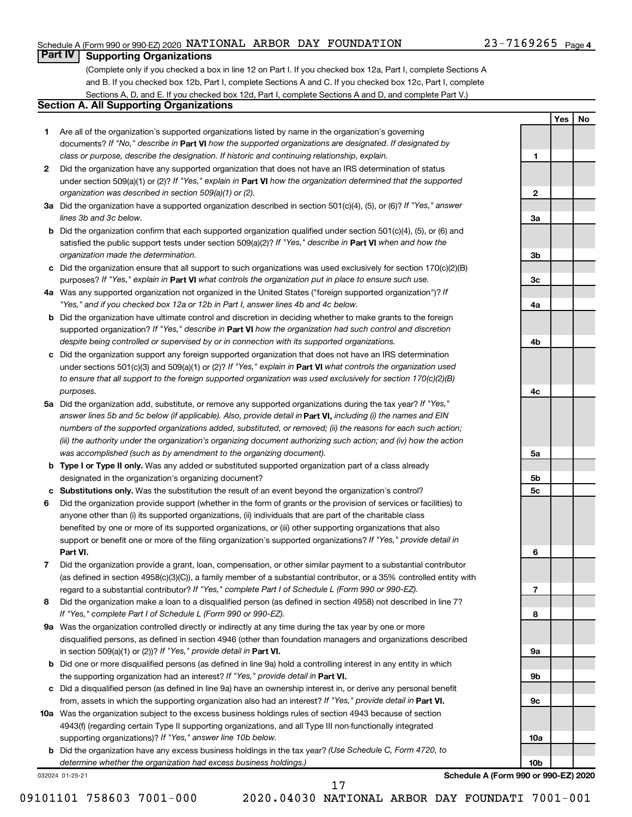#### Schedule A (Form 990 or 990-EZ) 2020  $\,$  NATIONAL ARBOR DAY FOUNDATION  $\,$  23-7169265  $\,$  Page

#### 23-7169265 Page 4

**1**

**2**

**3a**

**3b**

**3c**

**4a**

**4b**

**4c**

**5a**

**5b 5c**

**6**

**7**

**8**

**9a**

**9b**

**9c**

**10a**

**10b**

**Yes No**

### **Part IV Supporting Organizations**

(Complete only if you checked a box in line 12 on Part I. If you checked box 12a, Part I, complete Sections A and B. If you checked box 12b, Part I, complete Sections A and C. If you checked box 12c, Part I, complete Sections A, D, and E. If you checked box 12d, Part I, complete Sections A and D, and complete Part V.)

### **Section A. All Supporting Organizations**

- **1** Are all of the organization's supported organizations listed by name in the organization's governing documents? If "No," describe in Part VI how the supported organizations are designated. If designated by *class or purpose, describe the designation. If historic and continuing relationship, explain.*
- **2** Did the organization have any supported organization that does not have an IRS determination of status under section 509(a)(1) or (2)? If "Yes," explain in Part **VI** how the organization determined that the supported *organization was described in section 509(a)(1) or (2).*
- **3a** Did the organization have a supported organization described in section 501(c)(4), (5), or (6)? If "Yes," answer *lines 3b and 3c below.*
- **b** Did the organization confirm that each supported organization qualified under section 501(c)(4), (5), or (6) and satisfied the public support tests under section 509(a)(2)? If "Yes," describe in Part VI when and how the *organization made the determination.*
- **c** Did the organization ensure that all support to such organizations was used exclusively for section 170(c)(2)(B) purposes? If "Yes," explain in Part VI what controls the organization put in place to ensure such use.
- **4 a** *If* Was any supported organization not organized in the United States ("foreign supported organization")? *"Yes," and if you checked box 12a or 12b in Part I, answer lines 4b and 4c below.*
- **b** Did the organization have ultimate control and discretion in deciding whether to make grants to the foreign supported organization? If "Yes," describe in Part VI how the organization had such control and discretion *despite being controlled or supervised by or in connection with its supported organizations.*
- **c** Did the organization support any foreign supported organization that does not have an IRS determination under sections 501(c)(3) and 509(a)(1) or (2)? If "Yes," explain in Part VI what controls the organization used *to ensure that all support to the foreign supported organization was used exclusively for section 170(c)(2)(B) purposes.*
- **5a** Did the organization add, substitute, or remove any supported organizations during the tax year? If "Yes," answer lines 5b and 5c below (if applicable). Also, provide detail in **Part VI,** including (i) the names and EIN *numbers of the supported organizations added, substituted, or removed; (ii) the reasons for each such action; (iii) the authority under the organization's organizing document authorizing such action; and (iv) how the action was accomplished (such as by amendment to the organizing document).*
- **b** Type I or Type II only. Was any added or substituted supported organization part of a class already designated in the organization's organizing document?
- **c Substitutions only.**  Was the substitution the result of an event beyond the organization's control?
- **6** Did the organization provide support (whether in the form of grants or the provision of services or facilities) to **Part VI.** support or benefit one or more of the filing organization's supported organizations? If "Yes," provide detail in anyone other than (i) its supported organizations, (ii) individuals that are part of the charitable class benefited by one or more of its supported organizations, or (iii) other supporting organizations that also
- **7** Did the organization provide a grant, loan, compensation, or other similar payment to a substantial contributor regard to a substantial contributor? If "Yes," complete Part I of Schedule L (Form 990 or 990-EZ). (as defined in section 4958(c)(3)(C)), a family member of a substantial contributor, or a 35% controlled entity with
- **8** Did the organization make a loan to a disqualified person (as defined in section 4958) not described in line 7? *If "Yes," complete Part I of Schedule L (Form 990 or 990-EZ).*
- **9 a** Was the organization controlled directly or indirectly at any time during the tax year by one or more in section 509(a)(1) or (2))? If "Yes," provide detail in **Part VI.** disqualified persons, as defined in section 4946 (other than foundation managers and organizations described
- **b** Did one or more disqualified persons (as defined in line 9a) hold a controlling interest in any entity in which the supporting organization had an interest? If "Yes," provide detail in Part VI.
- **c** Did a disqualified person (as defined in line 9a) have an ownership interest in, or derive any personal benefit from, assets in which the supporting organization also had an interest? If "Yes," provide detail in Part VI.
- **10 a** Was the organization subject to the excess business holdings rules of section 4943 because of section supporting organizations)? If "Yes," answer line 10b below. 4943(f) (regarding certain Type II supporting organizations, and all Type III non-functionally integrated
	- **b** Did the organization have any excess business holdings in the tax year? (Use Schedule C, Form 4720, to *determine whether the organization had excess business holdings.)*

032024 01-25-21

**Schedule A (Form 990 or 990-EZ) 2020**

09101101 758603 7001-000 2020.04030 NATIONAL ARBOR DAY FOUNDATI 7001-001

17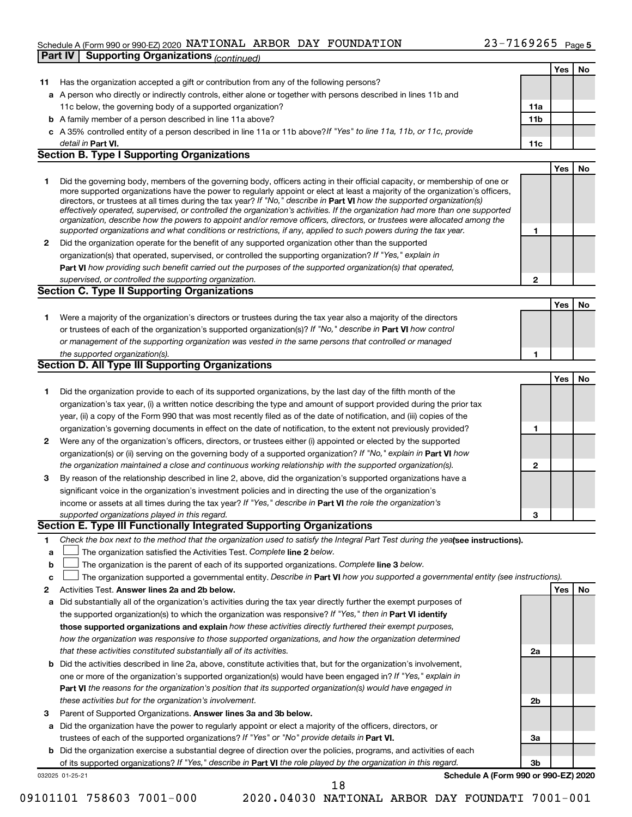#### Schedule A (Form 990 or 990-EZ) 2020  $\,$  NATIONAL ARBOR DAY FOUNDATION  $\,$  23-7169265  $\,$  Page **Part IV Supporting Organizations** *(continued)*

|    |                                                                                                                                                                                                                                              |              | Yes | No |
|----|----------------------------------------------------------------------------------------------------------------------------------------------------------------------------------------------------------------------------------------------|--------------|-----|----|
| 11 | Has the organization accepted a gift or contribution from any of the following persons?                                                                                                                                                      |              |     |    |
|    | a A person who directly or indirectly controls, either alone or together with persons described in lines 11b and                                                                                                                             |              |     |    |
|    | 11c below, the governing body of a supported organization?                                                                                                                                                                                   | 11a          |     |    |
|    | <b>b</b> A family member of a person described in line 11a above?                                                                                                                                                                            | 11b          |     |    |
|    | c A 35% controlled entity of a person described in line 11a or 11b above? If "Yes" to line 11a, 11b, or 11c, provide                                                                                                                         |              |     |    |
|    | detail in Part VI.                                                                                                                                                                                                                           | 11c          |     |    |
|    | <b>Section B. Type I Supporting Organizations</b>                                                                                                                                                                                            |              |     |    |
|    |                                                                                                                                                                                                                                              |              | Yes | No |
| 1  | Did the governing body, members of the governing body, officers acting in their official capacity, or membership of one or                                                                                                                   |              |     |    |
|    | more supported organizations have the power to regularly appoint or elect at least a majority of the organization's officers,                                                                                                                |              |     |    |
|    | directors, or trustees at all times during the tax year? If "No," describe in Part VI how the supported organization(s)                                                                                                                      |              |     |    |
|    | effectively operated, supervised, or controlled the organization's activities. If the organization had more than one supported                                                                                                               |              |     |    |
|    | organization, describe how the powers to appoint and/or remove officers, directors, or trustees were allocated among the<br>supported organizations and what conditions or restrictions, if any, applied to such powers during the tax year. | 1            |     |    |
|    |                                                                                                                                                                                                                                              |              |     |    |
| 2  | Did the organization operate for the benefit of any supported organization other than the supported                                                                                                                                          |              |     |    |
|    | organization(s) that operated, supervised, or controlled the supporting organization? If "Yes," explain in                                                                                                                                   |              |     |    |
|    | Part VI how providing such benefit carried out the purposes of the supported organization(s) that operated,                                                                                                                                  |              |     |    |
|    | supervised, or controlled the supporting organization.                                                                                                                                                                                       | $\mathbf{2}$ |     |    |
|    | <b>Section C. Type II Supporting Organizations</b>                                                                                                                                                                                           |              |     |    |
|    |                                                                                                                                                                                                                                              |              | Yes | No |
| 1  | Were a majority of the organization's directors or trustees during the tax year also a majority of the directors                                                                                                                             |              |     |    |
|    | or trustees of each of the organization's supported organization(s)? If "No," describe in Part VI how control                                                                                                                                |              |     |    |
|    | or management of the supporting organization was vested in the same persons that controlled or managed                                                                                                                                       |              |     |    |
|    | the supported organization(s).                                                                                                                                                                                                               | 1            |     |    |
|    | Section D. All Type III Supporting Organizations                                                                                                                                                                                             |              |     |    |
|    |                                                                                                                                                                                                                                              |              | Yes | No |
| 1  | Did the organization provide to each of its supported organizations, by the last day of the fifth month of the                                                                                                                               |              |     |    |
|    | organization's tax year, (i) a written notice describing the type and amount of support provided during the prior tax                                                                                                                        |              |     |    |
|    | year, (ii) a copy of the Form 990 that was most recently filed as of the date of notification, and (iii) copies of the                                                                                                                       |              |     |    |
|    | organization's governing documents in effect on the date of notification, to the extent not previously provided?                                                                                                                             | 1            |     |    |
| 2  | Were any of the organization's officers, directors, or trustees either (i) appointed or elected by the supported                                                                                                                             |              |     |    |
|    | organization(s) or (ii) serving on the governing body of a supported organization? If "No," explain in Part VI how                                                                                                                           |              |     |    |
|    | the organization maintained a close and continuous working relationship with the supported organization(s).                                                                                                                                  | $\mathbf{2}$ |     |    |
| 3  | By reason of the relationship described in line 2, above, did the organization's supported organizations have a                                                                                                                              |              |     |    |
|    | significant voice in the organization's investment policies and in directing the use of the organization's                                                                                                                                   |              |     |    |
|    | income or assets at all times during the tax year? If "Yes," describe in Part VI the role the organization's                                                                                                                                 |              |     |    |
|    | supported organizations played in this regard.                                                                                                                                                                                               | 3            |     |    |
|    | Section E. Type III Functionally Integrated Supporting Organizations                                                                                                                                                                         |              |     |    |
| 1  | Check the box next to the method that the organization used to satisfy the Integral Part Test during the yealsee instructions).                                                                                                              |              |     |    |
| a  | The organization satisfied the Activities Test. Complete line 2 below.                                                                                                                                                                       |              |     |    |
| b  | The organization is the parent of each of its supported organizations. Complete line 3 below.                                                                                                                                                |              |     |    |
| с  | The organization supported a governmental entity. Describe in Part VI how you supported a governmental entity (see instructions).                                                                                                            |              |     |    |
| 2  | Activities Test. Answer lines 2a and 2b below.                                                                                                                                                                                               |              | Yes | No |
| a  | Did substantially all of the organization's activities during the tax year directly further the exempt purposes of                                                                                                                           |              |     |    |
|    | the supported organization(s) to which the organization was responsive? If "Yes," then in Part VI identify                                                                                                                                   |              |     |    |
|    | those supported organizations and explain how these activities directly furthered their exempt purposes,                                                                                                                                     |              |     |    |
|    | how the organization was responsive to those supported organizations, and how the organization determined                                                                                                                                    |              |     |    |
|    |                                                                                                                                                                                                                                              |              |     |    |
|    | that these activities constituted substantially all of its activities.                                                                                                                                                                       | 2a           |     |    |
| b  | Did the activities described in line 2a, above, constitute activities that, but for the organization's involvement,                                                                                                                          |              |     |    |
|    | one or more of the organization's supported organization(s) would have been engaged in? If "Yes," explain in                                                                                                                                 |              |     |    |
|    | <b>Part VI</b> the reasons for the organization's position that its supported organization(s) would have engaged in                                                                                                                          |              |     |    |
|    | these activities but for the organization's involvement.                                                                                                                                                                                     | 2b           |     |    |
| з  | Parent of Supported Organizations. Answer lines 3a and 3b below.                                                                                                                                                                             |              |     |    |
| а  | Did the organization have the power to regularly appoint or elect a majority of the officers, directors, or                                                                                                                                  |              |     |    |
|    | trustees of each of the supported organizations? If "Yes" or "No" provide details in Part VI.                                                                                                                                                | За           |     |    |
| b  | Did the organization exercise a substantial degree of direction over the policies, programs, and activities of each                                                                                                                          |              |     |    |
|    | of its supported organizations? If "Yes," describe in Part VI the role played by the organization in this regard.                                                                                                                            | 3b           |     |    |
|    | Schedule A (Form 990 or 990-EZ) 2020<br>032025 01-25-21                                                                                                                                                                                      |              |     |    |
|    | 18                                                                                                                                                                                                                                           |              |     |    |

<sup>09101101 758603 7001-000 2020.04030</sup> NATIONAL ARBOR DAY FOUNDATI 7001-001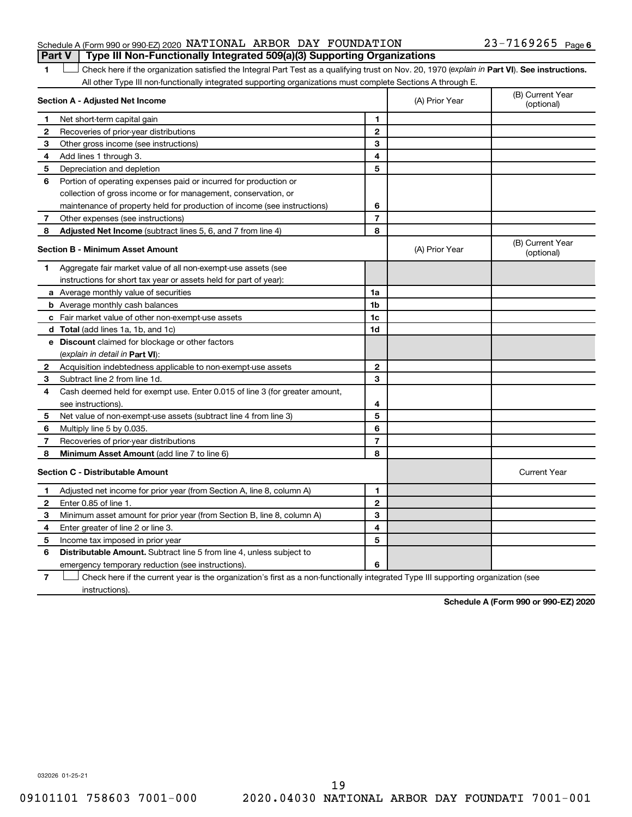#### Schedule A (Form 990 or 990-EZ) 2020  $\,$  NATIONAL ARBOR DAY FOUNDATION  $\,$  23-7169265  $\,$  Page **Part V Type III Non-Functionally Integrated 509(a)(3) Supporting Organizations**

## 23-7169265 Page 6

1 **Letter See instructions.** Check here if the organization satisfied the Integral Part Test as a qualifying trust on Nov. 20, 1970 (*explain in* Part **VI**). See instructions. All other Type III non-functionally integrated supporting organizations must complete Sections A through E.

|                          | Section A - Adjusted Net Income                                             |                | (A) Prior Year | (B) Current Year<br>(optional) |
|--------------------------|-----------------------------------------------------------------------------|----------------|----------------|--------------------------------|
| 1                        | Net short-term capital gain                                                 | 1              |                |                                |
| 2                        | Recoveries of prior-year distributions                                      | $\mathbf{2}$   |                |                                |
| 3                        | Other gross income (see instructions)                                       | 3              |                |                                |
| 4                        | Add lines 1 through 3.                                                      | 4              |                |                                |
| 5                        | Depreciation and depletion                                                  | 5              |                |                                |
| 6                        | Portion of operating expenses paid or incurred for production or            |                |                |                                |
|                          | collection of gross income or for management, conservation, or              |                |                |                                |
|                          | maintenance of property held for production of income (see instructions)    | 6              |                |                                |
| 7                        | Other expenses (see instructions)                                           | $\overline{7}$ |                |                                |
| 8                        | Adjusted Net Income (subtract lines 5, 6, and 7 from line 4)                | 8              |                |                                |
|                          | <b>Section B - Minimum Asset Amount</b>                                     |                | (A) Prior Year | (B) Current Year<br>(optional) |
| 1.                       | Aggregate fair market value of all non-exempt-use assets (see               |                |                |                                |
|                          | instructions for short tax year or assets held for part of year):           |                |                |                                |
|                          | a Average monthly value of securities                                       | 1a             |                |                                |
|                          | <b>b</b> Average monthly cash balances                                      | 1 <sub>b</sub> |                |                                |
|                          | c Fair market value of other non-exempt-use assets                          | 1c             |                |                                |
|                          | d Total (add lines 1a, 1b, and 1c)                                          | 1 <sub>d</sub> |                |                                |
|                          | e Discount claimed for blockage or other factors                            |                |                |                                |
|                          | (explain in detail in Part VI):                                             |                |                |                                |
| 2                        | Acquisition indebtedness applicable to non-exempt-use assets                | $\mathbf{2}$   |                |                                |
| 3                        | Subtract line 2 from line 1d.                                               | 3              |                |                                |
| 4                        | Cash deemed held for exempt use. Enter 0.015 of line 3 (for greater amount, |                |                |                                |
|                          | see instructions)                                                           | 4              |                |                                |
| 5                        | Net value of non-exempt-use assets (subtract line 4 from line 3)            | 5              |                |                                |
| 6                        | Multiply line 5 by 0.035.                                                   | 6              |                |                                |
| $\overline{\phantom{a}}$ | Recoveries of prior-year distributions                                      | $\overline{7}$ |                |                                |
| 8                        | Minimum Asset Amount (add line 7 to line 6)                                 | 8              |                |                                |
|                          | <b>Section C - Distributable Amount</b>                                     |                |                | <b>Current Year</b>            |
| 1                        | Adjusted net income for prior year (from Section A, line 8, column A)       | 1              |                |                                |
| $\mathbf{2}$             | Enter 0.85 of line 1.                                                       | $\mathbf{2}$   |                |                                |
| 3                        | Minimum asset amount for prior year (from Section B, line 8, column A)      | 3              |                |                                |
| 4                        | Enter greater of line 2 or line 3.                                          | 4              |                |                                |
| 5                        | Income tax imposed in prior year                                            | 5              |                |                                |
| 6                        | Distributable Amount. Subtract line 5 from line 4, unless subject to        |                |                |                                |
|                          | emergency temporary reduction (see instructions).                           | 6              |                |                                |
|                          |                                                                             |                |                |                                |

**7** Check here if the current year is the organization's first as a non-functionally integrated Type III supporting organization (see † instructions).

**Schedule A (Form 990 or 990-EZ) 2020**

032026 01-25-21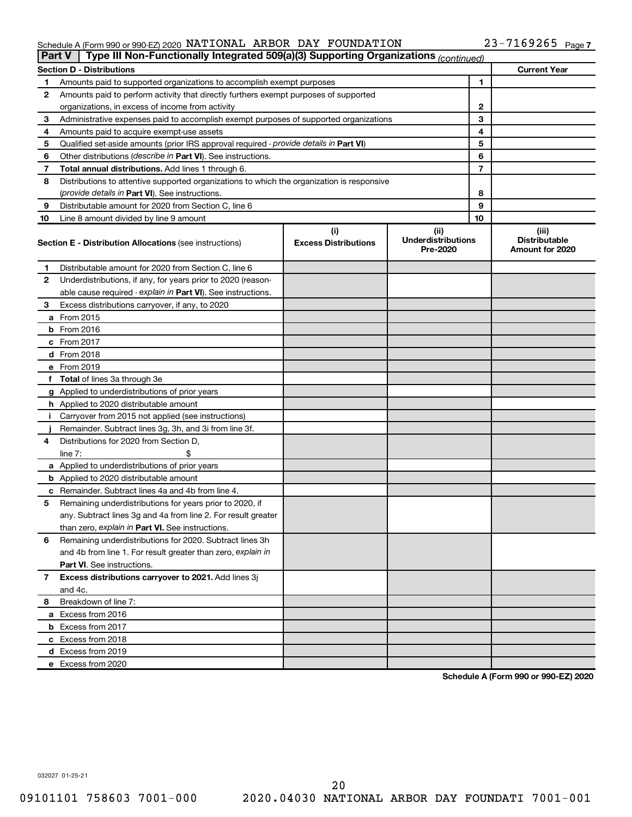#### Schedule A (Form 990 or 990-EZ) 2020 NATIONAL ARBOR DAY FOUNDATION  $23-1169265$  Page NATIONAL ARBOR DAY FOUNDATION 23-7169265

| <b>Part V</b> | Type III Non-Functionally Integrated 509(a)(3) Supporting Organizations (continued)        |                             |                                       |    |                                         |
|---------------|--------------------------------------------------------------------------------------------|-----------------------------|---------------------------------------|----|-----------------------------------------|
|               | <b>Section D - Distributions</b>                                                           |                             |                                       |    | <b>Current Year</b>                     |
| 1             | Amounts paid to supported organizations to accomplish exempt purposes                      |                             |                                       | 1  |                                         |
| 2             | Amounts paid to perform activity that directly furthers exempt purposes of supported       |                             |                                       |    |                                         |
|               | organizations, in excess of income from activity                                           | 2                           |                                       |    |                                         |
| 3             | Administrative expenses paid to accomplish exempt purposes of supported organizations      | 3                           |                                       |    |                                         |
| 4             | Amounts paid to acquire exempt-use assets                                                  |                             |                                       | 4  |                                         |
| 5             | Qualified set-aside amounts (prior IRS approval required - provide details in Part VI)     |                             |                                       | 5  |                                         |
| 6             | Other distributions ( <i>describe in Part VI</i> ). See instructions.                      |                             |                                       | 6  |                                         |
| 7             | Total annual distributions. Add lines 1 through 6.                                         |                             |                                       | 7  |                                         |
| 8             | Distributions to attentive supported organizations to which the organization is responsive |                             |                                       |    |                                         |
|               | (provide details in Part VI). See instructions.                                            |                             |                                       | 8  |                                         |
| 9             | Distributable amount for 2020 from Section C, line 6                                       |                             |                                       | 9  |                                         |
| 10            | Line 8 amount divided by line 9 amount                                                     |                             |                                       | 10 |                                         |
|               |                                                                                            | (i)                         | (ii)                                  |    | (iii)                                   |
|               | <b>Section E - Distribution Allocations (see instructions)</b>                             | <b>Excess Distributions</b> | <b>Underdistributions</b><br>Pre-2020 |    | <b>Distributable</b><br>Amount for 2020 |
| 1             | Distributable amount for 2020 from Section C, line 6                                       |                             |                                       |    |                                         |
| 2             | Underdistributions, if any, for years prior to 2020 (reason-                               |                             |                                       |    |                                         |
|               | able cause required - explain in Part VI). See instructions.                               |                             |                                       |    |                                         |
| 3             | Excess distributions carryover, if any, to 2020                                            |                             |                                       |    |                                         |
|               | a From 2015                                                                                |                             |                                       |    |                                         |
|               | $b$ From 2016                                                                              |                             |                                       |    |                                         |
|               | c From 2017                                                                                |                             |                                       |    |                                         |
|               | <b>d</b> From 2018                                                                         |                             |                                       |    |                                         |
|               | e From 2019                                                                                |                             |                                       |    |                                         |
|               | f Total of lines 3a through 3e                                                             |                             |                                       |    |                                         |
|               | g Applied to underdistributions of prior years                                             |                             |                                       |    |                                         |
|               | <b>h</b> Applied to 2020 distributable amount                                              |                             |                                       |    |                                         |
| Ť.            | Carryover from 2015 not applied (see instructions)                                         |                             |                                       |    |                                         |
|               | Remainder. Subtract lines 3g, 3h, and 3i from line 3f.                                     |                             |                                       |    |                                         |
| 4             | Distributions for 2020 from Section D,                                                     |                             |                                       |    |                                         |
|               | line 7:                                                                                    |                             |                                       |    |                                         |
|               | a Applied to underdistributions of prior years                                             |                             |                                       |    |                                         |
|               | <b>b</b> Applied to 2020 distributable amount                                              |                             |                                       |    |                                         |
|               | c Remainder. Subtract lines 4a and 4b from line 4.                                         |                             |                                       |    |                                         |
| 5             | Remaining underdistributions for years prior to 2020, if                                   |                             |                                       |    |                                         |
|               | any. Subtract lines 3g and 4a from line 2. For result greater                              |                             |                                       |    |                                         |
|               | than zero, explain in Part VI. See instructions.                                           |                             |                                       |    |                                         |
| 6             | Remaining underdistributions for 2020. Subtract lines 3h                                   |                             |                                       |    |                                         |
|               | and 4b from line 1. For result greater than zero, explain in                               |                             |                                       |    |                                         |
|               | <b>Part VI.</b> See instructions.                                                          |                             |                                       |    |                                         |
| 7             | Excess distributions carryover to 2021. Add lines 3j                                       |                             |                                       |    |                                         |
|               | and 4c.                                                                                    |                             |                                       |    |                                         |
| 8             | Breakdown of line 7:                                                                       |                             |                                       |    |                                         |
|               | a Excess from 2016                                                                         |                             |                                       |    |                                         |
|               | <b>b</b> Excess from 2017                                                                  |                             |                                       |    |                                         |
|               | c Excess from 2018                                                                         |                             |                                       |    |                                         |
|               |                                                                                            |                             |                                       |    |                                         |
|               | d Excess from 2019<br>e Excess from 2020                                                   |                             |                                       |    |                                         |
|               |                                                                                            |                             |                                       |    |                                         |

**Schedule A (Form 990 or 990-EZ) 2020**

032027 01-25-21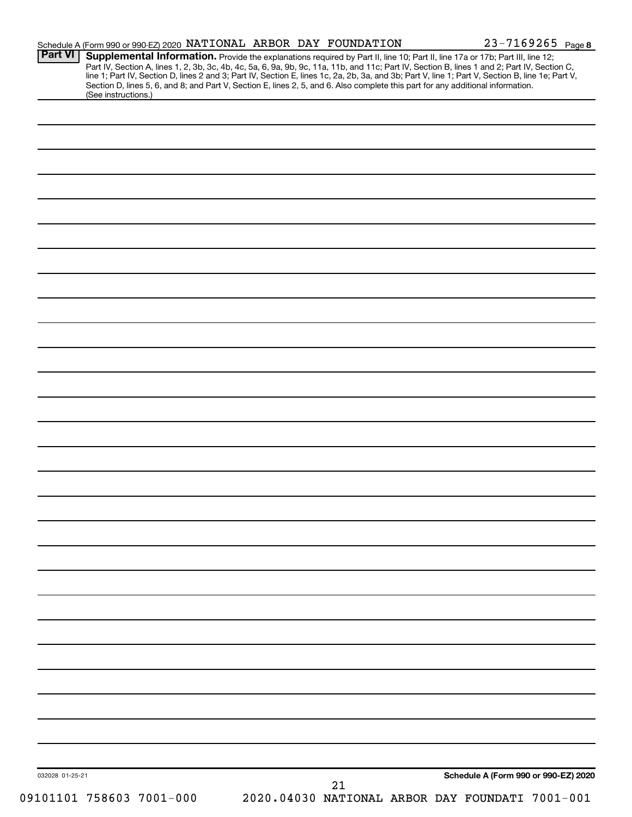| <b>Part VI</b>      | Schedule A (Form 990 or 990-EZ) 2020 NATIONAL ARBOR DAY FOUNDATION<br>Supplemental Information. Provide the explanations required by Part II, line 10; Part II, line 17a or 17b; Part III, line 12;                                                                                              |    | $23 - 7169265$ Page 8                |
|---------------------|--------------------------------------------------------------------------------------------------------------------------------------------------------------------------------------------------------------------------------------------------------------------------------------------------|----|--------------------------------------|
|                     | Part IV, Section A, lines 1, 2, 3b, 3c, 4b, 4c, 5a, 6, 9a, 9b, 9c, 11a, 11b, and 11c; Part IV, Section B, lines 1 and 2; Part IV, Section C,<br>line 1; Part IV, Section D, lines 2 and 3; Part IV, Section E, lines 1c, 2a, 2b, 3a, and 3b; Part V, line 1; Part V, Section B, line 1e; Part V, |    |                                      |
| (See instructions.) | Section D, lines 5, 6, and 8; and Part V, Section E, lines 2, 5, and 6. Also complete this part for any additional information.                                                                                                                                                                  |    |                                      |
|                     |                                                                                                                                                                                                                                                                                                  |    |                                      |
|                     |                                                                                                                                                                                                                                                                                                  |    |                                      |
|                     |                                                                                                                                                                                                                                                                                                  |    |                                      |
|                     |                                                                                                                                                                                                                                                                                                  |    |                                      |
|                     |                                                                                                                                                                                                                                                                                                  |    |                                      |
|                     |                                                                                                                                                                                                                                                                                                  |    |                                      |
|                     |                                                                                                                                                                                                                                                                                                  |    |                                      |
|                     |                                                                                                                                                                                                                                                                                                  |    |                                      |
|                     |                                                                                                                                                                                                                                                                                                  |    |                                      |
|                     |                                                                                                                                                                                                                                                                                                  |    |                                      |
|                     |                                                                                                                                                                                                                                                                                                  |    |                                      |
|                     |                                                                                                                                                                                                                                                                                                  |    |                                      |
|                     |                                                                                                                                                                                                                                                                                                  |    |                                      |
|                     |                                                                                                                                                                                                                                                                                                  |    |                                      |
|                     |                                                                                                                                                                                                                                                                                                  |    |                                      |
|                     |                                                                                                                                                                                                                                                                                                  |    |                                      |
|                     |                                                                                                                                                                                                                                                                                                  |    |                                      |
|                     |                                                                                                                                                                                                                                                                                                  |    |                                      |
|                     |                                                                                                                                                                                                                                                                                                  |    |                                      |
|                     |                                                                                                                                                                                                                                                                                                  |    |                                      |
|                     |                                                                                                                                                                                                                                                                                                  |    |                                      |
|                     |                                                                                                                                                                                                                                                                                                  |    |                                      |
|                     |                                                                                                                                                                                                                                                                                                  |    |                                      |
|                     |                                                                                                                                                                                                                                                                                                  |    |                                      |
|                     |                                                                                                                                                                                                                                                                                                  |    |                                      |
|                     |                                                                                                                                                                                                                                                                                                  |    |                                      |
|                     |                                                                                                                                                                                                                                                                                                  |    |                                      |
|                     |                                                                                                                                                                                                                                                                                                  |    |                                      |
|                     |                                                                                                                                                                                                                                                                                                  |    |                                      |
|                     |                                                                                                                                                                                                                                                                                                  |    |                                      |
|                     |                                                                                                                                                                                                                                                                                                  |    |                                      |
|                     |                                                                                                                                                                                                                                                                                                  |    |                                      |
|                     |                                                                                                                                                                                                                                                                                                  |    |                                      |
|                     |                                                                                                                                                                                                                                                                                                  |    |                                      |
|                     |                                                                                                                                                                                                                                                                                                  |    |                                      |
|                     |                                                                                                                                                                                                                                                                                                  |    |                                      |
|                     |                                                                                                                                                                                                                                                                                                  |    |                                      |
|                     |                                                                                                                                                                                                                                                                                                  |    |                                      |
|                     |                                                                                                                                                                                                                                                                                                  |    |                                      |
|                     |                                                                                                                                                                                                                                                                                                  |    |                                      |
| 032028 01-25-21     |                                                                                                                                                                                                                                                                                                  |    | Schedule A (Form 990 or 990-EZ) 2020 |
|                     |                                                                                                                                                                                                                                                                                                  | 21 |                                      |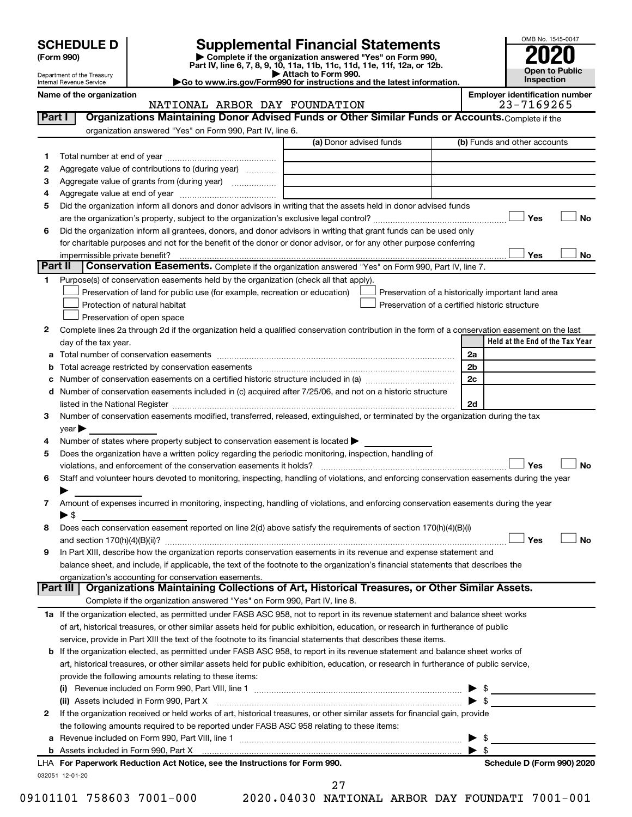| <b>SCHEDULE D</b> |  |
|-------------------|--|
|-------------------|--|

| (Form 990) |
|------------|
|            |

**(Form 990) | Complete if the organization answered "Yes" on Form 990, Part IV, line 6, 7, 8, 9, 10, 11a, 11b, 11c, 11d, 11e, 11f, 12a, or 12b. SCHEDULE D Supplemental Financial Statements**<br> **Form 990 2020**<br> **Part IV** line 6.7.8.9.10, 11a, 11b, 11d, 11d, 11d, 11d, 11d, 12a, 0r, 12b

**| Attach to Form 990. |Go to www.irs.gov/Form990 for instructions and the latest information.**



Department of the Treasury Internal Revenue Service

#### Name of the organization<br>**NATIONAL ARBOR DAY FOUNDATION Employer identification number**<br>23-7169265 NATIONAL ARBOR DAY FOUNDATION

| Part I | Organizations Maintaining Donor Advised Funds or Other Similar Funds or Accounts. Complete if the                                                                                                                                                                                                                                                                  |                                                |                         |                                                    |
|--------|--------------------------------------------------------------------------------------------------------------------------------------------------------------------------------------------------------------------------------------------------------------------------------------------------------------------------------------------------------------------|------------------------------------------------|-------------------------|----------------------------------------------------|
|        | organization answered "Yes" on Form 990, Part IV, line 6.                                                                                                                                                                                                                                                                                                          | (a) Donor advised funds                        |                         | (b) Funds and other accounts                       |
| 1      |                                                                                                                                                                                                                                                                                                                                                                    |                                                |                         |                                                    |
| 2      | Aggregate value of contributions to (during year)                                                                                                                                                                                                                                                                                                                  |                                                |                         |                                                    |
| з      |                                                                                                                                                                                                                                                                                                                                                                    |                                                |                         |                                                    |
| 4      |                                                                                                                                                                                                                                                                                                                                                                    |                                                |                         |                                                    |
| 5      | Did the organization inform all donors and donor advisors in writing that the assets held in donor advised funds                                                                                                                                                                                                                                                   |                                                |                         |                                                    |
|        |                                                                                                                                                                                                                                                                                                                                                                    |                                                |                         | Yes<br>No                                          |
|        | Did the organization inform all grantees, donors, and donor advisors in writing that grant funds can be used only                                                                                                                                                                                                                                                  |                                                |                         |                                                    |
| 6      | for charitable purposes and not for the benefit of the donor or donor advisor, or for any other purpose conferring                                                                                                                                                                                                                                                 |                                                |                         |                                                    |
|        |                                                                                                                                                                                                                                                                                                                                                                    |                                                |                         | Yes<br>No                                          |
|        | Part II<br>Conservation Easements. Complete if the organization answered "Yes" on Form 990, Part IV, line 7.                                                                                                                                                                                                                                                       |                                                |                         |                                                    |
| 1.     | Purpose(s) of conservation easements held by the organization (check all that apply).                                                                                                                                                                                                                                                                              |                                                |                         |                                                    |
|        | Preservation of land for public use (for example, recreation or education)                                                                                                                                                                                                                                                                                         |                                                |                         | Preservation of a historically important land area |
|        | Protection of natural habitat                                                                                                                                                                                                                                                                                                                                      | Preservation of a certified historic structure |                         |                                                    |
|        | Preservation of open space                                                                                                                                                                                                                                                                                                                                         |                                                |                         |                                                    |
| 2      | Complete lines 2a through 2d if the organization held a qualified conservation contribution in the form of a conservation easement on the last                                                                                                                                                                                                                     |                                                |                         |                                                    |
|        | day of the tax year.                                                                                                                                                                                                                                                                                                                                               |                                                |                         | Held at the End of the Tax Year                    |
| а      |                                                                                                                                                                                                                                                                                                                                                                    |                                                | 2a                      |                                                    |
| b      | Total acreage restricted by conservation easements [11] [12] Total acreage restricted by conservation easements                                                                                                                                                                                                                                                    |                                                | 2 <sub>b</sub>          |                                                    |
|        |                                                                                                                                                                                                                                                                                                                                                                    |                                                | 2c                      |                                                    |
| с<br>d | Number of conservation easements included in (c) acquired after 7/25/06, and not on a historic structure                                                                                                                                                                                                                                                           |                                                |                         |                                                    |
|        |                                                                                                                                                                                                                                                                                                                                                                    |                                                | 2d                      |                                                    |
| 3      | listed in the National Register [1111] listed in the National Register [111] listed in the National Register [11] listed in the National Register [11] listed in the National Register [11] listed in the National Register [1<br>Number of conservation easements modified, transferred, released, extinguished, or terminated by the organization during the tax |                                                |                         |                                                    |
|        |                                                                                                                                                                                                                                                                                                                                                                    |                                                |                         |                                                    |
|        | $year \triangleright$                                                                                                                                                                                                                                                                                                                                              |                                                |                         |                                                    |
| 4      | Number of states where property subject to conservation easement is located >                                                                                                                                                                                                                                                                                      |                                                |                         |                                                    |
| 5      | Does the organization have a written policy regarding the periodic monitoring, inspection, handling of                                                                                                                                                                                                                                                             |                                                |                         | Yes                                                |
|        | violations, and enforcement of the conservation easements it holds?                                                                                                                                                                                                                                                                                                |                                                |                         | <b>No</b>                                          |
| 6      | Staff and volunteer hours devoted to monitoring, inspecting, handling of violations, and enforcing conservation easements during the year                                                                                                                                                                                                                          |                                                |                         |                                                    |
|        |                                                                                                                                                                                                                                                                                                                                                                    |                                                |                         |                                                    |
| 7      | Amount of expenses incurred in monitoring, inspecting, handling of violations, and enforcing conservation easements during the year                                                                                                                                                                                                                                |                                                |                         |                                                    |
|        | $\blacktriangleright$ \$                                                                                                                                                                                                                                                                                                                                           |                                                |                         |                                                    |
| 8      | Does each conservation easement reported on line 2(d) above satisfy the requirements of section 170(h)(4)(B)(i)                                                                                                                                                                                                                                                    |                                                |                         | Yes<br><b>No</b>                                   |
|        |                                                                                                                                                                                                                                                                                                                                                                    |                                                |                         |                                                    |
| 9      | In Part XIII, describe how the organization reports conservation easements in its revenue and expense statement and                                                                                                                                                                                                                                                |                                                |                         |                                                    |
|        | balance sheet, and include, if applicable, the text of the footnote to the organization's financial statements that describes the                                                                                                                                                                                                                                  |                                                |                         |                                                    |
|        | organization's accounting for conservation easements.<br>Organizations Maintaining Collections of Art, Historical Treasures, or Other Similar Assets.<br>Part III                                                                                                                                                                                                  |                                                |                         |                                                    |
|        | Complete if the organization answered "Yes" on Form 990, Part IV, line 8.                                                                                                                                                                                                                                                                                          |                                                |                         |                                                    |
|        | 1a If the organization elected, as permitted under FASB ASC 958, not to report in its revenue statement and balance sheet works                                                                                                                                                                                                                                    |                                                |                         |                                                    |
|        | of art, historical treasures, or other similar assets held for public exhibition, education, or research in furtherance of public                                                                                                                                                                                                                                  |                                                |                         |                                                    |
|        | service, provide in Part XIII the text of the footnote to its financial statements that describes these items.                                                                                                                                                                                                                                                     |                                                |                         |                                                    |
|        | b If the organization elected, as permitted under FASB ASC 958, to report in its revenue statement and balance sheet works of                                                                                                                                                                                                                                      |                                                |                         |                                                    |
|        | art, historical treasures, or other similar assets held for public exhibition, education, or research in furtherance of public service,                                                                                                                                                                                                                            |                                                |                         |                                                    |
|        | provide the following amounts relating to these items:                                                                                                                                                                                                                                                                                                             |                                                |                         |                                                    |
|        |                                                                                                                                                                                                                                                                                                                                                                    |                                                |                         | - \$                                               |
|        |                                                                                                                                                                                                                                                                                                                                                                    |                                                |                         | $\blacktriangleright$ \$                           |
|        | (ii) Assets included in Form 990, Part X                                                                                                                                                                                                                                                                                                                           |                                                |                         |                                                    |
| 2      | If the organization received or held works of art, historical treasures, or other similar assets for financial gain, provide                                                                                                                                                                                                                                       |                                                |                         |                                                    |
|        | the following amounts required to be reported under FASB ASC 958 relating to these items:                                                                                                                                                                                                                                                                          |                                                |                         |                                                    |
| а      |                                                                                                                                                                                                                                                                                                                                                                    |                                                | ▶                       | - \$                                               |
|        |                                                                                                                                                                                                                                                                                                                                                                    |                                                | $\blacktriangleright$ s |                                                    |
|        | LHA For Paperwork Reduction Act Notice, see the Instructions for Form 990.                                                                                                                                                                                                                                                                                         |                                                |                         | Schedule D (Form 990) 2020                         |
|        | 032051 12-01-20                                                                                                                                                                                                                                                                                                                                                    | 27                                             |                         |                                                    |
|        |                                                                                                                                                                                                                                                                                                                                                                    |                                                |                         |                                                    |

09101101 758603 7001-000 2020.04030 NATIONAL ARBOR DAY FOUNDATI 7001-001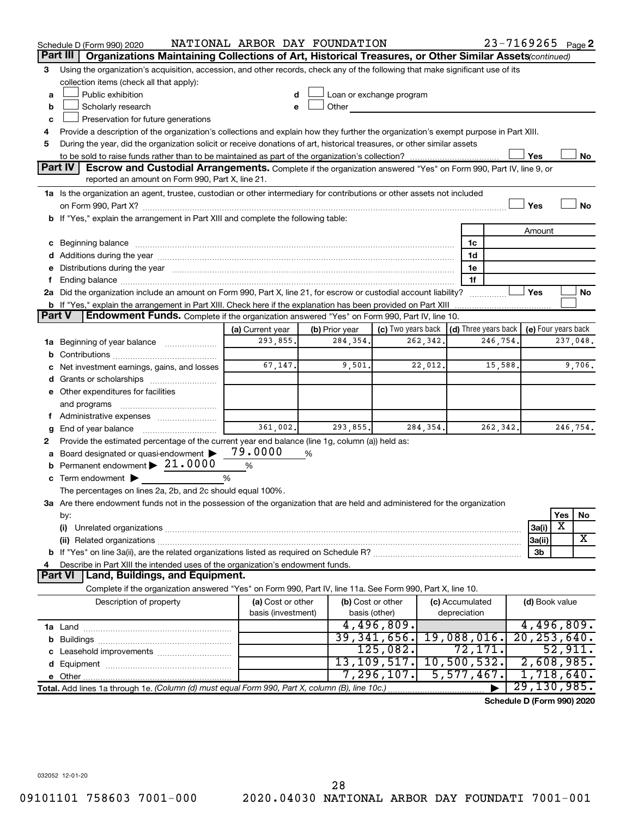|        | Schedule D (Form 990) 2020                                                                                                                                                                                                     | NATIONAL ARBOR DAY FOUNDATION |   |                          |                                                         |          |                 |             | 23-7169265 Page 2          |                     |           |
|--------|--------------------------------------------------------------------------------------------------------------------------------------------------------------------------------------------------------------------------------|-------------------------------|---|--------------------------|---------------------------------------------------------|----------|-----------------|-------------|----------------------------|---------------------|-----------|
|        | Organizations Maintaining Collections of Art, Historical Treasures, or Other Similar Assets (continued)<br>Part III                                                                                                            |                               |   |                          |                                                         |          |                 |             |                            |                     |           |
| 3      | Using the organization's acquisition, accession, and other records, check any of the following that make significant use of its                                                                                                |                               |   |                          |                                                         |          |                 |             |                            |                     |           |
|        | collection items (check all that apply):                                                                                                                                                                                       |                               |   |                          |                                                         |          |                 |             |                            |                     |           |
| a      | Public exhibition                                                                                                                                                                                                              |                               |   | Loan or exchange program |                                                         |          |                 |             |                            |                     |           |
| b      | Scholarly research                                                                                                                                                                                                             |                               |   | Other                    |                                                         |          |                 |             |                            |                     |           |
| c      | Preservation for future generations                                                                                                                                                                                            |                               |   |                          |                                                         |          |                 |             |                            |                     |           |
| 4      | Provide a description of the organization's collections and explain how they further the organization's exempt purpose in Part XIII.                                                                                           |                               |   |                          |                                                         |          |                 |             |                            |                     |           |
| 5      | During the year, did the organization solicit or receive donations of art, historical treasures, or other similar assets                                                                                                       |                               |   |                          |                                                         |          |                 |             |                            |                     |           |
|        |                                                                                                                                                                                                                                |                               |   |                          |                                                         |          |                 |             | Yes                        |                     | No        |
|        | Part IV<br><b>Escrow and Custodial Arrangements.</b> Complete if the organization answered "Yes" on Form 990, Part IV, line 9, or<br>reported an amount on Form 990, Part X, line 21.                                          |                               |   |                          |                                                         |          |                 |             |                            |                     |           |
|        |                                                                                                                                                                                                                                |                               |   |                          |                                                         |          |                 |             |                            |                     |           |
|        | 1a Is the organization an agent, trustee, custodian or other intermediary for contributions or other assets not included                                                                                                       |                               |   |                          |                                                         |          |                 |             | Yes                        |                     | <b>No</b> |
|        | b If "Yes," explain the arrangement in Part XIII and complete the following table:                                                                                                                                             |                               |   |                          |                                                         |          |                 |             |                            |                     |           |
|        |                                                                                                                                                                                                                                |                               |   |                          |                                                         |          |                 |             | Amount                     |                     |           |
|        | c Beginning balance measurements and the contract of the contract of the contract of the contract of the contract of the contract of the contract of the contract of the contract of the contract of the contract of the contr |                               |   |                          |                                                         |          | 1c              |             |                            |                     |           |
|        |                                                                                                                                                                                                                                |                               |   |                          |                                                         |          | 1d              |             |                            |                     |           |
|        | e Distributions during the year manufactured and continuum control of the year manufactured and the year manufactured and the year manufactured and the year manufactured and the year manufactured and the year manufactured  |                               |   |                          |                                                         |          | 1е              |             |                            |                     |           |
| f.     |                                                                                                                                                                                                                                |                               |   |                          |                                                         |          | 1f              |             |                            |                     |           |
|        | 2a Did the organization include an amount on Form 990, Part X, line 21, for escrow or custodial account liability?                                                                                                             |                               |   |                          |                                                         |          |                 | .           | Yes                        |                     | No        |
|        |                                                                                                                                                                                                                                |                               |   |                          |                                                         |          |                 |             |                            |                     |           |
| Part V | Endowment Funds. Complete if the organization answered "Yes" on Form 990, Part IV, line 10.                                                                                                                                    |                               |   |                          |                                                         |          |                 |             |                            |                     |           |
|        |                                                                                                                                                                                                                                | (a) Current year              |   | (b) Prior year           | (c) Two years back $\vert$ (d) Three years back $\vert$ |          |                 |             |                            | (e) Four years back |           |
|        | 1a Beginning of year balance                                                                                                                                                                                                   | 293,855.                      |   | 284,354.                 |                                                         | 262,342. |                 | 246,754.    |                            |                     | 237,048.  |
| b      |                                                                                                                                                                                                                                |                               |   |                          |                                                         |          |                 |             |                            |                     |           |
|        | Net investment earnings, gains, and losses                                                                                                                                                                                     | 67,147.                       |   | 9,501.                   |                                                         | 22,012.  |                 | 15,588.     |                            |                     | 9,706.    |
|        |                                                                                                                                                                                                                                |                               |   |                          |                                                         |          |                 |             |                            |                     |           |
|        | e Other expenditures for facilities                                                                                                                                                                                            |                               |   |                          |                                                         |          |                 |             |                            |                     |           |
|        | and programs                                                                                                                                                                                                                   |                               |   |                          |                                                         |          |                 |             |                            |                     |           |
|        |                                                                                                                                                                                                                                |                               |   |                          |                                                         |          |                 |             |                            |                     |           |
| g      |                                                                                                                                                                                                                                | 361,002.                      |   | 293,855.                 |                                                         | 284,354. |                 | 262,342.    |                            |                     | 246,754.  |
| 2      | Provide the estimated percentage of the current year end balance (line 1g, column (a)) held as:                                                                                                                                | 79.0000                       |   |                          |                                                         |          |                 |             |                            |                     |           |
|        | a Board designated or quasi-endowment ><br>Permanent endowment > 21.0000                                                                                                                                                       |                               | % |                          |                                                         |          |                 |             |                            |                     |           |
| b      |                                                                                                                                                                                                                                | %<br>%                        |   |                          |                                                         |          |                 |             |                            |                     |           |
|        | c Term endowment $\blacktriangleright$<br>The percentages on lines 2a, 2b, and 2c should equal 100%.                                                                                                                           |                               |   |                          |                                                         |          |                 |             |                            |                     |           |
|        | 3a Are there endowment funds not in the possession of the organization that are held and administered for the organization                                                                                                     |                               |   |                          |                                                         |          |                 |             |                            |                     |           |
|        | by:                                                                                                                                                                                                                            |                               |   |                          |                                                         |          |                 |             |                            | Yes                 | No        |
|        | (i)                                                                                                                                                                                                                            |                               |   |                          |                                                         |          |                 |             | 3a(i)                      | X                   |           |
|        |                                                                                                                                                                                                                                |                               |   |                          |                                                         |          |                 |             | 3a(ii)                     |                     | X         |
|        |                                                                                                                                                                                                                                |                               |   |                          |                                                         |          |                 |             | 3b                         |                     |           |
| 4      | Describe in Part XIII the intended uses of the organization's endowment funds.                                                                                                                                                 |                               |   |                          |                                                         |          |                 |             |                            |                     |           |
|        | <b>Land, Buildings, and Equipment.</b><br><b>Part VI</b>                                                                                                                                                                       |                               |   |                          |                                                         |          |                 |             |                            |                     |           |
|        | Complete if the organization answered "Yes" on Form 990, Part IV, line 11a. See Form 990, Part X, line 10.                                                                                                                     |                               |   |                          |                                                         |          |                 |             |                            |                     |           |
|        | Description of property                                                                                                                                                                                                        | (a) Cost or other             |   | (b) Cost or other        |                                                         |          | (c) Accumulated |             |                            | (d) Book value      |           |
|        |                                                                                                                                                                                                                                | basis (investment)            |   | basis (other)            |                                                         |          | depreciation    |             |                            |                     |           |
|        |                                                                                                                                                                                                                                |                               |   |                          | 4,496,809.                                              |          |                 |             | 4,496,809.                 |                     |           |
|        |                                                                                                                                                                                                                                |                               |   |                          | 39, 341, 656.                                           |          |                 | 19,088,016. | 20, 253, 640.              |                     |           |
|        |                                                                                                                                                                                                                                |                               |   |                          | $125,082$ .                                             |          |                 | 72,171.     |                            | 52,911.             |           |
|        |                                                                                                                                                                                                                                |                               |   |                          | 13, 109, 517.                                           |          |                 | 10,500,532. | 2,608,985.                 |                     |           |
|        |                                                                                                                                                                                                                                |                               |   |                          | 7,296,107.                                              |          |                 | 5,577,467.  | 1,718,640.                 |                     |           |
|        | Total. Add lines 1a through 1e. (Column (d) must equal Form 990, Part X, column (B), line 10c.)                                                                                                                                |                               |   |                          |                                                         |          |                 |             | 29, 130, 985.              |                     |           |
|        |                                                                                                                                                                                                                                |                               |   |                          |                                                         |          |                 |             | Schedule D (Form 990) 2020 |                     |           |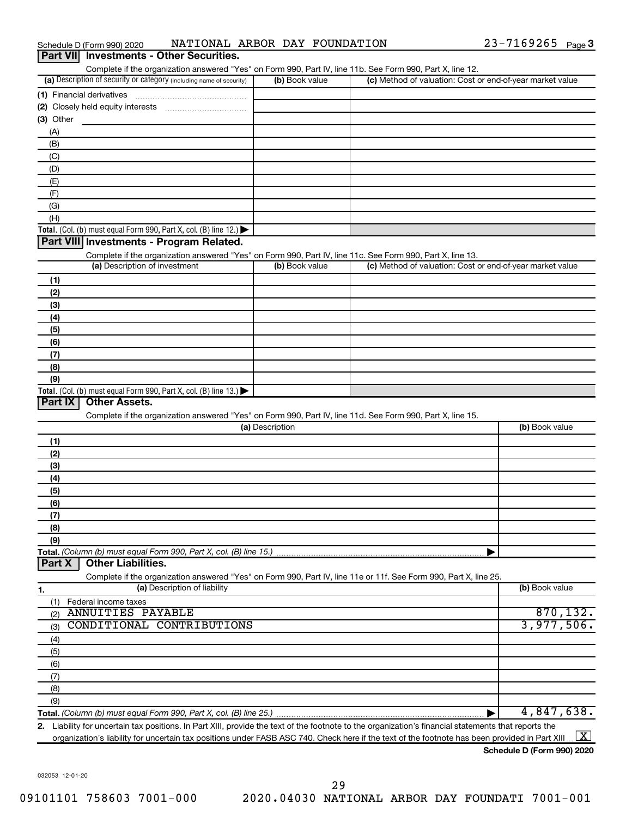| Complete if the organization answered "Yes" on Form 990, Part IV, line 11b. See Form 990, Part X, line 12.<br>(a) Description of security or category (including name of security) | (b) Book value  | (c) Method of valuation: Cost or end-of-year market value |                |
|------------------------------------------------------------------------------------------------------------------------------------------------------------------------------------|-----------------|-----------------------------------------------------------|----------------|
| (1) Financial derivatives                                                                                                                                                          |                 |                                                           |                |
|                                                                                                                                                                                    |                 |                                                           |                |
| (3) Other                                                                                                                                                                          |                 |                                                           |                |
| (A)                                                                                                                                                                                |                 |                                                           |                |
| (B)                                                                                                                                                                                |                 |                                                           |                |
| (C)                                                                                                                                                                                |                 |                                                           |                |
| (D)                                                                                                                                                                                |                 |                                                           |                |
| (E)                                                                                                                                                                                |                 |                                                           |                |
| (F)                                                                                                                                                                                |                 |                                                           |                |
| (G)                                                                                                                                                                                |                 |                                                           |                |
| (H)                                                                                                                                                                                |                 |                                                           |                |
| Total. (Col. (b) must equal Form 990, Part X, col. (B) line 12.) $\blacktriangleright$                                                                                             |                 |                                                           |                |
| Part VIII Investments - Program Related.                                                                                                                                           |                 |                                                           |                |
|                                                                                                                                                                                    |                 |                                                           |                |
| Complete if the organization answered "Yes" on Form 990, Part IV, line 11c. See Form 990, Part X, line 13.<br>(a) Description of investment                                        | (b) Book value  | (c) Method of valuation: Cost or end-of-year market value |                |
|                                                                                                                                                                                    |                 |                                                           |                |
| (1)                                                                                                                                                                                |                 |                                                           |                |
| (2)                                                                                                                                                                                |                 |                                                           |                |
| (3)                                                                                                                                                                                |                 |                                                           |                |
| (4)                                                                                                                                                                                |                 |                                                           |                |
| (5)                                                                                                                                                                                |                 |                                                           |                |
| (6)                                                                                                                                                                                |                 |                                                           |                |
| (7)                                                                                                                                                                                |                 |                                                           |                |
| (8)                                                                                                                                                                                |                 |                                                           |                |
| (9)                                                                                                                                                                                |                 |                                                           |                |
| Total. (Col. (b) must equal Form 990, Part X, col. (B) line 13.) $\blacktriangleright$                                                                                             |                 |                                                           |                |
| <b>Other Assets.</b><br>Part $ X $                                                                                                                                                 |                 |                                                           |                |
| Complete if the organization answered "Yes" on Form 990, Part IV, line 11d. See Form 990, Part X, line 15.                                                                         |                 |                                                           |                |
|                                                                                                                                                                                    | (a) Description |                                                           | (b) Book value |
| (1)                                                                                                                                                                                |                 |                                                           |                |
| (2)                                                                                                                                                                                |                 |                                                           |                |
| (3)                                                                                                                                                                                |                 |                                                           |                |
| (4)                                                                                                                                                                                |                 |                                                           |                |
| (5)                                                                                                                                                                                |                 |                                                           |                |
| (6)                                                                                                                                                                                |                 |                                                           |                |
|                                                                                                                                                                                    |                 |                                                           |                |
| (7)                                                                                                                                                                                |                 |                                                           |                |
| (8)                                                                                                                                                                                |                 |                                                           |                |
| (9)                                                                                                                                                                                |                 |                                                           |                |
| Total. (Column (b) must equal Form 990, Part X, col. (B) line 15.)                                                                                                                 |                 |                                                           |                |
| <b>Other Liabilities.</b><br>Part X                                                                                                                                                |                 |                                                           |                |
| Complete if the organization answered "Yes" on Form 990, Part IV, line 11e or 11f. See Form 990, Part X, line 25.                                                                  |                 |                                                           |                |
| (a) Description of liability<br><u>1.</u>                                                                                                                                          |                 |                                                           | (b) Book value |
| (1)<br>Federal income taxes                                                                                                                                                        |                 |                                                           |                |
| <b>ANNUITIES PAYABLE</b><br>(2)                                                                                                                                                    |                 |                                                           | 870, 132.      |
| CONDITIONAL CONTRIBUTIONS<br>(3)                                                                                                                                                   |                 |                                                           | 3,977,506.     |
| (4)                                                                                                                                                                                |                 |                                                           |                |
|                                                                                                                                                                                    |                 |                                                           |                |
| (5)                                                                                                                                                                                |                 |                                                           |                |
| (6)                                                                                                                                                                                |                 |                                                           |                |
|                                                                                                                                                                                    |                 |                                                           |                |
| (7)                                                                                                                                                                                |                 |                                                           |                |
| (8)                                                                                                                                                                                |                 |                                                           |                |
| (9)                                                                                                                                                                                |                 |                                                           | 4,847,638.     |

032053 12-01-20

|  | Schedule D (Form 990) 2020 | NATIONAL ARBOR DAY |  |  | FOUNDATION | ∟ס∡י | Page $5$ |  |
|--|----------------------------|--------------------|--|--|------------|------|----------|--|
|--|----------------------------|--------------------|--|--|------------|------|----------|--|

**Part VII Investments - Other Securities.**

#### **2.** Liability for uncertain tax positions. In Part XIII, provide the text of the footnote to the organization's financial statements that reports the organization's liability for uncertain tax positions under FASB ASC 740. Check here if the text of the footnote has been provided in Part XIII ...  $\fbox{\bf X}$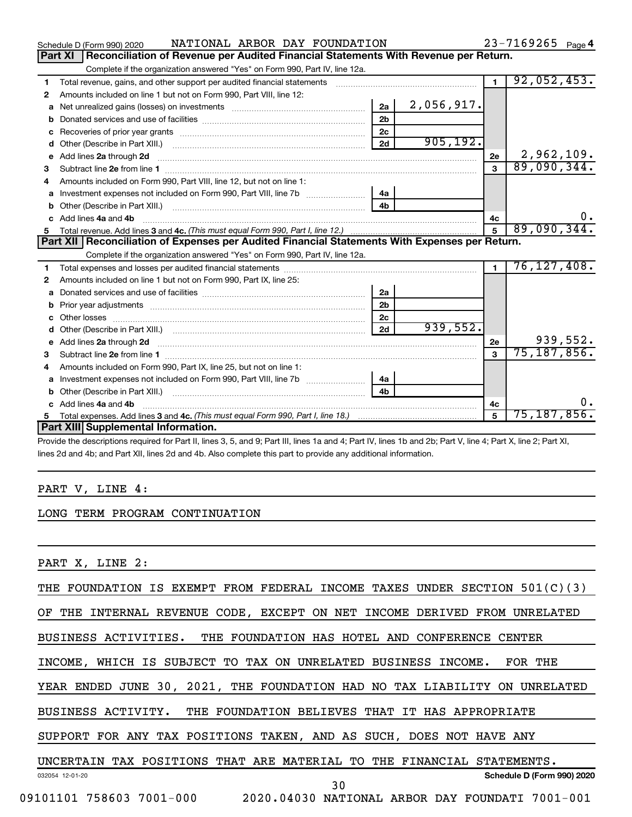|    | NATIONAL ARBOR DAY FOUNDATION<br>Schedule D (Form 990) 2020                                    |                |            |                | $23 - 7169265$ Page 4 |
|----|------------------------------------------------------------------------------------------------|----------------|------------|----------------|-----------------------|
|    | Reconciliation of Revenue per Audited Financial Statements With Revenue per Return.<br>Part XI |                |            |                |                       |
|    | Complete if the organization answered "Yes" on Form 990, Part IV, line 12a.                    |                |            |                |                       |
| 1  | Total revenue, gains, and other support per audited financial statements                       |                |            | $\overline{1}$ | 92,052,453.           |
| 2  | Amounts included on line 1 but not on Form 990, Part VIII, line 12:                            |                |            |                |                       |
| a  |                                                                                                | 2a             | 2,056,917. |                |                       |
|    |                                                                                                | 2 <sub>b</sub> |            |                |                       |
|    |                                                                                                | 2 <sub>c</sub> |            |                |                       |
| d  |                                                                                                | 2d             | 905, 192.  |                |                       |
| e  | Add lines 2a through 2d                                                                        |                |            | 2е             | 2,962,109.            |
| 3  |                                                                                                |                |            |                | 89,090,344.           |
| 4  | Amounts included on Form 990, Part VIII, line 12, but not on line 1:                           |                |            |                |                       |
|    |                                                                                                | ∣ 4a           |            |                |                       |
| b  |                                                                                                | 4 <sub>h</sub> |            |                |                       |
| c. | Add lines 4a and 4b                                                                            |                |            | 4c             | 0.                    |
|    |                                                                                                |                |            |                | 89,090,344.           |
|    |                                                                                                |                |            |                |                       |
|    | Part XII Reconciliation of Expenses per Audited Financial Statements With Expenses per Return. |                |            |                |                       |
|    | Complete if the organization answered "Yes" on Form 990, Part IV, line 12a.                    |                |            |                |                       |
| 1  |                                                                                                |                |            | $\blacksquare$ | 76, 127, 408.         |
| 2  | Amounts included on line 1 but not on Form 990, Part IX, line 25:                              |                |            |                |                       |
| a  |                                                                                                | 2a             |            |                |                       |
| b  |                                                                                                | 2 <sub>b</sub> |            |                |                       |
|    |                                                                                                | 2 <sub>c</sub> |            |                |                       |
| d  |                                                                                                | 2d             | 939,552.   |                |                       |
| е  |                                                                                                |                |            | 2е             | 939,552.              |
| 3  |                                                                                                |                |            | $\mathbf{3}$   | 75, 187, 856.         |
| 4  | Amounts included on Form 990, Part IX, line 25, but not on line 1:                             |                |            |                |                       |
| a  |                                                                                                | 4a             |            |                |                       |
|    |                                                                                                | 4 <sub>b</sub> |            |                |                       |
|    | Add lines 4a and 4b                                                                            |                |            | 4с             | 0.                    |
|    | Part XIII Supplemental Information.                                                            |                |            | 5              | $75, 187, 856$ .      |

Provide the descriptions required for Part II, lines 3, 5, and 9; Part III, lines 1a and 4; Part IV, lines 1b and 2b; Part V, line 4; Part X, line 2; Part XI, lines 2d and 4b; and Part XII, lines 2d and 4b. Also complete this part to provide any additional information.

#### PART V, LINE 4:

#### LONG TERM PROGRAM CONTINUATION

PART X, LINE 2:

THE FOUNDATION IS EXEMPT FROM FEDERAL INCOME TAXES UNDER SECTION 501(C)(3)

OF THE INTERNAL REVENUE CODE, EXCEPT ON NET INCOME DERIVED FROM UNRELATED

BUSINESS ACTIVITIES. THE FOUNDATION HAS HOTEL AND CONFERENCE CENTER

INCOME, WHICH IS SUBJECT TO TAX ON UNRELATED BUSINESS INCOME. FOR THE

YEAR ENDED JUNE 30, 2021, THE FOUNDATION HAD NO TAX LIABILITY ON UNRELATED

BUSINESS ACTIVITY. THE FOUNDATION BELIEVES THAT IT HAS APPROPRIATE

SUPPORT FOR ANY TAX POSITIONS TAKEN, AND AS SUCH, DOES NOT HAVE ANY

UNCERTAIN TAX POSITIONS THAT ARE MATERIAL TO THE FINANCIAL STATEMENTS.

30

032054 12-01-20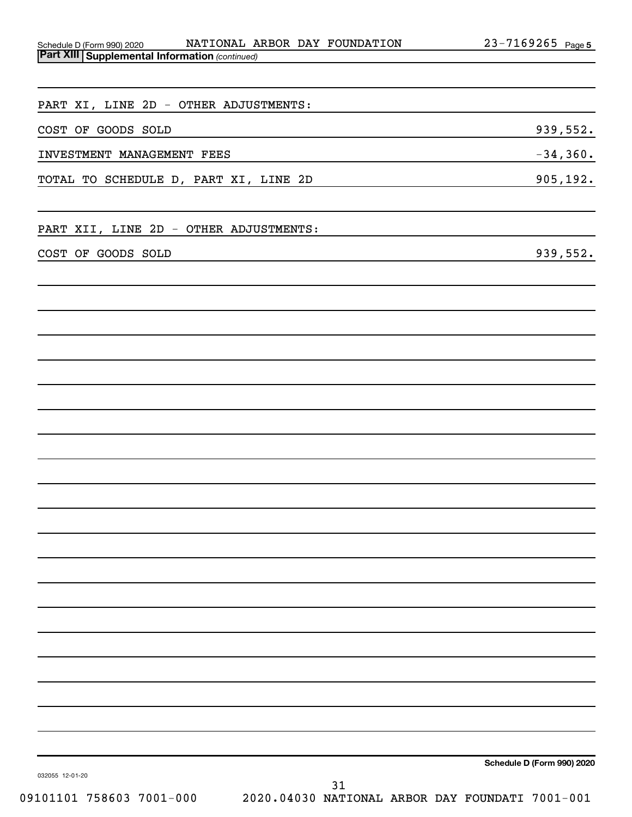| Schedule D (Form 990) 2020                              |  | NATIONAL ARBOR DAY FOUNDATION | $23 - 7169265$ Page 5 |  |
|---------------------------------------------------------|--|-------------------------------|-----------------------|--|
| <b>Part XIII   Supplemental Information (continued)</b> |  |                               |                       |  |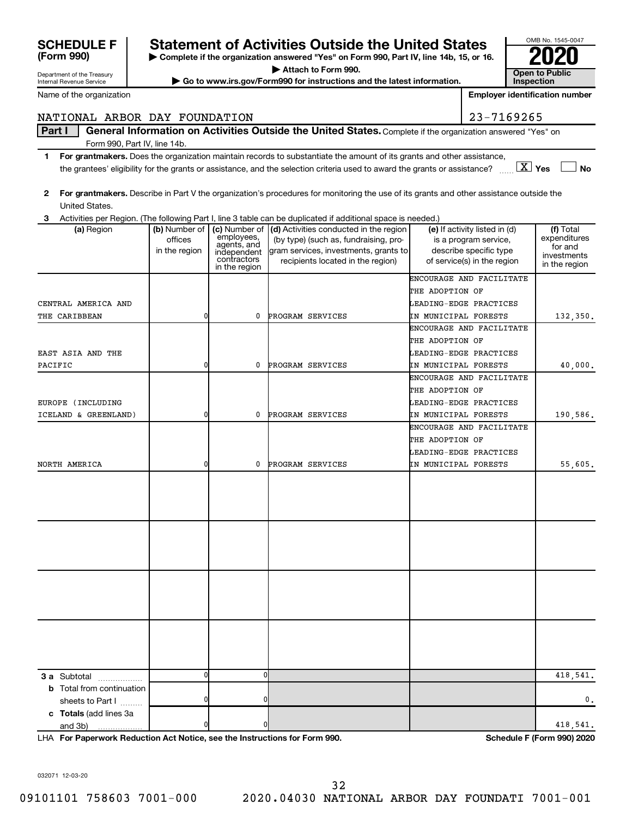|   |                                | ENCOURAGE AND FACILITATE                                                        |          |
|---|--------------------------------|---------------------------------------------------------------------------------|----------|
|   |                                | THE ADOPTION OF                                                                 |          |
|   |                                | LEADING-EDGE PRACTICES                                                          |          |
| 0 |                                | IN MUNICIPAL FORESTS                                                            | 40,000.  |
|   |                                | ENCOURAGE AND FACILITATE                                                        |          |
|   |                                | THE ADOPTION OF                                                                 |          |
|   |                                | LEADING-EDGE PRACTICES                                                          |          |
| 0 |                                | IN MUNICIPAL FORESTS                                                            | 190,586. |
|   |                                | ENCOURAGE AND FACILITATE                                                        |          |
|   |                                | THE ADOPTION OF                                                                 |          |
|   |                                | LEADING-EDGE PRACTICES                                                          |          |
| 0 |                                | IN MUNICIPAL FORESTS                                                            | 55,605.  |
|   |                                |                                                                                 |          |
|   |                                |                                                                                 |          |
|   |                                |                                                                                 |          |
|   |                                |                                                                                 |          |
|   |                                |                                                                                 |          |
|   |                                |                                                                                 |          |
|   |                                |                                                                                 |          |
|   |                                |                                                                                 |          |
|   |                                |                                                                                 |          |
|   |                                |                                                                                 |          |
|   |                                |                                                                                 |          |
|   |                                |                                                                                 |          |
|   |                                |                                                                                 |          |
|   |                                |                                                                                 |          |
|   |                                |                                                                                 |          |
|   |                                |                                                                                 | 418,541. |
|   |                                |                                                                                 |          |
|   |                                |                                                                                 | 0.       |
|   |                                |                                                                                 |          |
| 0 |                                |                                                                                 | 418,541. |
|   | $\mathbf{0}$<br>$\overline{0}$ | 0 PROGRAM SERVICES<br>0 PROGRAM SERVICES<br>0 PROGRAM SERVICES<br>$\Omega$<br>O |          |

CENTRAL AMERICA AND LEADING-EDGE PRACTICES

Activities per Region. (The following Part I, line 3 table can be duplicated if additional space is needed.)

employees, agents, and independent contractors in the region

| Department of the Treasury<br>Internal Revenue Service | Attach to Form 990.<br>► Go to www.irs.gov/Form990 for instructions and the latest information. | _____<br><b>Open to Public</b><br>Inspection |
|--------------------------------------------------------|-------------------------------------------------------------------------------------------------|----------------------------------------------|
| Name of the organization                               |                                                                                                 | <b>Emplover identification nu</b>            |

offices in the region

## NATIONAL ARBOR DAY FOUNDATION 23-7169265

(a) Region (b) Number of

#### Part I | General Information on Activities Outside the United States. Complete if the organization answered "Yes" on Form 990, Part IV, line 14b.

- **1 For grantmakers.**  Does the organization maintain records to substantiate the amount of its grants and other assistance, **Yes No** the grantees' eligibility for the grants or assistance, and the selection criteria used to award the grants or assistance? ~~ † † X
- **2 For grantmakers.**  Describe in Part V the organization's procedures for monitoring the use of its grants and other assistance outside the United States.

**(a)** Region **a (b)** Number of **| (c)** Number of **| (d)** Activities conducted in the region **|** (e) If activity listed in (d) **| (f)** 

THE CARIBBEAN 132.350. 0 0 0 PROGRAM SERVICES IN MUNICIPAL FORESTS 132.350.

(by type) (such as, fundraising, program services, investments, grants to recipients located in the region)

**(Form 990)**

**3**

### **| Complete if the organization answered "Yes" on Form 990, Part IV, line 14b, 15, or 16. SCHEDULE F Statement of Activities Outside the United States 2020**

OMB No. 1545-0047

(f) Total expenditures for and investments in the region

**Inspection Employer identification number**

(e) If activity listed in (d) is a program service, describe specific type of service(s) in the region

ENCOURAGE AND FACILITATE

THE ADOPTION OF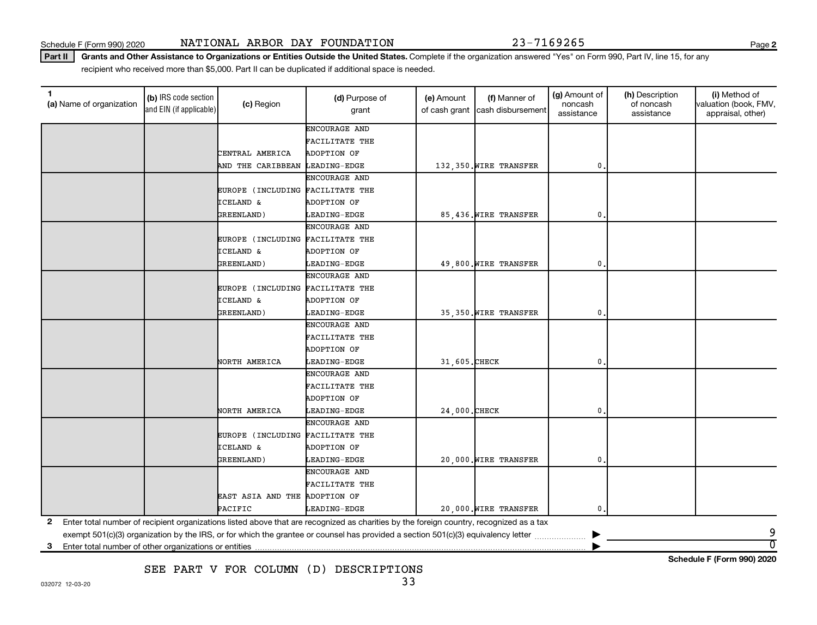**2**

**Schedule F (Form 990) 2020**

Part II | Grants and Other Assistance to Organizations or Entities Outside the United States. Complete if the organization answered "Yes" on Form 990, Part IV, line 15, for any recipient who received more than \$5,000. Part II can be duplicated if additional space is needed.

| 1<br>(a) Name of organization | (b) IRS code section<br>and EIN (if applicable) | (c) Region                       | (d) Purpose of<br>grant                                                                                                                 | (e) Amount<br>of cash grant | (f) Manner of<br>cash disbursement | (g) Amount of<br>noncash<br>assistance | (h) Description<br>of noncash<br>assistance | (i) Method of<br>valuation (book, FMV,<br>appraisal, other) |
|-------------------------------|-------------------------------------------------|----------------------------------|-----------------------------------------------------------------------------------------------------------------------------------------|-----------------------------|------------------------------------|----------------------------------------|---------------------------------------------|-------------------------------------------------------------|
|                               |                                                 |                                  | ENCOURAGE AND                                                                                                                           |                             |                                    |                                        |                                             |                                                             |
|                               |                                                 |                                  | FACILITATE THE                                                                                                                          |                             |                                    |                                        |                                             |                                                             |
|                               |                                                 | CENTRAL AMERICA                  | ADOPTION OF                                                                                                                             |                             |                                    |                                        |                                             |                                                             |
|                               |                                                 | AND THE CARIBBEAN LEADING-EDGE   |                                                                                                                                         |                             | 132,350. WIRE TRANSFER             | 0                                      |                                             |                                                             |
|                               |                                                 |                                  | ENCOURAGE AND                                                                                                                           |                             |                                    |                                        |                                             |                                                             |
|                               |                                                 | EUROPE (INCLUDING FACILITATE THE |                                                                                                                                         |                             |                                    |                                        |                                             |                                                             |
|                               |                                                 | <b>ICELAND &amp;</b>             | <b>ADOPTION OF</b>                                                                                                                      |                             |                                    |                                        |                                             |                                                             |
|                               |                                                 | GREENLAND)                       | <b>LEADING-EDGE</b>                                                                                                                     |                             | 85,436. WIRE TRANSFER              | 0                                      |                                             |                                                             |
|                               |                                                 |                                  | ENCOURAGE AND                                                                                                                           |                             |                                    |                                        |                                             |                                                             |
|                               |                                                 | EUROPE (INCLUDING FACILITATE THE |                                                                                                                                         |                             |                                    |                                        |                                             |                                                             |
|                               |                                                 | <b>ICELAND &amp;</b>             | ADOPTION OF                                                                                                                             |                             |                                    |                                        |                                             |                                                             |
|                               |                                                 | GREENLAND)                       | LEADING-EDGE                                                                                                                            |                             | 49,800. WIRE TRANSFER              | 0                                      |                                             |                                                             |
|                               |                                                 |                                  | ENCOURAGE AND                                                                                                                           |                             |                                    |                                        |                                             |                                                             |
|                               |                                                 | EUROPE (INCLUDING FACILITATE THE |                                                                                                                                         |                             |                                    |                                        |                                             |                                                             |
|                               |                                                 | <b>ICELAND &amp;</b>             | ADOPTION OF                                                                                                                             |                             |                                    |                                        |                                             |                                                             |
|                               |                                                 | GREENLAND)                       | LEADING-EDGE                                                                                                                            |                             | 35,350. WIRE TRANSFER              | 0                                      |                                             |                                                             |
|                               |                                                 |                                  | ENCOURAGE AND                                                                                                                           |                             |                                    |                                        |                                             |                                                             |
|                               |                                                 |                                  | FACILITATE THE                                                                                                                          |                             |                                    |                                        |                                             |                                                             |
|                               |                                                 |                                  | ADOPTION OF                                                                                                                             |                             |                                    |                                        |                                             |                                                             |
|                               |                                                 | NORTH AMERICA                    | <b>LEADING-EDGE</b>                                                                                                                     | 31,605. CHECK               |                                    | 0                                      |                                             |                                                             |
|                               |                                                 |                                  | <b>ENCOURAGE AND</b>                                                                                                                    |                             |                                    |                                        |                                             |                                                             |
|                               |                                                 |                                  | FACILITATE THE                                                                                                                          |                             |                                    |                                        |                                             |                                                             |
|                               |                                                 |                                  | ADOPTION OF                                                                                                                             |                             |                                    |                                        |                                             |                                                             |
|                               |                                                 | NORTH AMERICA                    | <b>LEADING-EDGE</b>                                                                                                                     | 24,000. CHECK               |                                    | 0                                      |                                             |                                                             |
|                               |                                                 |                                  | ENCOURAGE AND                                                                                                                           |                             |                                    |                                        |                                             |                                                             |
|                               |                                                 | EUROPE (INCLUDING FACILITATE THE |                                                                                                                                         |                             |                                    |                                        |                                             |                                                             |
|                               |                                                 | <b>ICELAND &amp;</b>             | ADOPTION OF                                                                                                                             |                             |                                    |                                        |                                             |                                                             |
|                               |                                                 | GREENLAND)                       | <b>LEADING-EDGE</b>                                                                                                                     |                             | 20,000. WIRE TRANSFER              | 0                                      |                                             |                                                             |
|                               |                                                 |                                  | ENCOURAGE AND                                                                                                                           |                             |                                    |                                        |                                             |                                                             |
|                               |                                                 |                                  | FACILITATE THE                                                                                                                          |                             |                                    |                                        |                                             |                                                             |
|                               |                                                 | EAST ASIA AND THE ADOPTION OF    |                                                                                                                                         |                             |                                    |                                        |                                             |                                                             |
|                               |                                                 | PACIFIC                          | <b>LEADING-EDGE</b>                                                                                                                     |                             | 20,000. WIRE TRANSFER              | 0                                      |                                             |                                                             |
| 2                             |                                                 |                                  | Enter total number of recipient organizations listed above that are recognized as charities by the foreign country, recognized as a tax |                             |                                    |                                        |                                             |                                                             |
|                               |                                                 |                                  | exempt 501(c)(3) organization by the IRS, or for which the grantee or counsel has provided a section 501(c)(3) equivalency letter       |                             |                                    |                                        |                                             | 9                                                           |
| 3                             |                                                 |                                  |                                                                                                                                         |                             |                                    |                                        |                                             | $\overline{0}$                                              |

SEE PART V FOR COLUMN (D) DESCRIPTIONS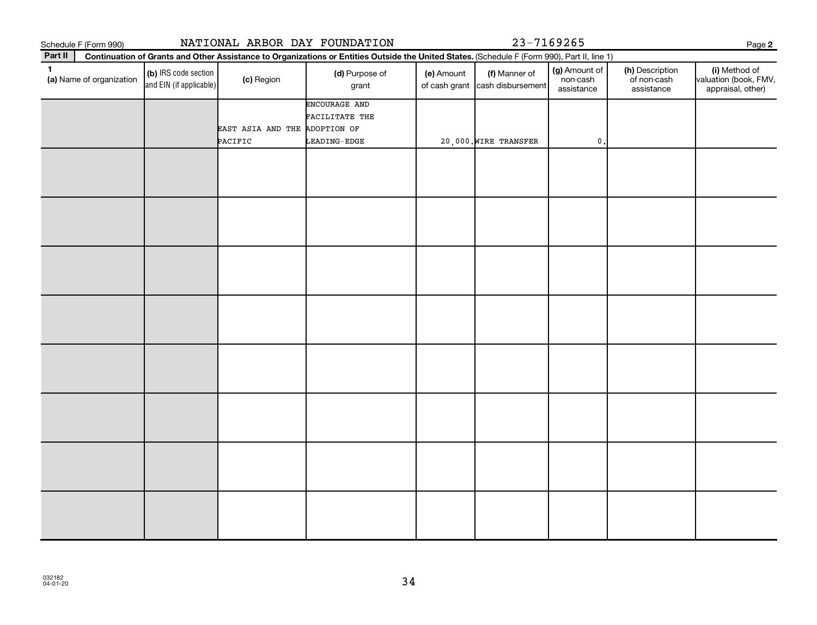|              | Schedule F (Form 990)    |                                                 |                               | NATIONAL ARBOR DAY FOUNDATION                                                                                                                |            | 23-7169265                                       |                                         |                                              | Page 2                                                      |
|--------------|--------------------------|-------------------------------------------------|-------------------------------|----------------------------------------------------------------------------------------------------------------------------------------------|------------|--------------------------------------------------|-----------------------------------------|----------------------------------------------|-------------------------------------------------------------|
| Part II      |                          |                                                 |                               | Continuation of Grants and Other Assistance to Organizations or Entities Outside the United States. (Schedule F (Form 990), Part II, line 1) |            |                                                  |                                         |                                              |                                                             |
| $\mathbf{1}$ | (a) Name of organization | (b) IRS code section<br>and EIN (if applicable) | (c) Region                    | (d) Purpose of<br>grant                                                                                                                      | (e) Amount | (f) Manner of<br>of cash grant cash disbursement | (g) Amount of<br>non-cash<br>assistance | (h) Description<br>of non-cash<br>assistance | (i) Method of<br>valuation (book, FMV,<br>appraisal, other) |
|              |                          |                                                 | EAST ASIA AND THE ADOPTION OF | ENCOURAGE AND<br>FACILITATE THE                                                                                                              |            |                                                  |                                         |                                              |                                                             |
|              |                          |                                                 | PACIFIC                       | LEADING-EDGE                                                                                                                                 |            | 20,000. WIRE TRANSFER                            | $\mathsf{0}$ .                          |                                              |                                                             |
|              |                          |                                                 |                               |                                                                                                                                              |            |                                                  |                                         |                                              |                                                             |
|              |                          |                                                 |                               |                                                                                                                                              |            |                                                  |                                         |                                              |                                                             |
|              |                          |                                                 |                               |                                                                                                                                              |            |                                                  |                                         |                                              |                                                             |
|              |                          |                                                 |                               |                                                                                                                                              |            |                                                  |                                         |                                              |                                                             |
|              |                          |                                                 |                               |                                                                                                                                              |            |                                                  |                                         |                                              |                                                             |
|              |                          |                                                 |                               |                                                                                                                                              |            |                                                  |                                         |                                              |                                                             |
|              |                          |                                                 |                               |                                                                                                                                              |            |                                                  |                                         |                                              |                                                             |
|              |                          |                                                 |                               |                                                                                                                                              |            |                                                  |                                         |                                              |                                                             |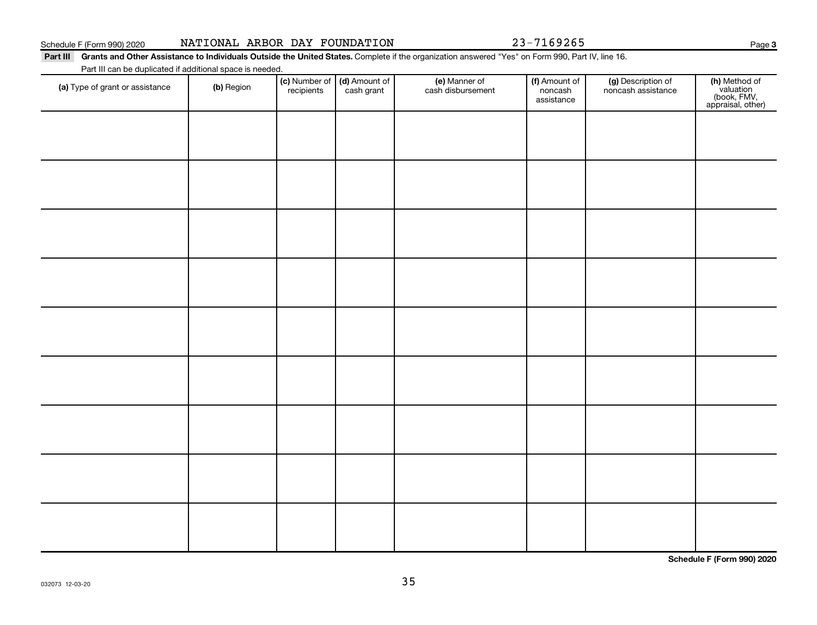|                                                                                                                                                              | Schedule F (Form 990) 2020                                |  |  |  | NATIONAL ARBOR DAY FOUNDATION       |                            | 23-7169265                          |                             | Page                |
|--------------------------------------------------------------------------------------------------------------------------------------------------------------|-----------------------------------------------------------|--|--|--|-------------------------------------|----------------------------|-------------------------------------|-----------------------------|---------------------|
| Part III<br>Grants and Other Assistance to Individuals Outside the United States. Complete if the organization answered "Yes" on Form 990. Part IV, line 16. |                                                           |  |  |  |                                     |                            |                                     |                             |                     |
|                                                                                                                                                              | Part III can be duplicated if additional space is needed. |  |  |  |                                     |                            |                                     |                             |                     |
|                                                                                                                                                              |                                                           |  |  |  | $160$ Number of $160$ Amount of $1$ | $\left( \right)$ Monnor of | $\left  \right $ $\Lambda$ mount of | <i>Inf</i> Departmention of | $\int$ h) Mathod of |

| (a) Type of grant or assistance | (b) Region | (c) Number of (d) Amount of recipients cash grant | (e) Manner of<br>cash disbursement | (f) Amount of<br>noncash<br>assistance | (g) Description of<br>noncash assistance | (h) Method of<br>valuation<br>(book, FMV,<br>appraisal, other) |
|---------------------------------|------------|---------------------------------------------------|------------------------------------|----------------------------------------|------------------------------------------|----------------------------------------------------------------|
|                                 |            |                                                   |                                    |                                        |                                          |                                                                |
|                                 |            |                                                   |                                    |                                        |                                          |                                                                |
|                                 |            |                                                   |                                    |                                        |                                          |                                                                |
|                                 |            |                                                   |                                    |                                        |                                          |                                                                |
|                                 |            |                                                   |                                    |                                        |                                          |                                                                |
|                                 |            |                                                   |                                    |                                        |                                          |                                                                |
|                                 |            |                                                   |                                    |                                        |                                          |                                                                |
|                                 |            |                                                   |                                    |                                        |                                          |                                                                |
|                                 |            |                                                   |                                    |                                        |                                          |                                                                |
|                                 |            |                                                   |                                    |                                        |                                          |                                                                |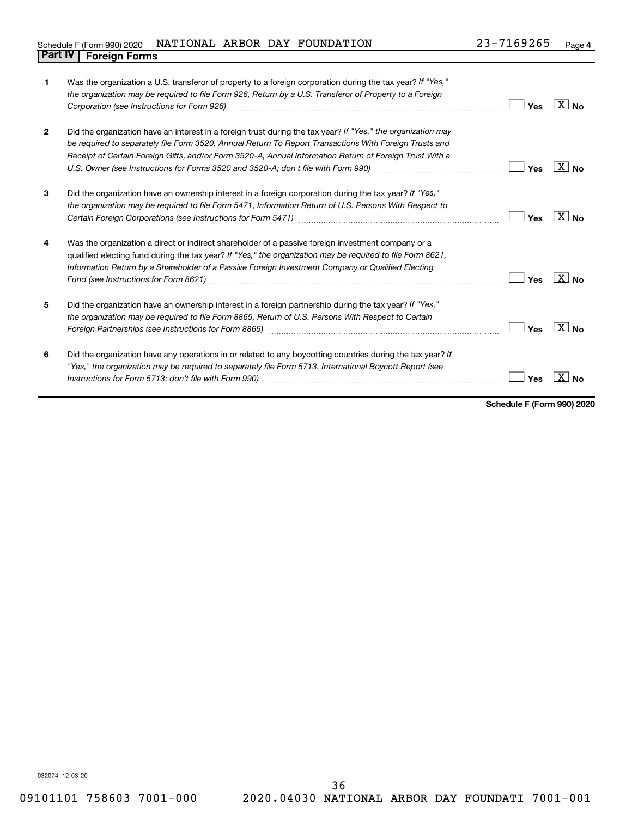#### Schedule F (Form 990) 2020 Page NATIONAL ARBOR DAY FOUNDATION 23-7169265 **Part IV F** (Form 990) 2020 1

| 1              | Was the organization a U.S. transferor of property to a foreign corporation during the tax year? If "Yes,"<br>the organization may be required to file Form 926, Return by a U.S. Transferor of Property to a Foreign                                                                                                             | Yes | ΧI<br><b>No</b>     |
|----------------|-----------------------------------------------------------------------------------------------------------------------------------------------------------------------------------------------------------------------------------------------------------------------------------------------------------------------------------|-----|---------------------|
| $\overline{2}$ | Did the organization have an interest in a foreign trust during the tax year? If "Yes," the organization may<br>be required to separately file Form 3520, Annual Return To Report Transactions With Foreign Trusts and<br>Receipt of Certain Foreign Gifts, and/or Form 3520-A, Annual Information Return of Foreign Trust With a | Yes | $X \mid N_{0}$      |
| 3              | Did the organization have an ownership interest in a foreign corporation during the tax year? If "Yes,"<br>the organization may be required to file Form 5471, Information Return of U.S. Persons With Respect to                                                                                                                 | Yes | X<br>N <sub>0</sub> |
| 4              | Was the organization a direct or indirect shareholder of a passive foreign investment company or a<br>qualified electing fund during the tax year? If "Yes," the organization may be required to file Form 8621,<br>Information Return by a Shareholder of a Passive Foreign Investment Company or Qualified Electing             | Yes |                     |
| 5              | Did the organization have an ownership interest in a foreign partnership during the tax year? If "Yes,"<br>the organization may be required to file Form 8865, Return of U.S. Persons With Respect to Certain                                                                                                                     | Yes | $X _{N_{\Omega}}$   |
| 6              | Did the organization have any operations in or related to any boycotting countries during the tax year? If<br>"Yes," the organization may be required to separately file Form 5713, International Boycott Report (see                                                                                                             | Yes |                     |

**Schedule F (Form 990) 2020**

032074 12-03-20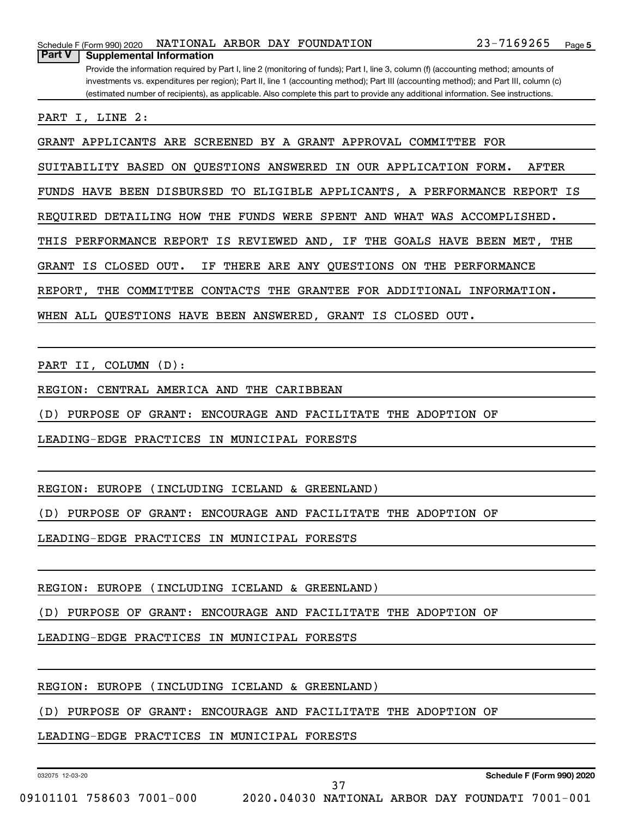Provide the information required by Part I, line 2 (monitoring of funds); Part I, line 3, column (f) (accounting method; amounts of investments vs. expenditures per region); Part II, line 1 (accounting method); Part III (accounting method); and Part III, column (c) (estimated number of recipients), as applicable. Also complete this part to provide any additional information. See instructions.

PART I, LINE 2:

**Part V Supplemental Information**

GRANT APPLICANTS ARE SCREENED BY A GRANT APPROVAL COMMITTEE FOR

SUITABILITY BASED ON QUESTIONS ANSWERED IN OUR APPLICATION FORM. AFTER

FUNDS HAVE BEEN DISBURSED TO ELIGIBLE APPLICANTS, A PERFORMANCE REPORT IS

REQUIRED DETAILING HOW THE FUNDS WERE SPENT AND WHAT WAS ACCOMPLISHED.

THIS PERFORMANCE REPORT IS REVIEWED AND, IF THE GOALS HAVE BEEN MET, THE

GRANT IS CLOSED OUT. IF THERE ARE ANY QUESTIONS ON THE PERFORMANCE

REPORT, THE COMMITTEE CONTACTS THE GRANTEE FOR ADDITIONAL INFORMATION.

WHEN ALL QUESTIONS HAVE BEEN ANSWERED, GRANT IS CLOSED OUT.

PART II, COLUMN (D):

REGION: CENTRAL AMERICA AND THE CARIBBEAN

(D) PURPOSE OF GRANT: ENCOURAGE AND FACILITATE THE ADOPTION OF

LEADING-EDGE PRACTICES IN MUNICIPAL FORESTS

REGION: EUROPE (INCLUDING ICELAND & GREENLAND)

(D) PURPOSE OF GRANT: ENCOURAGE AND FACILITATE THE ADOPTION OF

LEADING-EDGE PRACTICES IN MUNICIPAL FORESTS

REGION: EUROPE (INCLUDING ICELAND & GREENLAND)

(D) PURPOSE OF GRANT: ENCOURAGE AND FACILITATE THE ADOPTION OF

LEADING-EDGE PRACTICES IN MUNICIPAL FORESTS

REGION: EUROPE (INCLUDING ICELAND & GREENLAND)

(D) PURPOSE OF GRANT: ENCOURAGE AND FACILITATE THE ADOPTION OF

LEADING-EDGE PRACTICES IN MUNICIPAL FORESTS

032075 12-03-20

09101101 758603 7001-000 2020.04030 NATIONAL ARBOR DAY FOUNDATI 7001-001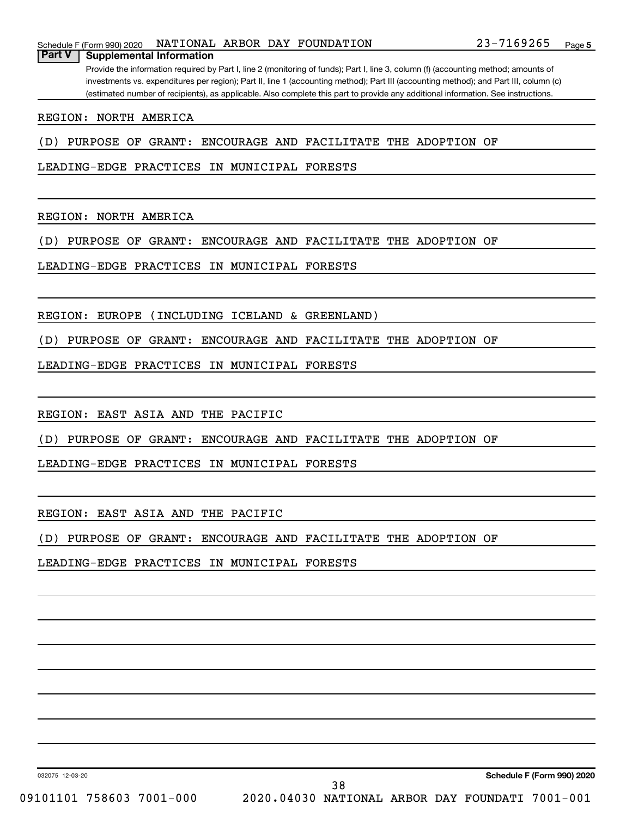#### Schedule F (Form 990) 2020 Page NATIONAL ARBOR DAY FOUNDATION 23-7169265

**Part V Supplemental Information**

Provide the information required by Part I, line 2 (monitoring of funds); Part I, line 3, column (f) (accounting method; amounts of investments vs. expenditures per region); Part II, line 1 (accounting method); Part III (accounting method); and Part III, column (c) (estimated number of recipients), as applicable. Also complete this part to provide any additional information. See instructions.

REGION: NORTH AMERICA

(D) PURPOSE OF GRANT: ENCOURAGE AND FACILITATE THE ADOPTION OF

LEADING-EDGE PRACTICES IN MUNICIPAL FORESTS

REGION: NORTH AMERICA

(D) PURPOSE OF GRANT: ENCOURAGE AND FACILITATE THE ADOPTION OF

LEADING-EDGE PRACTICES IN MUNICIPAL FORESTS

REGION: EUROPE (INCLUDING ICELAND & GREENLAND)

(D) PURPOSE OF GRANT: ENCOURAGE AND FACILITATE THE ADOPTION OF

LEADING-EDGE PRACTICES IN MUNICIPAL FORESTS

REGION: EAST ASIA AND THE PACIFIC

(D) PURPOSE OF GRANT: ENCOURAGE AND FACILITATE THE ADOPTION OF

LEADING-EDGE PRACTICES IN MUNICIPAL FORESTS

REGION: EAST ASIA AND THE PACIFIC

(D) PURPOSE OF GRANT: ENCOURAGE AND FACILITATE THE ADOPTION OF

LEADING-EDGE PRACTICES IN MUNICIPAL FORESTS

032075 12-03-20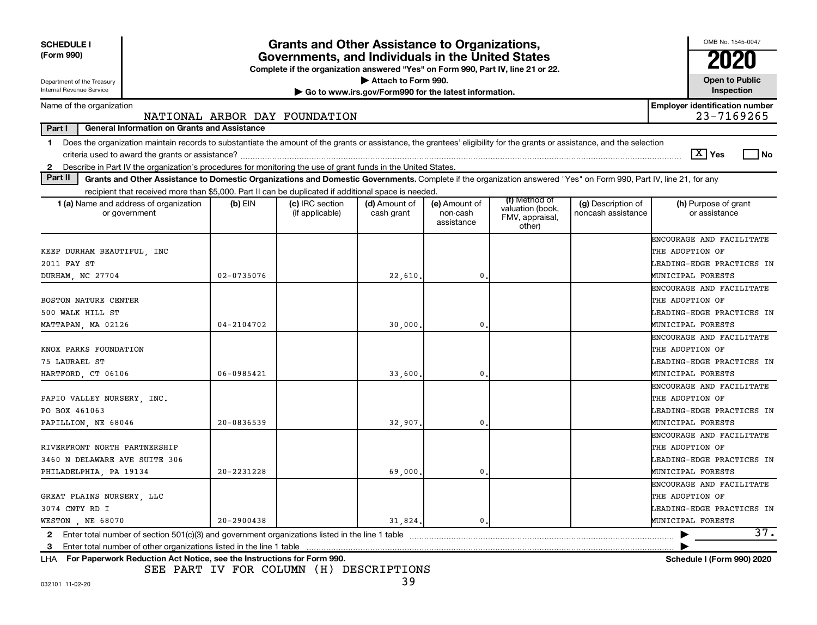| <b>SCHEDULE I</b><br>(Form 990)<br>Department of the Treasury<br>Internal Revenue Service                                                                                                                                                                                                                     | Grants and Other Assistance to Organizations,<br>Governments, and Individuals in the United States<br>Complete if the organization answered "Yes" on Form 990, Part IV, line 21 or 22.<br>Attach to Form 990.<br>Go to www.irs.gov/Form990 for the latest information. |                                    |                             |                                         |                                                                |                                          |                                                     |  |
|---------------------------------------------------------------------------------------------------------------------------------------------------------------------------------------------------------------------------------------------------------------------------------------------------------------|------------------------------------------------------------------------------------------------------------------------------------------------------------------------------------------------------------------------------------------------------------------------|------------------------------------|-----------------------------|-----------------------------------------|----------------------------------------------------------------|------------------------------------------|-----------------------------------------------------|--|
|                                                                                                                                                                                                                                                                                                               |                                                                                                                                                                                                                                                                        |                                    |                             |                                         |                                                                |                                          | Inspection                                          |  |
| Name of the organization                                                                                                                                                                                                                                                                                      |                                                                                                                                                                                                                                                                        | NATIONAL ARBOR DAY FOUNDATION      |                             |                                         |                                                                |                                          | <b>Employer identification number</b><br>23-7169265 |  |
| Part I<br><b>General Information on Grants and Assistance</b>                                                                                                                                                                                                                                                 |                                                                                                                                                                                                                                                                        |                                    |                             |                                         |                                                                |                                          |                                                     |  |
| Does the organization maintain records to substantiate the amount of the grants or assistance, the grantees' eligibility for the grants or assistance, and the selection<br>$\mathbf 1$<br>Describe in Part IV the organization's procedures for monitoring the use of grant funds in the United States.<br>2 |                                                                                                                                                                                                                                                                        |                                    |                             |                                         |                                                                |                                          | $\boxed{\text{X}}$ Yes<br>l No                      |  |
| Part II<br>Grants and Other Assistance to Domestic Organizations and Domestic Governments. Complete if the organization answered "Yes" on Form 990, Part IV, line 21, for any                                                                                                                                 |                                                                                                                                                                                                                                                                        |                                    |                             |                                         |                                                                |                                          |                                                     |  |
| recipient that received more than \$5,000. Part II can be duplicated if additional space is needed.                                                                                                                                                                                                           |                                                                                                                                                                                                                                                                        |                                    |                             |                                         |                                                                |                                          |                                                     |  |
| <b>1 (a)</b> Name and address of organization<br>or government                                                                                                                                                                                                                                                | $(b)$ EIN                                                                                                                                                                                                                                                              | (c) IRC section<br>(if applicable) | (d) Amount of<br>cash grant | (e) Amount of<br>non-cash<br>assistance | (f) Method of<br>valuation (book,<br>FMV, appraisal,<br>other) | (g) Description of<br>noncash assistance | (h) Purpose of grant<br>or assistance               |  |
|                                                                                                                                                                                                                                                                                                               |                                                                                                                                                                                                                                                                        |                                    |                             |                                         |                                                                |                                          | ENCOURAGE AND FACILITATE                            |  |
| KEEP DURHAM BEAUTIFUL, INC                                                                                                                                                                                                                                                                                    |                                                                                                                                                                                                                                                                        |                                    |                             |                                         |                                                                |                                          | THE ADOPTION OF                                     |  |
| 2011 FAY ST                                                                                                                                                                                                                                                                                                   |                                                                                                                                                                                                                                                                        |                                    |                             |                                         |                                                                |                                          | LEADING-EDGE PRACTICES IN                           |  |
| DURHAM, NC 27704                                                                                                                                                                                                                                                                                              | $02 - 0735076$                                                                                                                                                                                                                                                         |                                    | 22,610                      | 0                                       |                                                                |                                          | MUNICIPAL FORESTS                                   |  |
|                                                                                                                                                                                                                                                                                                               |                                                                                                                                                                                                                                                                        |                                    |                             |                                         |                                                                |                                          | ENCOURAGE AND FACILITATE                            |  |
| BOSTON NATURE CENTER                                                                                                                                                                                                                                                                                          |                                                                                                                                                                                                                                                                        |                                    |                             |                                         |                                                                |                                          | THE ADOPTION OF                                     |  |
| 500 WALK HILL ST                                                                                                                                                                                                                                                                                              |                                                                                                                                                                                                                                                                        |                                    |                             |                                         |                                                                |                                          | LEADING-EDGE PRACTICES IN                           |  |
| MATTAPAN, MA 02126                                                                                                                                                                                                                                                                                            | 04-2104702                                                                                                                                                                                                                                                             |                                    | 30,000                      | $\mathbf{0}$                            |                                                                |                                          | MUNICIPAL FORESTS                                   |  |
|                                                                                                                                                                                                                                                                                                               |                                                                                                                                                                                                                                                                        |                                    |                             |                                         |                                                                |                                          | ENCOURAGE AND FACILITATE                            |  |
| KNOX PARKS FOUNDATION                                                                                                                                                                                                                                                                                         |                                                                                                                                                                                                                                                                        |                                    |                             |                                         |                                                                |                                          | THE ADOPTION OF                                     |  |
| 75 LAURAEL ST                                                                                                                                                                                                                                                                                                 |                                                                                                                                                                                                                                                                        |                                    |                             |                                         |                                                                |                                          | LEADING-EDGE PRACTICES IN                           |  |
| HARTFORD, CT 06106                                                                                                                                                                                                                                                                                            | 06-0985421                                                                                                                                                                                                                                                             |                                    | 33,600                      | 0                                       |                                                                |                                          | MUNICIPAL FORESTS                                   |  |
|                                                                                                                                                                                                                                                                                                               |                                                                                                                                                                                                                                                                        |                                    |                             |                                         |                                                                |                                          | ENCOURAGE AND FACILITATE                            |  |
| PAPIO VALLEY NURSERY, INC.                                                                                                                                                                                                                                                                                    |                                                                                                                                                                                                                                                                        |                                    |                             |                                         |                                                                |                                          | THE ADOPTION OF                                     |  |
| PO BOX 461063                                                                                                                                                                                                                                                                                                 |                                                                                                                                                                                                                                                                        |                                    |                             |                                         |                                                                |                                          | LEADING-EDGE PRACTICES IN                           |  |
| PAPILLION, NE 68046                                                                                                                                                                                                                                                                                           | $20 - 0836539$                                                                                                                                                                                                                                                         |                                    | 32,907                      | 0                                       |                                                                |                                          | MUNICIPAL FORESTS                                   |  |
|                                                                                                                                                                                                                                                                                                               |                                                                                                                                                                                                                                                                        |                                    |                             |                                         |                                                                |                                          | ENCOURAGE AND FACILITATE                            |  |
| RIVERFRONT NORTH PARTNERSHIP                                                                                                                                                                                                                                                                                  |                                                                                                                                                                                                                                                                        |                                    |                             |                                         |                                                                |                                          | THE ADOPTION OF                                     |  |
| 3460 N DELAWARE AVE SUITE 306                                                                                                                                                                                                                                                                                 |                                                                                                                                                                                                                                                                        |                                    |                             |                                         |                                                                |                                          | LEADING-EDGE PRACTICES IN                           |  |
| PHILADELPHIA, PA 19134                                                                                                                                                                                                                                                                                        | 20-2231228                                                                                                                                                                                                                                                             |                                    | 69,000                      | 0                                       |                                                                |                                          | MUNICIPAL FORESTS                                   |  |
|                                                                                                                                                                                                                                                                                                               |                                                                                                                                                                                                                                                                        |                                    |                             |                                         |                                                                |                                          | ENCOURAGE AND FACILITATE                            |  |
| GREAT PLAINS NURSERY, LLC                                                                                                                                                                                                                                                                                     |                                                                                                                                                                                                                                                                        |                                    |                             |                                         |                                                                |                                          | THE ADOPTION OF                                     |  |
| 3074 CNTY RD I                                                                                                                                                                                                                                                                                                |                                                                                                                                                                                                                                                                        |                                    |                             |                                         |                                                                |                                          | LEADING-EDGE PRACTICES IN                           |  |
| WESTON NE 68070                                                                                                                                                                                                                                                                                               | $20 - 2900438$                                                                                                                                                                                                                                                         |                                    | 31,824                      | 0.                                      |                                                                |                                          | MUNICIPAL FORESTS                                   |  |
| Enter total number of section 501(c)(3) and government organizations listed in the line 1 table<br>$\mathbf{2}$                                                                                                                                                                                               |                                                                                                                                                                                                                                                                        |                                    |                             |                                         |                                                                |                                          | 37.                                                 |  |
| 3                                                                                                                                                                                                                                                                                                             |                                                                                                                                                                                                                                                                        |                                    |                             |                                         |                                                                |                                          |                                                     |  |
| LHA For Paperwork Reduction Act Notice, see the Instructions for Form 990.                                                                                                                                                                                                                                    |                                                                                                                                                                                                                                                                        |                                    |                             |                                         |                                                                |                                          | Schedule I (Form 990) 2020                          |  |

SEE PART IV FOR COLUMN (H) DESCRIPTIONS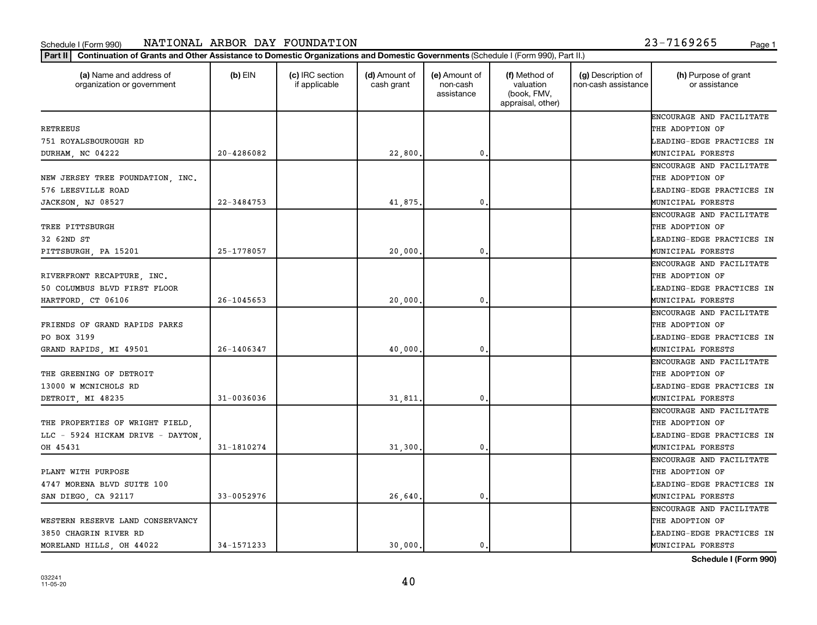#### Schedule I (Form 990) NAT LONAL ARBOR DAY FOUNDAT LON المطلق المستخدم المستخدم المستخدم المستخدم المستخدم المستخدم المستخدم المستخدم المستخدم المستخدم المستخدم المستخدم المستخدم المستخدم المستخدم المستخدم المستخدم المستخ NATIONAL ARBOR DAY FOUNDATION 23-7169265

| 23-7169265 |  |  |
|------------|--|--|
|            |  |  |

| (a) Name and address of<br>organization or government | $(b)$ EIN      | (c) IRC section<br>if applicable | (d) Amount of<br>cash grant | (e) Amount of<br>non-cash<br>assistance | (f) Method of<br>valuation<br>(book, FMV,<br>appraisal, other) | (g) Description of<br>non-cash assistance | (h) Purpose of grant<br>or assistance |
|-------------------------------------------------------|----------------|----------------------------------|-----------------------------|-----------------------------------------|----------------------------------------------------------------|-------------------------------------------|---------------------------------------|
|                                                       |                |                                  |                             |                                         |                                                                |                                           | ENCOURAGE AND FACILITATE              |
| RETREEUS                                              |                |                                  |                             |                                         |                                                                |                                           | THE ADOPTION OF                       |
| 751 ROYALSBOUROUGH RD                                 |                |                                  |                             |                                         |                                                                |                                           | LEADING-EDGE PRACTICES IN             |
| DURHAM, NC 04222                                      | $20 - 4286082$ |                                  | 22,800.                     | $\mathbf 0$                             |                                                                |                                           | MUNICIPAL FORESTS                     |
|                                                       |                |                                  |                             |                                         |                                                                |                                           | ENCOURAGE AND FACILITATE              |
| NEW JERSEY TREE FOUNDATION, INC.                      |                |                                  |                             |                                         |                                                                |                                           | THE ADOPTION OF                       |
| 576 LEESVILLE ROAD                                    |                |                                  |                             |                                         |                                                                |                                           | LEADING-EDGE PRACTICES IN             |
| JACKSON, NJ 08527                                     | 22-3484753     |                                  | 41,875.                     | $\mathbf{0}$                            |                                                                |                                           | MUNICIPAL FORESTS                     |
|                                                       |                |                                  |                             |                                         |                                                                |                                           | ENCOURAGE AND FACILITATE              |
| TREE PITTSBURGH                                       |                |                                  |                             |                                         |                                                                |                                           | THE ADOPTION OF                       |
| 32 62ND ST                                            |                |                                  |                             |                                         |                                                                |                                           | LEADING-EDGE PRACTICES IN             |
| PITTSBURGH, PA 15201                                  | 25-1778057     |                                  | 20,000                      | 0.                                      |                                                                |                                           | MUNICIPAL FORESTS                     |
|                                                       |                |                                  |                             |                                         |                                                                |                                           | ENCOURAGE AND FACILITATE              |
| RIVERFRONT RECAPTURE, INC.                            |                |                                  |                             |                                         |                                                                |                                           | THE ADOPTION OF                       |
| 50 COLUMBUS BLVD FIRST FLOOR                          |                |                                  |                             |                                         |                                                                |                                           | LEADING-EDGE PRACTICES IN             |
| HARTFORD, CT 06106                                    | $26 - 1045653$ |                                  | 20,000.                     | $\mathbf 0$                             |                                                                |                                           | MUNICIPAL FORESTS                     |
|                                                       |                |                                  |                             |                                         |                                                                |                                           | ENCOURAGE AND FACILITATE              |
| FRIENDS OF GRAND RAPIDS PARKS                         |                |                                  |                             |                                         |                                                                |                                           | THE ADOPTION OF                       |
| PO BOX 3199                                           |                |                                  |                             |                                         |                                                                |                                           | LEADING-EDGE PRACTICES IN             |
| GRAND RAPIDS, MI 49501                                | 26-1406347     |                                  | 40,000                      | $\mathbf 0$                             |                                                                |                                           | MUNICIPAL FORESTS                     |
|                                                       |                |                                  |                             |                                         |                                                                |                                           | ENCOURAGE AND FACILITATE              |
| THE GREENING OF DETROIT                               |                |                                  |                             |                                         |                                                                |                                           | THE ADOPTION OF                       |
| 13000 W MCNICHOLS RD                                  |                |                                  |                             |                                         |                                                                |                                           | LEADING-EDGE PRACTICES IN             |
| DETROIT, MI 48235                                     | $31 - 0036036$ |                                  | 31,811                      | 0.                                      |                                                                |                                           | MUNICIPAL FORESTS                     |
|                                                       |                |                                  |                             |                                         |                                                                |                                           | ENCOURAGE AND FACILITATE              |
| THE PROPERTIES OF WRIGHT FIELD,                       |                |                                  |                             |                                         |                                                                |                                           | THE ADOPTION OF                       |
| LLC - 5924 HICKAM DRIVE - DAYTON.                     |                |                                  |                             |                                         |                                                                |                                           | LEADING-EDGE PRACTICES IN             |
| OH 45431                                              | 31-1810274     |                                  | 31,300                      | $\mathbf 0$                             |                                                                |                                           | MUNICIPAL FORESTS                     |
|                                                       |                |                                  |                             |                                         |                                                                |                                           | ENCOURAGE AND FACILITATE              |
| PLANT WITH PURPOSE                                    |                |                                  |                             |                                         |                                                                |                                           | THE ADOPTION OF                       |
| 4747 MORENA BLVD SUITE 100                            |                |                                  |                             |                                         |                                                                |                                           | LEADING-EDGE PRACTICES IN             |
| SAN DIEGO, CA 92117                                   | 33-0052976     |                                  | 26,640                      | $\mathbf 0$                             |                                                                |                                           | MUNICIPAL FORESTS                     |
|                                                       |                |                                  |                             |                                         |                                                                |                                           | ENCOURAGE AND FACILITATE              |
| WESTERN RESERVE LAND CONSERVANCY                      |                |                                  |                             |                                         |                                                                |                                           | THE ADOPTION OF                       |
| 3850 CHAGRIN RIVER RD                                 |                |                                  |                             |                                         |                                                                |                                           | LEADING-EDGE PRACTICES IN             |
| MORELAND HILLS, OH 44022                              | 34-1571233     |                                  | 30,000.                     | 0.                                      |                                                                |                                           | MUNICIPAL FORESTS                     |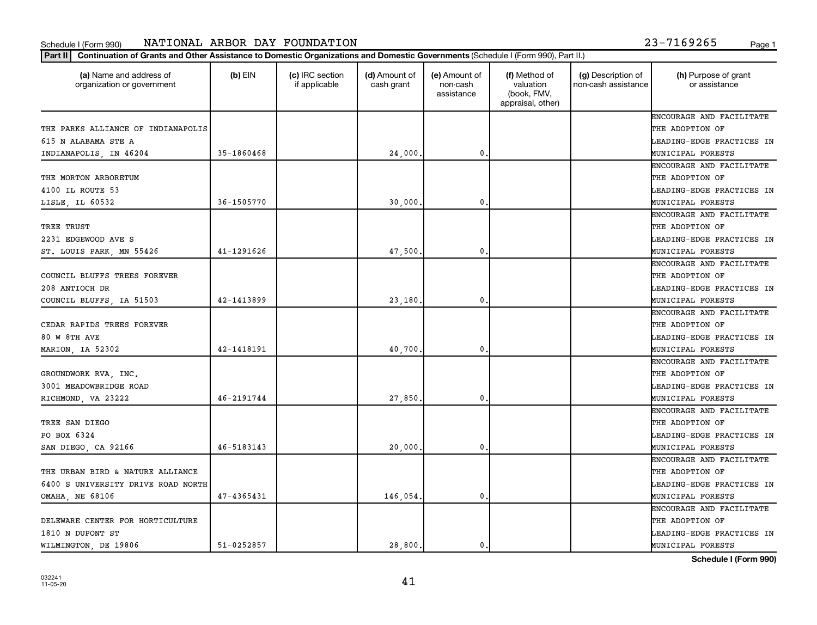#### Schedule I (Form 990) NAT LONAL ARBOR DAY FOUNDAT LON المطلق المستخدم المستخدم المستخدم المستخدم المستخدم المستخدم المستخدم المستخدم المستخدم المستخدم المستخدم المستخدم المستخدم المستخدم المستخدم المستخدم المستخدم المستخ NATIONAL ARBOR DAY FOUNDATION 23-7169265

| Paαe |  |
|------|--|
|      |  |

| (a) Name and address of<br>organization or government | $(b)$ EIN      | (c) IRC section<br>if applicable | (d) Amount of<br>cash grant | (e) Amount of<br>non-cash<br>assistance | (f) Method of<br>valuation<br>(book, FMV,<br>appraisal, other) | (g) Description of<br>non-cash assistance | (h) Purpose of grant<br>or assistance |
|-------------------------------------------------------|----------------|----------------------------------|-----------------------------|-----------------------------------------|----------------------------------------------------------------|-------------------------------------------|---------------------------------------|
|                                                       |                |                                  |                             |                                         |                                                                |                                           | ENCOURAGE AND FACILITATE              |
| THE PARKS ALLIANCE OF INDIANAPOLIS                    |                |                                  |                             |                                         |                                                                |                                           | THE ADOPTION OF                       |
| 615 N ALABAMA STE A                                   |                |                                  |                             |                                         |                                                                |                                           | LEADING-EDGE PRACTICES IN             |
| INDIANAPOLIS, IN 46204                                | 35-1860468     |                                  | 24,000.                     | 0                                       |                                                                |                                           | MUNICIPAL FORESTS                     |
|                                                       |                |                                  |                             |                                         |                                                                |                                           | ENCOURAGE AND FACILITATE              |
| THE MORTON ARBORETUM                                  |                |                                  |                             |                                         |                                                                |                                           | THE ADOPTION OF                       |
| 4100 IL ROUTE 53                                      |                |                                  |                             |                                         |                                                                |                                           | LEADING-EDGE PRACTICES IN             |
| LISLE, IL 60532                                       | 36-1505770     |                                  | 30,000,                     | 0                                       |                                                                |                                           | MUNICIPAL FORESTS                     |
|                                                       |                |                                  |                             |                                         |                                                                |                                           | ENCOURAGE AND FACILITATE              |
| TREE TRUST                                            |                |                                  |                             |                                         |                                                                |                                           | THE ADOPTION OF                       |
| 2231 EDGEWOOD AVE S                                   |                |                                  |                             |                                         |                                                                |                                           | LEADING-EDGE PRACTICES IN             |
| ST. LOUIS PARK, MN 55426                              | 41-1291626     |                                  | 47,500.                     | $\mathbf{0}$                            |                                                                |                                           | MUNICIPAL FORESTS                     |
|                                                       |                |                                  |                             |                                         |                                                                |                                           | ENCOURAGE AND FACILITATE              |
| COUNCIL BLUFFS TREES FOREVER                          |                |                                  |                             |                                         |                                                                |                                           | THE ADOPTION OF                       |
| 208 ANTIOCH DR                                        |                |                                  |                             |                                         |                                                                |                                           | LEADING-EDGE PRACTICES IN             |
| COUNCIL BLUFFS, IA 51503                              | 42-1413899     |                                  | 23,180.                     | 0                                       |                                                                |                                           | MUNICIPAL FORESTS                     |
|                                                       |                |                                  |                             |                                         |                                                                |                                           | ENCOURAGE AND FACILITATE              |
| CEDAR RAPIDS TREES FOREVER                            |                |                                  |                             |                                         |                                                                |                                           | THE ADOPTION OF                       |
| <b>80 W 8TH AVE</b>                                   |                |                                  |                             |                                         |                                                                |                                           | LEADING-EDGE PRACTICES IN             |
| MARION, IA 52302                                      | 42-1418191     |                                  | 40,700.                     | 0                                       |                                                                |                                           | MUNICIPAL FORESTS                     |
|                                                       |                |                                  |                             |                                         |                                                                |                                           | ENCOURAGE AND FACILITATE              |
| GROUNDWORK RVA, INC.                                  |                |                                  |                             |                                         |                                                                |                                           | THE ADOPTION OF                       |
| 3001 MEADOWBRIDGE ROAD                                |                |                                  |                             |                                         |                                                                |                                           | LEADING-EDGE PRACTICES IN             |
| RICHMOND, VA 23222                                    | 46-2191744     |                                  | 27,850.                     | 0                                       |                                                                |                                           | MUNICIPAL FORESTS                     |
|                                                       |                |                                  |                             |                                         |                                                                |                                           | ENCOURAGE AND FACILITATE              |
| TREE SAN DIEGO                                        |                |                                  |                             |                                         |                                                                |                                           | THE ADOPTION OF                       |
| PO BOX 6324                                           |                |                                  |                             |                                         |                                                                |                                           | LEADING-EDGE PRACTICES IN             |
| SAN DIEGO, CA 92166                                   | 46-5183143     |                                  | 20,000.                     | $\mathbf 0$ .                           |                                                                |                                           | MUNICIPAL FORESTS                     |
|                                                       |                |                                  |                             |                                         |                                                                |                                           | ENCOURAGE AND FACILITATE              |
| THE URBAN BIRD & NATURE ALLIANCE                      |                |                                  |                             |                                         |                                                                |                                           | THE ADOPTION OF                       |
| 6400 S UNIVERSITY DRIVE ROAD NORTH                    |                |                                  |                             |                                         |                                                                |                                           | LEADING-EDGE PRACTICES IN             |
| <b>OMAHA, NE 68106</b>                                | 47-4365431     |                                  | 146,054.                    | $\mathbf{0}$                            |                                                                |                                           | MUNICIPAL FORESTS                     |
|                                                       |                |                                  |                             |                                         |                                                                |                                           | ENCOURAGE AND FACILITATE              |
| DELEWARE CENTER FOR HORTICULTURE                      |                |                                  |                             |                                         |                                                                |                                           | THE ADOPTION OF                       |
| 1810 N DUPONT ST                                      |                |                                  |                             |                                         |                                                                |                                           | LEADING-EDGE PRACTICES IN             |
| WILMINGTON, DE 19806                                  | $51 - 0252857$ |                                  | 28,800.                     | $\mathbf 0$ .                           |                                                                |                                           | MUNICIPAL FORESTS                     |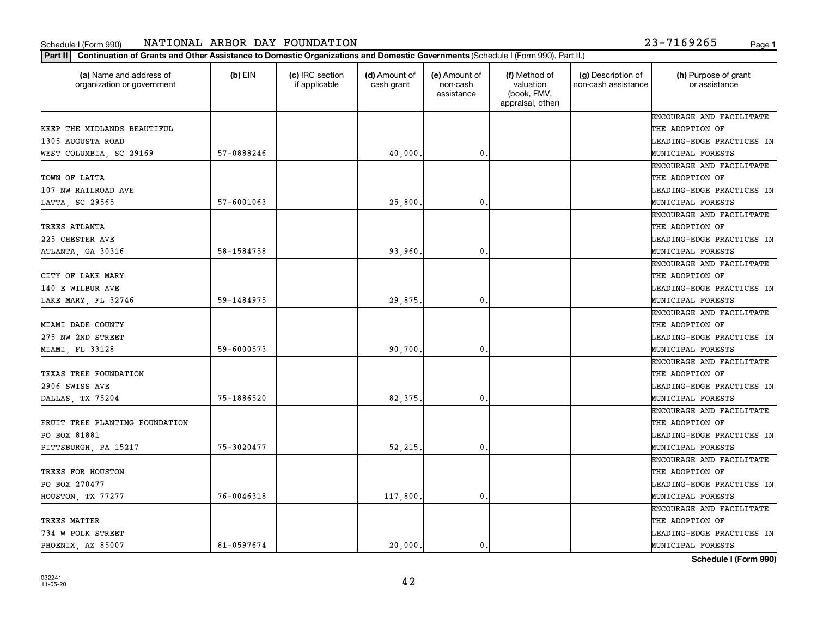#### Schedule I (Form 990) NAT LONAL ARBOR DAY FOUNDAT LON المطلق المستخدم المستخدم المستخدم المستخدم المستخدم المستخدم المستخدم المستخدم المستخدم المستخدم المستخدم المستخدم المستخدم المستخدم المستخدم المستخدم المستخدم المستخ NATIONAL ARBOR DAY FOUNDATION 23-7169265

| 23-7169265 |  |  |  |
|------------|--|--|--|

| (a) Name and address of<br>organization or government | $(b)$ EIN      | (c) IRC section<br>if applicable | (d) Amount of<br>cash grant | (e) Amount of<br>non-cash<br>assistance | (f) Method of<br>valuation<br>(book, FMV,<br>appraisal, other) | (g) Description of<br>non-cash assistance | (h) Purpose of grant<br>or assistance |
|-------------------------------------------------------|----------------|----------------------------------|-----------------------------|-----------------------------------------|----------------------------------------------------------------|-------------------------------------------|---------------------------------------|
|                                                       |                |                                  |                             |                                         |                                                                |                                           | ENCOURAGE AND FACILITATE              |
| KEEP THE MIDLANDS BEAUTIFUL                           |                |                                  |                             |                                         |                                                                |                                           | THE ADOPTION OF                       |
| 1305 AUGUSTA ROAD                                     |                |                                  |                             |                                         |                                                                |                                           | LEADING-EDGE PRACTICES IN             |
| WEST COLUMBIA, SC 29169                               | 57-0888246     |                                  | 40,000.                     | $\mathbf 0$                             |                                                                |                                           | MUNICIPAL FORESTS                     |
|                                                       |                |                                  |                             |                                         |                                                                |                                           | ENCOURAGE AND FACILITATE              |
| TOWN OF LATTA                                         |                |                                  |                             |                                         |                                                                |                                           | THE ADOPTION OF                       |
| 107 NW RAILROAD AVE                                   |                |                                  |                             |                                         |                                                                |                                           | LEADING-EDGE PRACTICES IN             |
| LATTA, SC 29565                                       | $57 - 6001063$ |                                  | 25,800                      | 0                                       |                                                                |                                           | MUNICIPAL FORESTS                     |
|                                                       |                |                                  |                             |                                         |                                                                |                                           | ENCOURAGE AND FACILITATE              |
| TREES ATLANTA                                         |                |                                  |                             |                                         |                                                                |                                           | THE ADOPTION OF                       |
| 225 CHESTER AVE                                       |                |                                  |                             |                                         |                                                                |                                           | LEADING-EDGE PRACTICES IN             |
| ATLANTA, GA 30316                                     | 58-1584758     |                                  | 93,960.                     | $\mathbf{0}$                            |                                                                |                                           | MUNICIPAL FORESTS                     |
|                                                       |                |                                  |                             |                                         |                                                                |                                           | ENCOURAGE AND FACILITATE              |
| CITY OF LAKE MARY                                     |                |                                  |                             |                                         |                                                                |                                           | THE ADOPTION OF                       |
| 140 E WILBUR AVE                                      |                |                                  |                             |                                         |                                                                |                                           | LEADING-EDGE PRACTICES IN             |
| LAKE MARY, FL 32746                                   | 59-1484975     |                                  | 29,875.                     | 0                                       |                                                                |                                           | MUNICIPAL FORESTS                     |
|                                                       |                |                                  |                             |                                         |                                                                |                                           | ENCOURAGE AND FACILITATE              |
| MIAMI DADE COUNTY                                     |                |                                  |                             |                                         |                                                                |                                           | THE ADOPTION OF                       |
| 275 NW 2ND STREET                                     |                |                                  |                             |                                         |                                                                |                                           | LEADING-EDGE PRACTICES IN             |
| MIAMI, FL 33128                                       | 59-6000573     |                                  | 90.700.                     | 0                                       |                                                                |                                           | MUNICIPAL FORESTS                     |
|                                                       |                |                                  |                             |                                         |                                                                |                                           | ENCOURAGE AND FACILITATE              |
| TEXAS TREE FOUNDATION                                 |                |                                  |                             |                                         |                                                                |                                           | THE ADOPTION OF                       |
| 2906 SWISS AVE                                        |                |                                  |                             |                                         |                                                                |                                           | LEADING-EDGE PRACTICES IN             |
| DALLAS, TX 75204                                      | 75-1886520     |                                  | 82.375.                     | $\mathbf 0$                             |                                                                |                                           | MUNICIPAL FORESTS                     |
|                                                       |                |                                  |                             |                                         |                                                                |                                           | ENCOURAGE AND FACILITATE              |
| FRUIT TREE PLANTING FOUNDATION                        |                |                                  |                             |                                         |                                                                |                                           | THE ADOPTION OF                       |
| PO BOX 81881                                          |                |                                  |                             |                                         |                                                                |                                           | LEADING-EDGE PRACTICES IN             |
| PITTSBURGH, PA 15217                                  | 75-3020477     |                                  | 52,215.                     | $\mathbf 0$                             |                                                                |                                           | MUNICIPAL FORESTS                     |
|                                                       |                |                                  |                             |                                         |                                                                |                                           | ENCOURAGE AND FACILITATE              |
| TREES FOR HOUSTON                                     |                |                                  |                             |                                         |                                                                |                                           | THE ADOPTION OF                       |
| PO BOX 270477                                         |                |                                  |                             |                                         |                                                                |                                           | LEADING-EDGE PRACTICES IN             |
| HOUSTON, TX 77277                                     | 76-0046318     |                                  | 117,800.                    | $\mathbf{0}$                            |                                                                |                                           | MUNICIPAL FORESTS                     |
|                                                       |                |                                  |                             |                                         |                                                                |                                           | ENCOURAGE AND FACILITATE              |
| TREES MATTER                                          |                |                                  |                             |                                         |                                                                |                                           | THE ADOPTION OF                       |
| 734 W POLK STREET                                     |                |                                  |                             |                                         |                                                                |                                           | LEADING-EDGE PRACTICES IN             |
| PHOENIX, AZ 85007                                     | 81-0597674     |                                  | 20,000.                     | 0.                                      |                                                                |                                           | MUNICIPAL FORESTS                     |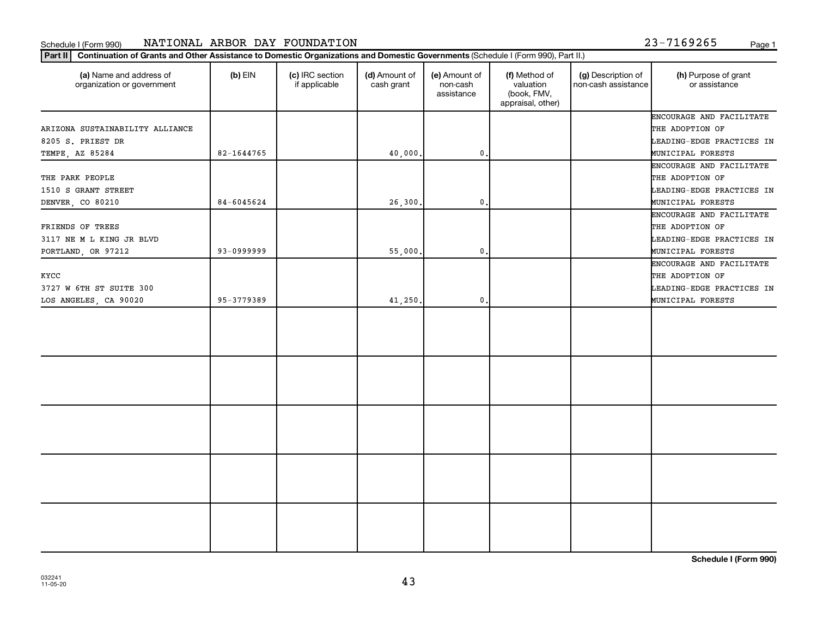#### Schedule I (Form 990) NATIONAL ARBOR DAY FOUNDATION 23-7169265 <sub>Page 1</sub>

**Part II Continuation of Grants and Other Assistance to Domestic Organizations and Domestic Governments**  (Schedule I (Form 990), Part II.)

| (a) Name and address of<br>organization or government                   | $(b)$ EIN  | (c) IRC section<br>if applicable | (d) Amount of<br>cash grant | (e) Amount of<br>non-cash<br>assistance | (f) Method of<br>valuation<br>(book, FMV,<br>appraisal, other) | (g) Description of<br>non-cash assistance | (h) Purpose of grant<br>or assistance                                                         |
|-------------------------------------------------------------------------|------------|----------------------------------|-----------------------------|-----------------------------------------|----------------------------------------------------------------|-------------------------------------------|-----------------------------------------------------------------------------------------------|
| ARIZONA SUSTAINABILITY ALLIANCE<br>8205 S. PRIEST DR<br>TEMPE, AZ 85284 | 82-1644765 |                                  | 40,000.                     | 0.                                      |                                                                |                                           | ENCOURAGE AND FACILITATE<br>THE ADOPTION OF<br>LEADING-EDGE PRACTICES IN<br>MUNICIPAL FORESTS |
| THE PARK PEOPLE<br>1510 S GRANT STREET<br>DENVER, CO 80210              | 84-6045624 |                                  | 26,300.                     | $\mathbf{0}$                            |                                                                |                                           | ENCOURAGE AND FACILITATE<br>THE ADOPTION OF<br>LEADING-EDGE PRACTICES IN<br>MUNICIPAL FORESTS |
| FRIENDS OF TREES<br>3117 NE M L KING JR BLVD<br>PORTLAND, OR 97212      | 93-0999999 |                                  | 55,000.                     | $\mathbf 0$ .                           |                                                                |                                           | ENCOURAGE AND FACILITATE<br>THE ADOPTION OF<br>LEADING-EDGE PRACTICES IN<br>MUNICIPAL FORESTS |
| KYCC<br>3727 W 6TH ST SUITE 300<br>LOS ANGELES, CA 90020                | 95-3779389 |                                  | 41,250.                     | 0.                                      |                                                                |                                           | ENCOURAGE AND FACILITATE<br>THE ADOPTION OF<br>LEADING-EDGE PRACTICES IN<br>MUNICIPAL FORESTS |
|                                                                         |            |                                  |                             |                                         |                                                                |                                           |                                                                                               |
|                                                                         |            |                                  |                             |                                         |                                                                |                                           |                                                                                               |
|                                                                         |            |                                  |                             |                                         |                                                                |                                           |                                                                                               |
|                                                                         |            |                                  |                             |                                         |                                                                |                                           |                                                                                               |
|                                                                         |            |                                  |                             |                                         |                                                                |                                           |                                                                                               |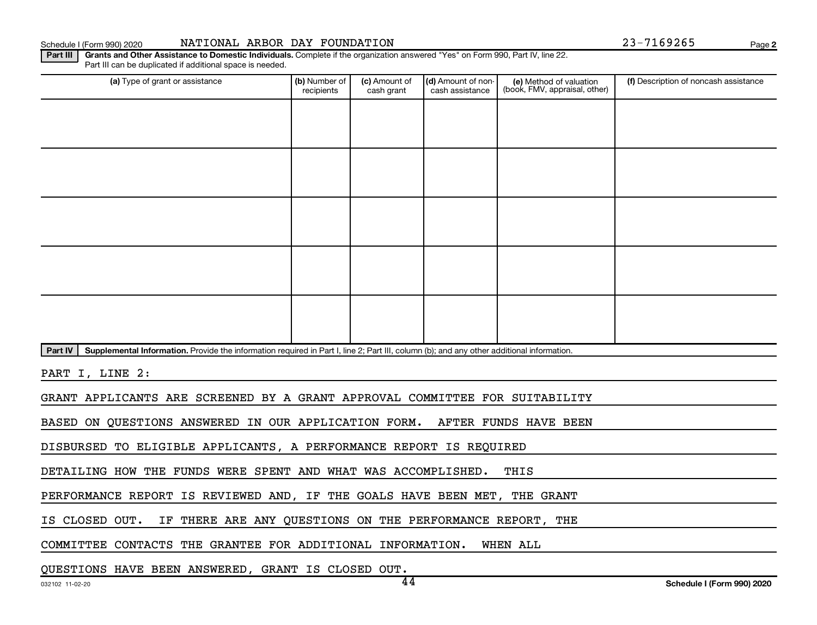Schedule I (Form 990) 2020 Page NATIONAL ARBOR DAY FOUNDATION 23-7169265

**2**

Part III | Grants and Other Assistance to Domestic Individuals. Complete if the organization answered "Yes" on Form 990, Part IV, line 22. Part III can be duplicated if additional space is needed.

| (a) Type of grant or assistance                                                                                                                      | (b) Number of<br>recipients | (c) Amount of<br>cash grant | (d) Amount of non-<br>cash assistance | (e) Method of valuation<br>(book, FMV, appraisal, other) | (f) Description of noncash assistance |
|------------------------------------------------------------------------------------------------------------------------------------------------------|-----------------------------|-----------------------------|---------------------------------------|----------------------------------------------------------|---------------------------------------|
|                                                                                                                                                      |                             |                             |                                       |                                                          |                                       |
|                                                                                                                                                      |                             |                             |                                       |                                                          |                                       |
|                                                                                                                                                      |                             |                             |                                       |                                                          |                                       |
|                                                                                                                                                      |                             |                             |                                       |                                                          |                                       |
|                                                                                                                                                      |                             |                             |                                       |                                                          |                                       |
|                                                                                                                                                      |                             |                             |                                       |                                                          |                                       |
|                                                                                                                                                      |                             |                             |                                       |                                                          |                                       |
|                                                                                                                                                      |                             |                             |                                       |                                                          |                                       |
|                                                                                                                                                      |                             |                             |                                       |                                                          |                                       |
|                                                                                                                                                      |                             |                             |                                       |                                                          |                                       |
| Supplemental Information. Provide the information required in Part I, line 2; Part III, column (b); and any other additional information.<br>Part IV |                             |                             |                                       |                                                          |                                       |

PART I, LINE 2:

GRANT APPLICANTS ARE SCREENED BY A GRANT APPROVAL COMMITTEE FOR SUITABILITY

BASED ON QUESTIONS ANSWERED IN OUR APPLICATION FORM. AFTER FUNDS HAVE BEEN

DISBURSED TO ELIGIBLE APPLICANTS, A PERFORMANCE REPORT IS REQUIRED

DETAILING HOW THE FUNDS WERE SPENT AND WHAT WAS ACCOMPLISHED. THIS

PERFORMANCE REPORT IS REVIEWED AND, IF THE GOALS HAVE BEEN MET, THE GRANT

IS CLOSED OUT. IF THERE ARE ANY QUESTIONS ON THE PERFORMANCE REPORT, THE

COMMITTEE CONTACTS THE GRANTEE FOR ADDITIONAL INFORMATION. WHEN ALL

QUESTIONS HAVE BEEN ANSWERED, GRANT IS CLOSED OUT.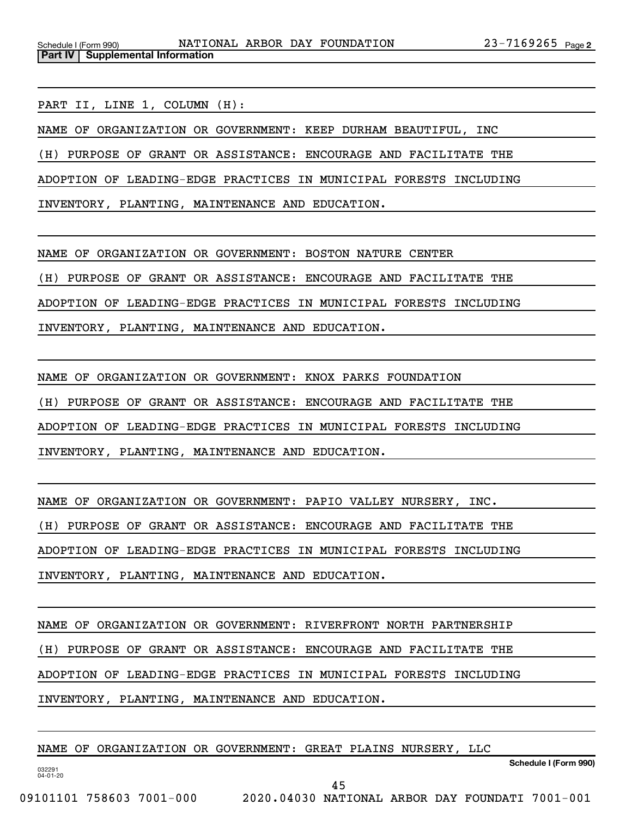PART II, LINE 1, COLUMN (H):

**Part IV Supplemental Information**

NAME OF ORGANIZATION OR GOVERNMENT: KEEP DURHAM BEAUTIFUL, INC

(H) PURPOSE OF GRANT OR ASSISTANCE: ENCOURAGE AND FACILITATE THE

ADOPTION OF LEADING-EDGE PRACTICES IN MUNICIPAL FORESTS INCLUDING

INVENTORY, PLANTING, MAINTENANCE AND EDUCATION.

NAME OF ORGANIZATION OR GOVERNMENT: BOSTON NATURE CENTER

(H) PURPOSE OF GRANT OR ASSISTANCE: ENCOURAGE AND FACILITATE THE

ADOPTION OF LEADING-EDGE PRACTICES IN MUNICIPAL FORESTS INCLUDING

INVENTORY, PLANTING, MAINTENANCE AND EDUCATION.

NAME OF ORGANIZATION OR GOVERNMENT: KNOX PARKS FOUNDATION

(H) PURPOSE OF GRANT OR ASSISTANCE: ENCOURAGE AND FACILITATE THE

ADOPTION OF LEADING-EDGE PRACTICES IN MUNICIPAL FORESTS INCLUDING

INVENTORY, PLANTING, MAINTENANCE AND EDUCATION.

NAME OF ORGANIZATION OR GOVERNMENT: PAPIO VALLEY NURSERY, INC.

(H) PURPOSE OF GRANT OR ASSISTANCE: ENCOURAGE AND FACILITATE THE

ADOPTION OF LEADING-EDGE PRACTICES IN MUNICIPAL FORESTS INCLUDING

INVENTORY, PLANTING, MAINTENANCE AND EDUCATION.

NAME OF ORGANIZATION OR GOVERNMENT: RIVERFRONT NORTH PARTNERSHIP

(H) PURPOSE OF GRANT OR ASSISTANCE: ENCOURAGE AND FACILITATE THE

ADOPTION OF LEADING-EDGE PRACTICES IN MUNICIPAL FORESTS INCLUDING

INVENTORY, PLANTING, MAINTENANCE AND EDUCATION.

NAME OF ORGANIZATION OR GOVERNMENT: GREAT PLAINS NURSERY, LLC

**Schedule I (Form 990)**

032291 04-01-20

45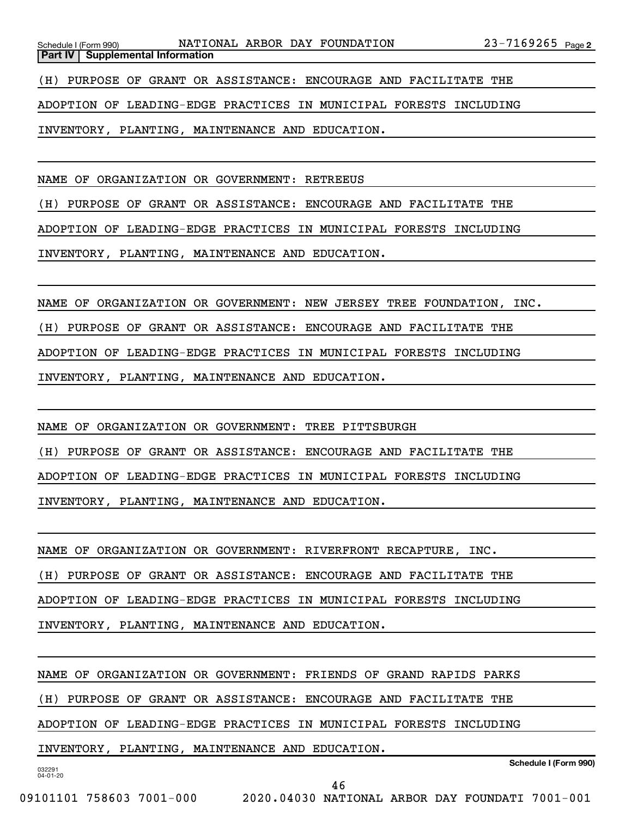**Part IV** | Supplemental Information

(H) PURPOSE OF GRANT OR ASSISTANCE: ENCOURAGE AND FACILITATE THE

ADOPTION OF LEADING-EDGE PRACTICES IN MUNICIPAL FORESTS INCLUDING

INVENTORY, PLANTING, MAINTENANCE AND EDUCATION.

NAME OF ORGANIZATION OR GOVERNMENT: RETREEUS

(H) PURPOSE OF GRANT OR ASSISTANCE: ENCOURAGE AND FACILITATE THE

ADOPTION OF LEADING-EDGE PRACTICES IN MUNICIPAL FORESTS INCLUDING

INVENTORY, PLANTING, MAINTENANCE AND EDUCATION.

NAME OF ORGANIZATION OR GOVERNMENT: NEW JERSEY TREE FOUNDATION, INC.

(H) PURPOSE OF GRANT OR ASSISTANCE: ENCOURAGE AND FACILITATE THE

ADOPTION OF LEADING-EDGE PRACTICES IN MUNICIPAL FORESTS INCLUDING

INVENTORY, PLANTING, MAINTENANCE AND EDUCATION.

NAME OF ORGANIZATION OR GOVERNMENT: TREE PITTSBURGH

(H) PURPOSE OF GRANT OR ASSISTANCE: ENCOURAGE AND FACILITATE THE

ADOPTION OF LEADING-EDGE PRACTICES IN MUNICIPAL FORESTS INCLUDING

INVENTORY, PLANTING, MAINTENANCE AND EDUCATION.

NAME OF ORGANIZATION OR GOVERNMENT: RIVERFRONT RECAPTURE, INC.

(H) PURPOSE OF GRANT OR ASSISTANCE: ENCOURAGE AND FACILITATE THE

ADOPTION OF LEADING-EDGE PRACTICES IN MUNICIPAL FORESTS INCLUDING

INVENTORY, PLANTING, MAINTENANCE AND EDUCATION.

NAME OF ORGANIZATION OR GOVERNMENT: FRIENDS OF GRAND RAPIDS PARKS

(H) PURPOSE OF GRANT OR ASSISTANCE: ENCOURAGE AND FACILITATE THE

ADOPTION OF LEADING-EDGE PRACTICES IN MUNICIPAL FORESTS INCLUDING

INVENTORY, PLANTING, MAINTENANCE AND EDUCATION.

032291 04-01-20

**Schedule I (Form 990)**

46

09101101 758603 7001-000 2020.04030 NATIONAL ARBOR DAY FOUNDATI 7001-001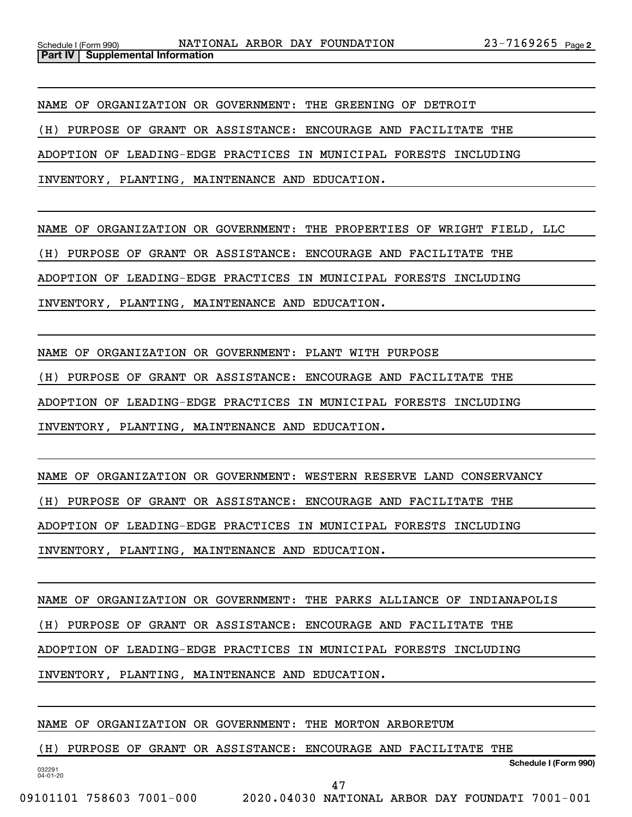NAME OF ORGANIZATION OR GOVERNMENT: THE GREENING OF DETROIT

(H) PURPOSE OF GRANT OR ASSISTANCE: ENCOURAGE AND FACILITATE THE

ADOPTION OF LEADING-EDGE PRACTICES IN MUNICIPAL FORESTS INCLUDING

INVENTORY, PLANTING, MAINTENANCE AND EDUCATION.

NAME OF ORGANIZATION OR GOVERNMENT: THE PROPERTIES OF WRIGHT FIELD, LLC

(H) PURPOSE OF GRANT OR ASSISTANCE: ENCOURAGE AND FACILITATE THE

ADOPTION OF LEADING-EDGE PRACTICES IN MUNICIPAL FORESTS INCLUDING

INVENTORY, PLANTING, MAINTENANCE AND EDUCATION.

NAME OF ORGANIZATION OR GOVERNMENT: PLANT WITH PURPOSE

(H) PURPOSE OF GRANT OR ASSISTANCE: ENCOURAGE AND FACILITATE THE

ADOPTION OF LEADING-EDGE PRACTICES IN MUNICIPAL FORESTS INCLUDING

INVENTORY, PLANTING, MAINTENANCE AND EDUCATION.

NAME OF ORGANIZATION OR GOVERNMENT: WESTERN RESERVE LAND CONSERVANCY (H) PURPOSE OF GRANT OR ASSISTANCE: ENCOURAGE AND FACILITATE THE ADOPTION OF LEADING-EDGE PRACTICES IN MUNICIPAL FORESTS INCLUDING INVENTORY, PLANTING, MAINTENANCE AND EDUCATION.

NAME OF ORGANIZATION OR GOVERNMENT: THE PARKS ALLIANCE OF INDIANAPOLIS (H) PURPOSE OF GRANT OR ASSISTANCE: ENCOURAGE AND FACILITATE THE ADOPTION OF LEADING-EDGE PRACTICES IN MUNICIPAL FORESTS INCLUDING INVENTORY, PLANTING, MAINTENANCE AND EDUCATION.

NAME OF ORGANIZATION OR GOVERNMENT: THE MORTON ARBORETUM

(H) PURPOSE OF GRANT OR ASSISTANCE: ENCOURAGE AND FACILITATE THE

**Schedule I (Form 990)**

032291 04-01-20

47

09101101 758603 7001-000 2020.04030 NATIONAL ARBOR DAY FOUNDATI 7001-001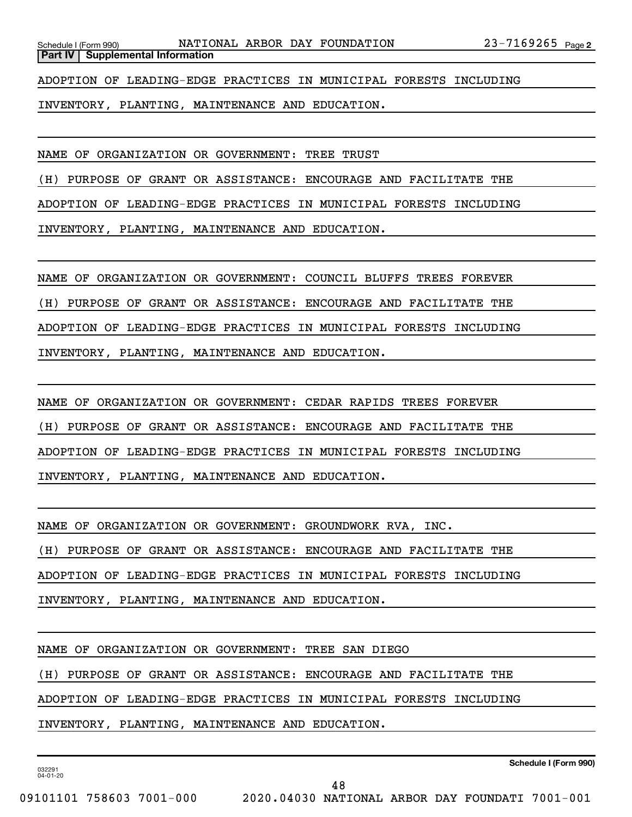ADOPTION OF LEADING-EDGE PRACTICES IN MUNICIPAL FORESTS INCLUDING

INVENTORY, PLANTING, MAINTENANCE AND EDUCATION.

NAME OF ORGANIZATION OR GOVERNMENT: TREE TRUST

(H) PURPOSE OF GRANT OR ASSISTANCE: ENCOURAGE AND FACILITATE THE

ADOPTION OF LEADING-EDGE PRACTICES IN MUNICIPAL FORESTS INCLUDING

INVENTORY, PLANTING, MAINTENANCE AND EDUCATION.

NAME OF ORGANIZATION OR GOVERNMENT: COUNCIL BLUFFS TREES FOREVER

(H) PURPOSE OF GRANT OR ASSISTANCE: ENCOURAGE AND FACILITATE THE

ADOPTION OF LEADING-EDGE PRACTICES IN MUNICIPAL FORESTS INCLUDING

INVENTORY, PLANTING, MAINTENANCE AND EDUCATION.

NAME OF ORGANIZATION OR GOVERNMENT: CEDAR RAPIDS TREES FOREVER

(H) PURPOSE OF GRANT OR ASSISTANCE: ENCOURAGE AND FACILITATE THE

ADOPTION OF LEADING-EDGE PRACTICES IN MUNICIPAL FORESTS INCLUDING

INVENTORY, PLANTING, MAINTENANCE AND EDUCATION.

NAME OF ORGANIZATION OR GOVERNMENT: GROUNDWORK RVA, INC.

(H) PURPOSE OF GRANT OR ASSISTANCE: ENCOURAGE AND FACILITATE THE

ADOPTION OF LEADING-EDGE PRACTICES IN MUNICIPAL FORESTS INCLUDING

INVENTORY, PLANTING, MAINTENANCE AND EDUCATION.

NAME OF ORGANIZATION OR GOVERNMENT: TREE SAN DIEGO

(H) PURPOSE OF GRANT OR ASSISTANCE: ENCOURAGE AND FACILITATE THE

ADOPTION OF LEADING-EDGE PRACTICES IN MUNICIPAL FORESTS INCLUDING

INVENTORY, PLANTING, MAINTENANCE AND EDUCATION.

032291 04-01-20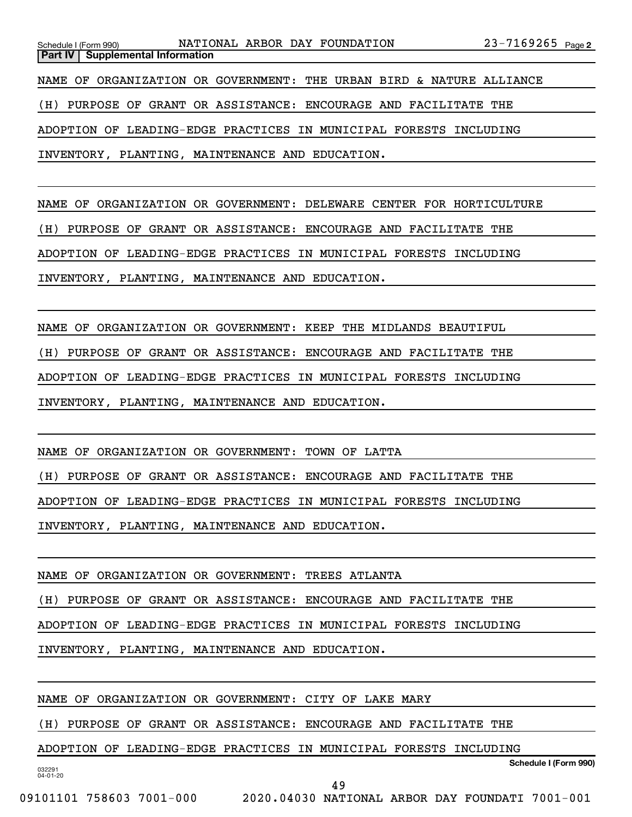NAME OF ORGANIZATION OR GOVERNMENT: DELEWARE CENTER FOR HORTICULTURE

(H) PURPOSE OF GRANT OR ASSISTANCE: ENCOURAGE AND FACILITATE THE

ADOPTION OF LEADING-EDGE PRACTICES IN MUNICIPAL FORESTS INCLUDING

INVENTORY, PLANTING, MAINTENANCE AND EDUCATION.

NAME OF ORGANIZATION OR GOVERNMENT: KEEP THE MIDLANDS BEAUTIFUL

(H) PURPOSE OF GRANT OR ASSISTANCE: ENCOURAGE AND FACILITATE THE

ADOPTION OF LEADING-EDGE PRACTICES IN MUNICIPAL FORESTS INCLUDING

INVENTORY, PLANTING, MAINTENANCE AND EDUCATION.

NAME OF ORGANIZATION OR GOVERNMENT: TOWN OF LATTA

(H) PURPOSE OF GRANT OR ASSISTANCE: ENCOURAGE AND FACILITATE THE

ADOPTION OF LEADING-EDGE PRACTICES IN MUNICIPAL FORESTS INCLUDING

INVENTORY, PLANTING, MAINTENANCE AND EDUCATION.

NAME OF ORGANIZATION OR GOVERNMENT: TREES ATLANTA

(H) PURPOSE OF GRANT OR ASSISTANCE: ENCOURAGE AND FACILITATE THE

ADOPTION OF LEADING-EDGE PRACTICES IN MUNICIPAL FORESTS INCLUDING

INVENTORY, PLANTING, MAINTENANCE AND EDUCATION.

NAME OF ORGANIZATION OR GOVERNMENT: CITY OF LAKE MARY

(H) PURPOSE OF GRANT OR ASSISTANCE: ENCOURAGE AND FACILITATE THE

ADOPTION OF LEADING-EDGE PRACTICES IN MUNICIPAL FORESTS INCLUDING

**Schedule I (Form 990)**

032291 04-01-20

09101101 758603 7001-000 2020.04030 NATIONAL ARBOR DAY FOUNDATI 7001-001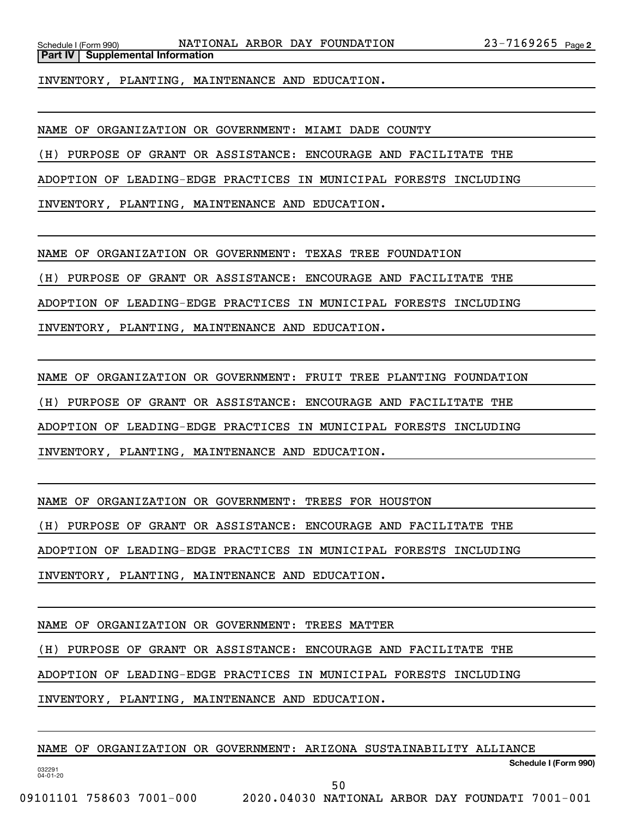INVENTORY, PLANTING, MAINTENANCE AND EDUCATION.

NAME OF ORGANIZATION OR GOVERNMENT: MIAMI DADE COUNTY

(H) PURPOSE OF GRANT OR ASSISTANCE: ENCOURAGE AND FACILITATE THE

ADOPTION OF LEADING-EDGE PRACTICES IN MUNICIPAL FORESTS INCLUDING

INVENTORY, PLANTING, MAINTENANCE AND EDUCATION.

NAME OF ORGANIZATION OR GOVERNMENT: TEXAS TREE FOUNDATION

(H) PURPOSE OF GRANT OR ASSISTANCE: ENCOURAGE AND FACILITATE THE

ADOPTION OF LEADING-EDGE PRACTICES IN MUNICIPAL FORESTS INCLUDING

INVENTORY, PLANTING, MAINTENANCE AND EDUCATION.

NAME OF ORGANIZATION OR GOVERNMENT: FRUIT TREE PLANTING FOUNDATION (H) PURPOSE OF GRANT OR ASSISTANCE: ENCOURAGE AND FACILITATE THE ADOPTION OF LEADING-EDGE PRACTICES IN MUNICIPAL FORESTS INCLUDING INVENTORY, PLANTING, MAINTENANCE AND EDUCATION.

NAME OF ORGANIZATION OR GOVERNMENT: TREES FOR HOUSTON

(H) PURPOSE OF GRANT OR ASSISTANCE: ENCOURAGE AND FACILITATE THE

ADOPTION OF LEADING-EDGE PRACTICES IN MUNICIPAL FORESTS INCLUDING

INVENTORY, PLANTING, MAINTENANCE AND EDUCATION.

NAME OF ORGANIZATION OR GOVERNMENT: TREES MATTER

(H) PURPOSE OF GRANT OR ASSISTANCE: ENCOURAGE AND FACILITATE THE

ADOPTION OF LEADING-EDGE PRACTICES IN MUNICIPAL FORESTS INCLUDING

INVENTORY, PLANTING, MAINTENANCE AND EDUCATION.

NAME OF ORGANIZATION OR GOVERNMENT: ARIZONA SUSTAINABILITY ALLIANCE

**Schedule I (Form 990)**

032291 04-01-20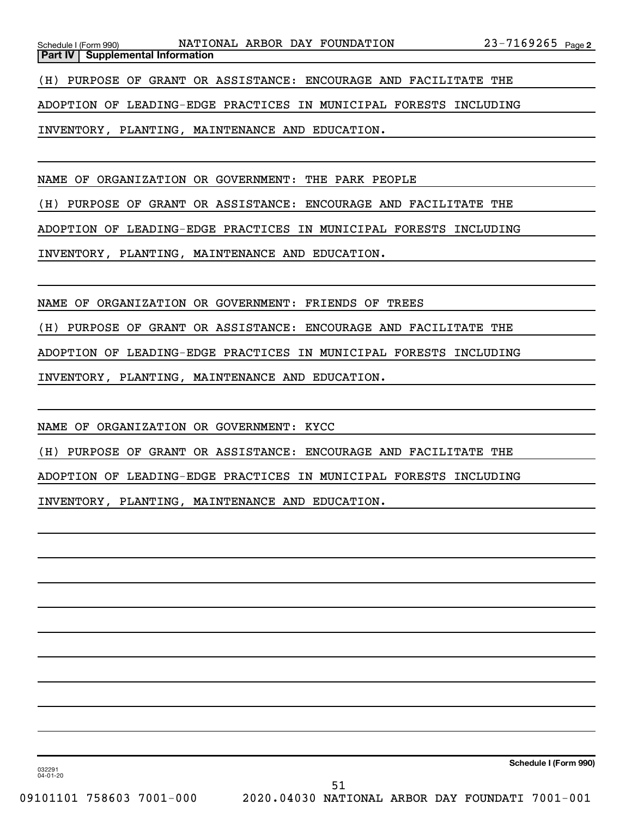**Part IV** | Supplemental Information

(H) PURPOSE OF GRANT OR ASSISTANCE: ENCOURAGE AND FACILITATE THE

ADOPTION OF LEADING-EDGE PRACTICES IN MUNICIPAL FORESTS INCLUDING

INVENTORY, PLANTING, MAINTENANCE AND EDUCATION.

NAME OF ORGANIZATION OR GOVERNMENT: THE PARK PEOPLE

(H) PURPOSE OF GRANT OR ASSISTANCE: ENCOURAGE AND FACILITATE THE

ADOPTION OF LEADING-EDGE PRACTICES IN MUNICIPAL FORESTS INCLUDING

INVENTORY, PLANTING, MAINTENANCE AND EDUCATION.

NAME OF ORGANIZATION OR GOVERNMENT: FRIENDS OF TREES

(H) PURPOSE OF GRANT OR ASSISTANCE: ENCOURAGE AND FACILITATE THE

ADOPTION OF LEADING-EDGE PRACTICES IN MUNICIPAL FORESTS INCLUDING

INVENTORY, PLANTING, MAINTENANCE AND EDUCATION.

NAME OF ORGANIZATION OR GOVERNMENT: KYCC

(H) PURPOSE OF GRANT OR ASSISTANCE: ENCOURAGE AND FACILITATE THE

ADOPTION OF LEADING-EDGE PRACTICES IN MUNICIPAL FORESTS INCLUDING

INVENTORY, PLANTING, MAINTENANCE AND EDUCATION.

**Schedule I (Form 990)**

032291 04-01-20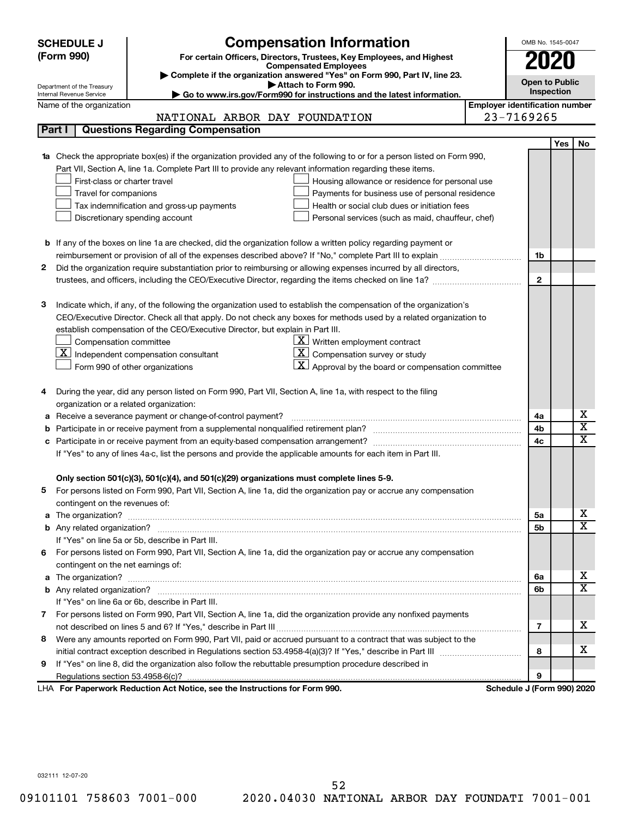| <b>SCHEDULE J</b>              | <b>Compensation Information</b>                                                                                                                                                                                                          |                                       | OMB No. 1545-0047          |                       |                         |  |
|--------------------------------|------------------------------------------------------------------------------------------------------------------------------------------------------------------------------------------------------------------------------------------|---------------------------------------|----------------------------|-----------------------|-------------------------|--|
| (Form 990)                     | For certain Officers, Directors, Trustees, Key Employees, and Highest                                                                                                                                                                    |                                       | 2020                       |                       |                         |  |
|                                | <b>Compensated Employees</b>                                                                                                                                                                                                             |                                       |                            |                       |                         |  |
| Department of the Treasury     | Complete if the organization answered "Yes" on Form 990, Part IV, line 23.<br>Attach to Form 990.                                                                                                                                        |                                       |                            | <b>Open to Public</b> |                         |  |
| Internal Revenue Service       | Go to www.irs.gov/Form990 for instructions and the latest information.                                                                                                                                                                   |                                       |                            | Inspection            |                         |  |
| Name of the organization       |                                                                                                                                                                                                                                          | <b>Employer identification number</b> |                            |                       |                         |  |
|                                | NATIONAL ARBOR DAY FOUNDATION                                                                                                                                                                                                            |                                       | 23-7169265                 |                       |                         |  |
| Part I                         | <b>Questions Regarding Compensation</b>                                                                                                                                                                                                  |                                       |                            |                       |                         |  |
|                                |                                                                                                                                                                                                                                          |                                       |                            | <b>Yes</b>            | No                      |  |
|                                | Check the appropriate box(es) if the organization provided any of the following to or for a person listed on Form 990,                                                                                                                   |                                       |                            |                       |                         |  |
|                                | Part VII, Section A, line 1a. Complete Part III to provide any relevant information regarding these items.                                                                                                                               |                                       |                            |                       |                         |  |
|                                | First-class or charter travel<br>Housing allowance or residence for personal use                                                                                                                                                         |                                       |                            |                       |                         |  |
|                                | Travel for companions<br>Payments for business use of personal residence                                                                                                                                                                 |                                       |                            |                       |                         |  |
|                                | Health or social club dues or initiation fees<br>Tax indemnification and gross-up payments                                                                                                                                               |                                       |                            |                       |                         |  |
|                                | Discretionary spending account<br>Personal services (such as maid, chauffeur, chef)                                                                                                                                                      |                                       |                            |                       |                         |  |
|                                |                                                                                                                                                                                                                                          |                                       |                            |                       |                         |  |
|                                | <b>b</b> If any of the boxes on line 1a are checked, did the organization follow a written policy regarding payment or                                                                                                                   |                                       |                            |                       |                         |  |
|                                |                                                                                                                                                                                                                                          |                                       | 1b                         |                       |                         |  |
| 2                              | Did the organization require substantiation prior to reimbursing or allowing expenses incurred by all directors,                                                                                                                         |                                       |                            |                       |                         |  |
|                                | trustees, and officers, including the CEO/Executive Director, regarding the items checked on line 1a?                                                                                                                                    |                                       | $\mathbf{2}$               |                       |                         |  |
| З                              |                                                                                                                                                                                                                                          |                                       |                            |                       |                         |  |
|                                | Indicate which, if any, of the following the organization used to establish the compensation of the organization's<br>CEO/Executive Director. Check all that apply. Do not check any boxes for methods used by a related organization to |                                       |                            |                       |                         |  |
|                                | establish compensation of the CEO/Executive Director, but explain in Part III.                                                                                                                                                           |                                       |                            |                       |                         |  |
|                                | $\underline{\mathbf{X}}$ Written employment contract<br>Compensation committee                                                                                                                                                           |                                       |                            |                       |                         |  |
|                                | $\underline{\mathbf{X}}$ Independent compensation consultant<br>  X<br>Compensation survey or study                                                                                                                                      |                                       |                            |                       |                         |  |
|                                | $\mathbf{X}$ Approval by the board or compensation committee<br>Form 990 of other organizations                                                                                                                                          |                                       |                            |                       |                         |  |
|                                |                                                                                                                                                                                                                                          |                                       |                            |                       |                         |  |
|                                | During the year, did any person listed on Form 990, Part VII, Section A, line 1a, with respect to the filing                                                                                                                             |                                       |                            |                       |                         |  |
|                                | organization or a related organization:                                                                                                                                                                                                  |                                       |                            |                       |                         |  |
| а                              | Receive a severance payment or change-of-control payment?                                                                                                                                                                                |                                       | 4a                         |                       | х                       |  |
| b                              |                                                                                                                                                                                                                                          |                                       | 4b                         |                       | $\overline{\textbf{x}}$ |  |
| с                              |                                                                                                                                                                                                                                          |                                       | 4c                         |                       | $\mathbf x$             |  |
|                                | If "Yes" to any of lines 4a-c, list the persons and provide the applicable amounts for each item in Part III.                                                                                                                            |                                       |                            |                       |                         |  |
|                                |                                                                                                                                                                                                                                          |                                       |                            |                       |                         |  |
|                                | Only section 501(c)(3), 501(c)(4), and 501(c)(29) organizations must complete lines 5-9.                                                                                                                                                 |                                       |                            |                       |                         |  |
|                                | For persons listed on Form 990, Part VII, Section A, line 1a, did the organization pay or accrue any compensation                                                                                                                        |                                       |                            |                       |                         |  |
| contingent on the revenues of: |                                                                                                                                                                                                                                          |                                       |                            |                       |                         |  |
| a                              |                                                                                                                                                                                                                                          |                                       | 5a                         |                       | х                       |  |
|                                |                                                                                                                                                                                                                                          |                                       | 5b                         |                       | X                       |  |
|                                | If "Yes" on line 5a or 5b, describe in Part III.                                                                                                                                                                                         |                                       |                            |                       |                         |  |
|                                | 6 For persons listed on Form 990, Part VII, Section A, line 1a, did the organization pay or accrue any compensation                                                                                                                      |                                       |                            |                       |                         |  |
|                                | contingent on the net earnings of:                                                                                                                                                                                                       |                                       |                            |                       |                         |  |
| a                              | The organization? <b>With the contract of the contract of the contract of the contract of the contract of the contract of the contract of the contract of the contract of the contract of the contract of the contract of the co</b>     |                                       | 6а                         |                       | х                       |  |
|                                |                                                                                                                                                                                                                                          |                                       | 6b                         |                       | X                       |  |
|                                | If "Yes" on line 6a or 6b, describe in Part III.                                                                                                                                                                                         |                                       |                            |                       |                         |  |
|                                | 7 For persons listed on Form 990, Part VII, Section A, line 1a, did the organization provide any nonfixed payments                                                                                                                       |                                       |                            |                       |                         |  |
|                                |                                                                                                                                                                                                                                          |                                       | 7                          |                       | x                       |  |
| 8                              | Were any amounts reported on Form 990, Part VII, paid or accrued pursuant to a contract that was subject to the                                                                                                                          |                                       |                            |                       |                         |  |
|                                |                                                                                                                                                                                                                                          |                                       | 8                          |                       | x                       |  |
| 9                              | If "Yes" on line 8, did the organization also follow the rebuttable presumption procedure described in                                                                                                                                   |                                       |                            |                       |                         |  |
|                                |                                                                                                                                                                                                                                          |                                       | 9                          |                       |                         |  |
|                                | LHA For Paperwork Reduction Act Notice, see the Instructions for Form 990.                                                                                                                                                               |                                       | Schedule J (Form 990) 2020 |                       |                         |  |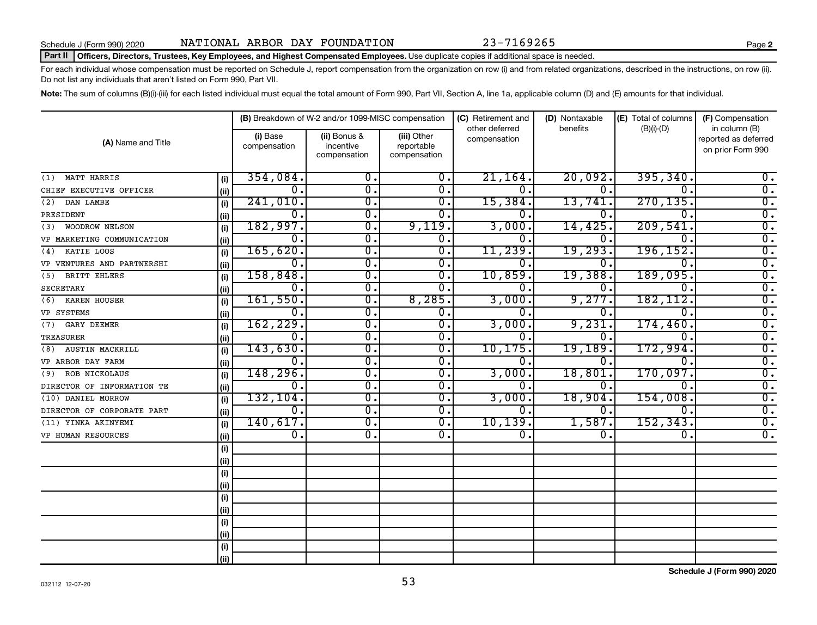#### Part II | Officers, Directors, Trustees, Key Employees, and Highest Compensated Employees. Use duplicate copies if additional space is needed.

For each individual whose compensation must be reported on Schedule J, report compensation from the organization on row (i) and from related organizations, described in the instructions, on row (ii). Do not list any individuals that aren't listed on Form 990, Part VII.

Note: The sum of columns (B)(i)-(iii) for each listed individual must equal the total amount of Form 990, Part VII, Section A, line 1a, applicable column (D) and (E) amounts for that individual.

|                              |       |                             | (B) Breakdown of W-2 and/or 1099-MISC compensation |                                           | (C) Retirement and<br>other deferred | (D) Nontaxable | (E) Total of columns        | (F) Compensation<br>in column (B)         |  |
|------------------------------|-------|-----------------------------|----------------------------------------------------|-------------------------------------------|--------------------------------------|----------------|-----------------------------|-------------------------------------------|--|
| (A) Name and Title           |       | (i) Base<br>compensation    | (ii) Bonus &<br>incentive<br>compensation          | (iii) Other<br>reportable<br>compensation | compensation                         | benefits       | $(B)(i)-(D)$                | reported as deferred<br>on prior Form 990 |  |
| MATT HARRIS<br>(1)           | (i)   | 354,084.                    | 0.                                                 | 0.                                        | 21, 164.                             | 20,092.        | 395, 340.                   | 0.                                        |  |
| CHIEF EXECUTIVE OFFICER      | (iii) | $\mathbf 0$ .               | 0.                                                 | $0$ .                                     | 0.                                   | $\mathbf 0$ .  | 0.                          | $\overline{0}$ .                          |  |
| DAN LAMBE<br>(2)             | (i)   | 241,010.                    | $\overline{0}$ .                                   | 0.                                        | 15,384.                              | 13,741         | 270, 135.                   | $\overline{0}$ .                          |  |
| PRESIDENT                    | (ii)  | $\overline{0}$ .            | σ.                                                 | $\overline{0}$ .                          | 0                                    | 0              | $\overline{0}$ .            | $\overline{0}$ .                          |  |
| <b>WOODROW NELSON</b><br>(3) | (i)   | 182,997.                    | $\overline{0}$ .                                   | 9,119.                                    | 3,000                                | 14,425         | 209,541                     | $\overline{0}$ .                          |  |
| VP MARKETING COMMUNICATION   | (ii)  | 0.                          | $\overline{\mathfrak{o}}$ .                        | $\overline{0}$ .                          | 0.                                   | 0.             | $\mathbf 0$ .               | $\overline{0}$ .                          |  |
| KATIE LOOS<br>(4)            | (i)   | 165,620.                    | $\overline{\mathfrak{o}}$ .                        | $\overline{0}$ .                          | 11,239.                              | 19,293         | 196, 152.                   | $\overline{0}$ .                          |  |
| VP VENTURES AND PARTNERSHI   | (ii)  | 0.                          | 0.                                                 | 0.                                        | 0.                                   | 0.             | $\Omega$ .                  | $\overline{\mathfrak{o}}$ .               |  |
| BRITT EHLERS<br>(5)          | (i)   | 158,848.                    | $\overline{\mathfrak{o}}$ .                        | $\overline{0}$ .                          | 10,859                               | 19,388         | 189,095.                    | $\overline{0}$ .                          |  |
| <b>SECRETARY</b>             | (ii)  | Ο.                          | $\overline{\mathfrak{o}}$ .                        | $\overline{0}$ .                          |                                      | 0.             | $\mathbf 0$ .               | $\overline{0}$ .                          |  |
| <b>KAREN HOUSER</b><br>(6)   | (i)   | 161,550.                    | σ.                                                 | 8,285.                                    | 3,000.                               | 9,277          | 182, 112.                   | $\overline{0}$ .                          |  |
| VP SYSTEMS                   | (ii)  | 0.                          | σ.                                                 | 0.                                        | 0.                                   | 0.             | $\mathbf 0$ .               | $\overline{0}$ .                          |  |
| <b>GARY DEEMER</b><br>(7)    | (i)   | 162, 229.                   | σ.                                                 | $\overline{0}$ .                          | 3,000                                | 9,231          | 174,460                     | $\overline{0}$ .                          |  |
| TREASURER                    | (ii)  | 0.                          | σ.                                                 | $\overline{0}$ .                          | 0.                                   | 0.             | 0.                          | $\overline{0}$ .                          |  |
| (8) AUSTIN MACKRILL          | (i)   | 143,630.                    | σ.                                                 | $\overline{0}$ .                          | 10, 175.                             | 19,189         | 172,994.                    | $\overline{0}$ .                          |  |
| VP ARBOR DAY FARM            | (ii)  | 0.                          | о.                                                 | 0.                                        | 0.                                   | 0.             | 0.                          | $\overline{0}$ .                          |  |
| ROB NICKOLAUS<br>(9)         | (i)   | 148, 296.                   | σ.                                                 | $0$ .                                     | 3,000                                | 18,801         | 170,097.                    | $\overline{0}$ .                          |  |
| DIRECTOR OF INFORMATION TE   | (ii)  | 0.                          | σ.                                                 | 0.                                        | 0.                                   | 0.             | $\overline{\mathfrak{o}}$ . | $\overline{0}$ .                          |  |
| (10) DANIEL MORROW           | (i)   | 132, 104.                   | $\overline{\mathfrak{o}}$ .                        | $\overline{0}$ .                          | 3,000                                | 18,904         | 154,008.                    | $\overline{0}$ .                          |  |
| DIRECTOR OF CORPORATE PART   | (ii)  | $\overline{\mathfrak{o}}$ . | $\overline{\mathfrak{o}}$ .                        | $\mathbf{0}$ .                            | 0.                                   | 0.             | 0.                          | $\overline{0}$ .                          |  |
| (11) YINKA AKINYEMI          | (i)   | 140,617.                    | $\overline{\mathfrak{o}}$ .                        | $\overline{0}$ .                          | 10, 139.                             | 1,587.         | 152, 343.                   | $\overline{0}$ .                          |  |
| VP HUMAN RESOURCES           | (ii)  | $\overline{\mathfrak{o}}$ . | $\overline{0}$ .                                   | $\mathbf{0}$ .                            | 0.                                   | 0.             | 0.                          | $\overline{0}$ .                          |  |
|                              | (i)   |                             |                                                    |                                           |                                      |                |                             |                                           |  |
|                              | (ii)  |                             |                                                    |                                           |                                      |                |                             |                                           |  |
|                              | (i)   |                             |                                                    |                                           |                                      |                |                             |                                           |  |
|                              | (ii)  |                             |                                                    |                                           |                                      |                |                             |                                           |  |
|                              | (i)   |                             |                                                    |                                           |                                      |                |                             |                                           |  |
|                              | (ii)  |                             |                                                    |                                           |                                      |                |                             |                                           |  |
|                              | (i)   |                             |                                                    |                                           |                                      |                |                             |                                           |  |
|                              | (ii)  |                             |                                                    |                                           |                                      |                |                             |                                           |  |
|                              | (i)   |                             |                                                    |                                           |                                      |                |                             |                                           |  |
|                              | (ii)  |                             |                                                    |                                           |                                      |                |                             |                                           |  |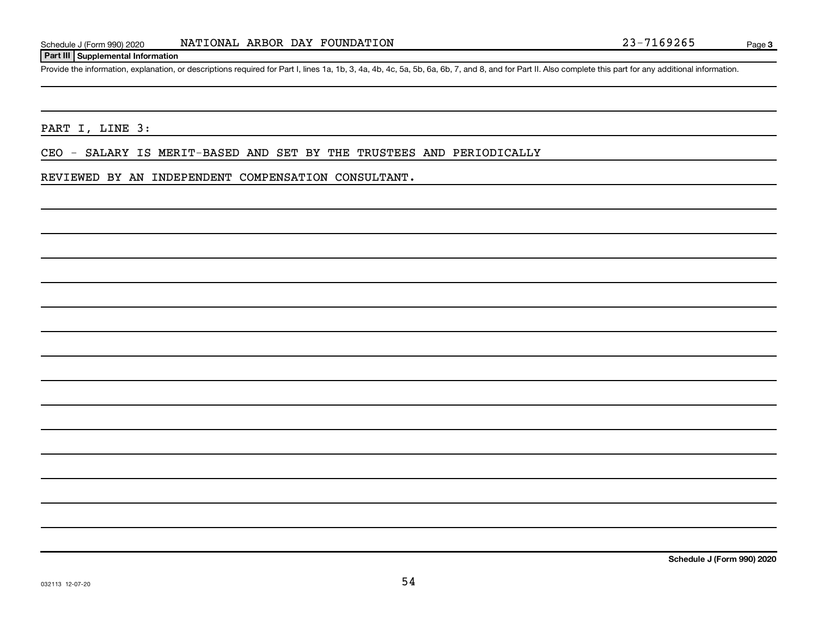#### **Part III Supplemental Information**

Provide the information, explanation, or descriptions required for Part I, lines 1a, 1b, 3, 4a, 4b, 4c, 5a, 5b, 6a, 6b, 7, and 8, and for Part II. Also complete this part for any additional information.

#### PART I, LINE 3:

CEO - SALARY IS MERIT-BASED AND SET BY THE TRUSTEES AND PERIODICALLY

#### REVIEWED BY AN INDEPENDENT COMPENSATION CONSULTANT.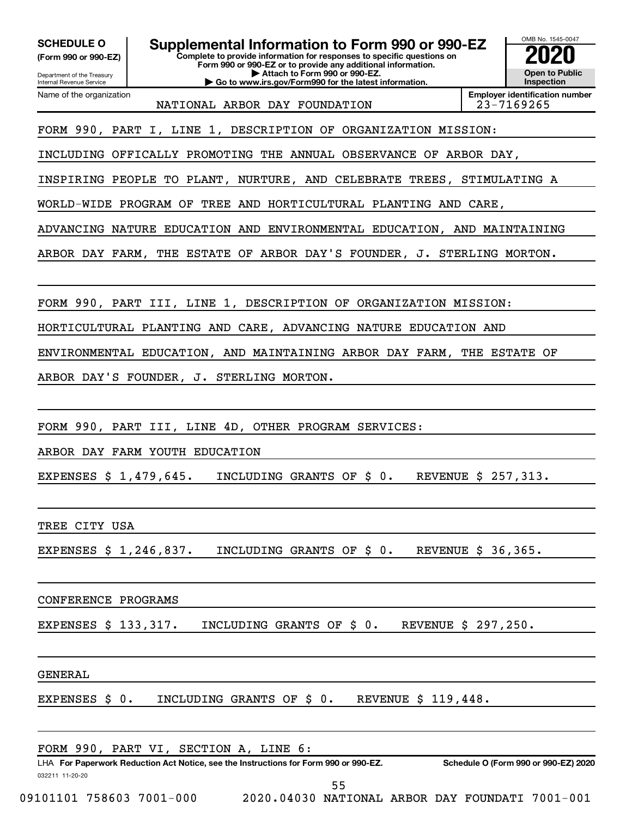**(Form 990 or 990-EZ)**

**Complete to provide information for responses to specific questions on Form 990 or 990-EZ or to provide any additional information. | Attach to Form 990 or 990-EZ. | Go to www.irs.gov/Form990 for the latest information. SCHEDULE O Supplemental Information to Form 990 or 990-EZ 2020**<br>(Form 990 or 990-EZ) Complete to provide information for responses to specific questions on



Department of the Treasury Internal Revenue Service Name of the organization

NATIONAL ARBOR DAY FOUNDATION 23-7169265

**Employer identification number**

FORM 990, PART I, LINE 1, DESCRIPTION OF ORGANIZATION MISSION:

INCLUDING OFFICALLY PROMOTING THE ANNUAL OBSERVANCE OF ARBOR DAY,

INSPIRING PEOPLE TO PLANT, NURTURE, AND CELEBRATE TREES, STIMULATING A

WORLD-WIDE PROGRAM OF TREE AND HORTICULTURAL PLANTING AND CARE

ADVANCING NATURE EDUCATION AND ENVIRONMENTAL EDUCATION, AND MAINTAINING

ARBOR DAY FARM, THE ESTATE OF ARBOR DAY'S FOUNDER, J. STERLING MORTON.

FORM 990, PART III, LINE 1, DESCRIPTION OF ORGANIZATION MISSION:

HORTICULTURAL PLANTING AND CARE, ADVANCING NATURE EDUCATION AND

ENVIRONMENTAL EDUCATION, AND MAINTAINING ARBOR DAY FARM, THE ESTATE OF

ARBOR DAY'S FOUNDER, J. STERLING MORTON.

FORM 990, PART III, LINE 4D, OTHER PROGRAM SERVICES:

ARBOR DAY FARM YOUTH EDUCATION

EXPENSES \$ 1,479,645. INCLUDING GRANTS OF \$ 0. REVENUE \$ 257,313.

TREE CITY USA

EXPENSES \$ 1,246,837. INCLUDING GRANTS OF \$ 0. REVENUE \$ 36,365.

CONFERENCE PROGRAMS

EXPENSES \$ 133,317. INCLUDING GRANTS OF \$ 0. REVENUE \$ 297,250.

GENERAL

EXPENSES \$ 0. INCLUDING GRANTS OF \$ 0. REVENUE \$ 119,448.

FORM 990, PART VI, SECTION A, LINE 6:

032211 11-20-20 **For Paperwork Reduction Act Notice, see the Instructions for Form 990 or 990-EZ. Schedule O (Form 990 or 990-EZ) 2020** LHA

55

09101101 758603 7001-000 2020.04030 NATIONAL ARBOR DAY FOUNDATI 7001-001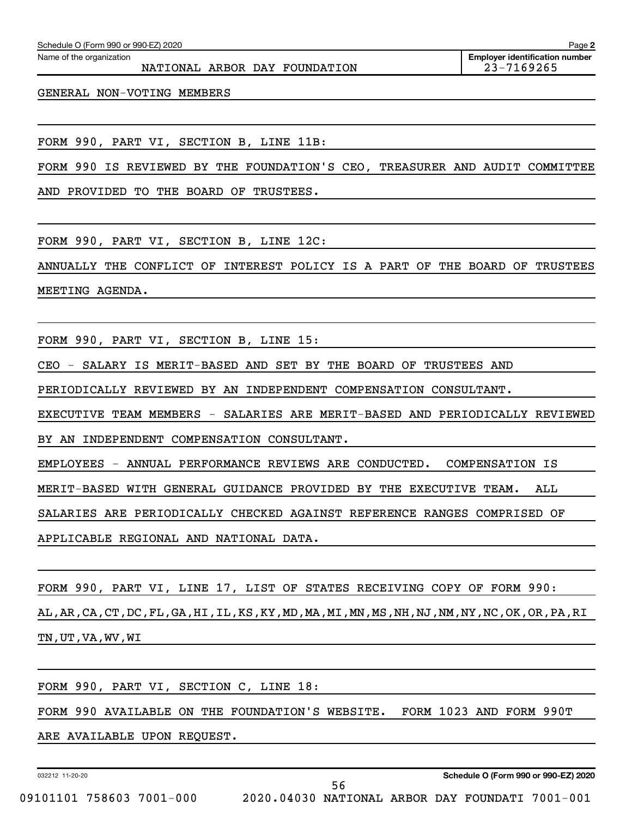Name of the organization

GENERAL NON-VOTING MEMBERS

FORM 990, PART VI, SECTION B, LINE 11B:

FORM 990 IS REVIEWED BY THE FOUNDATION'S CEO, TREASURER AND AUDIT COMMITTEE

AND PROVIDED TO THE BOARD OF TRUSTEES.

FORM 990, PART VI, SECTION B, LINE 12C:

ANNUALLY THE CONFLICT OF INTEREST POLICY IS A PART OF THE BOARD OF TRUSTEES MEETING AGENDA.

FORM 990, PART VI, SECTION B, LINE 15:

CEO - SALARY IS MERIT-BASED AND SET BY THE BOARD OF TRUSTEES AND

PERIODICALLY REVIEWED BY AN INDEPENDENT COMPENSATION CONSULTANT.

EXECUTIVE TEAM MEMBERS - SALARIES ARE MERIT-BASED AND PERIODICALLY REVIEWED

BY AN INDEPENDENT COMPENSATION CONSULTANT.

EMPLOYEES - ANNUAL PERFORMANCE REVIEWS ARE CONDUCTED. COMPENSATION IS

MERIT-BASED WITH GENERAL GUIDANCE PROVIDED BY THE EXECUTIVE TEAM. ALL

SALARIES ARE PERIODICALLY CHECKED AGAINST REFERENCE RANGES COMPRISED OF

APPLICABLE REGIONAL AND NATIONAL DATA.

FORM 990, PART VI, LINE 17, LIST OF STATES RECEIVING COPY OF FORM 990:

AL,AR,CA,CT,DC,FL,GA,HI,IL,KS,KY,MD,MA,MI,MN,MS,NH,NJ,NM,NY,NC,OK,OR,PA,RI TN,UT,VA,WV,WI

FORM 990, PART VI, SECTION C, LINE 18:

FORM 990 AVAILABLE ON THE FOUNDATION'S WEBSITE. FORM 1023 AND FORM 990T

ARE AVAILABLE UPON REQUEST.

032212 11-20-20

56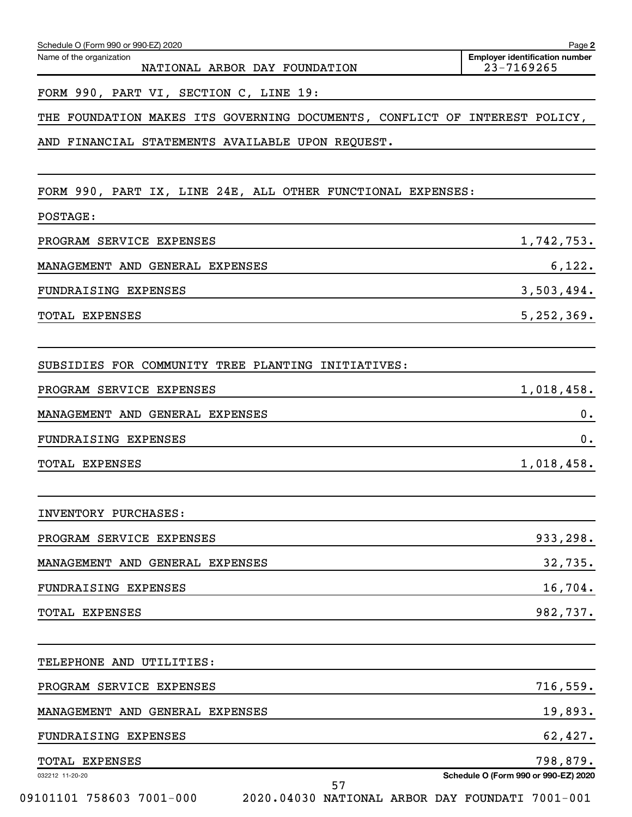| Schedule O (Form 990 or 990-EZ) 2020<br>Name of the organization<br>NATIONAL ARBOR DAY FOUNDATION    | Page 2<br><b>Employer identification number</b><br>23-7169265 |
|------------------------------------------------------------------------------------------------------|---------------------------------------------------------------|
| FORM 990, PART VI, SECTION C, LINE 19:                                                               |                                                               |
| THE FOUNDATION MAKES ITS GOVERNING DOCUMENTS, CONFLICT OF INTEREST POLICY,                           |                                                               |
| AND FINANCIAL STATEMENTS AVAILABLE UPON REQUEST.                                                     |                                                               |
| FORM 990, PART IX, LINE 24E, ALL OTHER FUNCTIONAL EXPENSES:                                          |                                                               |
| POSTAGE:                                                                                             |                                                               |
| PROGRAM SERVICE EXPENSES                                                                             | 1,742,753.                                                    |
| MANAGEMENT AND GENERAL EXPENSES                                                                      | 6,122.                                                        |
| FUNDRAISING EXPENSES                                                                                 | 3,503,494.                                                    |
| <b>TOTAL EXPENSES</b>                                                                                | 5, 252, 369.                                                  |
| SUBSIDIES FOR COMMUNITY TREE PLANTING INITIATIVES:                                                   |                                                               |
| PROGRAM SERVICE EXPENSES                                                                             | 1,018,458.                                                    |
| MANAGEMENT AND GENERAL EXPENSES                                                                      | 0.                                                            |
| FUNDRAISING EXPENSES                                                                                 | 0.                                                            |
| TOTAL EXPENSES                                                                                       | 1,018,458.                                                    |
| INVENTORY PURCHASES:                                                                                 |                                                               |
| PROGRAM SERVICE EXPENSES                                                                             | 933,298.                                                      |
| MANAGEMENT AND GENERAL EXPENSES                                                                      | 32,735.                                                       |
| FUNDRAISING EXPENSES                                                                                 | 16,704.                                                       |
| <b>TOTAL EXPENSES</b>                                                                                | 982,737.                                                      |
| TELEPHONE AND UTILITIES:                                                                             |                                                               |
| PROGRAM SERVICE EXPENSES                                                                             | 716,559.                                                      |
| MANAGEMENT AND GENERAL EXPENSES                                                                      | 19,893.                                                       |
| FUNDRAISING EXPENSES                                                                                 | 62,427.                                                       |
| TOTAL EXPENSES                                                                                       | 798,879.                                                      |
| 032212 11-20-20<br>57<br>09101101 758603 7001-000<br>2020.04030 NATIONAL ARBOR DAY FOUNDATI 7001-001 | Schedule O (Form 990 or 990-EZ) 2020                          |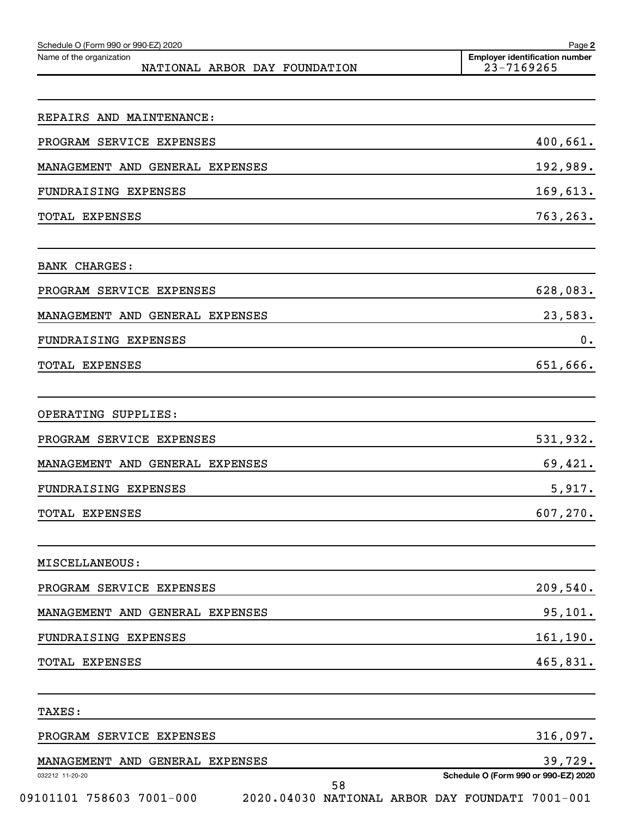| 23-7169265                                                                              |
|-----------------------------------------------------------------------------------------|
|                                                                                         |
|                                                                                         |
| 400,661.                                                                                |
| 192,989.                                                                                |
| 169,613.                                                                                |
| 763,263.                                                                                |
|                                                                                         |
| 628,083.                                                                                |
| 23,583.                                                                                 |
| 0.                                                                                      |
| 651,666.                                                                                |
|                                                                                         |
| 531,932.                                                                                |
| 69,421.                                                                                 |
| 5,917.                                                                                  |
| 607,270.                                                                                |
|                                                                                         |
| 209,540.                                                                                |
| 95,101.                                                                                 |
| 161,190.                                                                                |
| 465,831.                                                                                |
|                                                                                         |
| 316,097.                                                                                |
| 39,729.                                                                                 |
| Schedule O (Form 990 or 990-EZ) 2020<br>2020.04030 NATIONAL ARBOR DAY FOUNDATI 7001-001 |
|                                                                                         |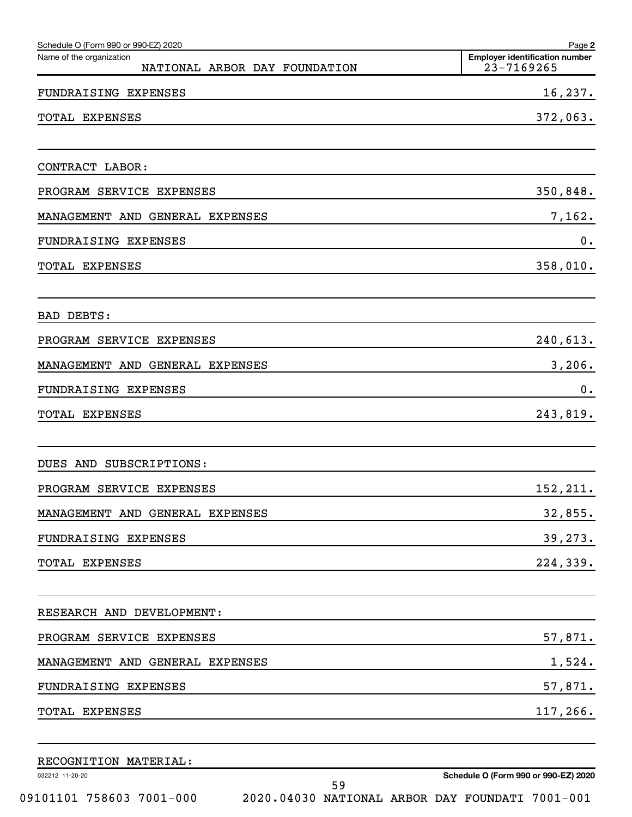| Schedule O (Form 990 or 990-EZ) 2020                      | Page 2                                              |
|-----------------------------------------------------------|-----------------------------------------------------|
| Name of the organization<br>NATIONAL ARBOR DAY FOUNDATION | <b>Employer identification number</b><br>23-7169265 |
| FUNDRAISING EXPENSES                                      | 16,237.                                             |
| <b>EXPENSES</b><br>TOTAL                                  | 372,063.                                            |
| CONTRACT LABOR:                                           |                                                     |
| PROGRAM SERVICE EXPENSES                                  | 350,848.                                            |
| MANAGEMENT AND GENERAL EXPENSES                           | 7,162.                                              |
| FUNDRAISING EXPENSES                                      | 0.                                                  |
| <b>TOTAL EXPENSES</b>                                     | 358,010.                                            |
| BAD DEBTS:                                                |                                                     |
| PROGRAM SERVICE EXPENSES                                  | 240,613.                                            |
| MANAGEMENT AND GENERAL EXPENSES                           | 3,206.                                              |
| FUNDRAISING EXPENSES                                      | 0.                                                  |
| TOTAL EXPENSES                                            | 243,819.                                            |
| SUBSCRIPTIONS:<br>DUES AND                                |                                                     |
| PROGRAM SERVICE EXPENSES                                  | 152,211.                                            |
| MANAGEMENT AND GENERAL EXPENSES                           | 32,855.                                             |
| FUNDRAISING EXPENSES                                      | 39,273.                                             |
| TOTAL EXPENSES                                            | 224,339.                                            |
| RESEARCH AND DEVELOPMENT:                                 |                                                     |
| PROGRAM SERVICE EXPENSES                                  | 57,871.                                             |
| MANAGEMENT AND GENERAL EXPENSES                           | 1,524.                                              |
| FUNDRAISING EXPENSES                                      | 57,871.                                             |
| TOTAL EXPENSES                                            | 117,266.                                            |
| RECOGNITION MATERIAL:                                     |                                                     |

032212 11-20-20

09101101 758603 7001-000 2020.04030 NATIONAL ARBOR DAY FOUNDATI 7001-001

**Schedule O (Form 990 or 990-EZ) 2020**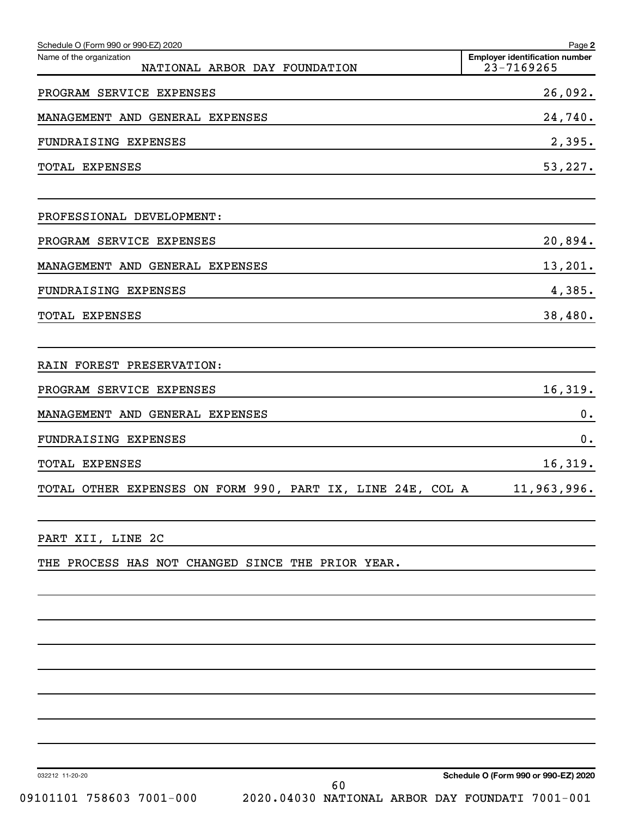| Schedule O (Form 990 or 990-EZ) 2020                       | Page 2                                              |
|------------------------------------------------------------|-----------------------------------------------------|
| Name of the organization<br>NATIONAL ARBOR DAY FOUNDATION  | <b>Employer identification number</b><br>23-7169265 |
| PROGRAM SERVICE EXPENSES                                   | 26,092.                                             |
| MANAGEMENT AND GENERAL EXPENSES                            | 24,740.                                             |
| FUNDRAISING EXPENSES                                       | 2,395.                                              |
| TOTAL EXPENSES                                             | 53,227.                                             |
| PROFESSIONAL DEVELOPMENT:                                  |                                                     |
| PROGRAM SERVICE EXPENSES                                   | 20,894.                                             |
| MANAGEMENT AND GENERAL EXPENSES                            | 13,201.                                             |
| FUNDRAISING EXPENSES                                       | 4,385.                                              |
| TOTAL EXPENSES                                             | 38,480.                                             |
| RAIN FOREST PRESERVATION:                                  |                                                     |
| PROGRAM SERVICE EXPENSES                                   | 16,319.                                             |
| MANAGEMENT AND GENERAL EXPENSES                            | 0.                                                  |
| FUNDRAISING EXPENSES                                       | 0.                                                  |
| TOTAL EXPENSES                                             | 16,319.                                             |
| TOTAL OTHER EXPENSES ON FORM 990, PART IX, LINE 24E, COL A | 11,963,996.                                         |
| PART XII, LINE 2C                                          |                                                     |
| THE PROCESS HAS NOT CHANGED SINCE THE PRIOR YEAR.          |                                                     |
|                                                            |                                                     |
|                                                            |                                                     |

032212 11-20-20

**Schedule O (Form 990 or 990-EZ) 2020**

09101101 758603 7001-000 2020.04030 NATIONAL ARBOR DAY FOUNDATI 7001-001 60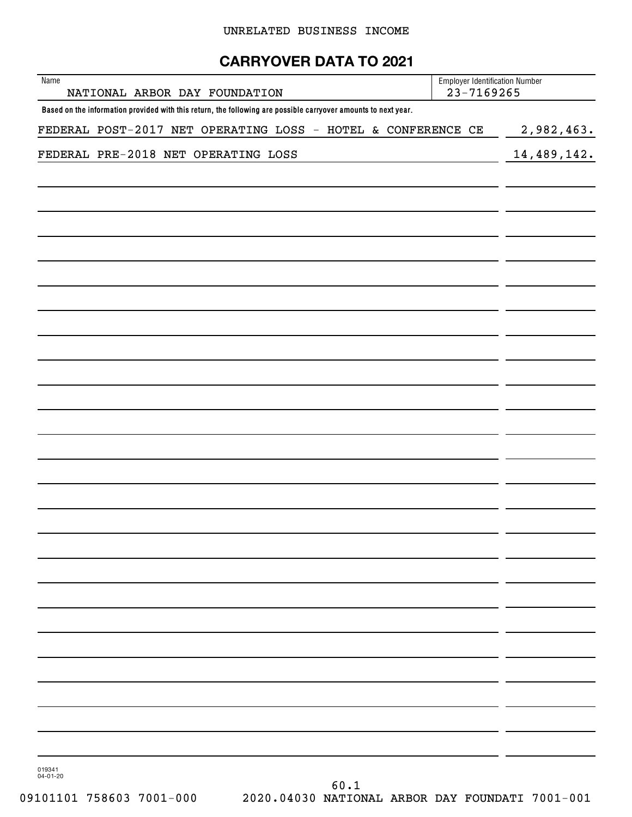#### UNRELATED BUSINESS INCOME

# **CARRYOVER DATA TO 2021**

| Name<br>NATIONAL ARBOR DAY FOUNDATION                                                                          | <b>Employer Identification Number</b><br>23-7169265 |               |
|----------------------------------------------------------------------------------------------------------------|-----------------------------------------------------|---------------|
| Based on the information provided with this return, the following are possible carryover amounts to next year. |                                                     |               |
| FEDERAL POST-2017 NET OPERATING LOSS - HOTEL & CONFERENCE CE                                                   |                                                     | 2,982,463.    |
| FEDERAL PRE-2018 NET OPERATING LOSS                                                                            |                                                     | 14, 489, 142. |
|                                                                                                                |                                                     |               |
|                                                                                                                |                                                     |               |
|                                                                                                                |                                                     |               |
|                                                                                                                |                                                     |               |
|                                                                                                                |                                                     |               |
|                                                                                                                |                                                     |               |
|                                                                                                                |                                                     |               |
|                                                                                                                |                                                     |               |
|                                                                                                                |                                                     |               |
|                                                                                                                |                                                     |               |
|                                                                                                                |                                                     |               |
|                                                                                                                |                                                     |               |
|                                                                                                                |                                                     |               |
|                                                                                                                |                                                     |               |
|                                                                                                                |                                                     |               |
|                                                                                                                |                                                     |               |
|                                                                                                                |                                                     |               |
|                                                                                                                |                                                     |               |
|                                                                                                                |                                                     |               |
|                                                                                                                |                                                     |               |
|                                                                                                                |                                                     |               |
|                                                                                                                |                                                     |               |
|                                                                                                                |                                                     |               |
|                                                                                                                |                                                     |               |
|                                                                                                                |                                                     |               |
|                                                                                                                |                                                     |               |
|                                                                                                                |                                                     |               |
|                                                                                                                |                                                     |               |
|                                                                                                                |                                                     |               |
|                                                                                                                |                                                     |               |
| 019341<br>$04 - 01 - 20$                                                                                       |                                                     |               |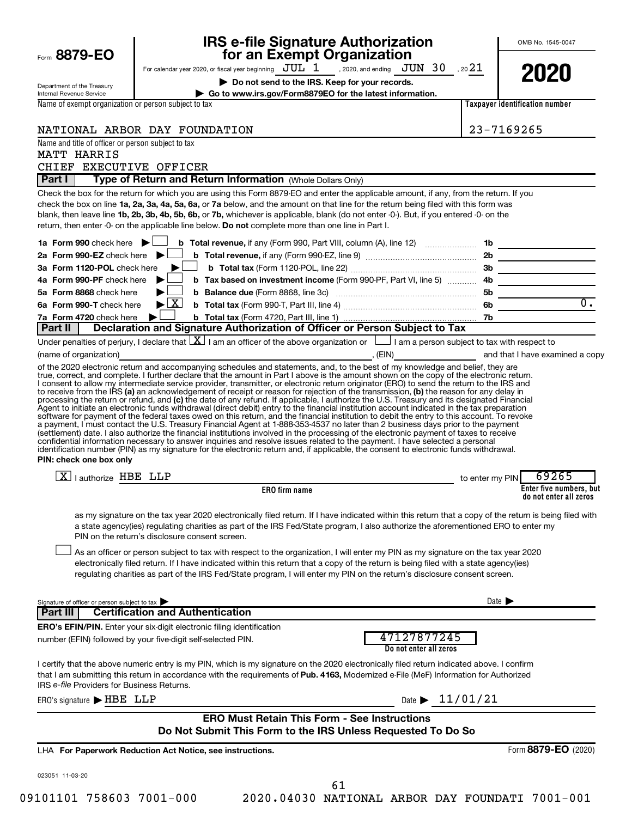|                                                                                                                                                                                                                                                                                           | <b>IRS e-file Signature Authorization<br/>for an Exempt Organization</b>                                                                                                                                                                                                                                                                                                                                                                                                                                                                                                                                                                                                                                                                                                                                                                                                                                                                                                                                                                                                                                                                                                                                                                                                                                                                                                                                                                                                                                                                                                                                                                                                                                                                                                                                                                                                                                                                                                                                                                                                                                                                                                                                                                                                                                                                                                                                                                                                                                    |                 | OMB No. 1545-0047                                 |
|-------------------------------------------------------------------------------------------------------------------------------------------------------------------------------------------------------------------------------------------------------------------------------------------|-------------------------------------------------------------------------------------------------------------------------------------------------------------------------------------------------------------------------------------------------------------------------------------------------------------------------------------------------------------------------------------------------------------------------------------------------------------------------------------------------------------------------------------------------------------------------------------------------------------------------------------------------------------------------------------------------------------------------------------------------------------------------------------------------------------------------------------------------------------------------------------------------------------------------------------------------------------------------------------------------------------------------------------------------------------------------------------------------------------------------------------------------------------------------------------------------------------------------------------------------------------------------------------------------------------------------------------------------------------------------------------------------------------------------------------------------------------------------------------------------------------------------------------------------------------------------------------------------------------------------------------------------------------------------------------------------------------------------------------------------------------------------------------------------------------------------------------------------------------------------------------------------------------------------------------------------------------------------------------------------------------------------------------------------------------------------------------------------------------------------------------------------------------------------------------------------------------------------------------------------------------------------------------------------------------------------------------------------------------------------------------------------------------------------------------------------------------------------------------------------------------|-----------------|---------------------------------------------------|
| Form 8879-EO                                                                                                                                                                                                                                                                              | For calendar year 2020, or fiscal year beginning $JUL$ $1$ , 2020, and ending $JUN$ $30$ , 20 $21$                                                                                                                                                                                                                                                                                                                                                                                                                                                                                                                                                                                                                                                                                                                                                                                                                                                                                                                                                                                                                                                                                                                                                                                                                                                                                                                                                                                                                                                                                                                                                                                                                                                                                                                                                                                                                                                                                                                                                                                                                                                                                                                                                                                                                                                                                                                                                                                                          |                 |                                                   |
|                                                                                                                                                                                                                                                                                           | Do not send to the IRS. Keep for your records.                                                                                                                                                                                                                                                                                                                                                                                                                                                                                                                                                                                                                                                                                                                                                                                                                                                                                                                                                                                                                                                                                                                                                                                                                                                                                                                                                                                                                                                                                                                                                                                                                                                                                                                                                                                                                                                                                                                                                                                                                                                                                                                                                                                                                                                                                                                                                                                                                                                              |                 | 2020                                              |
| Department of the Treasury<br><b>Internal Revenue Service</b>                                                                                                                                                                                                                             | Go to www.irs.gov/Form8879EO for the latest information.                                                                                                                                                                                                                                                                                                                                                                                                                                                                                                                                                                                                                                                                                                                                                                                                                                                                                                                                                                                                                                                                                                                                                                                                                                                                                                                                                                                                                                                                                                                                                                                                                                                                                                                                                                                                                                                                                                                                                                                                                                                                                                                                                                                                                                                                                                                                                                                                                                                    |                 |                                                   |
| Name of exempt organization or person subject to tax                                                                                                                                                                                                                                      |                                                                                                                                                                                                                                                                                                                                                                                                                                                                                                                                                                                                                                                                                                                                                                                                                                                                                                                                                                                                                                                                                                                                                                                                                                                                                                                                                                                                                                                                                                                                                                                                                                                                                                                                                                                                                                                                                                                                                                                                                                                                                                                                                                                                                                                                                                                                                                                                                                                                                                             |                 | <b>Taxpayer identification number</b>             |
|                                                                                                                                                                                                                                                                                           |                                                                                                                                                                                                                                                                                                                                                                                                                                                                                                                                                                                                                                                                                                                                                                                                                                                                                                                                                                                                                                                                                                                                                                                                                                                                                                                                                                                                                                                                                                                                                                                                                                                                                                                                                                                                                                                                                                                                                                                                                                                                                                                                                                                                                                                                                                                                                                                                                                                                                                             |                 |                                                   |
|                                                                                                                                                                                                                                                                                           | NATIONAL ARBOR DAY FOUNDATION                                                                                                                                                                                                                                                                                                                                                                                                                                                                                                                                                                                                                                                                                                                                                                                                                                                                                                                                                                                                                                                                                                                                                                                                                                                                                                                                                                                                                                                                                                                                                                                                                                                                                                                                                                                                                                                                                                                                                                                                                                                                                                                                                                                                                                                                                                                                                                                                                                                                               |                 | 23-7169265                                        |
| Name and title of officer or person subject to tax                                                                                                                                                                                                                                        |                                                                                                                                                                                                                                                                                                                                                                                                                                                                                                                                                                                                                                                                                                                                                                                                                                                                                                                                                                                                                                                                                                                                                                                                                                                                                                                                                                                                                                                                                                                                                                                                                                                                                                                                                                                                                                                                                                                                                                                                                                                                                                                                                                                                                                                                                                                                                                                                                                                                                                             |                 |                                                   |
| MATT HARRIS<br>CHIEF EXECUTIVE OFFICER                                                                                                                                                                                                                                                    |                                                                                                                                                                                                                                                                                                                                                                                                                                                                                                                                                                                                                                                                                                                                                                                                                                                                                                                                                                                                                                                                                                                                                                                                                                                                                                                                                                                                                                                                                                                                                                                                                                                                                                                                                                                                                                                                                                                                                                                                                                                                                                                                                                                                                                                                                                                                                                                                                                                                                                             |                 |                                                   |
| Part I                                                                                                                                                                                                                                                                                    | Type of Return and Return Information (Whole Dollars Only)                                                                                                                                                                                                                                                                                                                                                                                                                                                                                                                                                                                                                                                                                                                                                                                                                                                                                                                                                                                                                                                                                                                                                                                                                                                                                                                                                                                                                                                                                                                                                                                                                                                                                                                                                                                                                                                                                                                                                                                                                                                                                                                                                                                                                                                                                                                                                                                                                                                  |                 |                                                   |
| 1a Form 990 check here $\blacktriangleright$<br>2a Form 990-EZ check here $\blacktriangleright$<br>3a Form 1120-POL check here<br>4a Form 990-PF check here<br>5a Form 8868 check here<br>6a Form 990-T check here<br>7a Form 4720 check here<br><b>Part II</b><br>(name of organization) | Check the box for the return for which you are using this Form 8879-EO and enter the applicable amount, if any, from the return. If you<br>check the box on line 1a, 2a, 3a, 4a, 5a, 6a, or 7a below, and the amount on that line for the return being filed with this form was<br>blank, then leave line 1b, 2b, 3b, 4b, 5b, 6b, or 7b, whichever is applicable, blank (do not enter -0-). But, if you entered -0- on the<br>return, then enter -0- on the applicable line below. Do not complete more than one line in Part I.<br>b Tax based on investment income (Form 990-PF, Part VI, line 5)  4b<br>$\blacktriangleright$ $\lfloor$ X $\rfloor$<br>Declaration and Signature Authorization of Officer or Person Subject to Tax<br>Under penalties of perjury, I declare that $ X $ I am an officer of the above organization or $\Box$ I am a person subject to tax with respect to<br>(EIN) and that I have examined a copy<br>of the 2020 electronic return and accompanying schedules and statements, and, to the best of my knowledge and belief, they are<br>true, correct, and complete. I further declare that the amount in Part I above is the amount shown on the copy of the electronic return.<br>I consent to allow my intermediate service provider, transmitter, or electronic return originator (ERO) to send the return to the IRS and<br>to receive from the IRS (a) an acknowledgement of receipt or reason for rejection of the transmission, (b) the reason for any delay in<br>processing the return or refund, and (c) the date of any refund. If applicable, I authorize the U.S. Treasury and its designated Financial<br>Agent to initiate an electronic funds withdrawal (direct debit) entry to the financial institution account indicated in the tax preparation<br>software for payment of the federal taxes owed on this return, and the financial institution to debit the entry to this account. To revoke<br>a payment, I must contact the U.S. Treasury Financial Agent at 1-888-353-4537 no later than 2 business days prior to the payment<br>(settlement) date. I also authorize the financial institutions involved in the processing of the electronic payment of taxes to receive<br>confidential information necessary to answer inquiries and resolve issues related to the payment. I have selected a personal<br>identification number (PIN) as my signature for the electronic return and, if applicable, the consent to electronic funds withdrawal. | 7b              | $\overline{0}$ .                                  |
| PIN: check one box only                                                                                                                                                                                                                                                                   |                                                                                                                                                                                                                                                                                                                                                                                                                                                                                                                                                                                                                                                                                                                                                                                                                                                                                                                                                                                                                                                                                                                                                                                                                                                                                                                                                                                                                                                                                                                                                                                                                                                                                                                                                                                                                                                                                                                                                                                                                                                                                                                                                                                                                                                                                                                                                                                                                                                                                                             |                 |                                                   |
| $\overline{X}$   authorize HBE LLP                                                                                                                                                                                                                                                        |                                                                                                                                                                                                                                                                                                                                                                                                                                                                                                                                                                                                                                                                                                                                                                                                                                                                                                                                                                                                                                                                                                                                                                                                                                                                                                                                                                                                                                                                                                                                                                                                                                                                                                                                                                                                                                                                                                                                                                                                                                                                                                                                                                                                                                                                                                                                                                                                                                                                                                             | to enter my PIN | 69265                                             |
|                                                                                                                                                                                                                                                                                           | <b>ERO</b> firm name                                                                                                                                                                                                                                                                                                                                                                                                                                                                                                                                                                                                                                                                                                                                                                                                                                                                                                                                                                                                                                                                                                                                                                                                                                                                                                                                                                                                                                                                                                                                                                                                                                                                                                                                                                                                                                                                                                                                                                                                                                                                                                                                                                                                                                                                                                                                                                                                                                                                                        |                 | Enter five numbers, but<br>do not enter all zeros |
|                                                                                                                                                                                                                                                                                           | as my signature on the tax year 2020 electronically filed return. If I have indicated within this return that a copy of the return is being filed with<br>a state agency(ies) regulating charities as part of the IRS Fed/State program, I also authorize the aforementioned ERO to enter my<br>PIN on the return's disclosure consent screen.<br>As an officer or person subject to tax with respect to the organization, I will enter my PIN as my signature on the tax year 2020<br>electronically filed return. If I have indicated within this return that a copy of the return is being filed with a state agency(ies)<br>regulating charities as part of the IRS Fed/State program, I will enter my PIN on the return's disclosure consent screen.                                                                                                                                                                                                                                                                                                                                                                                                                                                                                                                                                                                                                                                                                                                                                                                                                                                                                                                                                                                                                                                                                                                                                                                                                                                                                                                                                                                                                                                                                                                                                                                                                                                                                                                                                   |                 |                                                   |
| Signature of officer or person subject to tax                                                                                                                                                                                                                                             |                                                                                                                                                                                                                                                                                                                                                                                                                                                                                                                                                                                                                                                                                                                                                                                                                                                                                                                                                                                                                                                                                                                                                                                                                                                                                                                                                                                                                                                                                                                                                                                                                                                                                                                                                                                                                                                                                                                                                                                                                                                                                                                                                                                                                                                                                                                                                                                                                                                                                                             |                 | Date $\blacktriangleright$                        |
| Part III                                                                                                                                                                                                                                                                                  | <b>Certification and Authentication</b>                                                                                                                                                                                                                                                                                                                                                                                                                                                                                                                                                                                                                                                                                                                                                                                                                                                                                                                                                                                                                                                                                                                                                                                                                                                                                                                                                                                                                                                                                                                                                                                                                                                                                                                                                                                                                                                                                                                                                                                                                                                                                                                                                                                                                                                                                                                                                                                                                                                                     |                 |                                                   |
|                                                                                                                                                                                                                                                                                           | <b>ERO's EFIN/PIN.</b> Enter your six-digit electronic filing identification                                                                                                                                                                                                                                                                                                                                                                                                                                                                                                                                                                                                                                                                                                                                                                                                                                                                                                                                                                                                                                                                                                                                                                                                                                                                                                                                                                                                                                                                                                                                                                                                                                                                                                                                                                                                                                                                                                                                                                                                                                                                                                                                                                                                                                                                                                                                                                                                                                |                 |                                                   |
|                                                                                                                                                                                                                                                                                           | 47127877245<br>number (EFIN) followed by your five-digit self-selected PIN.<br>Do not enter all zeros                                                                                                                                                                                                                                                                                                                                                                                                                                                                                                                                                                                                                                                                                                                                                                                                                                                                                                                                                                                                                                                                                                                                                                                                                                                                                                                                                                                                                                                                                                                                                                                                                                                                                                                                                                                                                                                                                                                                                                                                                                                                                                                                                                                                                                                                                                                                                                                                       |                 |                                                   |
| IRS e-file Providers for Business Returns.                                                                                                                                                                                                                                                | I certify that the above numeric entry is my PIN, which is my signature on the 2020 electronically filed return indicated above. I confirm<br>that I am submitting this return in accordance with the requirements of Pub. 4163, Modernized e-File (MeF) Information for Authorized                                                                                                                                                                                                                                                                                                                                                                                                                                                                                                                                                                                                                                                                                                                                                                                                                                                                                                                                                                                                                                                                                                                                                                                                                                                                                                                                                                                                                                                                                                                                                                                                                                                                                                                                                                                                                                                                                                                                                                                                                                                                                                                                                                                                                         |                 |                                                   |
| ERO's signature > HBE LLP                                                                                                                                                                                                                                                                 | Date $\blacktriangleright$                                                                                                                                                                                                                                                                                                                                                                                                                                                                                                                                                                                                                                                                                                                                                                                                                                                                                                                                                                                                                                                                                                                                                                                                                                                                                                                                                                                                                                                                                                                                                                                                                                                                                                                                                                                                                                                                                                                                                                                                                                                                                                                                                                                                                                                                                                                                                                                                                                                                                  | 11/01/21        |                                                   |
|                                                                                                                                                                                                                                                                                           | <b>ERO Must Retain This Form - See Instructions</b><br>Do Not Submit This Form to the IRS Unless Requested To Do So                                                                                                                                                                                                                                                                                                                                                                                                                                                                                                                                                                                                                                                                                                                                                                                                                                                                                                                                                                                                                                                                                                                                                                                                                                                                                                                                                                                                                                                                                                                                                                                                                                                                                                                                                                                                                                                                                                                                                                                                                                                                                                                                                                                                                                                                                                                                                                                         |                 |                                                   |
|                                                                                                                                                                                                                                                                                           | LHA For Paperwork Reduction Act Notice, see instructions.                                                                                                                                                                                                                                                                                                                                                                                                                                                                                                                                                                                                                                                                                                                                                                                                                                                                                                                                                                                                                                                                                                                                                                                                                                                                                                                                                                                                                                                                                                                                                                                                                                                                                                                                                                                                                                                                                                                                                                                                                                                                                                                                                                                                                                                                                                                                                                                                                                                   |                 | Form 8879-EO (2020)                               |
|                                                                                                                                                                                                                                                                                           |                                                                                                                                                                                                                                                                                                                                                                                                                                                                                                                                                                                                                                                                                                                                                                                                                                                                                                                                                                                                                                                                                                                                                                                                                                                                                                                                                                                                                                                                                                                                                                                                                                                                                                                                                                                                                                                                                                                                                                                                                                                                                                                                                                                                                                                                                                                                                                                                                                                                                                             |                 |                                                   |
| 023051 11-03-20                                                                                                                                                                                                                                                                           | 61                                                                                                                                                                                                                                                                                                                                                                                                                                                                                                                                                                                                                                                                                                                                                                                                                                                                                                                                                                                                                                                                                                                                                                                                                                                                                                                                                                                                                                                                                                                                                                                                                                                                                                                                                                                                                                                                                                                                                                                                                                                                                                                                                                                                                                                                                                                                                                                                                                                                                                          |                 |                                                   |

09101101 758603 7001-000 2020.04030 NATIONAL ARBOR DAY FOUNDATI 7001-001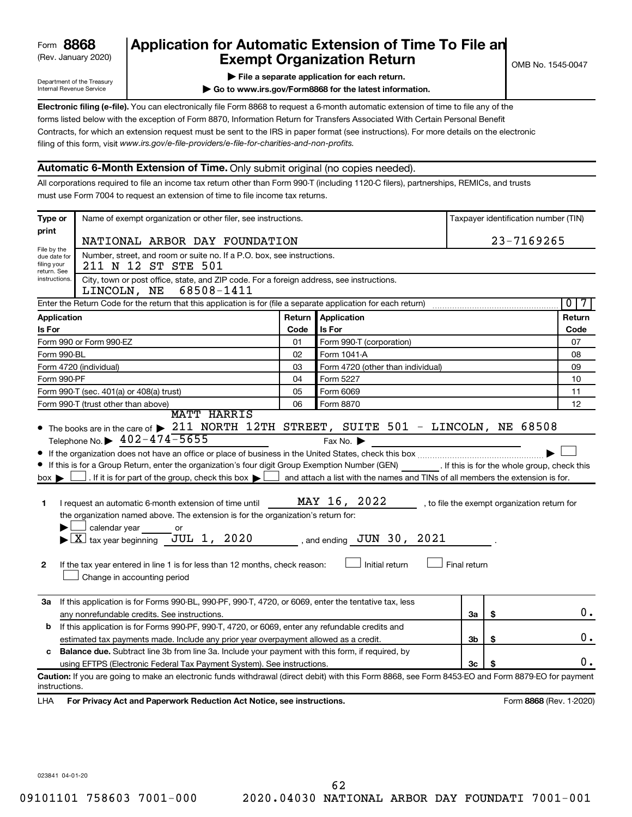# (Rev. January 2020) **Cxempt Organization Return** Manuary 2020) and the settern metal combined the Second Exempt Organization Return **Form 8868 Application for Automatic Extension of Time To File an**<br>**Exempt Organization Return**

Department of the Treasury Internal Revenue Service

|  |  |  |  | File a separate application for each return. |  |
|--|--|--|--|----------------------------------------------|--|
|  |  |  |  |                                              |  |

**| Go to www.irs.gov/Form8868 for the latest information.**

**Electronic filing (e-file).** You can electronically file Form 8868 to request a 6-month automatic extension of time to file any of the filing of this form, visit www.irs.gov/e-file-providers/e-file-for-charities-and-non-profits. forms listed below with the exception of Form 8870, Information Return for Transfers Associated With Certain Personal Benefit Contracts, for which an extension request must be sent to the IRS in paper format (see instructions). For more details on the electronic

### **Automatic 6-Month Extension of Time.** Only submit original (no copies needed).

All corporations required to file an income tax return other than Form 990-T (including 1120-C filers), partnerships, REMICs, and trusts must use Form 7004 to request an extension of time to file income tax returns.

| Type or                                        | Name of exempt organization or other filer, see instructions.                                                                                                                                                                                                                                                                                                                                                                                                                                                                                                                                                                                 |        |                                                                                                                                                                      |              | Taxpayer identification number (TIN)         |
|------------------------------------------------|-----------------------------------------------------------------------------------------------------------------------------------------------------------------------------------------------------------------------------------------------------------------------------------------------------------------------------------------------------------------------------------------------------------------------------------------------------------------------------------------------------------------------------------------------------------------------------------------------------------------------------------------------|--------|----------------------------------------------------------------------------------------------------------------------------------------------------------------------|--------------|----------------------------------------------|
| print                                          | NATIONAL ARBOR DAY FOUNDATION                                                                                                                                                                                                                                                                                                                                                                                                                                                                                                                                                                                                                 |        |                                                                                                                                                                      |              | 23-7169265                                   |
| File by the<br>due date for                    | Number, street, and room or suite no. If a P.O. box, see instructions.                                                                                                                                                                                                                                                                                                                                                                                                                                                                                                                                                                        |        |                                                                                                                                                                      |              |                                              |
| filing your<br>return. See                     | 211 N 12 ST STE 501                                                                                                                                                                                                                                                                                                                                                                                                                                                                                                                                                                                                                           |        |                                                                                                                                                                      |              |                                              |
| instructions.                                  | City, town or post office, state, and ZIP code. For a foreign address, see instructions.<br>68508-1411<br>LINCOLN, NE                                                                                                                                                                                                                                                                                                                                                                                                                                                                                                                         |        |                                                                                                                                                                      |              |                                              |
|                                                | Enter the Return Code for the return that this application is for (file a separate application for each return)                                                                                                                                                                                                                                                                                                                                                                                                                                                                                                                               |        |                                                                                                                                                                      |              | $\overline{0}$<br>7                          |
| Application                                    |                                                                                                                                                                                                                                                                                                                                                                                                                                                                                                                                                                                                                                               | Return | Application                                                                                                                                                          |              | Return                                       |
| Is For                                         |                                                                                                                                                                                                                                                                                                                                                                                                                                                                                                                                                                                                                                               | Code   | Is For                                                                                                                                                               |              | Code                                         |
|                                                | Form 990 or Form 990-EZ                                                                                                                                                                                                                                                                                                                                                                                                                                                                                                                                                                                                                       | 01     | Form 990-T (corporation)                                                                                                                                             |              | 07                                           |
| Form 990-BL                                    |                                                                                                                                                                                                                                                                                                                                                                                                                                                                                                                                                                                                                                               | 02     | Form 1041-A                                                                                                                                                          |              | 08                                           |
|                                                | Form 4720 (individual)                                                                                                                                                                                                                                                                                                                                                                                                                                                                                                                                                                                                                        | 03     | Form 4720 (other than individual)                                                                                                                                    |              | 09                                           |
| Form 990-PF                                    |                                                                                                                                                                                                                                                                                                                                                                                                                                                                                                                                                                                                                                               | 04     | Form 5227                                                                                                                                                            |              | 10                                           |
|                                                | Form 990-T (sec. 401(a) or 408(a) trust)                                                                                                                                                                                                                                                                                                                                                                                                                                                                                                                                                                                                      | 05     | Form 6069                                                                                                                                                            |              | 11                                           |
|                                                | Form 990-T (trust other than above)<br><b>MATT HARRIS</b>                                                                                                                                                                                                                                                                                                                                                                                                                                                                                                                                                                                     | 06     | Form 8870                                                                                                                                                            |              | 12                                           |
| $box \blacktriangleright$<br>1<br>$\mathbf{2}$ | Telephone No. $\triangleright$ 402-474-5655<br>If this is for a Group Return, enter the organization's four digit Group Exemption Number (GEN) [If this is for the whole group, check this<br>$\Box$ . If it is for part of the group, check this box $\blacktriangleright$<br>I request an automatic 6-month extension of time until<br>the organization named above. The extension is for the organization's return for:<br>calendar year<br>or<br>$\blacktriangleright$ $\lfloor$ X $\rfloor$ tax year beginning JUL 1, 2020<br>If the tax year entered in line 1 is for less than 12 months, check reason:<br>Change in accounting period |        | Fax No.<br>$\Box$ and attach a list with the names and TINs of all members the extension is for.<br>MAY 16, 2022<br>, and ending $JUN 30$ , $2021$<br>Initial return | Final return | , to file the exempt organization return for |
| За                                             | If this application is for Forms 990-BL, 990-PF, 990-T, 4720, or 6069, enter the tentative tax, less                                                                                                                                                                                                                                                                                                                                                                                                                                                                                                                                          |        |                                                                                                                                                                      |              | 0.                                           |
|                                                | any nonrefundable credits. See instructions.                                                                                                                                                                                                                                                                                                                                                                                                                                                                                                                                                                                                  |        |                                                                                                                                                                      | За           | \$                                           |
| b                                              | If this application is for Forms 990-PF, 990-T, 4720, or 6069, enter any refundable credits and                                                                                                                                                                                                                                                                                                                                                                                                                                                                                                                                               |        |                                                                                                                                                                      |              | 0.                                           |
| c                                              | estimated tax payments made. Include any prior year overpayment allowed as a credit.<br><b>Balance due.</b> Subtract line 3b from line 3a. Include your payment with this form, if required, by                                                                                                                                                                                                                                                                                                                                                                                                                                               |        |                                                                                                                                                                      | 3b           | \$                                           |
|                                                | using EFTPS (Electronic Federal Tax Payment System). See instructions.                                                                                                                                                                                                                                                                                                                                                                                                                                                                                                                                                                        |        |                                                                                                                                                                      | 3c           | 0.                                           |
| instructions.<br>LHA                           | Caution: If you are going to make an electronic funds withdrawal (direct debit) with this Form 8868, see Form 8453-EO and Form 8879-EO for payment<br>For Privacy Act and Paperwork Reduction Act Notice, see instructions.                                                                                                                                                                                                                                                                                                                                                                                                                   |        |                                                                                                                                                                      |              | Form 8868 (Rev. 1-2020)                      |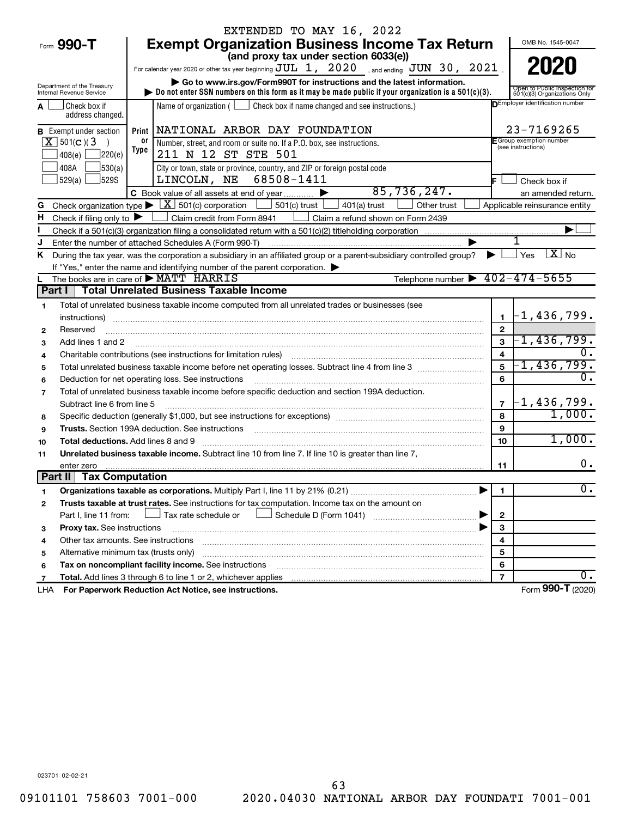|                                                        |            | EXTENDED TO MAY 16, 2022                                                                                                                                                                                                       |                         |                                                               |
|--------------------------------------------------------|------------|--------------------------------------------------------------------------------------------------------------------------------------------------------------------------------------------------------------------------------|-------------------------|---------------------------------------------------------------|
| Form 990-T                                             |            | <b>Exempt Organization Business Income Tax Return</b>                                                                                                                                                                          |                         | OMB No. 1545-0047                                             |
|                                                        |            | (and proxy tax under section 6033(e))                                                                                                                                                                                          |                         |                                                               |
|                                                        |            | For calendar year 2020 or other tax year beginning $JUL$ 1, $2020$ , and ending $JUN$ 30, $2021$                                                                                                                               |                         | 2020                                                          |
|                                                        |            | Go to www.irs.gov/Form990T for instructions and the latest information.                                                                                                                                                        |                         |                                                               |
| Department of the Treasury<br>Internal Revenue Service |            | Do not enter SSN numbers on this form as it may be made public if your organization is a $501(c)(3)$ .                                                                                                                         |                         | Open to Public Inspection for<br>501(c)(3) Organizations Only |
| Check box if<br>address changed.                       |            | Name of organization ( $\Box$ Check box if name changed and see instructions.)                                                                                                                                                 |                         | <b>DEmployer identification number</b>                        |
| <b>B</b> Exempt under section                          | Print      | NATIONAL ARBOR DAY FOUNDATION                                                                                                                                                                                                  |                         | 23-7169265                                                    |
| $\overline{X}$ 501(c)(3)<br>220(e)<br>408(e)           | 0ľ<br>Type | Number, street, and room or suite no. If a P.O. box, see instructions.<br>211 N 12 ST STE 501                                                                                                                                  |                         | F Group exemption number<br>(see instructions)                |
| 530(a)<br>408A<br>529(a)<br>J529S                      |            | City or town, state or province, country, and ZIP or foreign postal code<br>LINCOLN, NE 68508-1411                                                                                                                             |                         | Check box if                                                  |
|                                                        |            | 85,736,247.<br>C Book value of all assets at end of year                                                                                                                                                                       |                         | an amended return.                                            |
| G                                                      |            | Check organization type $\blacktriangleright \boxed{\text{X}}$ 501(c) corporation<br>$501(c)$ trust  <br>$401(a)$ trust<br>Other trust                                                                                         |                         | Applicable reinsurance entity                                 |
| н<br>Check if filing only to $\blacktriangleright$     |            | Claim credit from Form 8941<br>Claim a refund shown on Form 2439                                                                                                                                                               |                         |                                                               |
|                                                        |            |                                                                                                                                                                                                                                |                         |                                                               |
| J                                                      |            | Enter the number of attached Schedules A (Form 990-T)                                                                                                                                                                          |                         |                                                               |
| Κ                                                      |            | During the tax year, was the corporation a subsidiary in an affiliated group or a parent-subsidiary controlled group?                                                                                                          |                         | $X_{\text{No}}$<br>Yes                                        |
|                                                        |            | If "Yes," enter the name and identifying number of the parent corporation.                                                                                                                                                     |                         |                                                               |
|                                                        |            | Telephone number $\triangleright$ 402-474-5655<br>The books are in care of MATT HARRIS                                                                                                                                         |                         |                                                               |
| Part I                                                 |            | <b>Total Unrelated Business Taxable Income</b>                                                                                                                                                                                 |                         |                                                               |
| 1.                                                     |            | Total of unrelated business taxable income computed from all unrelated trades or businesses (see                                                                                                                               |                         |                                                               |
| instructions)                                          |            |                                                                                                                                                                                                                                | $\mathbf{1}$            | $-1,436,799$ .                                                |
| Reserved<br>$\mathbf{2}$                               |            |                                                                                                                                                                                                                                | $\mathbf{2}$            |                                                               |
| Add lines 1 and 2<br>3                                 |            |                                                                                                                                                                                                                                | 3                       | $-1$ ,436,799.                                                |
| 4                                                      |            | Charitable contributions (see instructions for limitation rules) [11] manufacture contributions (see instructions for limitation rules) [11] manufacture contributions (see instructions for limitation rules) [11] manufactur | $\overline{\mathbf{4}}$ | 0.                                                            |
| 5                                                      |            | Total unrelated business taxable income before net operating losses. Subtract line 4 from line 3 manusum                                                                                                                       | 5                       | $-1,436,799$ .                                                |
| 6                                                      |            | Deduction for net operating loss. See instructions                                                                                                                                                                             | 6                       | 0.                                                            |
| 7                                                      |            | Total of unrelated business taxable income before specific deduction and section 199A deduction.                                                                                                                               |                         |                                                               |
| Subtract line 6 from line 5                            |            |                                                                                                                                                                                                                                | $\overline{7}$          | $-1$ ,436,799.                                                |
| 8                                                      |            |                                                                                                                                                                                                                                | 8                       | 1,000.                                                        |
| 9                                                      |            | Trusts. Section 199A deduction. See instructions [11] material material material material material material material material material material material material material material material material material material materi | 9                       |                                                               |
| <b>Total deductions.</b> Add lines 8 and 9<br>10       |            |                                                                                                                                                                                                                                | 10                      | 1,000.                                                        |
| 11                                                     |            | Unrelated business taxable income. Subtract line 10 from line 7. If line 10 is greater than line 7,                                                                                                                            |                         |                                                               |
| enter zero                                             |            |                                                                                                                                                                                                                                | 11                      | 0.                                                            |
| <b>Tax Computation</b><br>Part II                      |            |                                                                                                                                                                                                                                |                         |                                                               |
| 1                                                      |            |                                                                                                                                                                                                                                | 1                       | σ.                                                            |
| $\mathbf{2}$                                           |            | Trusts taxable at trust rates. See instructions for tax computation. Income tax on the amount on                                                                                                                               |                         |                                                               |
| Part I, line 11 from:                                  |            | Tax rate schedule or                                                                                                                                                                                                           | $\mathbf{2}$            |                                                               |
| Proxy tax. See instructions<br>з                       |            |                                                                                                                                                                                                                                | 3                       |                                                               |
| Other tax amounts. See instructions<br>4               |            |                                                                                                                                                                                                                                | 4                       |                                                               |
| Alternative minimum tax (trusts only)<br>5             |            |                                                                                                                                                                                                                                | 5                       |                                                               |
| 6                                                      |            | Tax on noncompliant facility income. See instructions                                                                                                                                                                          | 6                       |                                                               |
| 7                                                      |            |                                                                                                                                                                                                                                | $\overline{7}$          | О.                                                            |
| LHA                                                    |            | For Paperwork Reduction Act Notice, see instructions.                                                                                                                                                                          |                         | Form 990-T (2020)                                             |

023701 02-02-21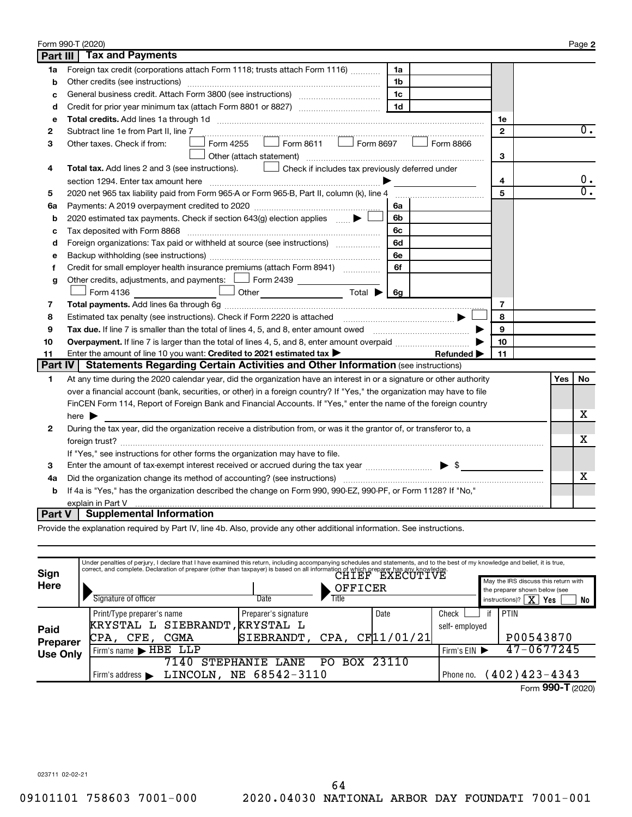|                 | Form 990-T (2020)                                                                                                       |                |     | Page 2           |
|-----------------|-------------------------------------------------------------------------------------------------------------------------|----------------|-----|------------------|
| <b>Part III</b> | <b>Tax and Payments</b>                                                                                                 |                |     |                  |
| 1a              | Foreign tax credit (corporations attach Form 1118; trusts attach Form 1116)<br>1a                                       |                |     |                  |
| b               | Other credits (see instructions)<br>1b                                                                                  |                |     |                  |
| c               | 1c                                                                                                                      |                |     |                  |
| d               | 1 <sub>d</sub>                                                                                                          |                |     |                  |
| e               |                                                                                                                         | 1e             |     |                  |
| 2               | Subtract line 1e from Part II, line 7                                                                                   | $\mathbf{2}$   |     | $0$ .            |
| з               | $\vert$ Form 8611 $\vert$ Form 8697<br>Form 4255<br>Form 8866<br>Other taxes. Check if from:                            |                |     |                  |
|                 | Other (attach statement)                                                                                                | 3              |     |                  |
| 4               | Check if includes tax previously deferred under<br>Total tax. Add lines 2 and 3 (see instructions).                     |                |     |                  |
|                 |                                                                                                                         | 4              |     | $0 \cdot$        |
| 5               | 2020 net 965 tax liability paid from Form 965-A or Form 965-B, Part II, column (k), line 4                              | 5              |     | $\overline{0}$ . |
| 6a              | 6a                                                                                                                      |                |     |                  |
| b               | 2020 estimated tax payments. Check if section 643(g) election applies<br>6b                                             |                |     |                  |
| c               | 6с                                                                                                                      |                |     |                  |
| d               | Foreign organizations: Tax paid or withheld at source (see instructions) [<br>6d                                        |                |     |                  |
| е               | 6e                                                                                                                      |                |     |                  |
| f               | 6f<br>Credit for small employer health insurance premiums (attach Form 8941)                                            |                |     |                  |
| g               | Other credits, adjustments, and payments: $\Box$ Form 2439 $\Box$                                                       |                |     |                  |
|                 | $\cup$ Other $\qquad \qquad$ Total $\blacktriangleright$ 6g<br>Form 4136                                                |                |     |                  |
| 7               |                                                                                                                         | $\overline{7}$ |     |                  |
| 8               |                                                                                                                         | 8              |     |                  |
| 9               |                                                                                                                         | 9              |     |                  |
| 10              | Overpayment. If line 7 is larger than the total of lines 4, 5, and 8, enter amount overpaid <i>manument</i> of lines    | 10             |     |                  |
| 11              | Enter the amount of line 10 you want: Credited to 2021 estimated tax ><br>Refunded $\blacktriangleright$                | 11             |     |                  |
| <b>Part IV</b>  | <b>Statements Regarding Certain Activities and Other Information (see instructions)</b>                                 |                |     |                  |
| 1               | At any time during the 2020 calendar year, did the organization have an interest in or a signature or other authority   |                | Yes | No               |
|                 | over a financial account (bank, securities, or other) in a foreign country? If "Yes," the organization may have to file |                |     |                  |
|                 | FinCEN Form 114, Report of Foreign Bank and Financial Accounts. If "Yes," enter the name of the foreign country         |                |     |                  |
|                 | here $\blacktriangleright$                                                                                              |                |     | х                |
| 2               | During the tax year, did the organization receive a distribution from, or was it the grantor of, or transferor to, a    |                |     |                  |
|                 |                                                                                                                         |                |     | x                |
|                 | If "Yes," see instructions for other forms the organization may have to file.                                           |                |     |                  |
| 3               | Enter the amount of tax-exempt interest received or accrued during the tax year manufacturer $\blacktriangleright$ \$   |                |     |                  |
| 4a              |                                                                                                                         |                |     | х                |
| b               | If 4a is "Yes," has the organization described the change on Form 990, 990-EZ, 990-PF, or Form 1128? If "No,"           |                |     |                  |
|                 | explain in Part V                                                                                                       |                |     |                  |
| Part V          | <b>Supplemental Information</b>                                                                                         |                |     |                  |

Provide the explanation required by Part IV, line 4b. Also, provide any other additional information. See instructions.

| Sign            | Under penalties of perjury, I declare that I have examined this return, including accompanying schedules and statements, and to the best of my knowledge and belief, it is true,<br>correct, and complete. Declaration of preparer (other than taxpayer) is based on all information of which preparer has any knowledge. |                      |                  |            |               |                                                                       |
|-----------------|---------------------------------------------------------------------------------------------------------------------------------------------------------------------------------------------------------------------------------------------------------------------------------------------------------------------------|----------------------|------------------|------------|---------------|-----------------------------------------------------------------------|
| Here            |                                                                                                                                                                                                                                                                                                                           |                      | OFFICER          |            |               | May the IRS discuss this return with<br>the preparer shown below (see |
|                 | Signature of officer                                                                                                                                                                                                                                                                                                      | Date                 | Title            |            |               | instructions)? $\boxed{\mathbf{X}}$<br>Yes<br>No                      |
|                 | Print/Type preparer's name                                                                                                                                                                                                                                                                                                | Preparer's signature |                  | Date       | Check         | PTIN                                                                  |
| Paid            | SIEBRANDT<br>KRYSTAL L                                                                                                                                                                                                                                                                                                    | ,KRYSTAL L           |                  |            | self-employed |                                                                       |
| <b>Preparer</b> | CPA,<br>CGMA<br>CFE.                                                                                                                                                                                                                                                                                                      | SIEBRANDT,           | CPA,             | CF11/01/21 |               | P00543870                                                             |
| <b>Use Only</b> | Firm's name $\blacktriangleright$ HBE $\overline{\phantom{AB}}$                                                                                                                                                                                                                                                           |                      |                  |            | Firm's $EIN$  | 47-0677245                                                            |
|                 | 7140<br><b>STEPHANIE</b>                                                                                                                                                                                                                                                                                                  | <b>LANE</b>          | <b>BOX</b><br>PΩ | 23110      |               |                                                                       |
|                 | LINCOLN.<br>Firm's address $\blacktriangleright$                                                                                                                                                                                                                                                                          | NE 68542-3110        |                  |            | Phone no.     | $402)$ 423-4343                                                       |
|                 |                                                                                                                                                                                                                                                                                                                           |                      |                  |            |               | Form 990-T (2020)                                                     |

023711 02-02-21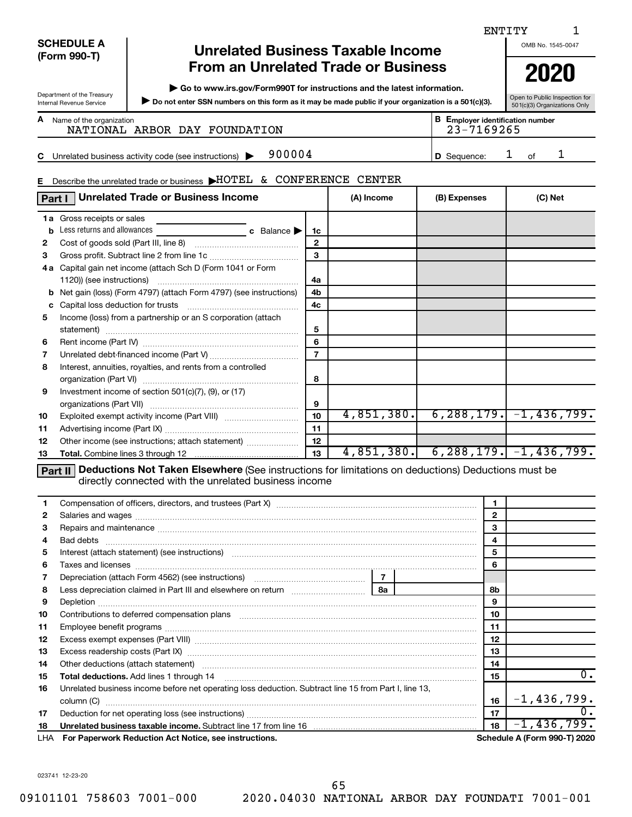|          |                                                        |                                                                                                                                                                                                                                |                      |                |                                            | ENTITY         |                                         |    |
|----------|--------------------------------------------------------|--------------------------------------------------------------------------------------------------------------------------------------------------------------------------------------------------------------------------------|----------------------|----------------|--------------------------------------------|----------------|-----------------------------------------|----|
|          | <b>SCHEDULE A</b>                                      | <b>Unrelated Business Taxable Income</b>                                                                                                                                                                                       |                      |                |                                            |                | OMB No. 1545-0047                       |    |
|          | (Form 990-T)                                           |                                                                                                                                                                                                                                |                      |                |                                            |                |                                         |    |
|          |                                                        | <b>From an Unrelated Trade or Business</b>                                                                                                                                                                                     |                      |                |                                            |                | 2020                                    |    |
|          |                                                        | Go to www.irs.gov/Form990T for instructions and the latest information.                                                                                                                                                        |                      |                |                                            |                |                                         |    |
|          | Department of the Treasury<br>Internal Revenue Service | Do not enter SSN numbers on this form as it may be made public if your organization is a 501(c)(3).                                                                                                                            |                      |                |                                            |                | Open to Public Inspection for           |    |
|          |                                                        |                                                                                                                                                                                                                                |                      |                |                                            |                | 501(c)(3) Organizations Only            |    |
|          | A Name of the organization                             | NATIONAL ARBOR DAY FOUNDATION                                                                                                                                                                                                  |                      |                | 23-7169265                                 |                | <b>B</b> Employer identification number |    |
|          |                                                        |                                                                                                                                                                                                                                |                      |                |                                            |                |                                         |    |
| C        |                                                        | 900004<br>Unrelated business activity code (see instructions)                                                                                                                                                                  |                      |                | D Sequence:                                |                | 1<br>of                                 | 1  |
|          |                                                        |                                                                                                                                                                                                                                |                      |                |                                            |                |                                         |    |
|          |                                                        | E Describe the unrelated trade or business >HOTEL & CONFERENCE CENTER                                                                                                                                                          |                      |                |                                            |                |                                         |    |
|          |                                                        | <b>Unrelated Trade or Business Income</b>                                                                                                                                                                                      |                      |                |                                            |                |                                         |    |
|          | Part I                                                 |                                                                                                                                                                                                                                |                      | (A) Income     | (B) Expenses                               |                | (C) Net                                 |    |
|          | <b>1a</b> Gross receipts or sales                      |                                                                                                                                                                                                                                |                      |                |                                            |                |                                         |    |
| b        | Less returns and allowances                            | c Balance                                                                                                                                                                                                                      | 1c                   |                |                                            |                |                                         |    |
| 2        |                                                        |                                                                                                                                                                                                                                | $\mathbf{2}$         |                |                                            |                |                                         |    |
| 3        |                                                        |                                                                                                                                                                                                                                | 3                    |                |                                            |                |                                         |    |
|          |                                                        | 4a Capital gain net income (attach Sch D (Form 1041 or Form                                                                                                                                                                    |                      |                |                                            |                |                                         |    |
|          |                                                        |                                                                                                                                                                                                                                | 4a                   |                |                                            |                |                                         |    |
|          |                                                        | <b>b</b> Net gain (loss) (Form 4797) (attach Form 4797) (see instructions)                                                                                                                                                     | 4b<br>4 <sub>c</sub> |                |                                            |                |                                         |    |
| 5        |                                                        | Income (loss) from a partnership or an S corporation (attach                                                                                                                                                                   |                      |                |                                            |                |                                         |    |
|          |                                                        |                                                                                                                                                                                                                                | 5                    |                |                                            |                |                                         |    |
| 6        |                                                        |                                                                                                                                                                                                                                | 6                    |                |                                            |                |                                         |    |
| 7        |                                                        |                                                                                                                                                                                                                                | $\overline{7}$       |                |                                            |                |                                         |    |
| 8        |                                                        | Interest, annuities, royalties, and rents from a controlled                                                                                                                                                                    |                      |                |                                            |                |                                         |    |
|          |                                                        |                                                                                                                                                                                                                                | 8                    |                |                                            |                |                                         |    |
| 9        |                                                        | Investment income of section 501(c)(7), (9), or (17)                                                                                                                                                                           |                      |                |                                            |                |                                         |    |
|          |                                                        |                                                                                                                                                                                                                                | 9                    |                |                                            |                |                                         |    |
| 10       |                                                        |                                                                                                                                                                                                                                | 10                   |                | $4,851,380.$ 6,288,179. $-1,436,799.$      |                |                                         |    |
| 11       |                                                        |                                                                                                                                                                                                                                | 11                   |                |                                            |                |                                         |    |
| 12       |                                                        | Other income (see instructions; attach statement)                                                                                                                                                                              | 12                   |                |                                            |                |                                         |    |
| 13       |                                                        |                                                                                                                                                                                                                                | 13                   |                | $4,851,380.$ 6, 288, 179. $-1$ , 436, 799. |                |                                         |    |
|          | Part II                                                | Deductions Not Taken Elsewhere (See instructions for limitations on deductions) Deductions must be                                                                                                                             |                      |                |                                            |                |                                         |    |
|          |                                                        | directly connected with the unrelated business income                                                                                                                                                                          |                      |                |                                            |                |                                         |    |
| 1        |                                                        | Compensation of officers, directors, and trustees (Part X) [11] manufactured and trustees (Part X) [11] manufactured and trustees (Part X) [11] manufactured and trustees (Part X) and trustees (Part X) and trustees (Part X) |                      |                |                                            | 1              |                                         |    |
| 2        |                                                        |                                                                                                                                                                                                                                |                      |                |                                            | $\mathbf{2}$   |                                         |    |
| 3        |                                                        | Repairs and maintenance material continuum contracts and maintenance material contracts and maintenance material contracts and maintenance material contracts and maintenance material contracts and material contracts and ma |                      |                |                                            | 3              |                                         |    |
| 4        |                                                        |                                                                                                                                                                                                                                |                      |                |                                            | $\overline{4}$ |                                         |    |
| 5        |                                                        | Interest (attach statement) (see instructions) material content at the content of the content of the content of the content of the content of the content of the content of the content of the content of the content of the c |                      |                |                                            | 5              |                                         |    |
| 6        |                                                        |                                                                                                                                                                                                                                |                      |                |                                            | 6              |                                         |    |
| 7        |                                                        | Depreciation (attach Form 4562) (see instructions) maturities and contain an extending proportional proportion                                                                                                                 |                      | 7 <sup>1</sup> |                                            |                |                                         |    |
| 8        |                                                        | Less depreciation claimed in Part III and elsewhere on return [11] [11] Less depreciation claimed in Part III and elsewhere on return                                                                                          |                      | 8a             |                                            | 8b             |                                         |    |
| 9        |                                                        |                                                                                                                                                                                                                                |                      |                |                                            | 9              |                                         |    |
| 10       |                                                        | Contributions to deferred compensation plans [11] matter contract to the contributions to deferred compensation plans [11] matter contract to the contract of the contract of the contract of the contract of the contract of  |                      |                |                                            | 10             |                                         |    |
| 11       |                                                        |                                                                                                                                                                                                                                |                      |                |                                            | 11             |                                         |    |
| 12       |                                                        |                                                                                                                                                                                                                                |                      |                |                                            | 12             |                                         |    |
| 13<br>14 |                                                        | Excess readership costs (Part IX) [11] [2000] [2000] [3000] [3000] [3000] [3000] [3000] [3000] [3000] [3000] [                                                                                                                 |                      |                |                                            | 13<br>14       |                                         |    |
| 15       |                                                        | Other deductions (attach statement) manufactured and according of the deductions (attach statement)                                                                                                                            |                      |                |                                            | 15             |                                         | 0. |
| 16       |                                                        | Unrelated business income before net operating loss deduction. Subtract line 15 from Part I, line 13,                                                                                                                          |                      |                |                                            |                |                                         |    |
|          |                                                        |                                                                                                                                                                                                                                |                      |                |                                            | 16             | $-1,436,799.$                           |    |
| 17       |                                                        |                                                                                                                                                                                                                                |                      |                |                                            | 17             |                                         | 0. |
| 18       |                                                        | Unrelated business taxable income. Subtract line 17 from line 16 [19] [19] www.communicallyness.com                                                                                                                            |                      |                |                                            | 18             | $-1,436,799.$                           |    |
| LHA      |                                                        | For Paperwork Reduction Act Notice, see instructions.                                                                                                                                                                          |                      |                |                                            |                | Schedule A (Form 990-T) 2020            |    |
|          |                                                        |                                                                                                                                                                                                                                |                      |                |                                            |                |                                         |    |

023741 12-23-20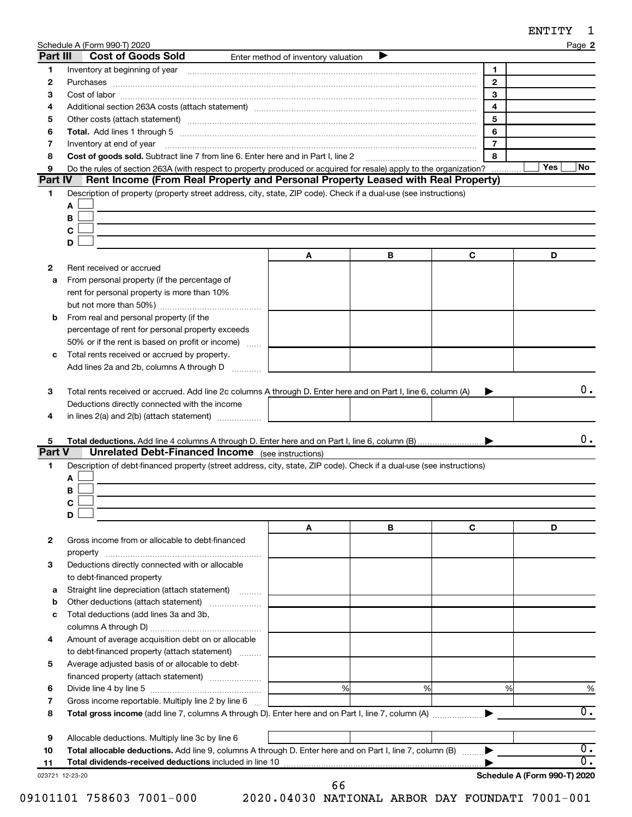| ENTITY |  |
|--------|--|
|--------|--|

|                         | Schedule A (Form 990-T) 2020                                                                                                                                                                                                   |                                     |   |                | ENTITY<br>Page 2             |
|-------------------------|--------------------------------------------------------------------------------------------------------------------------------------------------------------------------------------------------------------------------------|-------------------------------------|---|----------------|------------------------------|
| Part III                | <b>Cost of Goods Sold</b>                                                                                                                                                                                                      | Enter method of inventory valuation | ▶ |                |                              |
| 1                       | Inventory at beginning of year encouragement and the control of year entropy at beginning of year entropy and the control of the control of the control of the control of the control of the control of the control of the con |                                     |   | 1              |                              |
| 2                       |                                                                                                                                                                                                                                |                                     |   | $\overline{2}$ |                              |
| 3                       | $Cost of labor  \label{thm:main}$                                                                                                                                                                                              |                                     |   | 3              |                              |
| 4                       | Additional section 263A costs (attach statement) material content and according to the Additional section 263A                                                                                                                 |                                     |   | 4              |                              |
| 5                       | Other costs (attach statement) manufactured and contract and contract and contract and contract and contract and contract and contract and contract and contract and contract and contract and contract and contract and contr |                                     |   | 5              |                              |
| 6                       |                                                                                                                                                                                                                                |                                     |   | 6              |                              |
| 7                       | Inventory at end of year                                                                                                                                                                                                       |                                     |   | $\overline{7}$ |                              |
| 8                       | Cost of goods sold. Subtract line 7 from line 6. Enter here and in Part I, line 2                                                                                                                                              |                                     |   | 8              |                              |
| 9                       | Do the rules of section 263A (with respect to property produced or acquired for resale) apply to the organization?                                                                                                             |                                     |   |                | Yes<br>No.                   |
| <b>Part IV</b>          | Rent Income (From Real Property and Personal Property Leased with Real Property)                                                                                                                                               |                                     |   |                |                              |
| 1                       | Description of property (property street address, city, state, ZIP code). Check if a dual-use (see instructions)                                                                                                               |                                     |   |                |                              |
|                         | Α                                                                                                                                                                                                                              |                                     |   |                |                              |
|                         | В                                                                                                                                                                                                                              |                                     |   |                |                              |
|                         | C                                                                                                                                                                                                                              |                                     |   |                |                              |
|                         | D                                                                                                                                                                                                                              |                                     |   |                |                              |
|                         |                                                                                                                                                                                                                                | Α                                   | В | C              | D                            |
| $\mathbf{2}$            | Rent received or accrued                                                                                                                                                                                                       |                                     |   |                |                              |
| а                       | From personal property (if the percentage of                                                                                                                                                                                   |                                     |   |                |                              |
|                         | rent for personal property is more than 10%                                                                                                                                                                                    |                                     |   |                |                              |
|                         |                                                                                                                                                                                                                                |                                     |   |                |                              |
| b                       | From real and personal property (if the                                                                                                                                                                                        |                                     |   |                |                              |
|                         | percentage of rent for personal property exceeds                                                                                                                                                                               |                                     |   |                |                              |
|                         | 50% or if the rent is based on profit or income)                                                                                                                                                                               |                                     |   |                |                              |
| с                       | Total rents received or accrued by property.<br>Add lines 2a and 2b, columns A through D                                                                                                                                       |                                     |   |                |                              |
| 5<br><b>Part V</b><br>1 | <b>Unrelated Debt-Financed Income</b> (see instructions)<br>Description of debt-financed property (street address, city, state, ZIP code). Check if a dual-use (see instructions)<br>A<br>В                                    |                                     |   |                | 0.                           |
|                         | С                                                                                                                                                                                                                              |                                     |   |                |                              |
|                         | D                                                                                                                                                                                                                              |                                     |   |                |                              |
|                         |                                                                                                                                                                                                                                | Α                                   | В | C              | D                            |
| 2                       | Gross income from or allocable to debt-financed<br>property                                                                                                                                                                    |                                     |   |                |                              |
| З                       | Deductions directly connected with or allocable                                                                                                                                                                                |                                     |   |                |                              |
|                         | to debt-financed property                                                                                                                                                                                                      |                                     |   |                |                              |
| а                       | Straight line depreciation (attach statement)                                                                                                                                                                                  |                                     |   |                |                              |
| b                       | Other deductions (attach statement)                                                                                                                                                                                            |                                     |   |                |                              |
| с                       | Total deductions (add lines 3a and 3b,                                                                                                                                                                                         |                                     |   |                |                              |
|                         |                                                                                                                                                                                                                                |                                     |   |                |                              |
| 4                       | Amount of average acquisition debt on or allocable                                                                                                                                                                             |                                     |   |                |                              |
|                         | to debt-financed property (attach statement)                                                                                                                                                                                   |                                     |   |                |                              |
| 5                       | Average adjusted basis of or allocable to debt-                                                                                                                                                                                |                                     |   |                |                              |
|                         | financed property (attach statement)                                                                                                                                                                                           |                                     |   |                |                              |
| 6                       |                                                                                                                                                                                                                                | $\frac{9}{6}$                       | % | %              | $\%$                         |
| 7                       | Gross income reportable. Multiply line 2 by line 6                                                                                                                                                                             |                                     |   |                |                              |
| 8                       |                                                                                                                                                                                                                                |                                     |   |                | $\overline{\mathfrak{0}}$ .  |
| 9                       | Allocable deductions. Multiply line 3c by line 6                                                                                                                                                                               |                                     |   |                |                              |
| 10                      | Total allocable deductions. Add line 9, columns A through D. Enter here and on Part I, line 7, column (B)                                                                                                                      |                                     |   |                | $\overline{0}$ .             |
| 11                      |                                                                                                                                                                                                                                |                                     |   |                | $\overline{0}$ .             |
|                         | 023721 12-23-20                                                                                                                                                                                                                |                                     |   |                | Schedule A (Form 990-T) 2020 |

66

09101101 758603 7001-000 2020.04030 NATIONAL ARBOR DAY FOUNDATI 7001-001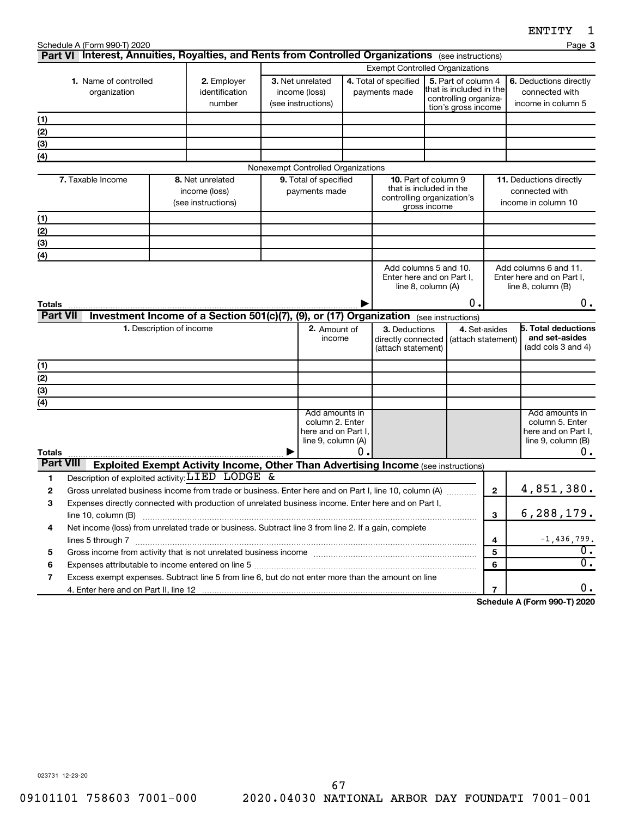|                  | Schedule A (Form 990-T) 2020<br>Part VI Interest, Annuities, Royalties, and Rents from Controlled Organizations (see instructions) |                          |                                                                                           |                                                              |    |                                                           |                                                                                                      |               | Page 3                                                                         |
|------------------|------------------------------------------------------------------------------------------------------------------------------------|--------------------------|-------------------------------------------------------------------------------------------|--------------------------------------------------------------|----|-----------------------------------------------------------|------------------------------------------------------------------------------------------------------|---------------|--------------------------------------------------------------------------------|
|                  |                                                                                                                                    |                          |                                                                                           |                                                              |    |                                                           | <b>Exempt Controlled Organizations</b>                                                               |               |                                                                                |
|                  | 1. Name of controlled                                                                                                              |                          | 2. Employer                                                                               | 3. Net unrelated                                             |    | 4. Total of specified                                     | 5. Part of column 4                                                                                  |               | 6. Deductions directly                                                         |
|                  | organization                                                                                                                       |                          | identification<br>number                                                                  | income (loss)<br>(see instructions)                          |    | payments made                                             | that is included in the<br>controlling organiza-<br>tion's gross income                              |               | connected with<br>income in column 5                                           |
| (1)              |                                                                                                                                    |                          |                                                                                           |                                                              |    |                                                           |                                                                                                      |               |                                                                                |
| (2)              |                                                                                                                                    |                          |                                                                                           |                                                              |    |                                                           |                                                                                                      |               |                                                                                |
| (3)              |                                                                                                                                    |                          |                                                                                           |                                                              |    |                                                           |                                                                                                      |               |                                                                                |
| (4)              |                                                                                                                                    |                          |                                                                                           |                                                              |    |                                                           |                                                                                                      |               |                                                                                |
|                  |                                                                                                                                    |                          |                                                                                           | Nonexempt Controlled Organizations                           |    |                                                           |                                                                                                      |               |                                                                                |
|                  | 7. Taxable Income                                                                                                                  |                          | 8. Net unrelated<br>income (loss)<br>(see instructions)                                   | 9. Total of specified<br>payments made                       |    |                                                           | <b>10.</b> Part of column 9<br>that is included in the<br>controlling organization's<br>gross income |               | 11. Deductions directly<br>connected with<br>income in column 10               |
| (1)              |                                                                                                                                    |                          |                                                                                           |                                                              |    |                                                           |                                                                                                      |               |                                                                                |
| (2)              |                                                                                                                                    |                          |                                                                                           |                                                              |    |                                                           |                                                                                                      |               |                                                                                |
| (3)              |                                                                                                                                    |                          |                                                                                           |                                                              |    |                                                           |                                                                                                      |               |                                                                                |
| (4)              |                                                                                                                                    |                          |                                                                                           |                                                              |    |                                                           |                                                                                                      |               |                                                                                |
| Totals           |                                                                                                                                    |                          |                                                                                           |                                                              |    |                                                           | Add columns 5 and 10.<br>Enter here and on Part I.<br>line 8, column (A)<br>о.                       |               | Add columns 6 and 11.<br>Enter here and on Part I.<br>line 8, column (B)<br>0. |
| <b>Part VII</b>  |                                                                                                                                    |                          | Investment Income of a Section 501(c)(7), (9), or (17) Organization (see instructions)    |                                                              |    |                                                           |                                                                                                      |               |                                                                                |
|                  |                                                                                                                                    | 1. Description of income |                                                                                           | 2. Amount of<br>income                                       |    | 3. Deductions<br>directly connected<br>(attach statement) | (attach statement)                                                                                   | 4. Set-asides | <b>5. Total deductions</b><br>and set-asides<br>(add cols 3 and 4)             |
| (1)              |                                                                                                                                    |                          |                                                                                           |                                                              |    |                                                           |                                                                                                      |               |                                                                                |
| (2)              |                                                                                                                                    |                          |                                                                                           |                                                              |    |                                                           |                                                                                                      |               |                                                                                |
| $(3)$            |                                                                                                                                    |                          |                                                                                           |                                                              |    |                                                           |                                                                                                      |               |                                                                                |
| (4)              |                                                                                                                                    |                          |                                                                                           | Add amounts in                                               |    |                                                           |                                                                                                      |               | Add amounts in                                                                 |
| <b>Totals</b>    |                                                                                                                                    |                          |                                                                                           | column 2. Enter<br>here and on Part I,<br>line 9, column (A) | 0. |                                                           |                                                                                                      |               | column 5. Enter<br>here and on Part I,<br>line $9$ , column $(B)$<br>0.        |
| <b>Part VIII</b> |                                                                                                                                    |                          | <b>Exploited Exempt Activity Income, Other Than Advertising Income (see instructions)</b> |                                                              |    |                                                           |                                                                                                      |               |                                                                                |
| 1                | Description of exploited activity: $LIED$ LODGE &                                                                                  |                          |                                                                                           |                                                              |    |                                                           |                                                                                                      |               |                                                                                |
| 2                | Gross unrelated business income from trade or business. Enter here and on Part I, line 10, column (A)                              |                          |                                                                                           |                                                              |    |                                                           |                                                                                                      | $\mathbf{2}$  | 4,851,380.                                                                     |
| З                | Expenses directly connected with production of unrelated business income. Enter here and on Part I,                                |                          |                                                                                           |                                                              |    |                                                           |                                                                                                      |               |                                                                                |
|                  | line 10, column (B)                                                                                                                |                          |                                                                                           |                                                              |    |                                                           |                                                                                                      | 3             | 6, 288, 179.                                                                   |
| 4                | Net income (loss) from unrelated trade or business. Subtract line 3 from line 2. If a gain, complete                               |                          |                                                                                           |                                                              |    |                                                           |                                                                                                      |               |                                                                                |
|                  |                                                                                                                                    |                          |                                                                                           |                                                              |    |                                                           |                                                                                                      | 4             | $-1,436,799.$                                                                  |
| 5                |                                                                                                                                    |                          |                                                                                           |                                                              |    |                                                           |                                                                                                      | 5             | 0.<br>0.                                                                       |
| 6                |                                                                                                                                    |                          |                                                                                           |                                                              |    |                                                           |                                                                                                      | 6             |                                                                                |
| 7                | Excess exempt expenses. Subtract line 5 from line 6, but do not enter more than the amount on line                                 |                          |                                                                                           |                                                              |    |                                                           |                                                                                                      | 7             |                                                                                |
|                  |                                                                                                                                    |                          |                                                                                           |                                                              |    |                                                           |                                                                                                      |               |                                                                                |

**Schedule A (Form 990-T) 2020**

023731 12-23-20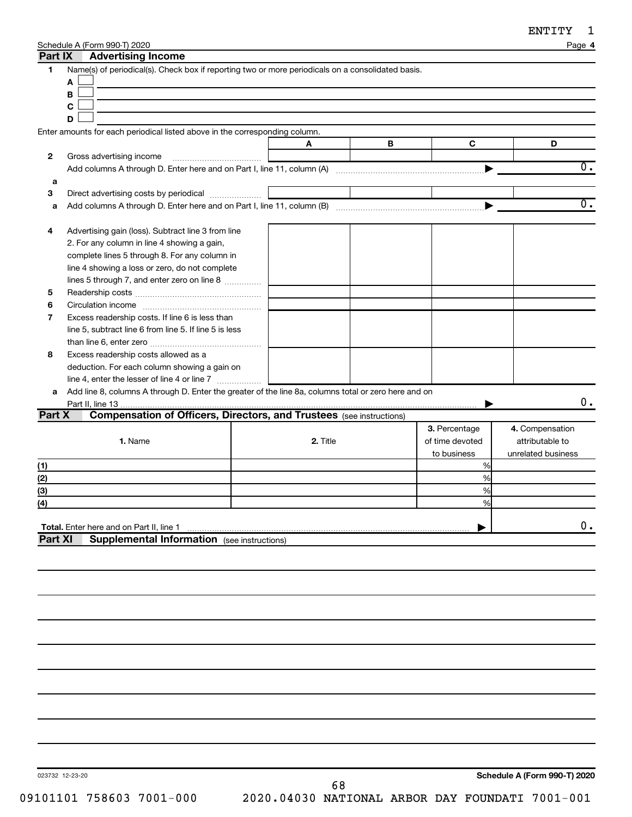**4**

| Schedule A (Form 990-T) 2020 |  |
|------------------------------|--|

|                | <b>AUTER HOLLO</b> HIGHLIG                                                                           |          |   |                 |                              |
|----------------|------------------------------------------------------------------------------------------------------|----------|---|-----------------|------------------------------|
| 1.             | Name(s) of periodical(s). Check box if reporting two or more periodicals on a consolidated basis.    |          |   |                 |                              |
|                | A                                                                                                    |          |   |                 |                              |
|                | В                                                                                                    |          |   |                 |                              |
|                | C                                                                                                    |          |   |                 |                              |
|                |                                                                                                      |          |   |                 |                              |
|                | D                                                                                                    |          |   |                 |                              |
|                | Enter amounts for each periodical listed above in the corresponding column.                          |          |   |                 |                              |
|                |                                                                                                      | A        | В | $\mathbf C$     | D                            |
| 2              | Gross advertising income                                                                             |          |   |                 |                              |
|                |                                                                                                      |          |   | ▶               | $\overline{0}$ .             |
|                |                                                                                                      |          |   |                 |                              |
| а              |                                                                                                      |          |   |                 |                              |
| З              |                                                                                                      |          |   |                 |                              |
| a              |                                                                                                      |          |   | ▶               | $\overline{0}$ .             |
|                |                                                                                                      |          |   |                 |                              |
| 4              | Advertising gain (loss). Subtract line 3 from line                                                   |          |   |                 |                              |
|                | 2. For any column in line 4 showing a gain,                                                          |          |   |                 |                              |
|                |                                                                                                      |          |   |                 |                              |
|                | complete lines 5 through 8. For any column in                                                        |          |   |                 |                              |
|                | line 4 showing a loss or zero, do not complete                                                       |          |   |                 |                              |
|                | lines 5 through 7, and enter zero on line 8                                                          |          |   |                 |                              |
| 5              |                                                                                                      |          |   |                 |                              |
| 6              |                                                                                                      |          |   |                 |                              |
| 7              | Excess readership costs. If line 6 is less than                                                      |          |   |                 |                              |
|                |                                                                                                      |          |   |                 |                              |
|                | line 5, subtract line 6 from line 5. If line 5 is less                                               |          |   |                 |                              |
|                |                                                                                                      |          |   |                 |                              |
| 8              | Excess readership costs allowed as a                                                                 |          |   |                 |                              |
|                | deduction. For each column showing a gain on                                                         |          |   |                 |                              |
|                |                                                                                                      |          |   |                 |                              |
| a              | Add line 8, columns A through D. Enter the greater of the line 8a, columns total or zero here and on |          |   |                 |                              |
|                |                                                                                                      |          |   |                 | 0.                           |
|                |                                                                                                      |          |   |                 |                              |
|                |                                                                                                      |          |   |                 |                              |
| Part X         | <b>Compensation of Officers, Directors, and Trustees</b> (see instructions)                          |          |   |                 |                              |
|                |                                                                                                      |          |   | 3. Percentage   | 4. Compensation              |
|                | 1. Name                                                                                              | 2. Title |   | of time devoted | attributable to              |
|                |                                                                                                      |          |   | to business     | unrelated business           |
| (1)            |                                                                                                      |          |   | %               |                              |
| (2)            |                                                                                                      |          |   | %               |                              |
|                |                                                                                                      |          |   | %               |                              |
| (3)            |                                                                                                      |          |   |                 |                              |
| (4)            |                                                                                                      |          |   | %               |                              |
|                |                                                                                                      |          |   |                 |                              |
|                | Total. Enter here and on Part II, line 1                                                             |          |   |                 | $\mathbf 0$ .                |
| <b>Part XI</b> | <b>Supplemental Information</b> (see instructions)                                                   |          |   |                 |                              |
|                |                                                                                                      |          |   |                 |                              |
|                |                                                                                                      |          |   |                 |                              |
|                |                                                                                                      |          |   |                 |                              |
|                |                                                                                                      |          |   |                 |                              |
|                |                                                                                                      |          |   |                 |                              |
|                |                                                                                                      |          |   |                 |                              |
|                |                                                                                                      |          |   |                 |                              |
|                |                                                                                                      |          |   |                 |                              |
|                |                                                                                                      |          |   |                 |                              |
|                |                                                                                                      |          |   |                 |                              |
|                |                                                                                                      |          |   |                 |                              |
|                |                                                                                                      |          |   |                 |                              |
|                |                                                                                                      |          |   |                 |                              |
|                |                                                                                                      |          |   |                 |                              |
|                |                                                                                                      |          |   |                 |                              |
|                |                                                                                                      |          |   |                 |                              |
|                |                                                                                                      |          |   |                 |                              |
|                |                                                                                                      |          |   |                 |                              |
|                |                                                                                                      |          |   |                 |                              |
|                |                                                                                                      |          |   |                 |                              |
|                | 023732 12-23-20                                                                                      |          |   |                 | Schedule A (Form 990-T) 2020 |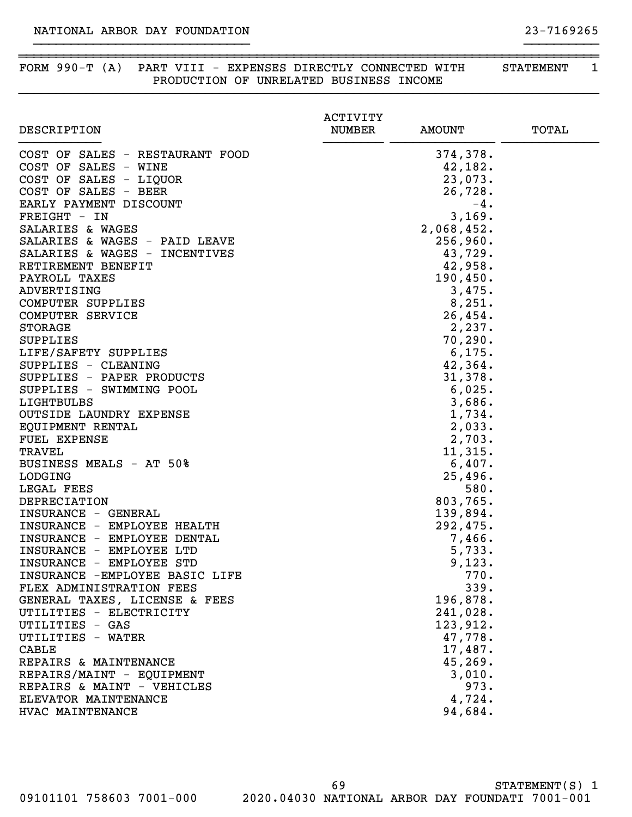### FORM 990-T (A) PART VIII - EXPENSES DIRECTLY CONNECTED WITH STATEMENT 1 PRODUCTION OF UNRELATED BUSINESS INCOME

}}}}}}}}}}}}}}}}}}}}}}}}}}}}}}}}}}}}}}}}}}}}}}}}}}}}}}}}}}}}}}}}}}}}}}}}}}}}}}

~~~~~~~~~~~~~~~~~~~~~~~~~~~~~~~~~~~~~~~~~~~~~~~~~~~~~~~~~~~~~~~~~~~~~~~~~~~~~~

}}}}}}}}}}}}}}}}}}}}}}}}}}}}} }}}}}}}}}}

|                                          | <b>ACTIVITY</b> |                   |              |
|------------------------------------------|-----------------|-------------------|--------------|
| DESCRIPTION                              | <b>NUMBER</b>   | <b>AMOUNT</b>     | <b>TOTAL</b> |
| COST OF SALES - RESTAURANT FOOD          |                 | 374,378.          |              |
| COST OF SALES - WINE                     |                 | 42,182.           |              |
| COST OF SALES - LIQUOR                   |                 | 23,073.           |              |
| COST OF SALES - BEER                     |                 | 26,728.           |              |
| EARLY PAYMENT DISCOUNT                   |                 | $-4.$             |              |
| FREIGHT - IN                             |                 | 3,169.            |              |
| SALARIES & WAGES                         |                 | 2,068,452.        |              |
| SALARIES & WAGES - PAID LEAVE            |                 | 256,960.          |              |
| SALARIES & WAGES - INCENTIVES            |                 | 43,729.           |              |
| RETIREMENT BENEFIT                       |                 | 42,958.           |              |
| PAYROLL TAXES                            |                 | 190, 450.         |              |
| ADVERTISING                              |                 | 3,475.            |              |
| COMPUTER SUPPLIES                        |                 | 8,251.            |              |
| COMPUTER SERVICE                         |                 | 26,454.           |              |
| <b>STORAGE</b>                           |                 | 2,237.            |              |
| <b>SUPPLIES</b>                          |                 | 70, 290.          |              |
| LIFE/SAFETY SUPPLIES                     |                 | 6, 175.           |              |
| SUPPLIES - CLEANING                      |                 | 42,364.           |              |
| SUPPLIES - PAPER PRODUCTS                |                 | 31,378.           |              |
| SUPPLIES - SWIMMING POOL                 |                 | 6,025.            |              |
| LIGHTBULBS                               |                 | 3,686.            |              |
| OUTSIDE LAUNDRY EXPENSE                  |                 | 1,734.            |              |
| EQUIPMENT RENTAL                         |                 | 2,033.            |              |
| FUEL EXPENSE                             |                 | 2,703.            |              |
| <b>TRAVEL</b><br>BUSINESS MEALS - AT 50% |                 | 11,315.<br>6,407. |              |
| <b>LODGING</b>                           |                 | 25,496.           |              |
| LEGAL FEES                               |                 | 580.              |              |
| DEPRECIATION                             |                 | 803,765.          |              |
| INSURANCE - GENERAL                      |                 | 139,894.          |              |
| INSURANCE - EMPLOYEE HEALTH              |                 | 292,475.          |              |
| INSURANCE - EMPLOYEE DENTAL              |                 | 7,466.            |              |
| INSURANCE - EMPLOYEE LTD                 |                 | 5,733.            |              |
| INSURANCE - EMPLOYEE STD                 |                 | 9,123.            |              |
| INSURANCE - EMPLOYEE BASIC LIFE          |                 | 770.              |              |
| FLEX ADMINISTRATION FEES                 |                 | 339.              |              |
| GENERAL TAXES, LICENSE & FEES            |                 | 196,878.          |              |
| UTILITIES - ELECTRICITY                  |                 | 241,028.          |              |
| UTILITIES - GAS                          |                 | 123,912.          |              |
| UTILITIES - WATER                        |                 | 47,778.           |              |
| <b>CABLE</b>                             |                 | 17,487.           |              |
| REPAIRS & MAINTENANCE                    |                 | 45,269.           |              |
| REPAIRS/MAINT - EQUIPMENT                |                 | 3,010.            |              |
| REPAIRS & MAINT - VEHICLES               |                 | 973.              |              |
| ELEVATOR MAINTENANCE                     |                 | 4,724.            |              |
| HVAC MAINTENANCE                         |                 | 94,684.           |              |